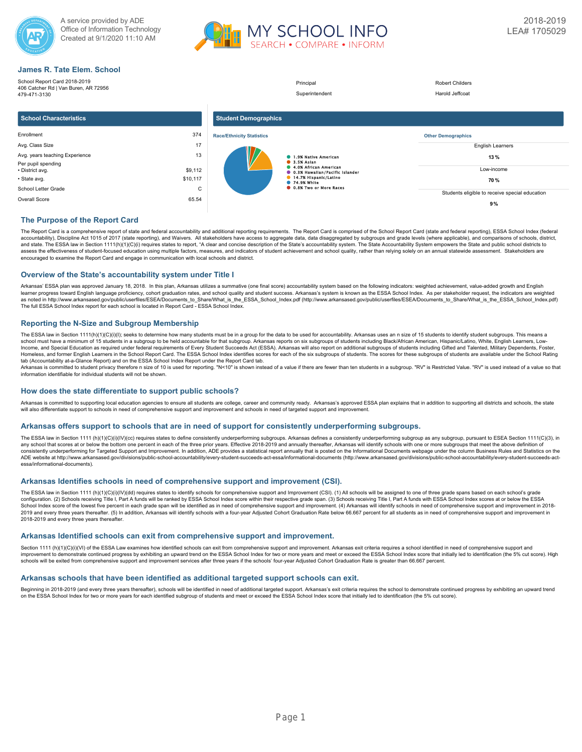



## **James R. Tate Elem. School**

| School Report Card 2018-2019<br>406 Catcher Rd   Van Buren, AR 72956<br>479-471-3130 |          |                                  | Principal<br>Superintendent                                    | <b>Robert Childers</b><br>Harold Jeffcoat      |
|--------------------------------------------------------------------------------------|----------|----------------------------------|----------------------------------------------------------------|------------------------------------------------|
| <b>School Characteristics</b>                                                        |          | <b>Student Demographics</b>      |                                                                |                                                |
| Enrollment                                                                           | 374      | <b>Race/Ethnicity Statistics</b> |                                                                | <b>Other Demographics</b>                      |
| Avg. Class Size                                                                      | 17       |                                  |                                                                | <b>English Learners</b>                        |
| Avg. years teaching Experience<br>Per pupil spending                                 | 13       |                                  | 1.9% Native American<br>3.5% Aslan                             | 13%                                            |
| • District avg.                                                                      | \$9,112  |                                  | 4.0% African American<br><b>0.3% Hawallan/Pacific Islander</b> | Low-income                                     |
| · State avg.                                                                         | \$10,117 |                                  | 14.7% Hispanic/Latino<br><b>12.9% White</b>                    | 70 %                                           |
| School Letter Grade                                                                  | C        |                                  | <b>C</b> 0.8% Two or More Races                                |                                                |
| Overall Score                                                                        | 65.54    |                                  |                                                                | Students eligible to receive special education |
|                                                                                      |          |                                  |                                                                | 9%                                             |

## **The Purpose of the Report Card**

The Report Card is a comprehensive report of state and federal accountability and additional reporting requirements. The Report Card is comprised of the School Report Card (state and federal reporting), ESSA School Index ( accountability), Discipline Act 1015 of 2017 (state reporting), and Waivers. All stakeholders have access to aggregate data, data disaggregated by subgroups and grade levels (where applicable), and comparisons of schools, and state. The ESSA law in Section 1111(h)(1)(C)(i) requires states to report, "A clear and concise description of the State's accountability system. The State Accountability System empowers the State and public school dis encouraged to examine the Report Card and engage in communication with local schools and district.

### **Overview of the State's accountability system under Title I**

Arkansas' ESSA plan was approved January 18, 2018. In this plan, Arkansas utilizes a summative (one final score) accountability system based on the following indicators: weighted achievement, value-added growth and English learner progress toward English language proficiency, cohort graduation rates, and school quality and student success. Arkansas's system is known as the ESSA School Index. As per stakeholder request, the indicators are wei as noted in http://www.arkansased.gov/public/userfiles/ESEA/Documents\_to\_Share/What\_is\_the\_ESSA\_School\_Index.pdf) (http://www.arkansased.gov/public/userfiles/ESEA/Documents\_to\_Share/What\_is\_the\_ESSA\_School\_Index.pdf) The full ESSA School Index report for each school is located in Report Card - ESSA School Index.

## **Reporting the N-Size and Subgroup Membership**

The ESSA law in Section 1111(h)(1)(C)(i)(l); seeks to determine how many students must be in a group for the data to be used for accountability. Arkansas uses an n size of 15 students to identify student subgroups. This me Income, and Special Education as required under federal requirements of Every Student Succeeds Act (ESSA). Arkansas will also report on additional subgroups of students including Gifted and Talented, Military Dependents, F Homeless, and former English Learners in the School Report Card. The ESSA School Index identifies scores for each of the six subgroups of students. The scores for these subgroups of students are available under the School tab (Accountability at-a-Glance Report) and on the ESSA School Index Report under the Report Card tab.

Arkansas is committed to student privacy therefore n size of 10 is used for reporting. "N<10" is shown instead of a value if there are fewer than ten students in a subgroup. "RV" is Restricted Value. "RV" is used instead

### **How does the state differentiate to support public schools?**

Arkansas is committed to supporting local education agencies to ensure all students are college, career and community ready. Arkansas's approved ESSA plan explains that in addition to supporting all districts and schools, will also differentiate support to schools in need of comprehensive support and improvement and schools in need of targeted support and improvement.

### **Arkansas offers support to schools that are in need of support for consistently underperforming subgroups.**

The ESSA law in Section 1111 (h)(1)(O)(i)(IV)(cc) requires states to define consistently underperforming subgroups. Arkansas defines a consistently underperforming subgroups as any subgroup, pursuant to ESEA Section 1111(C any school that scores at or below the bottom one percent in each of the three prior years. Effective 2018-2019 and annually thereafter. Arkansas will identify schools with one or more subgroups that meet the above definit consistently underperforming for Targeted Support and Improvement. In addition, ADE provides a statistical report annually that is posted on the Informational Documents webpage under the column Business Rules and Statistic ADE website at http://www.arkansased.gov/divisions/public-school-accountability/every-student-succeeds-act-essa/informational-documents (http://www.arkansased.gov/divisions/public-school-accountability/every-student-succee essa/informational-documents).

## **Arkansas Identifies schools in need of comprehensive support and improvement (CSI).**

The ESSA law in Section 1111 (h)(1)(C)(i)(IV)(dd) requires states to identify schools for comprehensive support and Improvement (CSI). (1) All schools will be assigned to one of three grade spans based on each school's gra School Index score of the lowest five percent in each grade span will be identified as in need of comprehensive support and improvement. (4) Arkansas will identify schools in need of comprehensive support and improvement 2019 and every three years thereafter. (5) In addition, Arkansas will identify schools with a four-year Adjusted Cohort Graduation Rate below 66.667 percent for all students as in need of comprehensive support and improvem 2018-2019 and every three years thereafter.

### **Arkansas Identified schools can exit from comprehensive support and improvement.**

Section 1111 (h)(1)(C)(i)(VI) of the ESSA Law examines how identified schools can exit from comprehensive support and improvement. Arkansas exit criteria requires a school identified in need of comprehensive support and improvement to demonstrate continued progress by exhibiting an upward trend on the ESSA School Index for two or more years and meet or exceed the ESSA School Index score that initially led to identification (the 5% cut sco schools will be exited from comprehensive support and improvement services after three years if the schools' four-year Adjusted Cohort Graduation Rate is greater than 66.667 percent.

## **Arkansas schools that have been identified as additional targeted support schools can exit.**

Beginning in 2018-2019 (and every three years thereafter), schools will be identified in need of additional targeted support. Arkansas's exit criteria requires the school to demonstrate continued progress by exhibiting an on the ESSA School Index for two or more years for each identified subgroup of students and meet or exceed the ESSA School Index score that initially led to identification (the 5% cut score).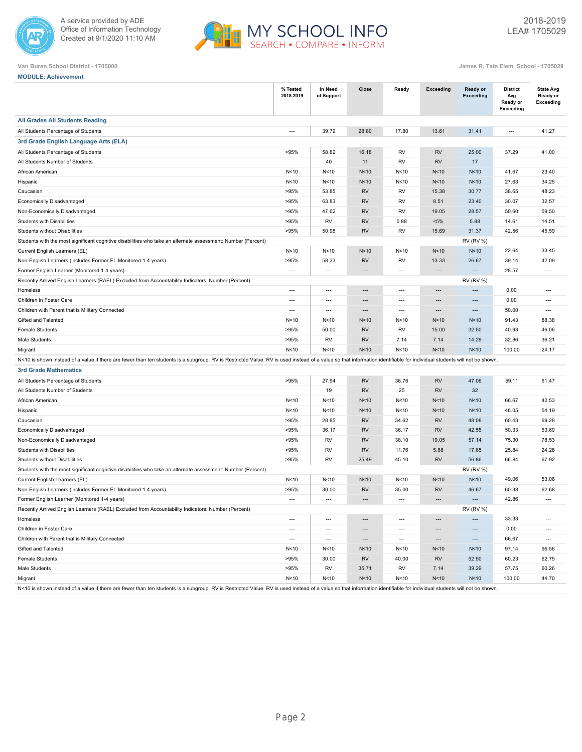



**MODULE: Achievement**

|                                                                                                                                                                                                                       | % Tested<br>2018-2019    | In Need<br>of Support    | Close                    | Ready                    | <b>Exceeding</b>         | Ready or<br><b>Exceeding</b> | <b>District</b><br>Avg<br>Ready or<br><b>Exceeding</b> | <b>State Avg</b><br>Ready or<br><b>Exceeding</b> |
|-----------------------------------------------------------------------------------------------------------------------------------------------------------------------------------------------------------------------|--------------------------|--------------------------|--------------------------|--------------------------|--------------------------|------------------------------|--------------------------------------------------------|--------------------------------------------------|
| <b>All Grades All Students Reading</b>                                                                                                                                                                                |                          |                          |                          |                          |                          |                              |                                                        |                                                  |
| All Students Percentage of Students                                                                                                                                                                                   | $\overline{a}$           | 39.79                    | 28.80                    | 17.80                    | 13.61                    | 31.41                        | $\overline{\phantom{a}}$                               | 41.27                                            |
| 3rd Grade English Language Arts (ELA)                                                                                                                                                                                 |                          |                          |                          |                          |                          |                              |                                                        |                                                  |
| All Students Percentage of Students                                                                                                                                                                                   | >95%                     | 58.82                    | 16.18                    | <b>RV</b>                | <b>RV</b>                | 25.00                        | 37.29                                                  | 41.00                                            |
| All Students Number of Students                                                                                                                                                                                       |                          | 40                       | 11                       | <b>RV</b>                | <b>RV</b>                | 17                           |                                                        |                                                  |
| African American                                                                                                                                                                                                      | N<10                     | N<10                     | N<10                     | N<10                     | N<10                     | N<10                         | 41.67                                                  | 23.40                                            |
| Hispanic                                                                                                                                                                                                              | N<10                     | N<10                     | N<10                     | N<10                     | N<10                     | N<10                         | 27.63                                                  | 34.25                                            |
| Caucasian                                                                                                                                                                                                             | >95%                     | 53.85                    | <b>RV</b>                | RV                       | 15.38                    | 30.77                        | 38.65                                                  | 48.23                                            |
| Economically Disadvantaged                                                                                                                                                                                            | >95%                     | 63.83                    | <b>RV</b>                | RV                       | 8.51                     | 23.40                        | 30.07                                                  | 32.57                                            |
| Non-Economically Disadvantaged                                                                                                                                                                                        | >95%                     | 47.62                    | <b>RV</b>                | <b>RV</b>                | 19.05                    | 28.57                        | 50.60                                                  | 59.50                                            |
| <b>Students with Disabilities</b>                                                                                                                                                                                     | >95%                     | RV                       | <b>RV</b>                | 5.88                     | $< 5\%$                  | 5.88                         | 14.61                                                  | 14.51                                            |
| <b>Students without Disabilities</b>                                                                                                                                                                                  | >95%                     | 50.98                    | <b>RV</b>                | RV                       | 15.69                    | 31.37                        | 42.56                                                  | 45.59                                            |
| Students with the most significant cognitive disabilities who take an alternate assessment: Number (Percent)                                                                                                          |                          |                          |                          |                          |                          | <b>RV (RV %)</b>             |                                                        |                                                  |
| Current English Learners (EL)                                                                                                                                                                                         | N < 10                   | N < 10                   | N<10                     | N<10                     | N<10                     | N<10                         | 22.64                                                  | 33.45                                            |
| Non-English Learners (includes Former EL Monitored 1-4 years)                                                                                                                                                         | >95%                     | 58.33                    | <b>RV</b>                | RV                       | 13.33                    | 26.67                        | 39.14                                                  | 42.09                                            |
| Former English Learner (Monitored 1-4 years)                                                                                                                                                                          | $\overline{a}$           | $\overline{a}$           | $\overline{a}$           | ---                      | ---                      | $---$                        | 28.57                                                  | $---$                                            |
| Recently Arrived English Learners (RAEL) Excluded from Accountability Indicators: Number (Percent)                                                                                                                    |                          |                          |                          |                          |                          | <b>RV (RV %)</b>             |                                                        |                                                  |
| Homeless                                                                                                                                                                                                              | $\overline{\phantom{a}}$ | $\overline{\phantom{a}}$ | $---$                    | ---                      | ---                      | ---                          | 0.00                                                   | $---$                                            |
| Children in Foster Care                                                                                                                                                                                               | $\hspace{0.05cm} \ldots$ | $\hspace{0.05cm} \ldots$ | $\overline{\phantom{a}}$ | $\overline{\phantom{a}}$ | ---                      | ---                          | 0.00                                                   | $\overline{\phantom{a}}$                         |
| Children with Parent that is Military Connected                                                                                                                                                                       | $\overline{a}$           | $\overline{\phantom{a}}$ | $---$                    | $\cdots$                 | $\cdots$                 | $\cdots$                     | 50.00                                                  | $\overline{\phantom{a}}$                         |
| Gifted and Talented                                                                                                                                                                                                   | N<10                     | N<10                     | N<10                     | N<10                     | N<10                     | N<10                         | 91.43                                                  | 88.38                                            |
| <b>Female Students</b>                                                                                                                                                                                                | >95%                     | 50.00                    | <b>RV</b>                | RV                       | 15.00                    | 32.50                        | 40.93                                                  | 46.06                                            |
| Male Students                                                                                                                                                                                                         | >95%                     | RV                       | <b>RV</b>                | 7.14                     | 7.14                     | 14.29                        | 32.86                                                  | 36.21                                            |
| Migrant                                                                                                                                                                                                               | N<10                     | N<10                     | N<10                     | N<10                     | N<10                     | N<10                         | 100.00                                                 | 24.17                                            |
| N<10 is shown instead of a value if there are fewer than ten students is a subgroup. RV is Restricted Value. RV is used instead of a value so that information identifiable for individual students will not be shown |                          |                          |                          |                          |                          |                              |                                                        |                                                  |
| <b>3rd Grade Mathematics</b>                                                                                                                                                                                          |                          |                          |                          |                          |                          |                              |                                                        |                                                  |
| All Students Percentage of Students                                                                                                                                                                                   | >95%                     | 27.94                    | <b>RV</b>                | 36.76                    | <b>RV</b>                | 47.06                        | 59.11                                                  | 61.47                                            |
| All Students Number of Students                                                                                                                                                                                       |                          | 19                       | <b>RV</b>                | 25                       | <b>RV</b>                | 32                           |                                                        |                                                  |
| African American                                                                                                                                                                                                      | N<10                     | N<10                     | N<10                     | N<10                     | N<10                     | N < 10                       | 66.67                                                  | 42.53                                            |
| Hispanic                                                                                                                                                                                                              | N<10                     | N < 10                   | N<10                     | N < 10                   | N<10                     | N < 10                       | 46.05                                                  | 54.19                                            |
| Caucasian                                                                                                                                                                                                             | >95%                     | 28.85                    | <b>RV</b>                | 34.62                    | <b>RV</b>                | 48.08                        | 60.43                                                  | 69.28                                            |
| Economically Disadvantaged                                                                                                                                                                                            | >95%                     | 36.17                    | <b>RV</b>                | 36.17                    | <b>RV</b>                | 42.55                        | 50.33                                                  | 53.69                                            |
| Non-Economically Disadvantaged                                                                                                                                                                                        | >95%                     | RV                       | <b>RV</b>                | 38.10                    | 19.05                    | 57.14                        | 75.30                                                  | 78.53                                            |
| Students with Disabilities                                                                                                                                                                                            | >95%                     | RV                       | <b>RV</b>                | 11.76                    | 5.88                     | 17.65                        | 25.84                                                  | 24.28                                            |
| Students without Disabilities                                                                                                                                                                                         | >95%                     | <b>RV</b>                | 25.49                    | 45.10                    | <b>RV</b>                | 56.86                        | 66.84                                                  | 67.92                                            |
| Students with the most significant cognitive disabilities who take an alternate assessment: Number (Percent)                                                                                                          |                          |                          |                          |                          |                          | <b>RV (RV %)</b>             |                                                        |                                                  |
| Current English Learners (EL)                                                                                                                                                                                         | N<10                     | N<10                     | N<10                     | N<10                     | N<10                     | N<10                         | 49.06                                                  | 53.06                                            |
| Non-English Learners (includes Former EL Monitored 1-4 years)                                                                                                                                                         | >95%                     | 30.00                    | <b>RV</b>                | 35.00                    | <b>RV</b>                | 46.67                        | 60.38                                                  | 62.68                                            |
| Former English Learner (Monitored 1-4 years)                                                                                                                                                                          | $\overline{\phantom{a}}$ | $\overline{\phantom{a}}$ | $\overline{a}$           | ---                      | $\overline{a}$           | $\overline{a}$               | 42.86                                                  | $\overline{\phantom{a}}$                         |
| Recently Arrived English Learners (RAEL) Excluded from Accountability Indicators: Number (Percent)                                                                                                                    |                          |                          |                          |                          |                          | <b>RV (RV %)</b>             |                                                        |                                                  |
| Homeless                                                                                                                                                                                                              | $\overline{\phantom{a}}$ | $\overline{\phantom{a}}$ | $\overline{\phantom{a}}$ | $\overline{\phantom{a}}$ | ---                      | $\cdots$                     | 33.33                                                  | ---                                              |
| Children in Foster Care                                                                                                                                                                                               | $\cdots$                 | $\hspace{0.05cm} \ldots$ | $\cdots$                 | $\cdots$                 | $\overline{\phantom{a}}$ | $\hspace{1.5cm} \cdots$      | 0.00                                                   | $\overline{\phantom{a}}$                         |
| Children with Parent that is Military Connected                                                                                                                                                                       | $\overline{\phantom{a}}$ | $\hspace{0.05cm} \ldots$ | $\overline{\phantom{a}}$ | $\overline{\phantom{a}}$ | $\hspace{0.05cm} \cdots$ | $\hspace{0.05cm} \cdots$     | 66.67                                                  | $\overline{\phantom{a}}$                         |
| Gifted and Talented                                                                                                                                                                                                   | N < 10                   | N<10                     | N <sub>10</sub>          | N<10                     | N<10                     | N <sub>10</sub>              | 97.14                                                  | 96.56                                            |
| Female Students                                                                                                                                                                                                       | >95%                     | 30.00                    | RV                       | 40.00                    | <b>RV</b>                | 52.50                        | 60.23                                                  | 62.75                                            |
| Male Students                                                                                                                                                                                                         | >95%                     | RV                       | 35.71                    | RV                       | 7.14                     | 39.29                        | 57.75                                                  | 60.26                                            |
| Migrant                                                                                                                                                                                                               | N<10                     | N<10                     | N<10                     | N<10                     | N<10                     | N<10                         | 100.00                                                 | 44.70                                            |

N<10 is shown instead of a value if there are fewer than ten students is a subgroup. RV is Restricted Value. RV is used instead of a value so that information identifiable for individual students will not be shown.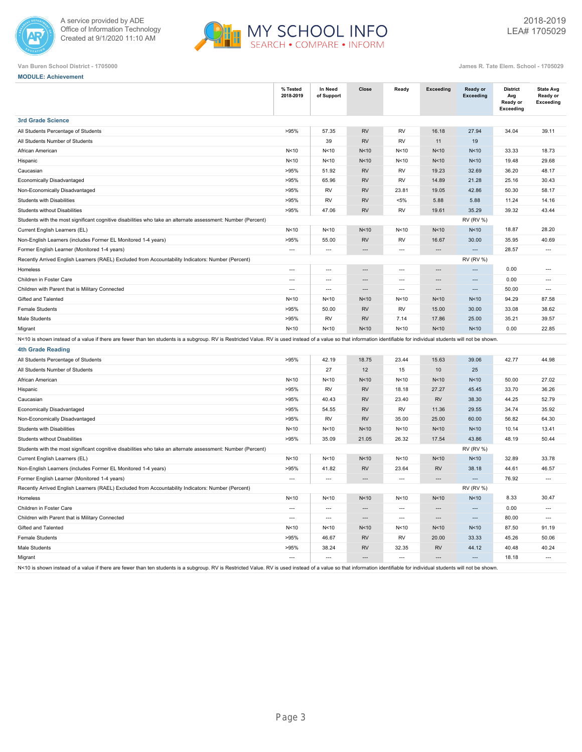



|  | <b>MODULE: Achievement</b> |
|--|----------------------------|
|  |                            |

|                                                                                                                                                                                                                        | % Tested<br>2018-2019    | In Need<br>of Support    | Close                    | Ready                    | <b>Exceeding</b>         | Ready or<br><b>Exceeding</b> | <b>District</b><br>Avg<br>Ready or<br>Exceeding | <b>State Avg</b><br>Ready or<br>Exceeding |
|------------------------------------------------------------------------------------------------------------------------------------------------------------------------------------------------------------------------|--------------------------|--------------------------|--------------------------|--------------------------|--------------------------|------------------------------|-------------------------------------------------|-------------------------------------------|
| <b>3rd Grade Science</b>                                                                                                                                                                                               |                          |                          |                          |                          |                          |                              |                                                 |                                           |
| All Students Percentage of Students                                                                                                                                                                                    | >95%                     | 57.35                    | <b>RV</b>                | <b>RV</b>                | 16.18                    | 27.94                        | 34.04                                           | 39.11                                     |
| All Students Number of Students                                                                                                                                                                                        |                          | 39                       | <b>RV</b>                | <b>RV</b>                | 11                       | 19                           |                                                 |                                           |
| African American                                                                                                                                                                                                       | N<10                     | N<10                     | N <sub>10</sub>          | N<10                     | N<10                     | N<10                         | 33.33                                           | 18.73                                     |
| Hispanic                                                                                                                                                                                                               | N<10                     | N <sub>10</sub>          | N <sub>10</sub>          | N<10                     | N<10                     | N <sub>10</sub>              | 19.48                                           | 29.68                                     |
| Caucasian                                                                                                                                                                                                              | >95%                     | 51.92                    | <b>RV</b>                | <b>RV</b>                | 19.23                    | 32.69                        | 36.20                                           | 48.17                                     |
| Economically Disadvantaged                                                                                                                                                                                             | >95%                     | 65.96                    | <b>RV</b>                | <b>RV</b>                | 14.89                    | 21.28                        | 25.16                                           | 30.43                                     |
| Non-Economically Disadvantaged                                                                                                                                                                                         | >95%                     | RV                       | <b>RV</b>                | 23.81                    | 19.05                    | 42.86                        | 50.30                                           | 58.17                                     |
| Students with Disabilities                                                                                                                                                                                             | >95%                     | <b>RV</b>                | <b>RV</b>                | $< 5\%$                  | 5.88                     | 5.88                         | 11.24                                           | 14.16                                     |
| Students without Disabilities                                                                                                                                                                                          | >95%                     | 47.06                    | <b>RV</b>                | <b>RV</b>                | 19.61                    | 35.29                        | 39.32                                           | 43.44                                     |
| Students with the most significant cognitive disabilities who take an alternate assessment: Number (Percent)                                                                                                           |                          |                          |                          |                          |                          | <b>RV (RV %)</b>             |                                                 |                                           |
| Current English Learners (EL)                                                                                                                                                                                          | N<10                     | N<10                     | N <sub>10</sub>          | N<10                     | N<10                     | N<10                         | 18.87                                           | 28.20                                     |
| Non-English Learners (includes Former EL Monitored 1-4 years)                                                                                                                                                          | >95%                     | 55.00                    | <b>RV</b>                | <b>RV</b>                | 16.67                    | 30.00                        | 35.95                                           | 40.69                                     |
| Former English Learner (Monitored 1-4 years)                                                                                                                                                                           | $\overline{\phantom{a}}$ | $\overline{\phantom{a}}$ | $\overline{a}$           | ---                      | $\overline{\phantom{a}}$ | $\overline{\phantom{a}}$     | 28.57                                           | $\overline{\phantom{a}}$                  |
| Recently Arrived English Learners (RAEL) Excluded from Accountability Indicators: Number (Percent)                                                                                                                     |                          |                          |                          |                          |                          | <b>RV (RV %)</b>             |                                                 |                                           |
| Homeless                                                                                                                                                                                                               | $\overline{a}$           | $\overline{a}$           | $\overline{\phantom{a}}$ | $\overline{a}$           | $\overline{\phantom{a}}$ | $\overline{a}$               | 0.00                                            | $\overline{a}$                            |
| Children in Foster Care                                                                                                                                                                                                | $\hspace{0.05cm} \ldots$ | $\overline{\phantom{a}}$ | $\overline{a}$           | $\overline{\phantom{a}}$ | ---                      | $\overline{a}$               | 0.00                                            | $\overline{\phantom{a}}$                  |
| Children with Parent that is Military Connected                                                                                                                                                                        | $\overline{\phantom{a}}$ | $\overline{\phantom{a}}$ | $\overline{a}$           | ---                      | ---                      | ---                          | 50.00                                           | $\overline{\phantom{a}}$                  |
| Gifted and Talented                                                                                                                                                                                                    | N<10                     | N < 10                   | N<10                     | N <sub>10</sub>          | N<10                     | N<10                         | 94.29                                           | 87.58                                     |
| <b>Female Students</b>                                                                                                                                                                                                 | >95%                     | 50.00                    | <b>RV</b>                | <b>RV</b>                | 15.00                    | 30.00                        | 33.08                                           | 38.62                                     |
| Male Students                                                                                                                                                                                                          | >95%                     | RV                       | <b>RV</b>                | 7.14                     | 17.86                    | 25.00                        | 35.21                                           | 39.57                                     |
| Migrant                                                                                                                                                                                                                | N <sub>10</sub>          | N<10                     | N <sub>10</sub>          | N <sub>10</sub>          | N<10                     | N <sub>10</sub>              | 0.00                                            | 22.85                                     |
| N<10 is shown instead of a value if there are fewer than ten students is a subgroup. RV is Restricted Value. RV is used instead of a value so that information identifiable for individual students will not be shown. |                          |                          |                          |                          |                          |                              |                                                 |                                           |
| <b>4th Grade Reading</b>                                                                                                                                                                                               |                          |                          |                          |                          |                          |                              |                                                 |                                           |
| All Students Percentage of Students                                                                                                                                                                                    | >95%                     | 42.19                    | 18.75                    | 23.44                    | 15.63                    | 39.06                        | 42.77                                           | 44.98                                     |
| All Students Number of Students                                                                                                                                                                                        |                          | 27                       | 12                       | 15                       | 10                       | 25                           |                                                 |                                           |
| African American                                                                                                                                                                                                       | N<10                     | N<10                     | N <sub>10</sub>          | N<10                     | N<10                     | N<10                         | 50.00                                           | 27.02                                     |
| Hispanic                                                                                                                                                                                                               | >95%                     | RV                       | <b>RV</b>                | 18.18                    | 27.27                    | 45.45                        | 33.70                                           | 36.26                                     |
| Caucasian                                                                                                                                                                                                              | >95%                     | 40.43                    | <b>RV</b>                | 23.40                    | <b>RV</b>                | 38.30                        | 44.25                                           | 52.79                                     |
| Economically Disadvantaged                                                                                                                                                                                             | >95%                     | 54.55                    | <b>RV</b>                | <b>RV</b>                | 11.36                    | 29.55                        | 34.74                                           | 35.92                                     |
| Non-Economically Disadvantaged                                                                                                                                                                                         | >95%                     | RV                       | <b>RV</b>                | 35.00                    | 25.00                    | 60.00                        | 56.82                                           | 64.30                                     |
| Students with Disabilities                                                                                                                                                                                             | N<10                     | N<10                     | N <sub>10</sub>          | N<10                     | N<10                     | N<10                         | 10.14                                           | 13.41                                     |
| <b>Students without Disabilities</b>                                                                                                                                                                                   | >95%                     | 35.09                    | 21.05                    | 26.32                    | 17.54                    | 43.86                        | 48.19                                           | 50.44                                     |
| Students with the most significant cognitive disabilities who take an alternate assessment: Number (Percent)                                                                                                           |                          |                          |                          |                          |                          | <b>RV (RV %)</b>             |                                                 |                                           |
| Current English Learners (EL)                                                                                                                                                                                          | N<10                     | N<10                     | N <sub>10</sub>          | N<10                     | N<10                     | N<10                         | 32.89                                           | 33.78                                     |
| Non-English Learners (includes Former EL Monitored 1-4 years)                                                                                                                                                          | >95%                     | 41.82                    | <b>RV</b>                | 23.64                    | <b>RV</b>                | 38.18                        | 44.61                                           | 46.57                                     |
| Former English Learner (Monitored 1-4 years)                                                                                                                                                                           | $\overline{a}$           | $\overline{a}$           | $\overline{a}$           | $\overline{a}$           | ---                      | $\overline{a}$               | 76.92                                           | $---$                                     |
| Recently Arrived English Learners (RAEL) Excluded from Accountability Indicators: Number (Percent)                                                                                                                     |                          |                          |                          |                          |                          | <b>RV (RV %)</b>             |                                                 |                                           |
| Homeless                                                                                                                                                                                                               | N<10                     | N<10                     | N <sub>10</sub>          | N<10                     | N<10                     | N <sub>10</sub>              | 8.33                                            | 30.47                                     |
| Children in Foster Care                                                                                                                                                                                                | $\overline{a}$           | $\overline{a}$           | $\overline{a}$           | $\overline{a}$           | $\overline{a}$           | $\overline{a}$               | 0.00                                            | $---$                                     |
| Children with Parent that is Military Connected                                                                                                                                                                        | $\overline{\phantom{a}}$ | $\overline{a}$           | $\overline{a}$           | $\overline{a}$           | $\overline{a}$           | $\overline{a}$               | 80.00                                           | $---$                                     |
| Gifted and Talented                                                                                                                                                                                                    | N<10                     | N < 10                   | N<10                     | N < 10                   | N<10                     | N<10                         | 87.50                                           | 91.19                                     |
| <b>Female Students</b>                                                                                                                                                                                                 | >95%                     | 46.67                    | <b>RV</b>                | <b>RV</b>                | 20.00                    | 33.33                        | 45.26                                           | 50.06                                     |
| Male Students                                                                                                                                                                                                          | >95%                     | 38.24                    | <b>RV</b>                | 32.35                    | <b>RV</b>                | 44.12                        | 40.48                                           | 40.24                                     |
| Migrant                                                                                                                                                                                                                | $\overline{a}$           | $\overline{a}$           |                          | $\overline{\phantom{a}}$ | $\overline{a}$           |                              | 18.18                                           | $\overline{\phantom{a}}$                  |
| N<10 is shown instead of a value if there are fewer than ten students is a subgroup. RV is Restricted Value. RV is used instead of a value so that information identifiable for individual students will not be shown. |                          |                          |                          |                          |                          |                              |                                                 |                                           |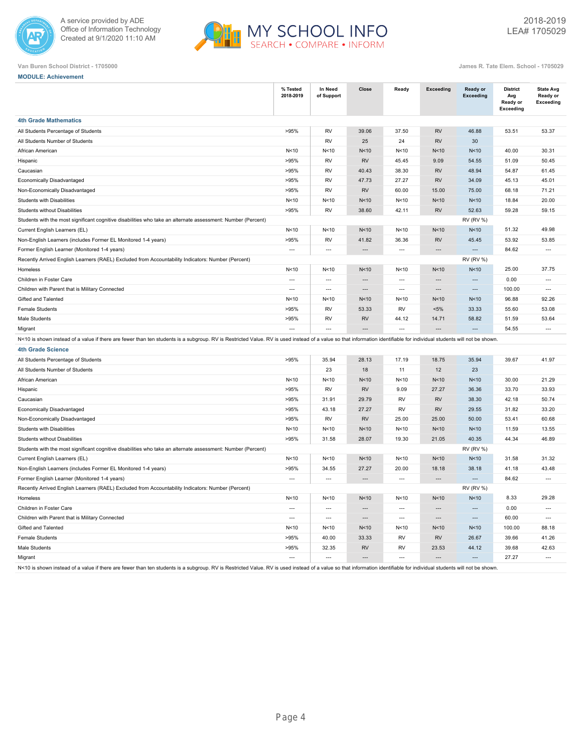



| <b>MODULE: Achievement</b>                                                                                                                                                                                             |                          |                          |                          |                          |                          |                              |                                                        |                                                  |
|------------------------------------------------------------------------------------------------------------------------------------------------------------------------------------------------------------------------|--------------------------|--------------------------|--------------------------|--------------------------|--------------------------|------------------------------|--------------------------------------------------------|--------------------------------------------------|
|                                                                                                                                                                                                                        | % Tested<br>2018-2019    | In Need<br>of Support    | Close                    | Ready                    | <b>Exceeding</b>         | Ready or<br><b>Exceeding</b> | <b>District</b><br>Avg<br>Ready or<br><b>Exceeding</b> | <b>State Avg</b><br>Ready or<br><b>Exceeding</b> |
| <b>4th Grade Mathematics</b>                                                                                                                                                                                           |                          |                          |                          |                          |                          |                              |                                                        |                                                  |
| All Students Percentage of Students                                                                                                                                                                                    | >95%                     | RV                       | 39.06                    | 37.50                    | <b>RV</b>                | 46.88                        | 53.51                                                  | 53.37                                            |
| All Students Number of Students                                                                                                                                                                                        |                          | RV                       | 25                       | 24                       | <b>RV</b>                | 30                           |                                                        |                                                  |
| African American                                                                                                                                                                                                       | N < 10                   | N < 10                   | N<10                     | N < 10                   | N<10                     | N<10                         | 40.00                                                  | 30.31                                            |
| Hispanic                                                                                                                                                                                                               | >95%                     | <b>RV</b>                | <b>RV</b>                | 45.45                    | 9.09                     | 54.55                        | 51.09                                                  | 50.45                                            |
| Caucasian                                                                                                                                                                                                              | >95%                     | RV                       | 40.43                    | 38.30                    | <b>RV</b>                | 48.94                        | 54.87                                                  | 61.45                                            |
| Economically Disadvantaged                                                                                                                                                                                             | >95%                     | <b>RV</b>                | 47.73                    | 27.27                    | <b>RV</b>                | 34.09                        | 45.13                                                  | 45.01                                            |
| Non-Economically Disadvantaged                                                                                                                                                                                         | >95%                     | RV                       | <b>RV</b>                | 60.00                    | 15.00                    | 75.00                        | 68.18                                                  | 71.21                                            |
| Students with Disabilities                                                                                                                                                                                             | N<10                     | N<10                     | N<10                     | N<10                     | N<10                     | N<10                         | 18.84                                                  | 20.00                                            |
| <b>Students without Disabilities</b>                                                                                                                                                                                   | >95%                     | <b>RV</b>                | 38.60                    | 42.11                    | <b>RV</b>                | 52.63                        | 59.28                                                  | 59.15                                            |
| Students with the most significant cognitive disabilities who take an alternate assessment: Number (Percent)                                                                                                           |                          |                          |                          |                          |                          | <b>RV (RV %)</b>             |                                                        |                                                  |
| Current English Learners (EL)                                                                                                                                                                                          | N < 10                   | N<10                     | N<10                     | N < 10                   | N<10                     | N<10                         | 51.32                                                  | 49.98                                            |
| Non-English Learners (includes Former EL Monitored 1-4 years)                                                                                                                                                          | >95%                     | <b>RV</b>                | 41.82                    | 36.36                    | <b>RV</b>                | 45.45                        | 53.92                                                  | 53.85                                            |
| Former English Learner (Monitored 1-4 years)                                                                                                                                                                           | $\overline{\phantom{a}}$ | $\overline{\phantom{a}}$ | $\cdots$                 | $\hspace{0.05cm} \ldots$ | $\overline{\phantom{a}}$ | $\overline{\phantom{a}}$     | 84.62                                                  | $\hspace{0.05cm} \ldots$                         |
| Recently Arrived English Learners (RAEL) Excluded from Accountability Indicators: Number (Percent)                                                                                                                     |                          |                          |                          |                          |                          | <b>RV (RV %)</b>             |                                                        |                                                  |
| Homeless                                                                                                                                                                                                               | N < 10                   | N<10                     | N<10                     | N<10                     | N<10                     | N<10                         | 25.00                                                  | 37.75                                            |
| Children in Foster Care                                                                                                                                                                                                | $\overline{a}$           | $\overline{\phantom{a}}$ | ---                      | $\overline{\phantom{a}}$ | $\overline{\phantom{a}}$ | $\overline{\phantom{a}}$     | 0.00                                                   | $\overline{a}$                                   |
| Children with Parent that is Military Connected                                                                                                                                                                        | $\overline{\phantom{a}}$ | $\overline{\phantom{a}}$ | ---                      | $\overline{\phantom{a}}$ | ---                      | ---                          | 100.00                                                 | $\overline{\phantom{a}}$                         |
| Gifted and Talented                                                                                                                                                                                                    | N < 10                   | N < 10                   | N<10                     | N < 10                   | N<10                     | N<10                         | 96.88                                                  | 92.26                                            |
| <b>Female Students</b>                                                                                                                                                                                                 | >95%                     | RV                       | 53.33                    | <b>RV</b>                | $< 5\%$                  | 33.33                        | 55.60                                                  | 53.08                                            |
| Male Students                                                                                                                                                                                                          | >95%                     | RV                       | <b>RV</b>                | 44.12                    | 14.71                    | 58.82                        | 51.59                                                  | 53.64                                            |
| Migrant                                                                                                                                                                                                                | $\overline{a}$           | $\overline{a}$           | $\overline{a}$           | $\overline{a}$           | $\overline{a}$           | $---$                        | 54.55                                                  | $\overline{a}$                                   |
| N<10 is shown instead of a value if there are fewer than ten students is a subgroup. RV is Restricted Value. RV is used instead of a value so that information identifiable for individual students will not be shown. |                          |                          |                          |                          |                          |                              |                                                        |                                                  |
| <b>4th Grade Science</b>                                                                                                                                                                                               |                          |                          |                          |                          |                          |                              |                                                        |                                                  |
| All Students Percentage of Students                                                                                                                                                                                    | >95%                     | 35.94                    | 28.13                    | 17.19                    | 18.75                    | 35.94                        | 39.67                                                  | 41.97                                            |
| All Students Number of Students                                                                                                                                                                                        |                          | 23                       | 18                       | 11                       | 12                       | 23                           |                                                        |                                                  |
| African American                                                                                                                                                                                                       | N<10                     | N<10                     | N <sub>10</sub>          | N < 10                   | N<10                     | N <sub>10</sub>              | 30.00                                                  | 21.29                                            |
| Hispanic                                                                                                                                                                                                               | >95%                     | RV                       | <b>RV</b>                | 9.09                     | 27.27                    | 36.36                        | 33.70                                                  | 33.93                                            |
| Caucasian                                                                                                                                                                                                              | >95%                     | 31.91                    | 29.79                    | RV                       | <b>RV</b>                | 38.30                        | 42.18                                                  | 50.74                                            |
| Economically Disadvantaged                                                                                                                                                                                             | >95%                     | 43.18                    | 27.27                    | RV                       | <b>RV</b>                | 29.55                        | 31.82                                                  | 33.20                                            |
| Non-Economically Disadvantaged                                                                                                                                                                                         | >95%                     | RV                       | <b>RV</b>                | 25.00                    | 25.00                    | 50.00                        | 53.41                                                  | 60.68                                            |
| Students with Disabilities                                                                                                                                                                                             | N < 10                   | N < 10                   | N<10                     | N < 10                   | N<10                     | N<10                         | 11.59                                                  | 13.55                                            |
| Students without Disabilities                                                                                                                                                                                          | >95%                     | 31.58                    | 28.07                    | 19.30                    | 21.05                    | 40.35                        | 44.34                                                  | 46.89                                            |
| Students with the most significant cognitive disabilities who take an alternate assessment: Number (Percent)                                                                                                           |                          |                          |                          |                          |                          | <b>RV (RV %)</b>             |                                                        |                                                  |
| Current English Learners (EL)                                                                                                                                                                                          | N < 10                   | N < 10                   | N<10                     | N < 10                   | N<10                     | N<10                         | 31.58                                                  | 31.32                                            |
| Non-English Learners (includes Former EL Monitored 1-4 years)                                                                                                                                                          | >95%                     | 34.55                    | 27.27                    | 20.00                    | 18.18                    | 38.18                        | 41.18                                                  | 43.48                                            |
| Former English Learner (Monitored 1-4 years)                                                                                                                                                                           | $\overline{a}$           | $\overline{\phantom{a}}$ | $\overline{\phantom{a}}$ | $\overline{\phantom{a}}$ | $\overline{a}$           | $\overline{a}$               | 84.62                                                  | $\overline{a}$                                   |
| Recently Arrived English Learners (RAEL) Excluded from Accountability Indicators: Number (Percent)                                                                                                                     |                          |                          |                          |                          |                          | <b>RV (RV %)</b>             |                                                        |                                                  |
| Homeless                                                                                                                                                                                                               | N<10                     | N<10                     | N<10                     | N<10                     | N<10                     | N<10                         | 8.33                                                   | 29.28                                            |
| Children in Foster Care                                                                                                                                                                                                | $\overline{\phantom{a}}$ | $\overline{\phantom{a}}$ | $\cdots$                 | $\hspace{0.05cm} \ldots$ | ---                      | $\cdots$                     | 0.00                                                   | $\overline{\phantom{a}}$                         |
| Children with Parent that is Military Connected                                                                                                                                                                        | $\overline{a}$           | $\hspace{0.05cm} \ldots$ | $\hspace{0.05cm} \ldots$ | $\overline{\phantom{a}}$ | $\hspace{0.05cm} \ldots$ | $\cdots$                     | 60.00                                                  | ---                                              |
| Gifted and Talented                                                                                                                                                                                                    | N < 10                   | N < 10                   | N <sub>10</sub>          | N < 10                   | N<10                     | N <sub>10</sub>              | 100.00                                                 | 88.18                                            |
| <b>Female Students</b>                                                                                                                                                                                                 | >95%                     | 40.00                    | 33.33                    | RV                       | <b>RV</b>                | 26.67                        | 39.66                                                  | 41.26                                            |
| Male Students                                                                                                                                                                                                          | >95%                     | 32.35                    | RV                       | RV                       | 23.53                    | 44.12                        | 39.68                                                  | 42.63                                            |
| Migrant                                                                                                                                                                                                                | $\overline{\phantom{a}}$ | $\cdots$                 | $\hspace{0.05cm} \cdots$ | $\overline{\phantom{a}}$ | $\hspace{0.05cm} \cdots$ | $\cdots$                     | 27.27                                                  | $\overline{\phantom{a}}$                         |
| N<10 is shown instead of a value if there are fewer than ten students is a subgroup. RV is Restricted Value. RV is used instead of a value so that information identifiable for individual students will not be shown. |                          |                          |                          |                          |                          |                              |                                                        |                                                  |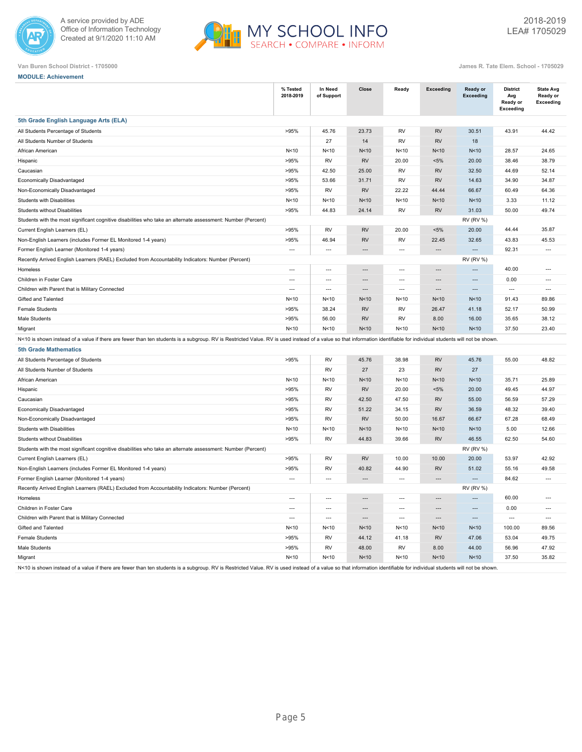



| <b>MODULE: Achievement</b> |  |  |
|----------------------------|--|--|
|                            |  |  |

|                                                                                                                                                                                                                        | % Tested<br>2018-2019    | In Need<br>of Support    | Close                    | Ready                    | <b>Exceeding</b>         | Ready or<br><b>Exceeding</b> | <b>District</b><br>Avg<br>Ready or<br>Exceeding | <b>State Avg</b><br>Ready or<br>Exceeding |
|------------------------------------------------------------------------------------------------------------------------------------------------------------------------------------------------------------------------|--------------------------|--------------------------|--------------------------|--------------------------|--------------------------|------------------------------|-------------------------------------------------|-------------------------------------------|
| 5th Grade English Language Arts (ELA)                                                                                                                                                                                  |                          |                          |                          |                          |                          |                              |                                                 |                                           |
| All Students Percentage of Students                                                                                                                                                                                    | >95%                     | 45.76                    | 23.73                    | <b>RV</b>                | <b>RV</b>                | 30.51                        | 43.91                                           | 44.42                                     |
| All Students Number of Students                                                                                                                                                                                        |                          | 27                       | 14                       | <b>RV</b>                | <b>RV</b>                | 18                           |                                                 |                                           |
| African American                                                                                                                                                                                                       | N<10                     | N<10                     | N <sub>10</sub>          | N<10                     | N<10                     | N<10                         | 28.57                                           | 24.65                                     |
| Hispanic                                                                                                                                                                                                               | >95%                     | <b>RV</b>                | <b>RV</b>                | 20.00                    | $< 5\%$                  | 20.00                        | 38.46                                           | 38.79                                     |
| Caucasian                                                                                                                                                                                                              | >95%                     | 42.50                    | 25.00                    | RV                       | <b>RV</b>                | 32.50                        | 44.69                                           | 52.14                                     |
| Economically Disadvantaged                                                                                                                                                                                             | >95%                     | 53.66                    | 31.71                    | <b>RV</b>                | <b>RV</b>                | 14.63                        | 34.90                                           | 34.87                                     |
| Non-Economically Disadvantaged                                                                                                                                                                                         | >95%                     | RV                       | <b>RV</b>                | 22.22                    | 44.44                    | 66.67                        | 60.49                                           | 64.36                                     |
| Students with Disabilities                                                                                                                                                                                             | N<10                     | N<10                     | N<10                     | N<10                     | N<10                     | N<10                         | 3.33                                            | 11.12                                     |
| <b>Students without Disabilities</b>                                                                                                                                                                                   | >95%                     | 44.83                    | 24.14                    | <b>RV</b>                | <b>RV</b>                | 31.03                        | 50.00                                           | 49.74                                     |
| Students with the most significant cognitive disabilities who take an alternate assessment: Number (Percent)                                                                                                           |                          |                          |                          |                          |                          | <b>RV (RV %)</b>             |                                                 |                                           |
| Current English Learners (EL)                                                                                                                                                                                          | >95%                     | <b>RV</b>                | <b>RV</b>                | 20.00                    | $< 5\%$                  | 20.00                        | 44.44                                           | 35.87                                     |
| Non-English Learners (includes Former EL Monitored 1-4 years)                                                                                                                                                          | >95%                     | 46.94                    | <b>RV</b>                | <b>RV</b>                | 22.45                    | 32.65                        | 43.83                                           | 45.53                                     |
| Former English Learner (Monitored 1-4 years)                                                                                                                                                                           | $\overline{a}$           | $\overline{a}$           |                          | $\overline{\phantom{a}}$ | ---                      |                              | 92.31                                           | $\overline{\phantom{a}}$                  |
| Recently Arrived English Learners (RAEL) Excluded from Accountability Indicators: Number (Percent)                                                                                                                     |                          |                          |                          |                          |                          | <b>RV (RV %)</b>             |                                                 |                                           |
| Homeless                                                                                                                                                                                                               | $\overline{a}$           | $\overline{a}$           | $\overline{a}$           | $\overline{a}$           | $\overline{a}$           | $\overline{a}$               | 40.00                                           | $\overline{\phantom{a}}$                  |
| Children in Foster Care                                                                                                                                                                                                | $---$                    | $\overline{a}$           | $\overline{a}$           | $\overline{a}$           | $\overline{a}$           | $\overline{a}$               | 0.00                                            | $---$                                     |
| Children with Parent that is Military Connected                                                                                                                                                                        | $---$                    | $\overline{a}$           | $\overline{a}$           | $\overline{a}$           | ---                      | $\overline{a}$               | $\overline{a}$                                  | $---$                                     |
| Gifted and Talented                                                                                                                                                                                                    | N<10                     | N<10                     | N<10                     | N<10                     | N<10                     | N<10                         | 91.43                                           | 89.86                                     |
| <b>Female Students</b>                                                                                                                                                                                                 | >95%                     | 38.24                    | <b>RV</b>                | <b>RV</b>                | 26.47                    | 41.18                        | 52.17                                           | 50.99                                     |
| Male Students                                                                                                                                                                                                          | >95%                     | 56.00                    | RV                       | <b>RV</b>                | 8.00                     | 16.00                        | 35.65                                           | 38.12                                     |
| Migrant                                                                                                                                                                                                                | N<10                     | N<10                     | N<10                     | N<10                     | N<10                     | N<10                         | 37.50                                           | 23.40                                     |
| N<10 is shown instead of a value if there are fewer than ten students is a subgroup. RV is Restricted Value. RV is used instead of a value so that information identifiable for individual students will not be shown. |                          |                          |                          |                          |                          |                              |                                                 |                                           |
| <b>5th Grade Mathematics</b>                                                                                                                                                                                           |                          |                          |                          |                          |                          |                              |                                                 |                                           |
| All Students Percentage of Students                                                                                                                                                                                    | >95%                     | RV                       | 45.76                    | 38.98                    | <b>RV</b>                | 45.76                        | 55.00                                           | 48.82                                     |
| All Students Number of Students                                                                                                                                                                                        |                          | RV                       | 27                       | 23                       | <b>RV</b>                | 27                           |                                                 |                                           |
| African American                                                                                                                                                                                                       | N<10                     | N<10                     | N<10                     | N<10                     | N<10                     | N<10                         | 35.71                                           | 25.89                                     |
| Hispanic                                                                                                                                                                                                               | >95%                     | RV                       | <b>RV</b>                | 20.00                    | $< 5\%$                  | 20.00                        | 49.45                                           | 44.97                                     |
| Caucasian                                                                                                                                                                                                              | >95%                     | RV                       | 42.50                    | 47.50                    | <b>RV</b>                | 55.00                        | 56.59                                           | 57.29                                     |
| Economically Disadvantaged                                                                                                                                                                                             | >95%                     | <b>RV</b>                | 51.22                    | 34.15                    | <b>RV</b>                | 36.59                        | 48.32                                           | 39.40                                     |
| Non-Economically Disadvantaged                                                                                                                                                                                         | >95%                     | <b>RV</b>                | <b>RV</b>                | 50.00                    | 16.67                    | 66.67                        | 67.28                                           | 68.49                                     |
| Students with Disabilities                                                                                                                                                                                             | N<10                     | N<10                     | N <sub>10</sub>          | N<10                     | N<10                     | N<10                         | 5.00                                            | 12.66                                     |
| <b>Students without Disabilities</b>                                                                                                                                                                                   | >95%                     | <b>RV</b>                | 44.83                    | 39.66                    | <b>RV</b>                | 46.55                        | 62.50                                           | 54.60                                     |
| Students with the most significant cognitive disabilities who take an alternate assessment: Number (Percent)                                                                                                           |                          |                          |                          |                          |                          | <b>RV (RV %)</b>             |                                                 |                                           |
| Current English Learners (EL)                                                                                                                                                                                          | >95%                     | RV                       | <b>RV</b>                | 10.00                    | 10.00                    | 20.00                        | 53.97                                           | 42.92                                     |
| Non-English Learners (includes Former EL Monitored 1-4 years)                                                                                                                                                          | >95%                     | <b>RV</b>                | 40.82                    | 44.90                    | <b>RV</b>                | 51.02                        | 55.16                                           | 49.58                                     |
| Former English Learner (Monitored 1-4 years)                                                                                                                                                                           | $\overline{a}$           | $\overline{a}$           | $\overline{a}$           | $\overline{a}$           | ---                      | $\overline{a}$               | 84.62                                           | $---$                                     |
| Recently Arrived English Learners (RAEL) Excluded from Accountability Indicators: Number (Percent)                                                                                                                     |                          |                          |                          |                          |                          | <b>RV (RV %)</b>             |                                                 |                                           |
| Homeless                                                                                                                                                                                                               | $\overline{a}$           | $\overline{a}$           | $\overline{\phantom{a}}$ | $\overline{a}$           | $\overline{\phantom{a}}$ |                              | 60.00                                           | $\overline{a}$                            |
| Children in Foster Care                                                                                                                                                                                                | $\overline{\phantom{a}}$ | $\overline{\phantom{a}}$ | $\overline{a}$           | $\overline{\phantom{a}}$ | $\overline{a}$           | $\overline{a}$               | 0.00                                            | $\overline{\phantom{a}}$                  |
| Children with Parent that is Military Connected                                                                                                                                                                        | $\overline{a}$           | $\overline{a}$           | $\overline{a}$           | ---                      | ---                      | $\overline{a}$               | $\overline{a}$                                  | $\overline{\phantom{a}}$                  |
| Gifted and Talented                                                                                                                                                                                                    | N < 10                   | N<10                     | N<10                     | N<10                     | N<10                     | N<10                         | 100.00                                          | 89.56                                     |
| <b>Female Students</b>                                                                                                                                                                                                 | >95%                     | RV                       | 44.12                    | 41.18                    | <b>RV</b>                | 47.06                        | 53.04                                           | 49.75                                     |
| Male Students                                                                                                                                                                                                          | >95%                     | RV                       | 48.00                    | RV                       | 8.00                     | 44.00                        | 56.96                                           | 47.92                                     |
| Migrant                                                                                                                                                                                                                | N<10                     | N<10                     | N<10                     | N<10                     | N<10                     | N<10                         | 37.50                                           | 35.82                                     |
| N<10 is shown instead of a value if there are fewer than ten students is a subgroup. RV is Restricted Value. RV is used instead of a value so that information identifiable for individual students will not be shown. |                          |                          |                          |                          |                          |                              |                                                 |                                           |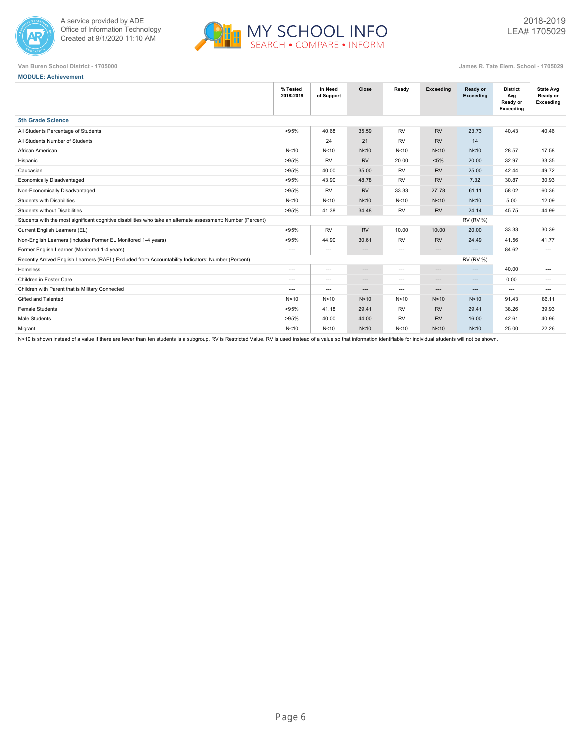



**MODULE: Achievement**

**Van Buren School District - 1705000 James R. Tate Elem. School - 1705029**

| % Tested<br>2018-2019                                                                                        | In Need<br>of Support    | Close                         | Ready          | Exceeding                | Ready or<br>Exceeding | <b>District</b><br>Avg<br>Ready or<br>Exceeding | <b>State Avg</b><br>Ready or<br>Exceeding |
|--------------------------------------------------------------------------------------------------------------|--------------------------|-------------------------------|----------------|--------------------------|-----------------------|-------------------------------------------------|-------------------------------------------|
| <b>5th Grade Science</b>                                                                                     |                          |                               |                |                          |                       |                                                 |                                           |
| >95%<br>All Students Percentage of Students                                                                  | 40.68                    | 35.59                         | <b>RV</b>      | <b>RV</b>                | 23.73                 | 40.43                                           | 40.46                                     |
| All Students Number of Students                                                                              | 24                       | 21                            | <b>RV</b>      | <b>RV</b>                | 14                    |                                                 |                                           |
| N<10<br>African American                                                                                     | N <sub>10</sub>          | N <sub>10</sub>               | N<10           | N<10                     | N <sub>10</sub>       | 28.57                                           | 17.58                                     |
| >95%<br>Hispanic                                                                                             | <b>RV</b>                | <b>RV</b>                     | 20.00          | $< 5\%$                  | 20.00                 | 32.97                                           | 33.35                                     |
| >95%<br>Caucasian                                                                                            | 40.00                    | 35.00                         | <b>RV</b>      | <b>RV</b>                | 25.00                 | 42.44                                           | 49.72                                     |
| Economically Disadvantaged<br>>95%                                                                           | 43.90                    | 48.78                         | <b>RV</b>      | <b>RV</b>                | 7.32                  | 30.87                                           | 30.93                                     |
| Non-Economically Disadvantaged<br>>95%                                                                       | <b>RV</b>                | <b>RV</b>                     | 33.33          | 27.78                    | 61.11                 | 58.02                                           | 60.36                                     |
| <b>Students with Disabilities</b><br>N<10                                                                    | N<10                     | N <sub>10</sub>               | N<10           | N<10                     | N <sub>10</sub>       | 5.00                                            | 12.09                                     |
| >95%<br><b>Students without Disabilities</b>                                                                 | 41.38                    | 34.48                         | <b>RV</b>      | <b>RV</b>                | 24.14                 | 45.75                                           | 44.99                                     |
| Students with the most significant cognitive disabilities who take an alternate assessment: Number (Percent) |                          |                               |                |                          | <b>RV (RV %)</b>      |                                                 |                                           |
| >95%<br>Current English Learners (EL)                                                                        | <b>RV</b>                | <b>RV</b>                     | 10.00          | 10.00                    | 20.00                 | 33.33                                           | 30.39                                     |
| >95%<br>Non-English Learners (includes Former EL Monitored 1-4 years)                                        | 44.90                    | 30.61                         | <b>RV</b>      | <b>RV</b>                | 24.49                 | 41.56                                           | 41.77                                     |
| Former English Learner (Monitored 1-4 years)<br>$\hspace{0.05cm} \ldots$                                     | $\cdots$                 | $\hspace{0.05cm} \ldots$      | $\cdots$       | $\hspace{0.05cm} \ldots$ | $\cdots$              | 84.62                                           | $---$                                     |
| Recently Arrived English Learners (RAEL) Excluded from Accountability Indicators: Number (Percent)           |                          |                               |                |                          | <b>RV (RV %)</b>      |                                                 |                                           |
| Homeless<br>$---$                                                                                            | $\hspace{0.05cm} \ldots$ | $\hspace{0.05cm} \ldots$      | $\overline{a}$ | $\sim$                   | $---$                 | 40.00                                           | $---$                                     |
| Children in Foster Care<br>$\sim$ $\sim$                                                                     | $\hspace{0.05cm} \ldots$ | $\hspace{1.5cm} \textbf{---}$ | $\sim$ $\sim$  | $\hspace{0.05cm} \ldots$ | $---$                 | 0.00                                            | $\cdots$                                  |
| Children with Parent that is Military Connected<br>$---$                                                     | $---$                    | $\hspace{1.5cm} \textbf{---}$ | $---$          | $---$                    | $\cdots$              | $\cdots$                                        | $---$                                     |
| Gifted and Talented<br>N<10                                                                                  | N <sub>10</sub>          | N <sub>10</sub>               | N<10           | N<10                     | N <sub>10</sub>       | 91.43                                           | 86.11                                     |
| <b>Female Students</b><br>>95%                                                                               | 41.18                    | 29.41                         | <b>RV</b>      | <b>RV</b>                | 29.41                 | 38.26                                           | 39.93                                     |
| Male Students<br>>95%                                                                                        | 40.00                    | 44.00                         | <b>RV</b>      | <b>RV</b>                | 16.00                 | 42.61                                           | 40.96                                     |
| N<10<br>Migrant                                                                                              | N<10                     | N <sub>10</sub>               | N<10           | N<10                     | N <sub>10</sub>       | 25.00                                           | 22.26                                     |

N<10 is shown instead of a value if there are fewer than ten students is a subgroup. RV is Restricted Value. RV is used instead of a value so that information identifiable for individual students will not be shown.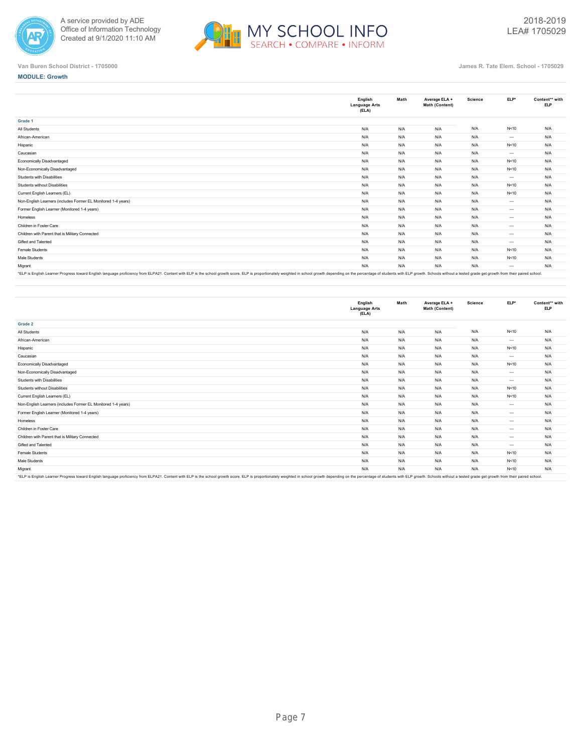



**MODULE: Growth**

|                                                               | English<br><b>Language Arts</b><br>(ELA) | Math | Average ELA +<br>Math (Content) | <b>Science</b> | $ELP*$   | Content** with<br><b>ELP</b> |
|---------------------------------------------------------------|------------------------------------------|------|---------------------------------|----------------|----------|------------------------------|
| Grade 1                                                       |                                          |      |                                 |                |          |                              |
| All Students                                                  | N/A                                      | N/A  | N/A                             | N/A            | N<10     | N/A                          |
| African-American                                              | N/A                                      | N/A  | N/A                             | N/A            | $---$    | N/A                          |
| Hispanic                                                      | N/A                                      | N/A  | N/A                             | N/A            | N<10     | N/A                          |
| Caucasian                                                     | N/A                                      | N/A  | N/A                             | N/A            | $---$    | N/A                          |
| <b>Economically Disadvantaged</b>                             | N/A                                      | N/A  | N/A                             | N/A            | N<10     | N/A                          |
| Non-Economically Disadvantaged                                | N/A                                      | N/A  | N/A                             | N/A            | N<10     | N/A                          |
| Students with Disabilities                                    | N/A                                      | N/A  | N/A                             | N/A            | $\cdots$ | N/A                          |
| Students without Disabilities                                 | N/A                                      | N/A  | N/A                             | N/A            | N<10     | N/A                          |
| Current English Learners (EL)                                 | N/A                                      | N/A  | N/A                             | N/A            | N<10     | N/A                          |
| Non-English Learners (includes Former EL Monitored 1-4 years) | N/A                                      | N/A  | N/A                             | N/A            | $\cdots$ | N/A                          |
| Former English Learner (Monitored 1-4 years)                  | N/A                                      | N/A  | N/A                             | N/A            | $---$    | N/A                          |
| Homeless                                                      | N/A                                      | N/A  | N/A                             | N/A            | $- - -$  | N/A                          |
| Children in Foster Care                                       | N/A                                      | N/A  | N/A                             | N/A            | $- - -$  | N/A                          |
| Children with Parent that is Military Connected               | N/A                                      | N/A  | N/A                             | N/A            | $---$    | N/A                          |
| Gifted and Talented                                           | N/A                                      | N/A  | N/A                             | N/A            | $\cdots$ | N/A                          |
| Female Students                                               | N/A                                      | N/A  | N/A                             | N/A            | N<10     | N/A                          |
| Male Students                                                 | N/A                                      | N/A  | N/A                             | N/A            | N<10     | N/A                          |
| Migrant                                                       | N/A                                      | N/A  | N/A                             | N/A            | ---      | N/A                          |
|                                                               |                                          |      |                                 |                |          |                              |

'ELP is English Learner Progress toward English language proficiency from ELPA21. Content with ELP is the school growth score. ELP is proportionately weighted in school growth depending on the percentage of st

|                                                                                                                                                                                                                               | English<br><b>Language Arts</b><br>(ELA) | Math | Average ELA +<br>Math (Content) | Science | ELP*     | Content** with<br><b>ELP</b> |
|-------------------------------------------------------------------------------------------------------------------------------------------------------------------------------------------------------------------------------|------------------------------------------|------|---------------------------------|---------|----------|------------------------------|
| Grade 2                                                                                                                                                                                                                       |                                          |      |                                 |         |          |                              |
| All Students                                                                                                                                                                                                                  | N/A                                      | N/A  | N/A                             | N/A     | N<10     | N/A                          |
| African-American                                                                                                                                                                                                              | N/A                                      | N/A  | N/A                             | N/A     | $\cdots$ | N/A                          |
| Hispanic                                                                                                                                                                                                                      | N/A                                      | N/A  | N/A                             | N/A     | N<10     | N/A                          |
| Caucasian                                                                                                                                                                                                                     | N/A                                      | N/A  | N/A                             | N/A     | $\cdots$ | N/A                          |
| Economically Disadvantaged                                                                                                                                                                                                    | N/A                                      | N/A  | N/A                             | N/A     | N<10     | N/A                          |
| Non-Economically Disadvantaged                                                                                                                                                                                                | N/A                                      | N/A  | N/A                             | N/A     | $\cdots$ | N/A                          |
| Students with Disabilities                                                                                                                                                                                                    | N/A                                      | N/A  | N/A                             | N/A     | $\cdots$ | N/A                          |
| Students without Disabilities                                                                                                                                                                                                 | N/A                                      | N/A  | N/A                             | N/A     | N<10     | N/A                          |
| Current English Learners (EL)                                                                                                                                                                                                 | N/A                                      | N/A  | N/A                             | N/A     | N<10     | N/A                          |
| Non-English Learners (includes Former EL Monitored 1-4 years)                                                                                                                                                                 | N/A                                      | N/A  | N/A                             | N/A     | $\cdots$ | N/A                          |
| Former English Learner (Monitored 1-4 years)                                                                                                                                                                                  | N/A                                      | N/A  | N/A                             | N/A     | $---$    | N/A                          |
| Homeless                                                                                                                                                                                                                      | N/A                                      | N/A  | N/A                             | N/A     | $---$    | N/A                          |
| Children in Foster Care                                                                                                                                                                                                       | N/A                                      | N/A  | N/A                             | N/A     | $---$    | N/A                          |
| Children with Parent that is Military Connected                                                                                                                                                                               | N/A                                      | N/A  | N/A                             | N/A     | $---$    | N/A                          |
| Gifted and Talented                                                                                                                                                                                                           | N/A                                      | N/A  | N/A                             | N/A     | $---$    | N/A                          |
| Female Students                                                                                                                                                                                                               | N/A                                      | N/A  | N/A                             | N/A     | N<10     | N/A                          |
| Male Students                                                                                                                                                                                                                 | N/A                                      | N/A  | N/A                             | N/A     | N<10     | N/A                          |
| Migrant                                                                                                                                                                                                                       | N/A                                      | N/A  | N/A                             | N/A     | N<10     | N/A                          |
| *El D ie Englieb Lagrage Dragger bward English Januara proficianu from El DA?1. Contant with El D ie the echoal growth ecores. El D ie proportionately weighted in echoal growth departing on the parameters of etudents with |                                          |      |                                 |         |          |                              |

\*ELP is English Learner Progress toward English language proficiency from ELPA21. Content with ELP is the school growth score. ELP is proportionately weighted in school growth depending on the percentage of students with E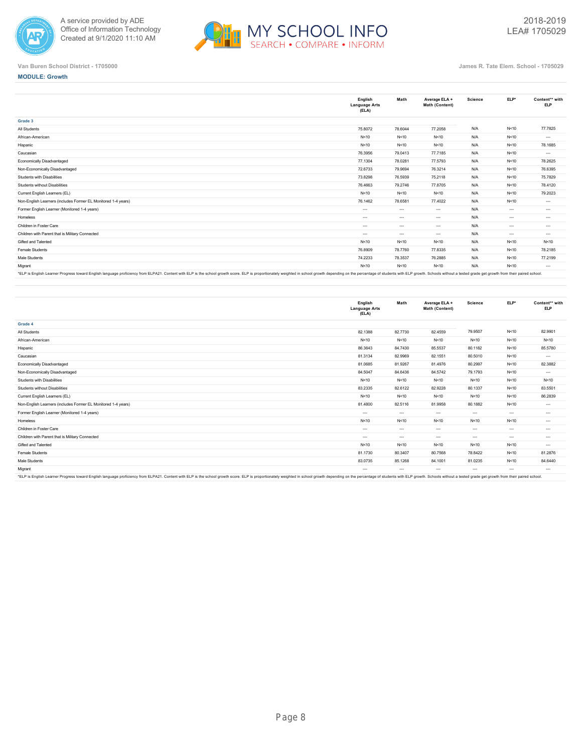



**MODULE: Growth**

**Grade 3**

|                                                               | English<br><b>Language Arts</b><br>(ELA) | Math          | Average ELA +<br>Math (Content) | Science | ELP*     | Content** with<br><b>ELP</b> |
|---------------------------------------------------------------|------------------------------------------|---------------|---------------------------------|---------|----------|------------------------------|
| Grade 3                                                       |                                          |               |                                 |         |          |                              |
| All Students                                                  | 75.8072                                  | 78.6044       | 77.2058                         | N/A     | N<10     | 77.7825                      |
| African-American                                              | N < 10                                   | N < 10        | N<10                            | N/A     | N<10     | $\cdots$                     |
| Hispanic                                                      | N < 10                                   | N < 10        | N<10                            | N/A     | N<10     | 78.1685                      |
| Caucasian                                                     | 76.3956                                  | 79.0413       | 77.7185                         | N/A     | N<10     | $\cdots$                     |
| Economically Disadvantaged                                    | 77.1304                                  | 78.0281       | 77.5793                         | N/A     | N<10     | 78.2625                      |
| Non-Economically Disadvantaged                                | 72.6733                                  | 79.9694       | 76.3214                         | N/A     | N<10     | 76.6395                      |
| <b>Students with Disabilities</b>                             | 73.8298                                  | 76,5939       | 75.2118                         | N/A     | N < 10   | 75.7829                      |
| Students without Disabilities                                 | 76.4663                                  | 79.2746       | 77,8705                         | N/A     | N<10     | 78.4120                      |
| Current English Learners (EL)                                 | N < 10                                   | N < 10        | N<10                            | N/A     | N<10     | 79.2023                      |
| Non-English Learners (includes Former EL Monitored 1-4 years) | 76.1462                                  | 78.6581       | 77.4022                         | N/A     | N<10     | $\cdots$                     |
| Former English Learner (Monitored 1-4 years)                  | $---$                                    | $\cdots$      | $\sim$                          | N/A     | $---$    | $\cdots$                     |
| Homeless                                                      | $---$                                    | $\sim$ $\sim$ | $\sim$                          | N/A     | $---$    | $\cdots$                     |
| Children in Foster Care                                       | $\cdots$                                 | $\sim$ $\sim$ | $\sim$                          | N/A     | $\cdots$ | $-1$                         |
| Children with Parent that is Military Connected               | $\cdots$                                 | $\cdots$      | $\sim$                          | N/A     | $\cdots$ | $\cdots$                     |
| Gifted and Talented                                           | N < 10                                   | N<10          | N<10                            | N/A     | N<10     | N < 10                       |
| Female Students                                               | 76.8909                                  | 78.7760       | 77.8335                         | N/A     | N<10     | 78.2185                      |
| Male Students                                                 | 74.2233                                  | 78.3537       | 76.2885                         | N/A     | N<10     | 77.2199                      |
| Migrant                                                       | N < 10                                   | N < 10        | N<10                            | N/A     | N < 10   | $\cdots$                     |

"ELP is English Learner Progress toward English language proficiency from ELPA21. Content with ELP is the school growth score. ELP is proportionately weighted in school growth depending on the percentage of students with E

|                                                               | English<br><b>Language Arts</b><br>(ELA) | Math     | Average ELA +<br>Math (Content) | Science       | ELP*     | Content** with<br><b>ELP</b> |
|---------------------------------------------------------------|------------------------------------------|----------|---------------------------------|---------------|----------|------------------------------|
| Grade 4                                                       |                                          |          |                                 |               |          |                              |
| All Students                                                  | 82.1388                                  | 82.7730  | 82.4559                         | 79.9507       | N<10     | 82.9901                      |
| African-American                                              | N < 10                                   | N<10     | N<10                            | N<10          | N<10     | N<10                         |
| Hispanic                                                      | 86.3643                                  | 84.7430  | 85.5537                         | 80.1182       | N<10     | 85.5780                      |
| Caucasian                                                     | 81.3134                                  | 82.9969  | 82.1551                         | 80.5010       | N<10     | $\cdots$                     |
| Economically Disadvantaged                                    | 81.0685                                  | 81.9267  | 81.4976                         | 80.2997       | N<10     | 82.3882                      |
| Non-Economically Disadvantaged                                | 84.5047                                  | 84.6436  | 84.5742                         | 79.1793       | N<10     | $\cdots$                     |
| Students with Disabilities                                    | N < 10                                   | N < 10   | N<10                            | N < 10        | N < 10   | N < 10                       |
| Students without Disabilities                                 | 83.2335                                  | 82.6122  | 82.9228                         | 80.1337       | N<10     | 83.5501                      |
| Current English Learners (EL)                                 | N < 10                                   | N<10     | N<10                            | N<10          | N<10     | 86.2839                      |
| Non-English Learners (includes Former EL Monitored 1-4 years) | 81.4800                                  | 82.5116  | 81.9958                         | 80.1882       | N<10     | $\cdots$                     |
| Former English Learner (Monitored 1-4 years)                  | $\cdots$                                 | $\cdots$ | $\sim$                          | $\cdots$      | $\ldots$ | $-1$                         |
| Homeless                                                      | N < 10                                   | N<10     | N<10                            | N<10          | N<10     | $\cdots$                     |
| Children in Foster Care                                       | $---$                                    | $-1$     | $\sim$                          | $\sim$ $\sim$ | $\cdots$ | $\cdots$                     |
| Children with Parent that is Military Connected               | $---$                                    | $\cdots$ | $\cdots$                        | $\cdots$      | $\ldots$ | $\cdots$                     |
| Gifted and Talented                                           | N < 10                                   | N<10     | N<10                            | N<10          | N<10     | $\cdots$                     |
| Female Students                                               | 81.1730                                  | 80.3407  | 80.7568                         | 78.8422       | N<10     | 81.2876                      |
| Male Students                                                 | 83.0735                                  | 85.1268  | 84.1001                         | 81.0235       | N < 10   | 84.6440                      |
| Migrant                                                       | $\cdots$                                 | $\cdots$ | $\cdots$                        | $\cdots$      | $\cdots$ | $\cdots$                     |
|                                                               |                                          |          |                                 |               |          |                              |

"ELP is English Learner Progress toward English language proficiency from ELPA21. Content with ELP is the school growth score. ELP is proportionalely weighted in school growth depending on the percentage of students with E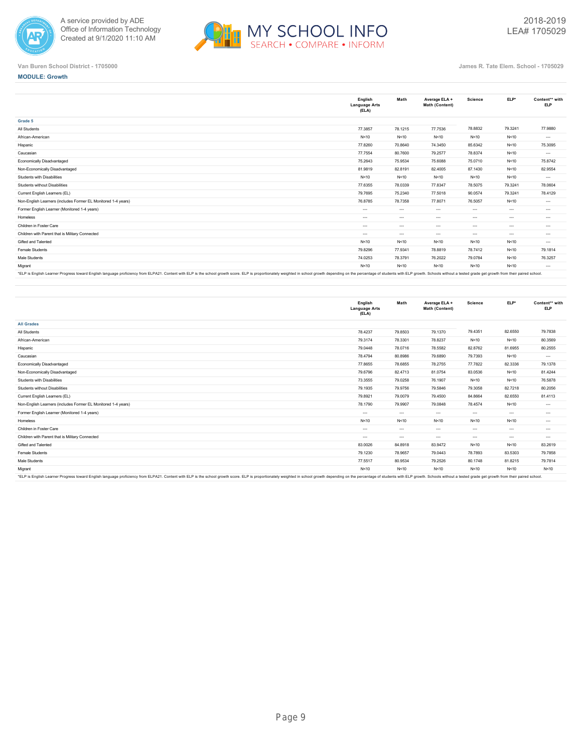



**MODULE: Growth**

|                                                               | English<br><b>Language Arts</b><br>(ELA) | Math     | Average ELA +<br>Math (Content) | Science | $ELP*$   | Content** with<br><b>ELP</b> |
|---------------------------------------------------------------|------------------------------------------|----------|---------------------------------|---------|----------|------------------------------|
| Grade 5                                                       |                                          |          |                                 |         |          |                              |
| All Students                                                  | 77.3857                                  | 78.1215  | 77.7536                         | 78.8832 | 79.3241  | 77,9880                      |
| African-American                                              | N < 10                                   | N < 10   | N<10                            | N<10    | N<10     | $\cdots$                     |
| Hispanic                                                      | 77,8260                                  | 70.8640  | 74.3450                         | 85.6342 | N<10     | 75.3095                      |
| Caucasian                                                     | 77.7554                                  | 80.7600  | 79.2577                         | 78.8374 | N<10     | $\cdots$                     |
| <b>Economically Disadvantaged</b>                             | 75.2643                                  | 75.9534  | 75.6088                         | 75.0710 | N<10     | 75,8742                      |
| Non-Economically Disadvantaged                                | 81.9819                                  | 82.8191  | 82.4005                         | 87.1430 | N<10     | 82.9554                      |
| Students with Disabilities                                    | N < 10                                   | N < 10   | N<10                            | N<10    | N<10     | $\cdots$                     |
| Students without Disabilities                                 | 77.6355                                  | 78.0339  | 77.8347                         | 78.5075 | 79.3241  | 78.0604                      |
| Current English Learners (EL)                                 | 79.7695                                  | 75.2340  | 77.5018                         | 90.0574 | 79.3241  | 78.4129                      |
| Non-English Learners (includes Former EL Monitored 1-4 years) | 76.8785                                  | 78.7358  | 77,8071                         | 76.5057 | N<10     | $\cdots$                     |
| Former English Learner (Monitored 1-4 years)                  | $\cdots$                                 | $\cdots$ | $\cdots$                        | $- - -$ | $\cdots$ | $\cdots$                     |
| Homeless                                                      | $\cdots$                                 | $\cdots$ | $\cdots$                        | $- - -$ | $\cdots$ | $\cdots$                     |
| Children in Foster Care                                       | $\cdots$                                 | $\cdots$ | $\sim$                          | $- - -$ | $---$    | $\cdots$                     |
| Children with Parent that is Military Connected               | $\cdots$                                 | $\cdots$ | $\cdots$                        | $- - -$ | $\cdots$ | $\cdots$                     |
| Gifted and Talented                                           | N < 10                                   | N < 10   | N<10                            | N<10    | N<10     | $\cdots$                     |
| Female Students                                               | 79.8296                                  | 77.9341  | 78.8819                         | 78.7412 | N<10     | 79.1814                      |
| Male Students                                                 | 74.0253                                  | 78.3791  | 76.2022                         | 79.0784 | N<10     | 76.3257                      |
| Migrant                                                       | N < 10                                   | N < 10   | N<10                            | N < 10  | N<10     | $\cdots$                     |

"ELP is English Learner Progress toward English language proficiency from ELPA21. Content with ELP is the school growth score. ELP is proportionately weighted in school growth depending on the percentage of students with E

|                                                                                                                                                                                                                               | English<br><b>Language Arts</b><br>(ELA) | Math     | Average ELA +<br>Math (Content) | <b>Science</b> | ELP*     | Content** with<br><b>ELP</b> |
|-------------------------------------------------------------------------------------------------------------------------------------------------------------------------------------------------------------------------------|------------------------------------------|----------|---------------------------------|----------------|----------|------------------------------|
| <b>All Grades</b>                                                                                                                                                                                                             |                                          |          |                                 |                |          |                              |
| All Students                                                                                                                                                                                                                  | 78.4237                                  | 79,8503  | 79.1370                         | 79.4351        | 82.6550  | 79.7838                      |
| African-American                                                                                                                                                                                                              | 79.3174                                  | 78.3301  | 78.8237                         | N<10           | N<10     | 80.3569                      |
| Hispanic                                                                                                                                                                                                                      | 79.0448                                  | 78,0716  | 78.5582                         | 82.8762        | 81.6955  | 80.2555                      |
| Caucasian                                                                                                                                                                                                                     | 78.4794                                  | 80.8986  | 79.6890                         | 79.7393        | N<10     | $\cdots$                     |
| Economically Disadvantaged                                                                                                                                                                                                    | 77,8655                                  | 78,6855  | 78.2755                         | 77.7822        | 82.3336  | 79.1378                      |
| Non-Economically Disadvantaged                                                                                                                                                                                                | 79.6796                                  | 82.4713  | 81.0754                         | 83.0536        | N<10     | 81.4244                      |
| Students with Disabilities                                                                                                                                                                                                    | 73.3555                                  | 79.0258  | 76.1907                         | N<10           | N<10     | 76,5878                      |
| Students without Disabilities                                                                                                                                                                                                 | 79.1935                                  | 79.9756  | 79.5846                         | 79.3058        | 82.7218  | 80.2056                      |
| Current English Learners (EL)                                                                                                                                                                                                 | 79.8921                                  | 79.0079  | 79.4500                         | 84.8664        | 82.6550  | 81.4113                      |
| Non-English Learners (includes Former EL Monitored 1-4 years)                                                                                                                                                                 | 78.1790                                  | 79.9907  | 79.0848                         | 78.4574        | N<10     | $\cdots$                     |
| Former English Learner (Monitored 1-4 years)                                                                                                                                                                                  | $\cdots$                                 | $- - -$  | $\cdots$                        | $-1$           | $\cdots$ | $-1$                         |
| Homeless                                                                                                                                                                                                                      | N < 10                                   | N < 10   | N<10                            | N<10           | N<10     | $\cdots$                     |
| Children in Foster Care                                                                                                                                                                                                       | $\cdots$                                 | $\cdots$ | $\sim$                          | $\cdots$       | $\cdots$ | $\cdots$                     |
| Children with Parent that is Military Connected                                                                                                                                                                               | $\cdots$                                 | $\cdots$ | $\cdots$                        | $-1$           | $---$    | $\cdots$                     |
| Gifted and Talented                                                                                                                                                                                                           | 83.0026                                  | 84.8918  | 83.9472                         | N<10           | N<10     | 83.2619                      |
| Female Students                                                                                                                                                                                                               | 79.1230                                  | 78.9657  | 79.0443                         | 78.7893        | 83.5303  | 79.7858                      |
| Male Students                                                                                                                                                                                                                 | 77.5517                                  | 80.9534  | 79.2526                         | 80.1748        | 81.8215  | 79.7814                      |
| Migrant                                                                                                                                                                                                                       | N < 10                                   | N<10     | N<10                            | N<10           | N<10     | N < 10                       |
| *El D ie Englieb Lagrage Dragger bward English Januara proficianu from El DA?1. Contant with El D ie the echoal growth ecores. El D ie proportionately weighted in echoal growth departing on the parameters of etudents with |                                          |          |                                 |                |          |                              |

\*ELP is English Learner Progress toward English language proficiency from ELPA21. Content with ELP is the school growth score. ELP is proportionately weighted in school growth depending on the percentage of students with E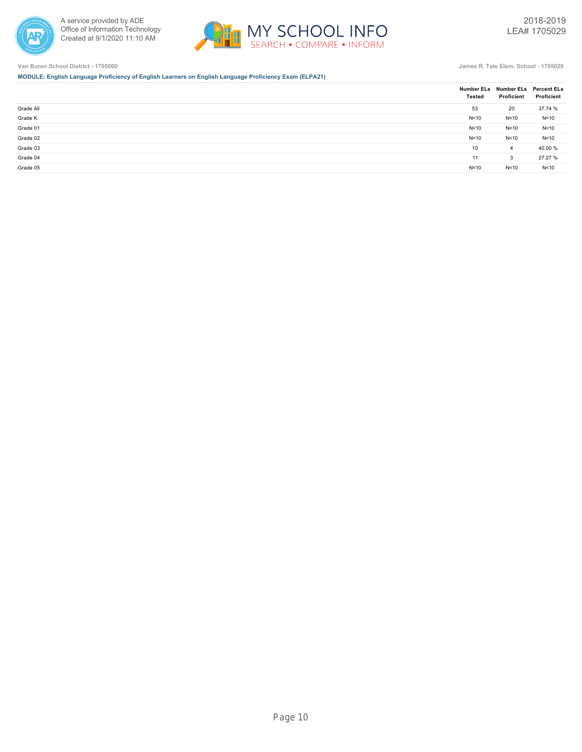



**MODULE: English Language Proficiency of English Learners on English Language Proficiency Exam (ELPA21)**

|           | <b>Tested</b> | Number ELs Number ELs Percent ELs<br>Proficient | Proficient |
|-----------|---------------|-------------------------------------------------|------------|
| Grade All | 53            | 20                                              | 37.74 %    |
| Grade K   | N < 10        | N<10                                            | N<10       |
| Grade 01  | N<10          | N<10                                            | N<10       |
| Grade 02  | N<10          | N<10                                            | N<10       |
| Grade 03  | 10            | $\overline{4}$                                  | 40.00 %    |
| Grade 04  | 11            | 3                                               | 27.27 %    |
| Grade 05  | N<10          | N<10                                            | N<10       |
|           |               |                                                 |            |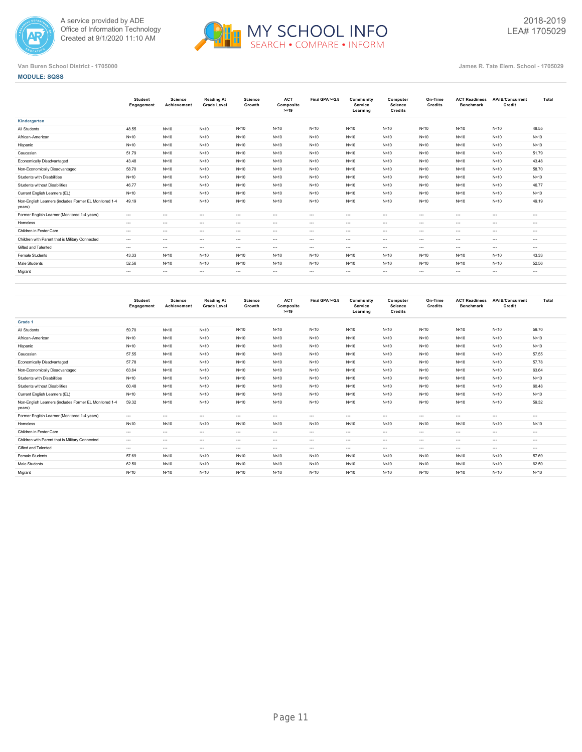



## **MODULE: SQSS**

|                                                                  | <b>Student</b><br>Engagement | <b>Science</b><br>Achievement | <b>Reading At</b><br><b>Grade Level</b> | Science<br>Growth | <b>ACT</b><br>Composite<br>$>=19$ | Final GPA >=2.8 | Community<br>Service<br>Learning | Computer<br>Science<br>Credits | On-Time<br>Credits | <b>ACT Readiness</b><br><b>Benchmark</b> | <b>AP/IB/Concurrent</b><br>Credit | Total    |
|------------------------------------------------------------------|------------------------------|-------------------------------|-----------------------------------------|-------------------|-----------------------------------|-----------------|----------------------------------|--------------------------------|--------------------|------------------------------------------|-----------------------------------|----------|
| Kindergarten                                                     |                              |                               |                                         |                   |                                   |                 |                                  |                                |                    |                                          |                                   |          |
| All Students                                                     | 48.55                        | N<10                          | N < 10                                  | N < 10            | N<10                              | N<10            | N<10                             | N < 10                         | N<10               | N<10                                     | N < 10                            | 48.55    |
| African-American                                                 | N<10                         | N<10                          | N<10                                    | N<10              | N<10                              | N<10            | N<10                             | N < 10                         | N<10               | N<10                                     | N < 10                            | N < 10   |
| Hispanic                                                         | N<10                         | N<10                          | N < 10                                  | N < 10            | N<10                              | N<10            | N<10                             | N < 10                         | N<10               | N<10                                     | N < 10                            | N < 10   |
| Caucasian                                                        | 51.79                        | N<10                          | N < 10                                  | N < 10            | N<10                              | N<10            | N<10                             | N < 10                         | N<10               | N<10                                     | N < 10                            | 51.79    |
| <b>Economically Disadvantaged</b>                                | 43.48                        | N<10                          | N < 10                                  | N < 10            | N<10                              | N<10            | N<10                             | N < 10                         | N<10               | N<10                                     | N < 10                            | 43.48    |
| Non-Economically Disadvantaged                                   | 58.70                        | N<10                          | N < 10                                  | N < 10            | N<10                              | N<10            | N<10                             | N < 10                         | N<10               | N<10                                     | N < 10                            | 58.70    |
| Students with Disabilities                                       | N<10                         | N<10                          | N<10                                    | N<10              | N<10                              | N<10            | N<10                             | N < 10                         | N<10               | N<10                                     | N < 10                            | N < 10   |
| Students without Disabilities                                    | 46.77                        | N<10                          | N < 10                                  | N < 10            | N<10                              | N<10            | N<10                             | N < 10                         | N<10               | N<10                                     | N < 10                            | 46.77    |
| Current English Learners (EL)                                    | N<10                         | N<10                          | N < 10                                  | N<10              | N<10                              | N<10            | N<10                             | N < 10                         | N<10               | N<10                                     | N < 10                            | N < 10   |
| Non-English Learners (includes Former EL Monitored 1-4<br>years) | 49.19                        | N<10                          | N < 10                                  | N<10              | N<10                              | N < 10          | N<10                             | N < 10                         | N<10               | N<10                                     | N < 10                            | 49.19    |
| Former English Learner (Monitored 1-4 years)                     | $---$                        | $\cdots$                      | $\cdots$                                | $\cdots$          | $\cdots$                          | $\cdots$        | $\cdots$                         | $\cdots$                       | $\cdots$           | $\cdots$                                 | $\cdots$                          | $\cdots$ |
| Homeless                                                         | $---$                        | $\cdots$                      | $\sim$                                  | $\cdots$          | $\cdots$                          | $\cdots$        | $\sim$ $\sim$                    | $\cdots$                       | $\sim$             | $---$                                    | $\cdots$                          | $---$    |
| Children in Foster Care                                          | $---$                        | $\cdots$                      | $\sim$                                  | $\cdots$          | $---$                             | $\cdots$        | $\sim$ $\sim$                    | $\cdots$                       | $\sim$             | $\cdots$                                 | $\sim$                            | $- - -$  |
| Children with Parent that is Military Connected                  | $---$                        | $\cdots$                      | $\cdots$                                | $\cdots$          | $\cdots$                          | $\cdots$        | $\cdots$                         | $\cdots$                       | $\sim$             | $\cdots$                                 | $\cdots$                          | $- - -$  |
| Gifted and Talented                                              | $---$                        | $\cdots$                      | $\cdots$                                | $\cdots$          | $\cdots$                          | $\cdots$        | $\sim$ $\sim$                    | $\cdots$                       | $\sim$             | $---$                                    | $\cdots$                          | $\cdots$ |
| Female Students                                                  | 43.33                        | N<10                          | N <sub>10</sub>                         | N<10              | N<10                              | N < 10          | N < 10                           | N < 10                         | N<10               | N<10                                     | N < 10                            | 43.33    |
| Male Students                                                    | 52.56                        | N<10                          | N<10                                    | N<10              | N<10                              | N<10            | N<10                             | N < 10                         | N<10               | N<10                                     | N < 10                            | 52.56    |
| Migrant                                                          | $- - -$                      | $\cdots$                      | $\cdots$                                | $\cdots$          | $\cdots$                          | $\cdots$        | $\cdots$                         | $\cdots$                       | $\cdots$           | $\cdots$                                 | $\cdots$                          | $\cdots$ |
|                                                                  |                              |                               |                                         |                   |                                   |                 |                                  |                                |                    |                                          |                                   |          |

|                                                                  | <b>Student</b><br>Engagement | Science<br>Achievement | <b>Reading At</b><br><b>Grade Level</b> | <b>Science</b><br>Growth | <b>ACT</b><br>Composite<br>$>=19$ | Final GPA >=2.8 | Community<br><b>Service</b><br>Learning | Computer<br>Science<br>Credits | On-Time<br>Credits | <b>ACT Readiness</b><br><b>Benchmark</b> | AP/IB/Concurrent<br>Credit | Total    |
|------------------------------------------------------------------|------------------------------|------------------------|-----------------------------------------|--------------------------|-----------------------------------|-----------------|-----------------------------------------|--------------------------------|--------------------|------------------------------------------|----------------------------|----------|
| Grade 1                                                          |                              |                        |                                         |                          |                                   |                 |                                         |                                |                    |                                          |                            |          |
| All Students                                                     | 59.70                        | N<10                   | N < 10                                  | N<10                     | N<10                              | N < 10          | N < 10                                  | N < 10                         | N<10               | N<10                                     | N<10                       | 59.70    |
| African-American                                                 | N<10                         | N<10                   | N < 10                                  | N<10                     | N < 10                            | N < 10          | N < 10                                  | N < 10                         | N<10               | N<10                                     | N<10                       | N<10     |
| Hispanic                                                         | N<10                         | N<10                   | N<10                                    | N<10                     | N < 10                            | N<10            | N<10                                    | N < 10                         | N<10               | N<10                                     | N<10                       | N < 10   |
| Caucasian                                                        | 57.55                        | N<10                   | N < 10                                  | N<10                     | N<10                              | N < 10          | N < 10                                  | N < 10                         | N<10               | N<10                                     | N<10                       | 57.55    |
| Economically Disadvantaged                                       | 57.78                        | N<10                   | N < 10                                  | N<10                     | N < 10                            | N < 10          | N < 10                                  | N < 10                         | N<10               | N<10                                     | N<10                       | 57.78    |
| Non-Economically Disadvantaged                                   | 63.64                        | N<10                   | N < 10                                  | N<10                     | N < 10                            | N<10            | N < 10                                  | N<10                           | N<10               | N<10                                     | N<10                       | 63.64    |
| Students with Disabilities                                       | N<10                         | N<10                   | N < 10                                  | N<10                     | N<10                              | N<10            | N < 10                                  | N < 10                         | N<10               | N<10                                     | N<10                       | N < 10   |
| Students without Disabilities                                    | 60.48                        | N<10                   | N < 10                                  | N<10                     | N < 10                            | N<10            | N < 10                                  | N < 10                         | N<10               | N<10                                     | N<10                       | 60.48    |
| Current English Learners (EL)                                    | N < 10                       | N<10                   | N < 10                                  | N<10                     | N < 10                            | N<10            | N < 10                                  | N<10                           | N<10               | N<10                                     | N<10                       | N < 10   |
| Non-English Learners (includes Former EL Monitored 1-4<br>years) | 59.32                        | N<10                   | N < 10                                  | N<10                     | N<10                              | N<10            | N<10                                    | N < 10                         | N<10               | N<10                                     | N<10                       | 59.32    |
| Former English Learner (Monitored 1-4 years)                     | $\cdots$                     | $\cdots$               | $\cdots$                                | $\cdots$                 | $---$                             | $\cdots$        | $\cdots$                                | $\cdots$                       | $\sim$             | $\cdots$                                 | $\cdots$                   | $\cdots$ |
| Homeless                                                         | N<10                         | N<10                   | N<10                                    | N<10                     | N < 10                            | N<10            | N < 10                                  | N < 10                         | N<10               | N<10                                     | N<10                       | N < 10   |
| Children in Foster Care                                          | $---$                        | $\cdots$               | $\sim$                                  | $\cdots$                 | $\cdots$                          | $---$           | $\cdots$                                | $\cdots$                       | $\sim$             | $\cdots$                                 | $- - -$                    | $\cdots$ |
| Children with Parent that is Military Connected                  | $\cdots$                     | $\cdots$               | $\cdots$                                | $\cdots$                 | $---$                             | $\cdots$        | $\cdots$                                | $\cdots$                       | $\sim$             | $\cdots$                                 | $\cdots$                   | $\cdots$ |
| Gifted and Talented                                              | $---$                        | $\cdots$               | $\sim$                                  | $\cdots$                 | $\cdots$                          | $---$           | $\sim$ $\sim$                           | $\cdots$                       | $\sim$             | $\cdots$                                 | $- - -$                    | $---$    |
| Female Students                                                  | 57.69                        | N<10                   | N < 10                                  | N<10                     | N < 10                            | N < 10          | N < 10                                  | N < 10                         | N<10               | N < 10                                   | N<10                       | 57.69    |
| Male Students                                                    | 62.50                        | N<10                   | N<10                                    | N<10                     | N < 10                            | N < 10          | N < 10                                  | N < 10                         | N<10               | N<10                                     | N<10                       | 62.50    |
| Migrant                                                          | N < 10                       | N<10                   | N < 10                                  | N<10                     | N < 10                            | N<10            | N<10                                    | N < 10                         | N<10               | N<10                                     | N<10                       | N < 10   |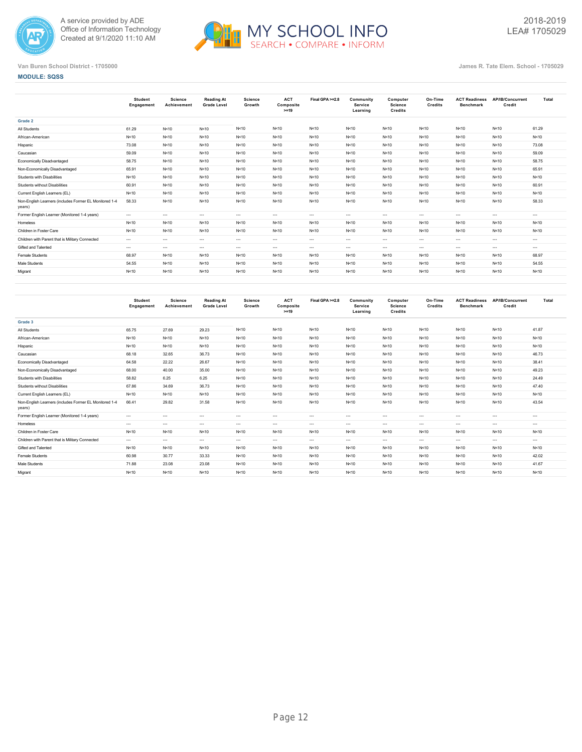



## **MODULE: SQSS**

|                                                                  | <b>Student</b><br>Engagement | Science<br>Achievement | <b>Reading At</b><br><b>Grade Level</b> | <b>Science</b><br>Growth | <b>ACT</b><br>Composite<br>$>=19$ | Final GPA >=2.8 | Community<br><b>Service</b><br>Learning | Computer<br><b>Science</b><br>Credits | On-Time<br>Credits | <b>ACT Readiness</b><br><b>Benchmark</b> | AP/IB/Concurrent<br>Credit | Total    |
|------------------------------------------------------------------|------------------------------|------------------------|-----------------------------------------|--------------------------|-----------------------------------|-----------------|-----------------------------------------|---------------------------------------|--------------------|------------------------------------------|----------------------------|----------|
| Grade 2                                                          |                              |                        |                                         |                          |                                   |                 |                                         |                                       |                    |                                          |                            |          |
| All Students                                                     | 61.29                        | N<10                   | N<10                                    | N<10                     | N < 10                            | N < 10          | N<10                                    | N<10                                  | N<10               | N < 10                                   | N<10                       | 61.29    |
| African-American                                                 | N<10                         | N < 10                 | N<10                                    | N<10                     | N<10                              | N<10            | N<10                                    | N<10                                  | N<10               | N<10                                     | N<10                       | N < 10   |
| Hispanic                                                         | 73.08                        | N<10                   | N<10                                    | N<10                     | N < 10                            | N<10            | N<10                                    | N<10                                  | N<10               | N<10                                     | N<10                       | 73.08    |
| Caucasian                                                        | 59.09                        | N<10                   | N<10                                    | N<10                     | N < 10                            | N<10            | N<10                                    | N<10                                  | N<10               | N<10                                     | N<10                       | 59.09    |
| Economically Disadvantaged                                       | 58.75                        | N<10                   | N<10                                    | N<10                     | N<10                              | N < 10          | N<10                                    | N<10                                  | N<10               | N < 10                                   | N<10                       | 58.75    |
| Non-Economically Disadvantaged                                   | 65.91                        | N<10                   | N<10                                    | N<10                     | N < 10                            | N < 10          | N<10                                    | N<10                                  | N<10               | N < 10                                   | N<10                       | 65.91    |
| Students with Disabilities                                       | N<10                         | N<10                   | N<10                                    | N<10                     | N<10                              | N < 10          | N<10                                    | N<10                                  | N<10               | N < 10                                   | N<10                       | N < 10   |
| Students without Disabilities                                    | 60.91                        | N < 10                 | N<10                                    | N<10                     | N < 10                            | N < 10          | N<10                                    | N<10                                  | N<10               | N < 10                                   | N<10                       | 60.91    |
| Current English Learners (EL)                                    | N<10                         | N<10                   | N<10                                    | N<10                     | N < 10                            | N<10            | N<10                                    | N<10                                  | N<10               | N<10                                     | N<10                       | N < 10   |
| Non-English Learners (includes Former EL Monitored 1-4<br>years) | 58.33                        | N<10                   | N<10                                    | N<10                     | N < 10                            | N<10            | N<10                                    | N<10                                  | N<10               | N<10                                     | N<10                       | 58.33    |
| Former English Learner (Monitored 1-4 years)                     | $\cdots$                     | $\cdots$               | $\sim$                                  | $\cdots$                 | $\cdots$                          | $---$           | $\cdots$                                | $\cdots$                              | $\sim$             | $\cdots$                                 | $\cdots$                   | $\cdots$ |
| Homeless                                                         | N<10                         | N<10                   | N<10                                    | N<10                     | N < 10                            | N<10            | N<10                                    | N<10                                  | N<10               | N < 10                                   | N<10                       | N < 10   |
| Children in Foster Care                                          | N<10                         | N<10                   | N<10                                    | N<10                     | N < 10                            | N < 10          | N<10                                    | N < 10                                | N<10               | N < 10                                   | N<10                       | N < 10   |
| Children with Parent that is Military Connected                  | $---$                        | $\cdots$               | $\sim$                                  | $\cdots$                 | $---$                             | $\cdots$        | $\cdots$                                | $\cdots$                              | $\sim$             | $\cdots$                                 | $\cdots$                   | $\cdots$ |
| Gifted and Talented                                              | $---$                        | $\cdots$               | $\sim$                                  | $\cdots$                 | $---$                             | $\cdots$        | $\cdots$                                | $\cdots$                              | $\sim$             | $\cdots$                                 | $\cdots$                   | $\cdots$ |
| <b>Female Students</b>                                           | 68.97                        | N<10                   | N<10                                    | N<10                     | N < 10                            | N < 10          | N<10                                    | N < 10                                | N<10               | N < 10                                   | N<10                       | 68.97    |
| Male Students                                                    | 54.55                        | N<10                   | N<10                                    | N<10                     | N<10                              | N < 10          | N<10                                    | N<10                                  | N<10               | N < 10                                   | N<10                       | 54.55    |
| Migrant                                                          | N<10                         | N<10                   | N<10                                    | N<10                     | N<10                              | N<10            | N<10                                    | N<10                                  | N<10               | N<10                                     | N<10                       | N < 10   |
|                                                                  |                              |                        |                                         |                          |                                   |                 |                                         |                                       |                    |                                          |                            |          |

|                                                                  | <b>Student</b><br>Engagement | Science<br>Achievement | <b>Reading At</b><br><b>Grade Level</b> | <b>Science</b><br>Growth | <b>ACT</b><br>Composite<br>$>=19$ | Final GPA >=2.8 | Community<br><b>Service</b><br>Learning | Computer<br>Science<br>Credits | On-Time<br>Credits | <b>ACT Readiness</b><br><b>Benchmark</b> | AP/IB/Concurrent<br>Credit | Total    |
|------------------------------------------------------------------|------------------------------|------------------------|-----------------------------------------|--------------------------|-----------------------------------|-----------------|-----------------------------------------|--------------------------------|--------------------|------------------------------------------|----------------------------|----------|
| Grade 3                                                          |                              |                        |                                         |                          |                                   |                 |                                         |                                |                    |                                          |                            |          |
| All Students                                                     | 65.75                        | 27.69                  | 29.23                                   | N<10                     | N<10                              | N<10            | N<10                                    | N<10                           | N<10               | N<10                                     | N<10                       | 41.87    |
| African-American                                                 | N<10                         | N<10                   | N < 10                                  | N<10                     | N < 10                            | N<10            | N < 10                                  | N < 10                         | N<10               | N<10                                     | N<10                       | N < 10   |
| Hispanic                                                         | N<10                         | N<10                   | N < 10                                  | N<10                     | N < 10                            | N<10            | N<10                                    | N < 10                         | N<10               | N<10                                     | N<10                       | N < 10   |
| Caucasian                                                        | 68.18                        | 32.65                  | 36.73                                   | N<10                     | N<10                              | N < 10          | N < 10                                  | N < 10                         | N < 10             | N<10                                     | N<10                       | 46.73    |
| Economically Disadvantaged                                       | 64.58                        | 22.22                  | 26.67                                   | N<10                     | N < 10                            | N < 10          | N < 10                                  | N < 10                         | N<10               | N<10                                     | N<10                       | 38.41    |
| Non-Economically Disadvantaged                                   | 68.00                        | 40.00                  | 35.00                                   | N<10                     | N<10                              | N<10            | N<10                                    | N<10                           | N<10               | N<10                                     | N<10                       | 49.23    |
| Students with Disabilities                                       | 58.82                        | 6.25                   | 6.25                                    | N<10                     | N < 10                            | N < 10          | N < 10                                  | N < 10                         | N<10               | N<10                                     | N<10                       | 24.49    |
| <b>Students without Disabilities</b>                             | 67.86                        | 34.69                  | 36.73                                   | N<10                     | N < 10                            | N < 10          | N < 10                                  | N < 10                         | N < 10             | N<10                                     | N<10                       | 47.40    |
| Current English Learners (EL)                                    | N<10                         | N<10                   | N < 10                                  | N<10                     | N < 10                            | N<10            | N < 10                                  | N < 10                         | N<10               | N<10                                     | N<10                       | N < 10   |
| Non-English Learners (includes Former EL Monitored 1-4<br>years) | 66.41                        | 29.82                  | 31.58                                   | N<10                     | N < 10                            | N<10            | N < 10                                  | N < 10                         | N<10               | N<10                                     | N<10                       | 43.54    |
| Former English Learner (Monitored 1-4 years)                     | $\cdots$                     | $\cdots$               | $\sim$                                  | $\cdots$                 | $\cdots$                          | $---$           | $---$                                   | $\cdots$                       | $\sim$             | $\cdots$                                 | $\sim$                     | $---$    |
| Homeless                                                         | $---$                        | $\cdots$               | $\sim$                                  | $\cdots$                 | $\cdots$                          | $---$           | $\cdots$                                | $\cdots$                       | $\sim$             | $\cdots$                                 | $- - -$                    | $\cdots$ |
| Children in Foster Care                                          | N<10                         | N<10                   | N < 10                                  | N<10                     | N < 10                            | N<10            | N < 10                                  | N < 10                         | N<10               | N<10                                     | N<10                       | N < 10   |
| Children with Parent that is Military Connected                  | $---$                        | $\cdots$               | $\sim$                                  | $\cdots$                 | $\cdots$                          | $---$           | $\cdots$                                | $\cdots$                       | $\sim$             | $\cdots$                                 | $- - -$                    | $\cdots$ |
| Gifted and Talented                                              | N<10                         | N<10                   | N<10                                    | N<10                     | N<10                              | N<10            | N < 10                                  | N < 10                         | N<10               | N<10                                     | N<10                       | N < 10   |
| Female Students                                                  | 60.98                        | 30.77                  | 33.33                                   | N<10                     | N < 10                            | N < 10          | N < 10                                  | N < 10                         | N<10               | N<10                                     | N<10                       | 42.02    |
| Male Students                                                    | 71.88                        | 23.08                  | 23.08                                   | N<10                     | N < 10                            | N < 10          | N < 10                                  | N < 10                         | N < 10             | N<10                                     | N<10                       | 41.67    |
| Migrant                                                          | N<10                         | N<10                   | N<10                                    | N<10                     | N<10                              | N<10            | N<10                                    | N < 10                         | N<10               | N<10                                     | N<10                       | N < 10   |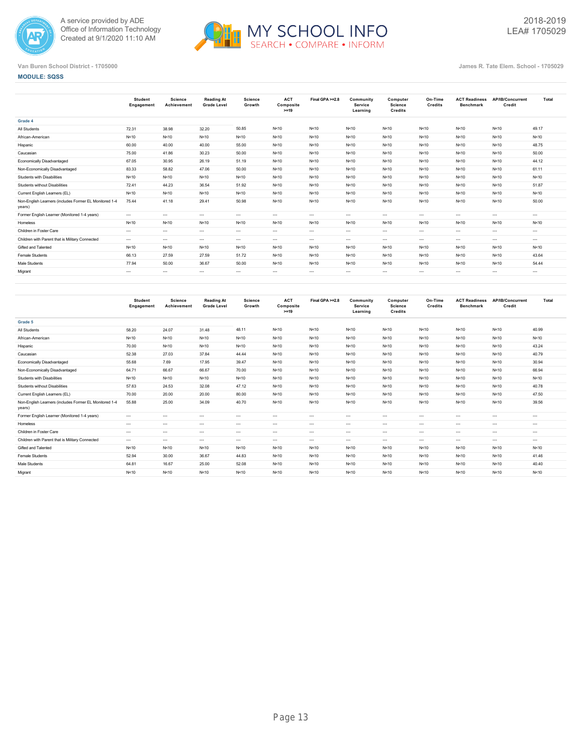



## **MODULE: SQSS**

|                                                                  | Student<br>Engagement | Science<br>Achievement | <b>Reading At</b><br><b>Grade Level</b> | <b>Science</b><br>Growth | <b>ACT</b><br>Composite<br>$>=19$ | Final GPA >=2.8 | Community<br>Service<br>Learning | Computer<br><b>Science</b><br>Credits | On-Time<br>Credits | <b>ACT Readiness</b><br><b>Benchmark</b> | AP/IB/Concurrent<br>Credit | Total    |
|------------------------------------------------------------------|-----------------------|------------------------|-----------------------------------------|--------------------------|-----------------------------------|-----------------|----------------------------------|---------------------------------------|--------------------|------------------------------------------|----------------------------|----------|
| Grade 4                                                          |                       |                        |                                         |                          |                                   |                 |                                  |                                       |                    |                                          |                            |          |
| All Students                                                     | 72.31                 | 38.98                  | 32.20                                   | 50.85                    | N < 10                            | N<10            | N<10                             | N<10                                  | N < 10             | N < 10                                   | N<10                       | 49.17    |
| African-American                                                 | N<10                  | N < 10                 | N < 10                                  | N<10                     | N<10                              | N<10            | N<10                             | N < 10                                | N < 10             | N < 10                                   | N<10                       | N<10     |
| Hispanic                                                         | 60.00                 | 40.00                  | 40.00                                   | 55.00                    | N < 10                            | N<10            | N<10                             | N < 10                                | N < 10             | N < 10                                   | N<10                       | 48.75    |
| Caucasian                                                        | 75.00                 | 41.86                  | 30.23                                   | 50.00                    | N<10                              | N<10            | N<10                             | N < 10                                | N<10               | N < 10                                   | N<10                       | 50.00    |
| Economically Disadvantaged                                       | 67.05                 | 30.95                  | 26.19                                   | 51.19                    | N<10                              | N<10            | N<10                             | N < 10                                | N<10               | N < 10                                   | N<10                       | 44.12    |
| Non-Economically Disadvantaged                                   | 83.33                 | 58.82                  | 47.06                                   | 50.00                    | N < 10                            | N<10            | N<10                             | N < 10                                | N<10               | N < 10                                   | N<10                       | 61.11    |
| Students with Disabilities                                       | N<10                  | N<10                   | N < 10                                  | N<10                     | N < 10                            | N<10            | N<10                             | N<10                                  | N<10               | N < 10                                   | N<10                       | N<10     |
| Students without Disabilities                                    | 72.41                 | 44.23                  | 36.54                                   | 51.92                    | N < 10                            | N<10            | N<10                             | N < 10                                | N < 10             | N < 10                                   | N<10                       | 51.87    |
| Current English Learners (EL)                                    | N<10                  | N < 10                 | N < 10                                  | N<10                     | N<10                              | N<10            | N<10                             | N < 10                                | N < 10             | N < 10                                   | N<10                       | N<10     |
| Non-English Learners (includes Former EL Monitored 1-4<br>years) | 75.44                 | 41.18                  | 29.41                                   | 50.98                    | N < 10                            | N<10            | N < 10                           | N < 10                                | N < 10             | N<10                                     | N<10                       | 50.00    |
| Former English Learner (Monitored 1-4 years)                     | $\cdots$              | $\cdots$               | $\cdots$                                | $\cdots$                 | $\cdots$                          | $---$           | $\cdots$                         | $\cdots$                              | $\cdots$           | $\cdots$                                 | $\cdots$                   | $\cdots$ |
| Homeless                                                         | N<10                  | N < 10                 | N < 10                                  | N<10                     | N<10                              | N<10            | N < 10                           | N < 10                                | N<10               | N < 10                                   | N<10                       | N < 10   |
| Children in Foster Care                                          | $---$                 | $\cdots$               | $\sim$ $\sim$                           | $\sim$                   | $---$                             | $---$           | $\cdots$                         | $\cdots$                              | $\cdots$           | $\cdots$                                 | $\cdots$                   | $\cdots$ |
| Children with Parent that is Military Connected                  | $\cdots$              | $\cdots$               | $\sim$                                  | $\cdots$                 | $\cdots$                          | $---$           | $\cdots$                         | $\cdots$                              | $\cdots$           | $\cdots$                                 | $\cdots$                   | $\cdots$ |
| Gifted and Talented                                              | N<10                  | N < 10                 | N < 10                                  | N<10                     | N<10                              | N<10            | N < 10                           | N < 10                                | N<10               | N < 10                                   | N<10                       | N<10     |
| Female Students                                                  | 66.13                 | 27.59                  | 27.59                                   | 51.72                    | N < 10                            | N<10            | N < 10                           | N < 10                                | N<10               | N < 10                                   | N<10                       | 43.64    |
| Male Students                                                    | 77.94                 | 50.00                  | 36.67                                   | 50.00                    | N<10                              | N<10            | N < 10                           | N < 10                                | N<10               | N < 10                                   | N < 10                     | 54.44    |
| Migrant                                                          | $\cdots$              | $\cdots$               | $\cdots$                                | $\cdots$                 | $\cdots$                          | $\cdots$        | $\cdots$                         | $\cdots$                              | $\cdots$           | $\cdots$                                 | $\sim$ $ -$                | $\cdots$ |
|                                                                  |                       |                        |                                         |                          |                                   |                 |                                  |                                       |                    |                                          |                            |          |

|                                                                  | <b>Student</b><br>Engagement | Science<br>Achievement | <b>Reading At</b><br><b>Grade Level</b> | <b>Science</b><br>Growth | <b>ACT</b><br>Composite<br>$>=19$ | Final GPA >=2.8 | Community<br><b>Service</b><br>Learning | Computer<br>Science<br>Credits | On-Time<br>Credits | <b>ACT Readiness</b><br><b>Benchmark</b> | AP/IB/Concurrent<br>Credit | Total    |
|------------------------------------------------------------------|------------------------------|------------------------|-----------------------------------------|--------------------------|-----------------------------------|-----------------|-----------------------------------------|--------------------------------|--------------------|------------------------------------------|----------------------------|----------|
| Grade 5                                                          |                              |                        |                                         |                          |                                   |                 |                                         |                                |                    |                                          |                            |          |
| All Students                                                     | 58.20                        | 24.07                  | 31.48                                   | 48.11                    | N<10                              | N<10            | N<10                                    | N<10                           | N < 10             | N<10                                     | N<10                       | 40.99    |
| African-American                                                 | N<10                         | N<10                   | N < 10                                  | N<10                     | N < 10                            | N < 10          | N < 10                                  | N < 10                         | N<10               | N<10                                     | N<10                       | N < 10   |
| Hispanic                                                         | 70.00                        | N<10                   | N < 10                                  | N<10                     | N < 10                            | N<10            | N < 10                                  | N < 10                         | N<10               | N<10                                     | N<10                       | 43.24    |
| Caucasian                                                        | 52.38                        | 27.03                  | 37.84                                   | 44.44                    | N<10                              | N<10            | N < 10                                  | N<10                           | N<10               | N<10                                     | N<10                       | 40.79    |
| Economically Disadvantaged                                       | 55.68                        | 7.69                   | 17.95                                   | 39.47                    | N < 10                            | N<10            | N < 10                                  | N < 10                         | N<10               | N<10                                     | N<10                       | 30.94    |
| Non-Economically Disadvantaged                                   | 64.71                        | 66.67                  | 66.67                                   | 70.00                    | N<10                              | N<10            | N<10                                    | N<10                           | N<10               | N<10                                     | N<10                       | 66.94    |
| Students with Disabilities                                       | N<10                         | N<10                   | N < 10                                  | N<10                     | N < 10                            | N<10            | N < 10                                  | N<10                           | N<10               | N<10                                     | N<10                       | N<10     |
| Students without Disabilities                                    | 57.63                        | 24.53                  | 32.08                                   | 47.12                    | N < 10                            | N<10            | N < 10                                  | N < 10                         | N<10               | N<10                                     | N<10                       | 40.78    |
| Current English Learners (EL)                                    | 70.00                        | 20.00                  | 20.00                                   | 80.00                    | N < 10                            | N<10            | N < 10                                  | N<10                           | N<10               | N<10                                     | N<10                       | 47.50    |
| Non-English Learners (includes Former EL Monitored 1-4<br>years) | 55.88                        | 25.00                  | 34.09                                   | 40.70                    | N < 10                            | N<10            | N < 10                                  | N<10                           | N<10               | N<10                                     | N<10                       | 39.56    |
| Former English Learner (Monitored 1-4 years)                     | $\cdots$                     | $\cdots$               | $\sim$                                  | $\cdots$                 | $\cdots$                          | $---$           | $---$                                   | $\cdots$                       | $\sim$             | $\cdots$                                 | $\sim$                     | $---$    |
| Homeless                                                         | $\cdots$                     | $\cdots$               | $\sim$                                  | $\cdots$                 | $\cdots$                          | $\cdots$        | $---$                                   | $\cdots$                       | $\sim$             | $\cdots$                                 | $- - -$                    | $\cdots$ |
| Children in Foster Care                                          | $\cdots$                     | $\cdots$               | $\sim$                                  | $\cdots$                 | $---$                             | $\cdots$        | $\cdots$                                | $\cdots$                       | $\sim$             | $\cdots$                                 | $\cdots$                   | $\cdots$ |
| Children with Parent that is Military Connected                  | $---$                        | $\cdots$               | $\sim$                                  | $\cdots$                 | $\cdots$                          | $---$           | $---$                                   | $\cdots$                       | $\sim$             | $\cdots$                                 | $- - -$                    | $\cdots$ |
| Gifted and Talented                                              | N<10                         | N<10                   | N<10                                    | N<10                     | N < 10                            | N<10            | N < 10                                  | N<10                           | N<10               | N<10                                     | N<10                       | N < 10   |
| Female Students                                                  | 52.94                        | 30.00                  | 36.67                                   | 44.83                    | N < 10                            | N < 10          | N < 10                                  | N < 10                         | N<10               | N<10                                     | N<10                       | 41.46    |
| Male Students                                                    | 64.81                        | 16.67                  | 25.00                                   | 52.08                    | N < 10                            | N < 10          | N < 10                                  | N < 10                         | N<10               | N<10                                     | N<10                       | 40.40    |
| Migrant                                                          | N<10                         | N<10                   | N<10                                    | N<10                     | N<10                              | N<10            | N<10                                    | N < 10                         | N<10               | N<10                                     | N<10                       | N < 10   |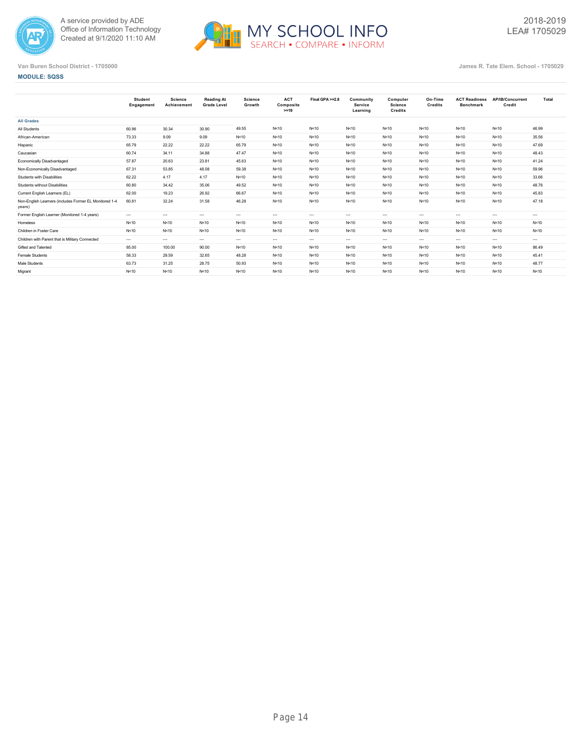



## **MODULE: SQSS**

|                                                                  | <b>Student</b><br>Engagement | Science<br>Achievement | <b>Reading At</b><br><b>Grade Level</b> | <b>Science</b><br>Growth | <b>ACT</b><br>Composite<br>$>=19$ | Final GPA >=2.8      | Community<br>Service<br>Learning | Computer<br>Science<br><b>Credits</b> | On-Time<br>Credits | <b>ACT Readiness</b><br><b>Benchmark</b> | AP/IB/Concurrent<br>Credit | Total    |
|------------------------------------------------------------------|------------------------------|------------------------|-----------------------------------------|--------------------------|-----------------------------------|----------------------|----------------------------------|---------------------------------------|--------------------|------------------------------------------|----------------------------|----------|
| <b>All Grades</b>                                                |                              |                        |                                         |                          |                                   |                      |                                  |                                       |                    |                                          |                            |          |
| All Students                                                     | 60.96                        | 30.34                  | 30.90                                   | 49.55                    | N<10                              | N < 10               | N<10                             | N<10                                  | N<10               | N < 10                                   | N<10                       | 46.99    |
| African-American                                                 | 73.33                        | 9.09                   | 9.09                                    | N<10                     | N<10                              | N < 10               | N < 10                           | N<10                                  | N<10               | N<10                                     | N<10                       | 35.56    |
| Hispanic                                                         | 65.79                        | 22.22                  | 22.22                                   | 65.79                    | N<10                              | N < 10               | N<10                             | N<10                                  | N<10               | N < 10                                   | N<10                       | 47.69    |
| Caucasian                                                        | 60.74                        | 34.11                  | 34.88                                   | 47.47                    | N<10                              | N < 10               | N < 10                           | N < 10                                | N<10               | N < 10                                   | N<10                       | 48.43    |
| Economically Disadvantaged                                       | 57.87                        | 20.63                  | 23.81                                   | 45.63                    | N<10                              | N < 10               | N < 10                           | N < 10                                | N<10               | N < 10                                   | N<10                       | 41.24    |
| Non-Economically Disadvantaged                                   | 67.31                        | 53.85                  | 48.08                                   | 59.38                    | N<10                              | N < 10               | N<10                             | N < 10                                | N<10               | N < 10                                   | N < 10                     | 59.96    |
| Students with Disabilities                                       | 62.22                        | 4.17                   | 4.17                                    | N<10                     | N<10                              | N < 10               | N < 10                           | N < 10                                | N<10               | N < 10                                   | N<10                       | 33.66    |
| Students without Disabilities                                    | 60.80                        | 34.42                  | 35.06                                   | 49.52                    | N<10                              | N < 10               | N<10                             | N < 10                                | N<10               | N < 10                                   | N<10                       | 48.76    |
| Current English Learners (EL)                                    | 62.00                        | 19.23                  | 26.92                                   | 66.67                    | N<10                              | N < 10               | N < 10                           | N<10                                  | N<10               | N < 10                                   | N<10                       | 45.83    |
| Non-English Learners (includes Former EL Monitored 1-4<br>years) | 60.81                        | 32.24                  | 31.58                                   | 46.28                    | N<10                              | N < 10               | N < 10                           | N<10                                  | N<10               | N < 10                                   | N<10                       | 47.18    |
| Former English Learner (Monitored 1-4 years)                     | $\cdots$                     | $\cdots$               | $\sim$                                  | $-1$                     | $\cdots$                          | $---$                | $\cdots$                         | $\cdots$                              | $\sim$             | $---$                                    | $\sim$ $\sim$              | $\cdots$ |
| Homeless                                                         | N<10                         | N<10                   | N<10                                    | N<10                     | N<10                              | N < 10               | N < 10                           | N<10                                  | N<10               | N<10                                     | N<10                       | N < 10   |
| Children in Foster Care                                          | N<10                         | N<10                   | N<10                                    | N<10                     | N<10                              | N < 10               | N < 10                           | N<10                                  | N<10               | N < 10                                   | N<10                       | N < 10   |
| Children with Parent that is Military Connected                  | $\cdots$                     | $\cdots$               | $\sim$                                  | $-1$                     | $\cdots$                          | $\sim$ $\sim$ $\sim$ | $\cdots$                         | $\cdots$                              | $\sim$             | $\cdots$                                 | $\cdots$                   | $\cdots$ |
| Gifted and Talented                                              | 85.00                        | 100.00                 | 90.00                                   | N<10                     | N < 10                            | N < 10               | N < 10                           | N<10                                  | N < 10             | N < 10                                   | N<10                       | 86.49    |
| Female Students                                                  | 58.33                        | 29.59                  | 32.65                                   | 48.28                    | N<10                              | N < 10               | N < 10                           | N<10                                  | N < 10             | N < 10                                   | N < 10                     | 45.41    |
| Male Students                                                    | 63.73                        | 31.25                  | 28.75                                   | 50.93                    | N<10                              | N < 10               | N < 10                           | N<10                                  | N<10               | N < 10                                   | N<10                       | 48.77    |
| Migrant                                                          | N<10                         | N<10                   | N<10                                    | N<10                     | N<10                              | N < 10               | N<10                             | N < 10                                | N<10               | N < 10                                   | N<10                       | N < 10   |
|                                                                  |                              |                        |                                         |                          |                                   |                      |                                  |                                       |                    |                                          |                            |          |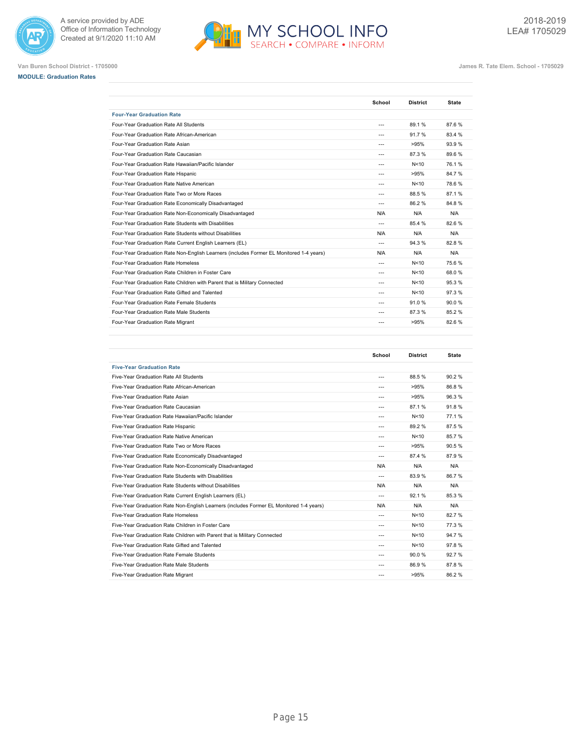





**Van Buren School District - 1705000 James R. Tate Elem. School - 1705029**

2018-2019 LEA# 1705029

|                                                                                         | School         | <b>District</b> | <b>State</b> |
|-----------------------------------------------------------------------------------------|----------------|-----------------|--------------|
| <b>Four-Year Graduation Rate</b>                                                        |                |                 |              |
| Four-Year Graduation Rate All Students                                                  | $---$          | 89.1%           | 87.6%        |
| Four-Year Graduation Rate African-American                                              | ---            | 91.7%           | 83.4 %       |
| Four-Year Graduation Rate Asian                                                         | ---            | >95%            | 93.9%        |
| Four-Year Graduation Rate Caucasian                                                     | $---$          | 87.3%           | 89.6%        |
| Four-Year Graduation Rate Hawaiian/Pacific Islander                                     | $\overline{a}$ | N<10            | 76.1%        |
| Four-Year Graduation Rate Hispanic                                                      | ---            | >95%            | 84.7%        |
| Four-Year Graduation Rate Native American                                               | ---            | N<10            | 78.6%        |
| Four-Year Graduation Rate Two or More Races                                             | $\overline{a}$ | 88.5%           | 87.1%        |
| Four-Year Graduation Rate Economically Disadvantaged                                    | $---$          | 86.2%           | 84.8%        |
| Four-Year Graduation Rate Non-Economically Disadvantaged                                | N/A            | N/A             | N/A          |
| Four-Year Graduation Rate Students with Disabilities                                    | ---            | 854%            | 82.6%        |
| Four-Year Graduation Rate Students without Disabilities                                 | N/A            | N/A             | N/A          |
| Four-Year Graduation Rate Current English Learners (EL)                                 | $\overline{a}$ | 94.3%           | 82.8%        |
| Four-Year Graduation Rate Non-English Learners (includes Former EL Monitored 1-4 years) | N/A            | N/A             | N/A          |
| Four-Year Graduation Rate Homeless                                                      | $\overline{a}$ | N<10            | 75.6%        |
| Four-Year Graduation Rate Children in Foster Care                                       | ---            | N<10            | 68.0%        |
| Four-Year Graduation Rate Children with Parent that is Military Connected               | $- - -$        | N<10            | 95.3%        |
| Four-Year Graduation Rate Gifted and Talented                                           | $\overline{a}$ | N<10            | 97.3%        |
| Four-Year Graduation Rate Female Students                                               | $---$          | 91.0%           | 90.0%        |
| Four-Year Graduation Rate Male Students                                                 | ---            | 87.3 %          | 85.2%        |
| Four-Year Graduation Rate Migrant                                                       | ---            | >95%            | 82.6%        |

|                                                                                         | School         | <b>District</b> | <b>State</b> |
|-----------------------------------------------------------------------------------------|----------------|-----------------|--------------|
| <b>Five-Year Graduation Rate</b>                                                        |                |                 |              |
| Five-Year Graduation Rate All Students                                                  | $\overline{a}$ | 88.5%           | 90.2%        |
| Five-Year Graduation Rate African-American                                              | $\overline{a}$ | >95%            | 86.8%        |
| Five-Year Graduation Rate Asian                                                         | $- - -$        | >95%            | 96.3%        |
| Five-Year Graduation Rate Caucasian                                                     | $\overline{a}$ | 87.1%           | 91.8%        |
| Five-Year Graduation Rate Hawaiian/Pacific Islander                                     | $- - -$        | N<10            | 77.1%        |
| Five-Year Graduation Rate Hispanic                                                      | $\overline{a}$ | 89.2%           | 87.5%        |
| Five-Year Graduation Rate Native American                                               | $- - -$        | N<10            | 85.7%        |
| Five-Year Graduation Rate Two or More Races                                             | $- - -$        | >95%            | 90.5%        |
| Five-Year Graduation Rate Economically Disadvantaged                                    | $---$          | 87.4 %          | 87.9%        |
| Five-Year Graduation Rate Non-Economically Disadvantaged                                | N/A            | N/A             | N/A          |
| Five-Year Graduation Rate Students with Disabilities                                    | $---$          | 83.9%           | 86.7%        |
| Five-Year Graduation Rate Students without Disabilities                                 | N/A            | N/A             | N/A          |
| Five-Year Graduation Rate Current English Learners (EL)                                 | $---$          | 92.1%           | 85.3%        |
| Five-Year Graduation Rate Non-English Learners (includes Former EL Monitored 1-4 years) | N/A            | N/A             | N/A          |
| Five-Year Graduation Rate Homeless                                                      | $\overline{a}$ | N<10            | 82.7%        |
| Five-Year Graduation Rate Children in Foster Care                                       | $---$          | N<10            | 77.3%        |
| Five-Year Graduation Rate Children with Parent that is Military Connected               | $\overline{a}$ | N<10            | 94.7%        |
| Five-Year Graduation Rate Gifted and Talented                                           | $\sim$         | N<10            | 97.8%        |
| Five-Year Graduation Rate Female Students                                               | $- - -$        | 90.0%           | 92.7%        |
| Five-Year Graduation Rate Male Students                                                 | $- - -$        | 86.9%           | 87.8%        |
| Five-Year Graduation Rate Migrant                                                       | $- - -$        | >95%            | 86.2%        |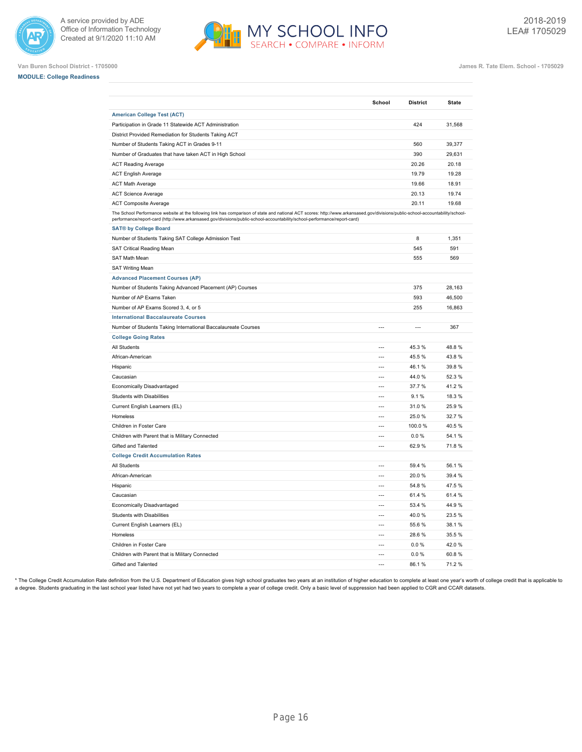







**Van Buren School District - 1705000 James R. Tate Elem. School - 1705029**

|                                                                                                                                                                                                                                                                                                             | School         | <b>District</b> | State  |
|-------------------------------------------------------------------------------------------------------------------------------------------------------------------------------------------------------------------------------------------------------------------------------------------------------------|----------------|-----------------|--------|
| <b>American College Test (ACT)</b>                                                                                                                                                                                                                                                                          |                |                 |        |
| Participation in Grade 11 Statewide ACT Administration                                                                                                                                                                                                                                                      |                | 424             | 31,568 |
| District Provided Remediation for Students Taking ACT                                                                                                                                                                                                                                                       |                |                 |        |
| Number of Students Taking ACT in Grades 9-11                                                                                                                                                                                                                                                                |                | 560             | 39,377 |
| Number of Graduates that have taken ACT in High School                                                                                                                                                                                                                                                      |                | 390             | 29,631 |
| <b>ACT Reading Average</b>                                                                                                                                                                                                                                                                                  |                | 20.26           | 20.18  |
| <b>ACT English Average</b>                                                                                                                                                                                                                                                                                  |                | 19.79           | 19.28  |
| <b>ACT Math Average</b>                                                                                                                                                                                                                                                                                     |                | 19.66           | 18.91  |
| <b>ACT Science Average</b>                                                                                                                                                                                                                                                                                  |                | 20.13           | 19.74  |
| <b>ACT Composite Average</b>                                                                                                                                                                                                                                                                                |                | 20.11           | 19.68  |
| The School Performance website at the following link has comparison of state and national ACT scores: http://www.arkansased.gov/divisions/public-school-accountability/school-<br>performance/report-card (http://www.arkansased.gov/divisions/public-school-accountability/school-performance/report-card) |                |                 |        |
| <b>SAT® by College Board</b>                                                                                                                                                                                                                                                                                |                |                 |        |
| Number of Students Taking SAT College Admission Test                                                                                                                                                                                                                                                        |                | 8               | 1,351  |
| SAT Critical Reading Mean                                                                                                                                                                                                                                                                                   |                | 545             | 591    |
| SAT Math Mean                                                                                                                                                                                                                                                                                               |                | 555             | 569    |
| <b>SAT Writing Mean</b>                                                                                                                                                                                                                                                                                     |                |                 |        |
| <b>Advanced Placement Courses (AP)</b>                                                                                                                                                                                                                                                                      |                |                 |        |
| Number of Students Taking Advanced Placement (AP) Courses                                                                                                                                                                                                                                                   |                | 375             | 28,163 |
| Number of AP Exams Taken                                                                                                                                                                                                                                                                                    |                | 593             | 46,500 |
| Number of AP Exams Scored 3, 4, or 5                                                                                                                                                                                                                                                                        |                | 255             | 16,863 |
| <b>International Baccalaureate Courses</b>                                                                                                                                                                                                                                                                  |                |                 |        |
| Number of Students Taking International Baccalaureate Courses                                                                                                                                                                                                                                               | $\overline{a}$ | $\overline{a}$  | 367    |
| <b>College Going Rates</b>                                                                                                                                                                                                                                                                                  |                |                 |        |
| All Students                                                                                                                                                                                                                                                                                                | $\overline{a}$ | 45.3 %          | 48.8%  |
| African-American                                                                                                                                                                                                                                                                                            | $\overline{a}$ | 45.5 %          | 43.8%  |
| Hispanic                                                                                                                                                                                                                                                                                                    | $\overline{a}$ | 46.1%           | 39.8%  |
| Caucasian                                                                                                                                                                                                                                                                                                   | $\overline{a}$ | 44.0%           | 52.3%  |
| Economically Disadvantaged                                                                                                                                                                                                                                                                                  | $\overline{a}$ | 37.7 %          | 41.2%  |
| <b>Students with Disabilities</b>                                                                                                                                                                                                                                                                           | $\overline{a}$ | 9.1%            | 18.3%  |
| Current English Learners (EL)                                                                                                                                                                                                                                                                               | ---            | 31.0%           | 25.9%  |
| Homeless                                                                                                                                                                                                                                                                                                    | ---            | 25.0%           | 32.7%  |
| Children in Foster Care                                                                                                                                                                                                                                                                                     | $\overline{a}$ | 100.0%          | 40.5%  |
| Children with Parent that is Military Connected                                                                                                                                                                                                                                                             | $\overline{a}$ | $0.0 \%$        | 54.1%  |
| Gifted and Talented                                                                                                                                                                                                                                                                                         |                | 62.9%           | 71.8%  |
| <b>College Credit Accumulation Rates</b>                                                                                                                                                                                                                                                                    |                |                 |        |
| All Students                                                                                                                                                                                                                                                                                                | $\overline{a}$ | 59.4 %          | 56.1%  |
| African-American                                                                                                                                                                                                                                                                                            | $\overline{a}$ | 20.0%           | 39.4 % |
| Hispanic                                                                                                                                                                                                                                                                                                    | $\overline{a}$ | 54.8%           | 47.5%  |
| Caucasian                                                                                                                                                                                                                                                                                                   | $\overline{a}$ | 61.4 %          | 61.4%  |
| Economically Disadvantaged                                                                                                                                                                                                                                                                                  | $\overline{a}$ | 53.4 %          | 44.9%  |
| Students with Disabilities                                                                                                                                                                                                                                                                                  | ---            | 40.0%           | 23.5%  |
| Current English Learners (EL)                                                                                                                                                                                                                                                                               | $\overline{a}$ | 55.6 %          | 38.1%  |
| Homeless                                                                                                                                                                                                                                                                                                    | $\overline{a}$ | 28.6%           | 35.5%  |
| Children in Foster Care                                                                                                                                                                                                                                                                                     | $\overline{a}$ | 0.0%            | 42.0%  |
| Children with Parent that is Military Connected                                                                                                                                                                                                                                                             | ---            | 0.0%            | 60.8%  |
| Gifted and Talented                                                                                                                                                                                                                                                                                         | $\overline{a}$ | 86.1%           | 71.2%  |

\* The College Credit Accumulation Rate definition from the U.S. Department of Education gives high school graduates two years at an institution of higher education to complete at least one year's worth of college credit th a degree. Students graduating in the last school year listed have not yet had two years to complete a year of college credit. Only a basic level of suppression had been applied to CGR and CCAR datasets.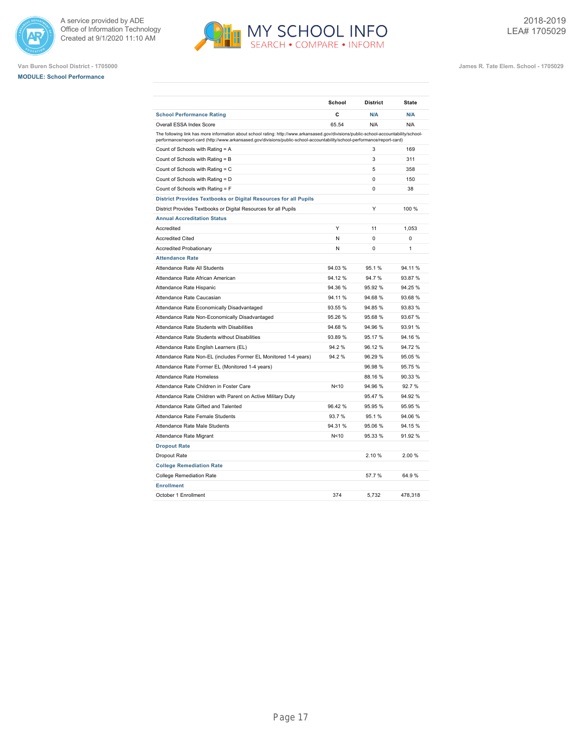





|                                                                                                                                                                                                                                                                    | School  | <b>District</b> | <b>State</b> |
|--------------------------------------------------------------------------------------------------------------------------------------------------------------------------------------------------------------------------------------------------------------------|---------|-----------------|--------------|
| <b>School Performance Rating</b>                                                                                                                                                                                                                                   | C       | N/A             | N/A          |
| Overall ESSA Index Score                                                                                                                                                                                                                                           | 65.54   | N/A             | N/A          |
| The following link has more information about school rating: http://www.arkansased.gov/divisions/public-school-accountability/school-<br>performance/report-card (http://www.arkansased.gov/divisions/public-school-accountability/school-performance/report-card) |         |                 |              |
| Count of Schools with Rating = A                                                                                                                                                                                                                                   |         | 3               | 169          |
| Count of Schools with Rating = B                                                                                                                                                                                                                                   |         | 3               | 311          |
| Count of Schools with Rating = C                                                                                                                                                                                                                                   |         | 5               | 358          |
| Count of Schools with Rating = D                                                                                                                                                                                                                                   |         | 0               | 150          |
| Count of Schools with Rating = F                                                                                                                                                                                                                                   |         | 0               | 38           |
| District Provides Textbooks or Digital Resources for all Pupils                                                                                                                                                                                                    |         |                 |              |
| District Provides Textbooks or Digital Resources for all Pupils                                                                                                                                                                                                    |         | Υ               | 100 %        |
| <b>Annual Accreditation Status</b>                                                                                                                                                                                                                                 |         |                 |              |
| Accredited                                                                                                                                                                                                                                                         | Y       | 11              | 1,053        |
| <b>Accredited Cited</b>                                                                                                                                                                                                                                            | N       | $\Omega$        | $\Omega$     |
| <b>Accredited Probationary</b>                                                                                                                                                                                                                                     | N       | $\Omega$        | 1            |
| <b>Attendance Rate</b>                                                                                                                                                                                                                                             |         |                 |              |
| Attendance Rate All Students                                                                                                                                                                                                                                       | 94.03%  | 95.1%           | 94.11%       |
| Attendance Rate African American                                                                                                                                                                                                                                   | 94.12%  | 94.7%           | 93.87%       |
| Attendance Rate Hispanic                                                                                                                                                                                                                                           | 94.36 % | 95.92%          | 94.25 %      |
| Attendance Rate Caucasian                                                                                                                                                                                                                                          | 94.11%  | 94.68%          | 93.68%       |
| Attendance Rate Economically Disadvantaged                                                                                                                                                                                                                         | 93.55 % | 94.85%          | 93.83 %      |
| Attendance Rate Non-Economically Disadvantaged                                                                                                                                                                                                                     | 95.26%  | 95.68%          | 93.67%       |
| Attendance Rate Students with Disabilities                                                                                                                                                                                                                         | 94.68%  | 94.96%          | 93.91 %      |
| Attendance Rate Students without Disabilities                                                                                                                                                                                                                      | 93.89 % | 95.17%          | 94.16%       |
| Attendance Rate English Learners (EL)                                                                                                                                                                                                                              | 94.2%   | 96.12%          | 94.72 %      |
| Attendance Rate Non-EL (includes Former EL Monitored 1-4 years)                                                                                                                                                                                                    | 94.2%   | 96.29%          | 95.05 %      |
| Attendance Rate Former EL (Monitored 1-4 years)                                                                                                                                                                                                                    |         | 96.98%          | 95.75 %      |
| Attendance Rate Homeless                                                                                                                                                                                                                                           |         | 88.16%          | 90.33 %      |
| Attendance Rate Children in Foster Care                                                                                                                                                                                                                            | N<10    | 94.96%          | 92.7%        |
| Attendance Rate Children with Parent on Active Military Duty                                                                                                                                                                                                       |         | 95.47%          | 94.92%       |
| Attendance Rate Gifted and Talented                                                                                                                                                                                                                                | 96.42%  | 95.95%          | 95.95 %      |
| Attendance Rate Female Students                                                                                                                                                                                                                                    | 93.7%   | 95.1%           | 94.06%       |
| Attendance Rate Male Students                                                                                                                                                                                                                                      | 94.31 % | 95.06%          | 94.15 %      |
| Attendance Rate Migrant                                                                                                                                                                                                                                            | N<10    | 95.33%          | 91.92 %      |
| <b>Dropout Rate</b>                                                                                                                                                                                                                                                |         |                 |              |
| Dropout Rate                                                                                                                                                                                                                                                       |         | 2.10%           | 2.00%        |
| <b>College Remediation Rate</b>                                                                                                                                                                                                                                    |         |                 |              |
| <b>College Remediation Rate</b>                                                                                                                                                                                                                                    |         | 57.7%           | 64.9%        |
| <b>Enrollment</b>                                                                                                                                                                                                                                                  |         |                 |              |
| October 1 Enrollment                                                                                                                                                                                                                                               | 374     | 5.732           | 478,318      |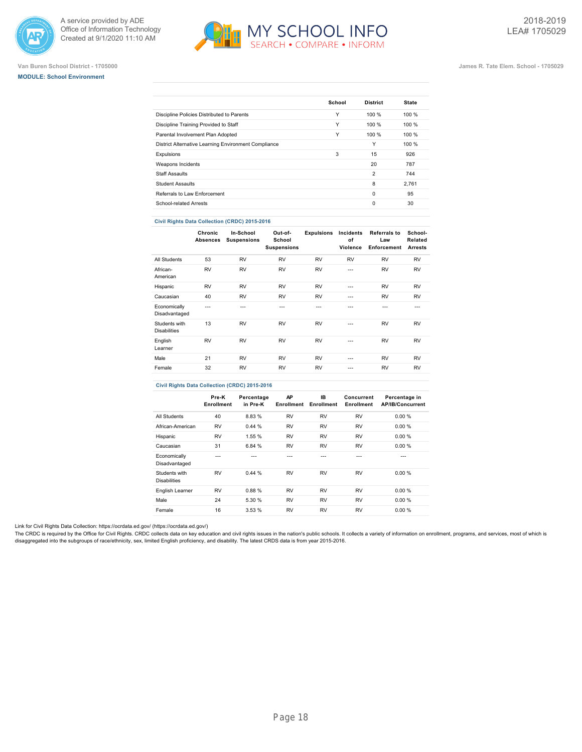





## **Van Buren School District - 1705000 James R. Tate Elem. School - 1705029**

|                                                      | School | <b>District</b> | <b>State</b> |
|------------------------------------------------------|--------|-----------------|--------------|
| Discipline Policies Distributed to Parents           | Υ      | 100%            | 100 %        |
| Discipline Training Provided to Staff                | Υ      | 100%            | 100%         |
| Parental Involvement Plan Adopted                    | Υ      | 100%            | 100%         |
| District Alternative Learning Environment Compliance |        | Υ               | 100 %        |
| Expulsions                                           | 3      | 15              | 926          |
| Weapons Incidents                                    |        | 20              | 787          |
| <b>Staff Assaults</b>                                |        | $\overline{2}$  | 744          |
| <b>Student Assaults</b>                              |        | 8               | 2.761        |
| Referrals to Law Enforcement                         |        | $\Omega$        | 95           |
| School-related Arrests                               |        | $\Omega$        | 30           |

## **Civil Rights Data Collection (CRDC) 2015-2016**

|                                      | Chronic<br><b>Absences</b> | In-School<br><b>Suspensions</b> | Out-of-<br>School<br><b>Suspensions</b> | <b>Expulsions</b> | Incidents<br>of<br>Violence | <b>Referrals to</b><br>Law<br>Enforcement | School-<br>Related<br><b>Arrests</b> |
|--------------------------------------|----------------------------|---------------------------------|-----------------------------------------|-------------------|-----------------------------|-------------------------------------------|--------------------------------------|
| All Students                         | 53                         | <b>RV</b>                       | <b>RV</b>                               | <b>RV</b>         | <b>RV</b>                   | <b>RV</b>                                 | <b>RV</b>                            |
| African-<br>American                 | <b>RV</b>                  | <b>RV</b>                       | <b>RV</b>                               | <b>RV</b>         | $- - -$                     | <b>RV</b>                                 | <b>RV</b>                            |
| Hispanic                             | <b>RV</b>                  | <b>RV</b>                       | <b>RV</b>                               | <b>RV</b>         | ---                         | <b>RV</b>                                 | <b>RV</b>                            |
| Caucasian                            | 40                         | <b>RV</b>                       | <b>RV</b>                               | <b>RV</b>         | $- - -$                     | <b>RV</b>                                 | <b>RV</b>                            |
| Economically<br>Disadvantaged        | ---                        | ---                             | ---                                     | ---               | ---                         | ---                                       | $- - -$                              |
| Students with<br><b>Disabilities</b> | 13                         | <b>RV</b>                       | <b>RV</b>                               | <b>RV</b>         | ---                         | <b>RV</b>                                 | <b>RV</b>                            |
| English<br>Learner                   | <b>RV</b>                  | <b>RV</b>                       | <b>RV</b>                               | <b>RV</b>         | $- - -$                     | <b>RV</b>                                 | <b>RV</b>                            |
| Male                                 | 21                         | <b>RV</b>                       | <b>RV</b>                               | <b>RV</b>         | ---                         | <b>RV</b>                                 | <b>RV</b>                            |
| Female                               | 32                         | <b>RV</b>                       | <b>RV</b>                               | <b>RV</b>         | ---                         | <b>RV</b>                                 | <b>RV</b>                            |

## **Civil Rights Data Collection (CRDC) 2015-2016**

|                                      | Pre-K<br>Enrollment | Percentage<br>in Pre-K | AP<br>Enrollment | IB.<br>Enrollment | Concurrent<br>Enrollment | Percentage in<br><b>AP/IB/Concurrent</b> |
|--------------------------------------|---------------------|------------------------|------------------|-------------------|--------------------------|------------------------------------------|
| All Students                         | 40                  | 8.83%                  | <b>RV</b>        | <b>RV</b>         | <b>RV</b>                | 0.00%                                    |
| African-American                     | <b>RV</b>           | 0.44%                  | <b>RV</b>        | <b>RV</b>         | <b>RV</b>                | 0.00%                                    |
| Hispanic                             | <b>RV</b>           | 1.55 %                 | <b>RV</b>        | <b>RV</b>         | <b>RV</b>                | 0.00%                                    |
| Caucasian                            | 31                  | 6.84 %                 | <b>RV</b>        | <b>RV</b>         | <b>RV</b>                | 0.00%                                    |
| Economically<br>Disadvantaged        | ---                 |                        | ---              | ---               | ---                      | ---                                      |
| Students with<br><b>Disabilities</b> | <b>RV</b>           | 0.44%                  | <b>RV</b>        | <b>RV</b>         | <b>RV</b>                | 0.00%                                    |
| English Learner                      | <b>RV</b>           | 0.88%                  | <b>RV</b>        | <b>RV</b>         | <b>RV</b>                | 0.00%                                    |
| Male                                 | 24                  | 5.30 %                 | <b>RV</b>        | <b>RV</b>         | <b>RV</b>                | 0.00%                                    |
| Female                               | 16                  | 3.53%                  | <b>RV</b>        | <b>RV</b>         | <b>RV</b>                | 0.00%                                    |

Link for Civil Rights Data Collection: [https://ocrdata.ed.gov/ \(https://ocrdata.ed.gov/\)](https://ocrdata.ed.gov/)

The CRDC is required by the Office for Civil Rights. CRDC collects data on key education and civil rights issues in the nation's public schools. It collects a variety of information on enrollment, programs, and services, m disaggregated into the subgroups of race/ethnicity, sex, limited English proficiency, and disability. The latest CRDS data is from year 2015-2016.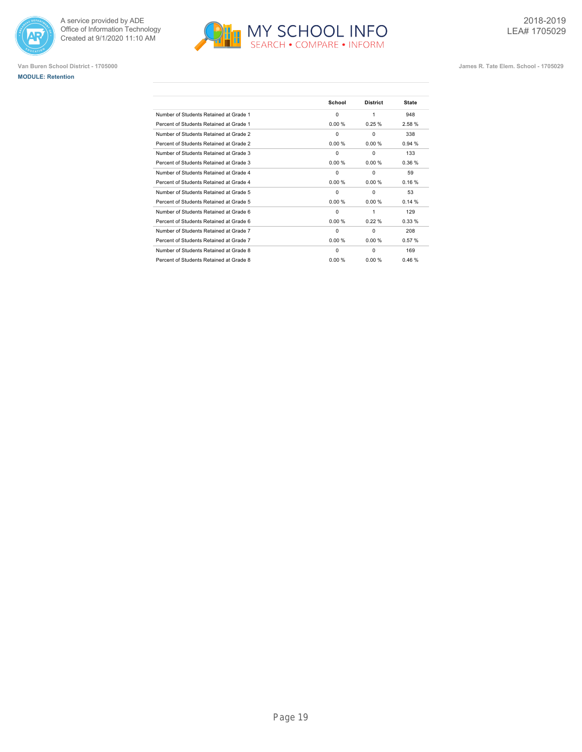





|                                         | School   | <b>District</b> | <b>State</b> |
|-----------------------------------------|----------|-----------------|--------------|
| Number of Students Retained at Grade 1  | 0        | 1               | 948          |
| Percent of Students Retained at Grade 1 | 0.00%    | 0.25%           | 2.58%        |
| Number of Students Retained at Grade 2  | $\Omega$ | $\Omega$        | 338          |
| Percent of Students Retained at Grade 2 | 0.00%    | 0.00%           | 0.94%        |
| Number of Students Retained at Grade 3  | $\Omega$ | $\Omega$        | 133          |
| Percent of Students Retained at Grade 3 | 0.00%    | 0.00%           | 0.36%        |
| Number of Students Retained at Grade 4  | $\Omega$ | $\Omega$        | 59           |
| Percent of Students Retained at Grade 4 | 0.00%    | 0.00%           | 0.16%        |
| Number of Students Retained at Grade 5  | $\Omega$ | $\Omega$        | 53           |
| Percent of Students Retained at Grade 5 | 0.00%    | 0.00%           | 0.14%        |
| Number of Students Retained at Grade 6  | 0        | 1               | 129          |
| Percent of Students Retained at Grade 6 | 0.00%    | 0.22%           | 0.33%        |
| Number of Students Retained at Grade 7  | $\Omega$ | $\Omega$        | 208          |
| Percent of Students Retained at Grade 7 | 0.00%    | 0.00%           | 0.57%        |
| Number of Students Retained at Grade 8  | $\Omega$ | $\Omega$        | 169          |
| Percent of Students Retained at Grade 8 | 0.00 %   | 0.00%           | 0.46%        |
|                                         |          |                 |              |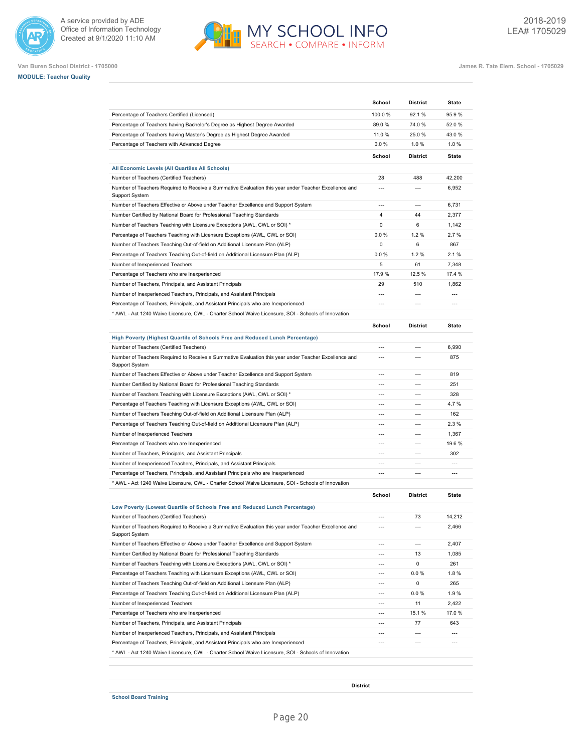







**Van Buren School District - 1705000 James R. Tate Elem. School - 1705029**

|                                                                                                                                                                                                                                                                                                                                                                                                                                                                                                                                                      | School         | <b>District</b> | <b>State</b>                                       |
|------------------------------------------------------------------------------------------------------------------------------------------------------------------------------------------------------------------------------------------------------------------------------------------------------------------------------------------------------------------------------------------------------------------------------------------------------------------------------------------------------------------------------------------------------|----------------|-----------------|----------------------------------------------------|
| Percentage of Teachers Certified (Licensed)                                                                                                                                                                                                                                                                                                                                                                                                                                                                                                          | 100.0%         | 92.1%           | 95.9%                                              |
| Percentage of Teachers having Bachelor's Degree as Highest Degree Awarded                                                                                                                                                                                                                                                                                                                                                                                                                                                                            | 89.0%          | 74.0%           | 52.0%                                              |
| Percentage of Teachers having Master's Degree as Highest Degree Awarded                                                                                                                                                                                                                                                                                                                                                                                                                                                                              | 11.0 %         | 25.0%           | 43.0%                                              |
| Percentage of Teachers with Advanced Degree                                                                                                                                                                                                                                                                                                                                                                                                                                                                                                          | 0.0%           | 1.0%            | 1.0%                                               |
|                                                                                                                                                                                                                                                                                                                                                                                                                                                                                                                                                      | School         | <b>District</b> | <b>State</b>                                       |
| All Economic Levels (All Quartiles All Schools)                                                                                                                                                                                                                                                                                                                                                                                                                                                                                                      |                |                 |                                                    |
| Number of Teachers (Certified Teachers)                                                                                                                                                                                                                                                                                                                                                                                                                                                                                                              | 28             | 488             | 42,200                                             |
| Number of Teachers Required to Receive a Summative Evaluation this year under Teacher Excellence and<br><b>Support System</b>                                                                                                                                                                                                                                                                                                                                                                                                                        | $\overline{a}$ | $\overline{a}$  | 6,952                                              |
| Number of Teachers Effective or Above under Teacher Excellence and Support System                                                                                                                                                                                                                                                                                                                                                                                                                                                                    | $\overline{a}$ | $\overline{a}$  | 6,731                                              |
| Number Certified by National Board for Professional Teaching Standards                                                                                                                                                                                                                                                                                                                                                                                                                                                                               | $\overline{4}$ | 44              | 2,377                                              |
| Number of Teachers Teaching with Licensure Exceptions (AWL, CWL or SOI) *                                                                                                                                                                                                                                                                                                                                                                                                                                                                            | $\mathbf 0$    | 6               | 1,142                                              |
| Percentage of Teachers Teaching with Licensure Exceptions (AWL, CWL or SOI)                                                                                                                                                                                                                                                                                                                                                                                                                                                                          | 0.0%           | 1.2%            | 2.7%                                               |
| Number of Teachers Teaching Out-of-field on Additional Licensure Plan (ALP)                                                                                                                                                                                                                                                                                                                                                                                                                                                                          | $\mathbf 0$    | 6               | 867                                                |
| Percentage of Teachers Teaching Out-of-field on Additional Licensure Plan (ALP)                                                                                                                                                                                                                                                                                                                                                                                                                                                                      | 0.0%           | 1.2%            | 2.1%                                               |
| Number of Inexperienced Teachers                                                                                                                                                                                                                                                                                                                                                                                                                                                                                                                     | 5              | 61              | 7,348                                              |
| Percentage of Teachers who are Inexperienced                                                                                                                                                                                                                                                                                                                                                                                                                                                                                                         | 17.9%          | 12.5 %          | 17.4 %                                             |
| Number of Teachers, Principals, and Assistant Principals                                                                                                                                                                                                                                                                                                                                                                                                                                                                                             | 29             | 510             | 1,862                                              |
| Number of Inexperienced Teachers, Principals, and Assistant Principals                                                                                                                                                                                                                                                                                                                                                                                                                                                                               | ---            | $\overline{a}$  | $\overline{a}$                                     |
| Percentage of Teachers, Principals, and Assistant Principals who are Inexperienced                                                                                                                                                                                                                                                                                                                                                                                                                                                                   | $\overline{a}$ | $\overline{a}$  | ---                                                |
| AWL - Act 1240 Waive Licensure, CWL - Charter School Waive Licensure, SOI - Schools of Innovation                                                                                                                                                                                                                                                                                                                                                                                                                                                    |                |                 |                                                    |
|                                                                                                                                                                                                                                                                                                                                                                                                                                                                                                                                                      | School         | <b>District</b> | <b>State</b>                                       |
| High Poverty (Highest Quartile of Schools Free and Reduced Lunch Percentage)                                                                                                                                                                                                                                                                                                                                                                                                                                                                         |                |                 |                                                    |
| Number of Teachers (Certified Teachers)                                                                                                                                                                                                                                                                                                                                                                                                                                                                                                              | $---$          | $\overline{a}$  | 6,990                                              |
| Number of Teachers Required to Receive a Summative Evaluation this year under Teacher Excellence and<br>Support System                                                                                                                                                                                                                                                                                                                                                                                                                               | $\overline{a}$ | $\overline{a}$  | 875                                                |
| Number of Teachers Effective or Above under Teacher Excellence and Support System                                                                                                                                                                                                                                                                                                                                                                                                                                                                    | $\overline{a}$ | $\overline{a}$  | 819                                                |
| Number Certified by National Board for Professional Teaching Standards                                                                                                                                                                                                                                                                                                                                                                                                                                                                               | $\overline{a}$ | $\overline{a}$  | 251                                                |
| Number of Teachers Teaching with Licensure Exceptions (AWL, CWL or SOI) *                                                                                                                                                                                                                                                                                                                                                                                                                                                                            | $---$          | $\overline{a}$  | 328                                                |
| Percentage of Teachers Teaching with Licensure Exceptions (AWL, CWL or SOI)                                                                                                                                                                                                                                                                                                                                                                                                                                                                          | $\overline{a}$ | $\overline{a}$  | 4.7%                                               |
| Number of Teachers Teaching Out-of-field on Additional Licensure Plan (ALP)                                                                                                                                                                                                                                                                                                                                                                                                                                                                          | $\overline{a}$ | $\overline{a}$  | 162                                                |
| Percentage of Teachers Teaching Out-of-field on Additional Licensure Plan (ALP)                                                                                                                                                                                                                                                                                                                                                                                                                                                                      | $\overline{a}$ | $\overline{a}$  | 2.3%                                               |
| Number of Inexperienced Teachers                                                                                                                                                                                                                                                                                                                                                                                                                                                                                                                     | $\overline{a}$ | $\overline{a}$  | 1,367                                              |
| Percentage of Teachers who are Inexperienced                                                                                                                                                                                                                                                                                                                                                                                                                                                                                                         |                | $\overline{a}$  | 19.6%                                              |
| Number of Teachers, Principals, and Assistant Principals                                                                                                                                                                                                                                                                                                                                                                                                                                                                                             | ---            | $\overline{a}$  | 302                                                |
| Number of Inexperienced Teachers, Principals, and Assistant Principals                                                                                                                                                                                                                                                                                                                                                                                                                                                                               | ---            | ---             | ---                                                |
| Percentage of Teachers, Principals, and Assistant Principals who are Inexperienced                                                                                                                                                                                                                                                                                                                                                                                                                                                                   | ---            | $\overline{a}$  | ---                                                |
| AWL - Act 1240 Waive Licensure, CWL - Charter School Waive Licensure, SOI - Schools of Innovation                                                                                                                                                                                                                                                                                                                                                                                                                                                    |                |                 |                                                    |
|                                                                                                                                                                                                                                                                                                                                                                                                                                                                                                                                                      | School         | <b>District</b> | <b>State</b>                                       |
| Low Poverty (Lowest Quartile of Schools Free and Reduced Lunch Percentage)                                                                                                                                                                                                                                                                                                                                                                                                                                                                           |                |                 |                                                    |
| Number of Teachers (Certified Teachers)                                                                                                                                                                                                                                                                                                                                                                                                                                                                                                              | ---            | 73              | 14,212                                             |
| Number of Teachers Required to Receive a Summative Evaluation this year under Teacher Excellence and<br><b>Support System</b>                                                                                                                                                                                                                                                                                                                                                                                                                        | $---$          | ---             | 2,466                                              |
| Number of Teachers Effective or Above under Teacher Excellence and Support System                                                                                                                                                                                                                                                                                                                                                                                                                                                                    | $---$          | ---             | 2,407                                              |
|                                                                                                                                                                                                                                                                                                                                                                                                                                                                                                                                                      | $---$          | 13              | 1,085                                              |
|                                                                                                                                                                                                                                                                                                                                                                                                                                                                                                                                                      |                | 0               | 261                                                |
|                                                                                                                                                                                                                                                                                                                                                                                                                                                                                                                                                      | ---            |                 | 1.8%                                               |
|                                                                                                                                                                                                                                                                                                                                                                                                                                                                                                                                                      | $\overline{a}$ | 0.0%            |                                                    |
|                                                                                                                                                                                                                                                                                                                                                                                                                                                                                                                                                      | $\overline{a}$ | 0               | 265                                                |
|                                                                                                                                                                                                                                                                                                                                                                                                                                                                                                                                                      | $\overline{a}$ | $0.0 \%$        |                                                    |
|                                                                                                                                                                                                                                                                                                                                                                                                                                                                                                                                                      | $\overline{a}$ | 11              |                                                    |
|                                                                                                                                                                                                                                                                                                                                                                                                                                                                                                                                                      | ---            | 15.1 %          |                                                    |
| Number Certified by National Board for Professional Teaching Standards<br>Number of Teachers Teaching with Licensure Exceptions (AWL, CWL or SOI) *<br>Percentage of Teachers Teaching with Licensure Exceptions (AWL, CWL or SOI)<br>Number of Teachers Teaching Out-of-field on Additional Licensure Plan (ALP)<br>Percentage of Teachers Teaching Out-of-field on Additional Licensure Plan (ALP)<br>Number of Inexperienced Teachers<br>Percentage of Teachers who are Inexperienced<br>Number of Teachers, Principals, and Assistant Principals | ---            | 77              | 643                                                |
| Number of Inexperienced Teachers, Principals, and Assistant Principals                                                                                                                                                                                                                                                                                                                                                                                                                                                                               | ---            | ---             | 1.9%<br>2,422<br>17.0%<br>$\overline{\phantom{a}}$ |

MY SCHOOL INFO

**District**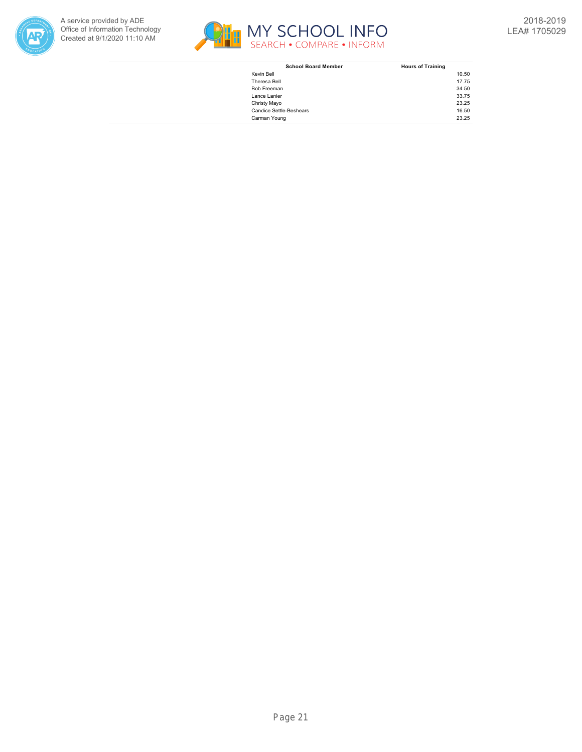



| <b>School Board Member</b>     | <b>Hours of Training</b> |
|--------------------------------|--------------------------|
| Kevin Bell                     | 10.50                    |
| Theresa Bell                   | 17.75                    |
| Bob Freeman                    | 34.50                    |
| Lance Lanier                   | 33.75                    |
| Christy Mayo                   | 23.25                    |
| <b>Candice Settle-Beshears</b> | 16.50                    |
| Carman Young                   | 23.25                    |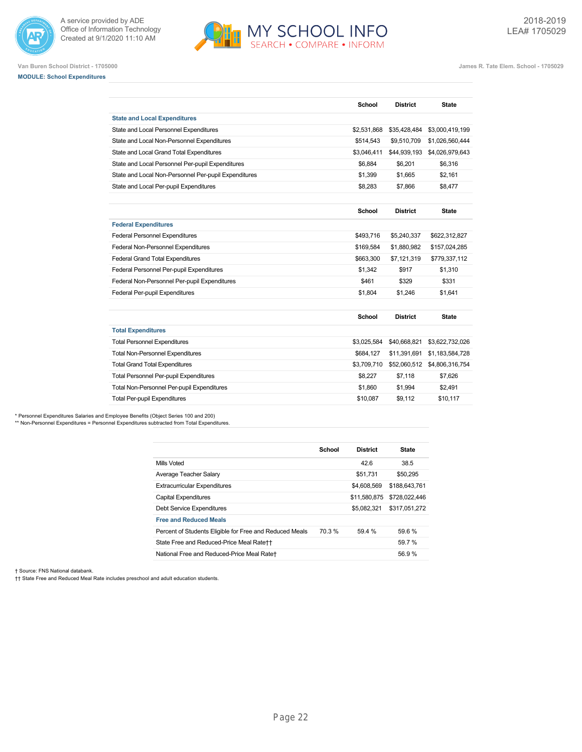

**MODULE: School Expenditures**

A service provided by ADE Office of Information Technology Created at 9/1/2020 11:10 AM



**Van Buren School District - 1705000 James R. Tate Elem. School - 1705029**

## **School District State State and Local Expenditures** State and Local Personnel Expenditures **\$2,531,868** \$35,428,484 \$3,000,419,199 State and Local Non-Personnel Expenditures \$514,543 \$9,510,709 \$1,026,560,444 State and Local Grand Total Expenditures 63,046,411 \$44,939,193 \$4,026,979,643 State and Local Personnel Per-pupil Expenditures \$6,884 \$6,884 \$6,201 \$6,316 State and Local Non-Personnel Per-pupil Expenditures 61,399 \$1,399 \$1,665 \$2,161 State and Local Per-pupil Expenditures **\$8,283** \$7,866 \$8,477 **School District State Federal Expenditures** Federal Personnel Expenditures \$493,716 \$5,240,337 \$622,312,827 Federal Non-Personnel Expenditures \$169,584 \$1,880,982 \$157,024,285 Federal Grand Total Expenditures **\$663,300** \$7,121,319 \$779,337,112 Federal Personnel Per-pupil Expenditures **\$1,310** \$1,342 \$917 \$1,310 Federal Non-Personnel Per-pupil Expenditures **\$461** \$329 \$331 Federal Per-pupil Expenditures **\$1,804** \$1,804 \$1,246 \$1,8641 **School District State Total Expenditures** Total Personnel Expenditures \$3,025,584 \$40,668,821 \$3,622,732,026 Total Non-Personnel Expenditures  $$684,127$  \$11,391,691 \$1,183,584,728 Total Grand Total Expenditures **\$3,709,710 \$52,060,512** \$4,806,316,754

Total Personnel Per-pupil Expenditures **\$8,227** \$7,118 \$7,626 Total Non-Personnel Per-pupil Expenditures **\$1,860** \$1,860 \$1,994 \$2,491 Total Per-pupil Expenditures **\$10,087** \$9,112 \$10,117

\* Personnel Expenditures Salaries and Employee Benefits (Object Series 100 and 200) \*\* Non-Personnel Expenditures = Personnel Expenditures subtracted from Total Expenditures

> **School District State** Mills Voted 42.6 38.5 Average Teacher Salary \$50,295 Extracurricular Expenditures **\$4,608,569** \$188,643,761 Capital Expenditures \$11,580,875 \$728,022,446 Debt Service Expenditures \$5,082,321 \$317,051,272 **Free and Reduced Meals** Percent of Students Eligible for Free and Reduced Meals 70.3 % 59.4 % 59.6 % State Free and Reduced-Price Meal Rate†† 59.7 % National Free and Reduced-Price Meal Rate† 56.9 %

† Source: FNS National databank.

†† State Free and Reduced Meal Rate includes preschool and adult education students.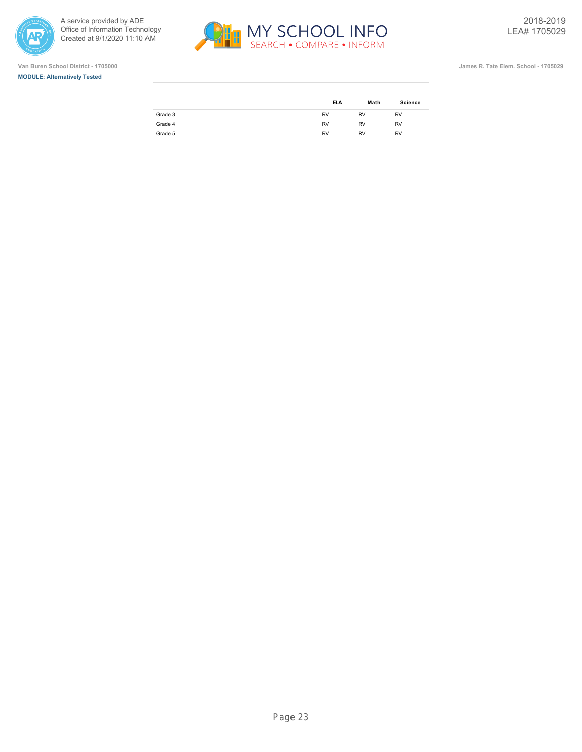







|         | <b>ELA</b> | Math      | <b>Science</b> |
|---------|------------|-----------|----------------|
| Grade 3 | <b>RV</b>  | <b>RV</b> | <b>RV</b>      |
| Grade 4 | <b>RV</b>  | <b>RV</b> | <b>RV</b>      |
| Grade 5 | <b>RV</b>  | <b>RV</b> | <b>RV</b>      |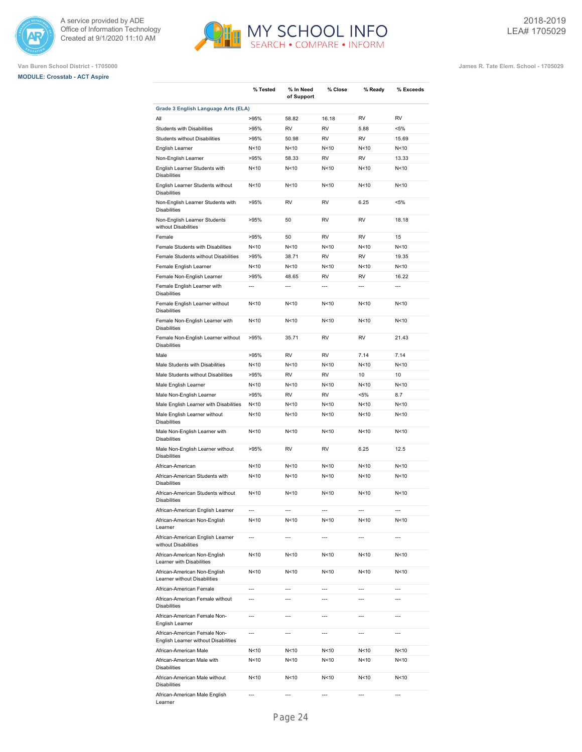





**Van Buren School District - 1705000 James R. Tate Elem. School - 1705029**

|                                                                                | % Tested                 | % In Need                | % Close                  | % Ready           | % Exceeds                |
|--------------------------------------------------------------------------------|--------------------------|--------------------------|--------------------------|-------------------|--------------------------|
|                                                                                |                          | of Support               |                          |                   |                          |
| Grade 3 English Language Arts (ELA)                                            |                          |                          |                          |                   |                          |
| All                                                                            | >95%                     | 58.82                    | 16.18                    | <b>RV</b>         | <b>RV</b>                |
| Students with Disabilities<br><b>Students without Disabilities</b>             | >95%<br>>95%             | <b>RV</b><br>50.98       | <b>RV</b><br><b>RV</b>   | 5.88<br><b>RV</b> | $< 5\%$<br>15.69         |
| English Learner                                                                | N<10                     | N<10                     | N <sub>10</sub>          | N <sub>10</sub>   | N<10                     |
| Non-English Learner                                                            | >95%                     | 58.33                    | RV                       | <b>RV</b>         | 13.33                    |
| English Learner Students with                                                  | N<10                     | N<10                     | N<10                     | N <sub>10</sub>   | N<10                     |
| <b>Disabilities</b><br>English Learner Students without<br><b>Disabilities</b> | N<10                     | N<10                     | N<10                     | N <sub>10</sub>   | N<10                     |
| Non-English Learner Students with<br><b>Disabilities</b>                       | >95%                     | RV                       | RV                       | 6.25              | $< 5\%$                  |
| Non-English Learner Students<br>without Disabilities                           | >95%                     | 50                       | RV                       | <b>RV</b>         | 18.18                    |
| Female                                                                         | >95%                     | 50                       | <b>RV</b>                | <b>RV</b>         | 15                       |
| Female Students with Disabilities                                              | N<10                     | N < 10                   | N < 10                   | N < 10            | N<10                     |
| Female Students without Disabilities                                           | >95%                     | 38.71                    | <b>RV</b>                | <b>RV</b>         | 19.35                    |
| Female English Learner                                                         | N<10                     | N<10                     | N<10                     | N <sub>10</sub>   | N<10                     |
| Female Non-English Learner                                                     | >95%                     | 48.65                    | <b>RV</b>                | <b>RV</b>         | 16.22                    |
| Female English Learner with<br><b>Disabilities</b>                             | $\overline{a}$           | $\overline{\phantom{a}}$ | $\overline{a}$           | $\overline{a}$    | $\overline{a}$           |
| Female English Learner without<br><b>Disabilities</b>                          | N<10                     | N<10                     | N<10                     | N<10              | N<10                     |
| Female Non-English Learner with<br><b>Disabilities</b>                         | N<10                     | N<10                     | N <sub>10</sub>          | N <sub>10</sub>   | N<10                     |
| Female Non-English Learner without<br><b>Disabilities</b>                      | >95%                     | 35.71                    | <b>RV</b>                | <b>RV</b>         | 21.43                    |
| Male                                                                           | >95%                     | <b>RV</b>                | <b>RV</b>                | 7.14              | 7.14                     |
| Male Students with Disabilities                                                | N<10                     | N<10                     | N<10                     | N <sub>10</sub>   | N<10                     |
| Male Students without Disabilities                                             | >95%                     | RV                       | RV                       | 10                | 10                       |
| Male English Learner                                                           | N<10                     | N<10                     | N<10                     | N<10              | N<10                     |
| Male Non-English Learner                                                       | >95%                     | <b>RV</b>                | <b>RV</b>                | <5%               | 8.7                      |
| Male English Learner with Disabilities                                         | N <sub>10</sub>          | N<10                     | N <sub>10</sub>          | N <sub>10</sub>   | N<10                     |
| Male English Learner without<br><b>Disabilities</b>                            | N<10                     | N<10                     | N<10                     | N <sub>10</sub>   | N<10                     |
| Male Non-English Learner with<br><b>Disabilities</b>                           | N<10                     | N<10                     | N <sub>10</sub>          | N<10              | N<10                     |
| Male Non-English Learner without<br><b>Disabilities</b>                        | >95%                     | RV                       | RV                       | 6.25              | 12.5                     |
| African-American                                                               | N<10                     | N<10                     | N<10                     | N<10              | N<10                     |
| African-American Students with<br><b>Disabilities</b>                          | N<10                     | N<10                     | N<10                     | N<10              | N<10                     |
| African-American Students without<br><b>Disabilities</b>                       | N<10                     | N<10                     | N<10                     | N<10              | N<10                     |
| African-American English Learner                                               | $\overline{\phantom{a}}$ | $---$                    | ---                      | ---               | $\overline{a}$           |
| African-American Non-English<br>Learner                                        | N<10                     | N<10                     | N<10                     | N<10              | N<10                     |
| African-American English Learner<br>without Disabilities                       | $\overline{\phantom{a}}$ | ---                      | $\overline{\phantom{a}}$ | ---               | $\overline{\phantom{a}}$ |
| African-American Non-English<br>Learner with Disabilities                      | N<10                     | N <sub>10</sub>          | N<10                     | N<10              | N<10                     |
| African-American Non-English<br>Learner without Disabilities                   | N<10                     | N < 10                   | N<10                     | N<10              | N<10                     |
| African-American Female                                                        | $\overline{\phantom{a}}$ | ---                      | ---                      | ---               | ---                      |
| African-American Female without<br><b>Disabilities</b>                         | ---                      | ---                      | ---                      | ---               | ---                      |
| African-American Female Non-<br>English Learner                                | $\overline{a}$           | $\overline{a}$           | $\overline{a}$           | $\overline{a}$    | $\overline{a}$           |
| African-American Female Non-<br>English Learner without Disabilities           | $\overline{a}$           | $\overline{a}$           | $\overline{a}$           | $\overline{a}$    | $\overline{a}$           |
| African-American Male                                                          | N<10                     | N < 10                   | N<10                     | N<10              | N<10                     |
| African-American Male with<br><b>Disabilities</b>                              | N<10                     | N<10                     | N<10                     | N<10              | N<10                     |
| African-American Male without<br><b>Disabilities</b>                           | N<10                     | N<10                     | N<10                     | N<10              | N<10                     |
| African-American Male English                                                  | $\overline{\phantom{a}}$ | ---                      | ---                      | ---               | $\overline{\phantom{a}}$ |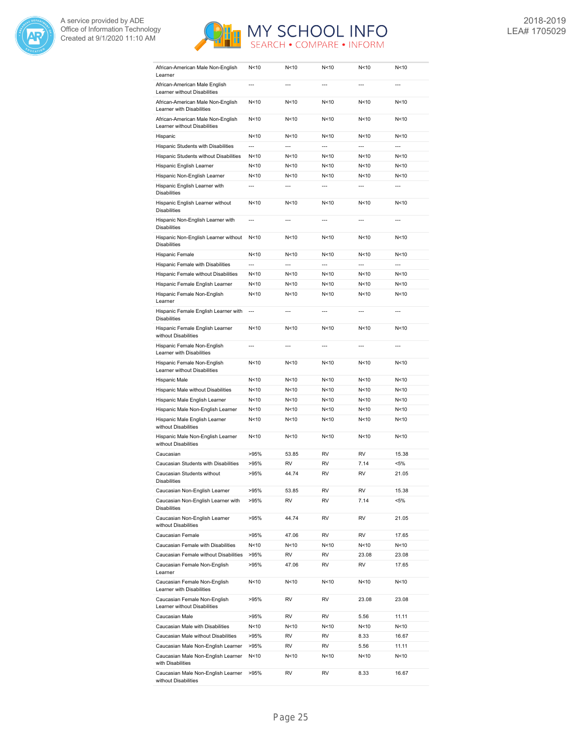



| African-American Male Non-English<br>Learner                      | N<10            | N < 10         | N<10            | N<10            | N<10           |
|-------------------------------------------------------------------|-----------------|----------------|-----------------|-----------------|----------------|
| African-American Male English<br>Learner without Disabilities     | ---             | $\overline{a}$ | ---             | ---             | $\overline{a}$ |
| African-American Male Non-English<br>Learner with Disabilities    | N<10            | N<10           | N <sub>10</sub> | N <sub>10</sub> | N<10           |
| African-American Male Non-English<br>Learner without Disabilities | N<10            | N < 10         | N <sub>10</sub> | N <sub>10</sub> | N<10           |
| Hispanic                                                          | N<10            | N<10           | N <sub>10</sub> | N <sub>10</sub> | N<10           |
| Hispanic Students with Disabilities                               | $\overline{a}$  | $\overline{a}$ | $\overline{a}$  | $\overline{a}$  | $\overline{a}$ |
| Hispanic Students without Disabilities                            | N<10            | N < 10         | N<10            | N <sub>10</sub> | N<10           |
| Hispanic English Learner                                          | N<10            | N < 10         | N<10            | N < 10          | N<10           |
| Hispanic Non-English Learner                                      | N<10            | N<10           | N<10            | N < 10          | N<10           |
| Hispanic English Learner with<br><b>Disabilities</b>              | ---             |                | $\overline{a}$  | ---             | $\overline{a}$ |
| Hispanic English Learner without<br><b>Disabilities</b>           | N<10            | N < 10         | N < 10          | N < 10          | N<10           |
| Hispanic Non-English Learner with<br><b>Disabilities</b>          | ---             | ---            | $\overline{a}$  | ---             | $\overline{a}$ |
| Hispanic Non-English Learner without<br><b>Disabilities</b>       | N<10            | N<10           | N <sub>10</sub> | N <sub>10</sub> | N<10           |
| Hispanic Female                                                   | N<10            | N<10           | N <sub>10</sub> | N <sub>10</sub> | N<10           |
| Hispanic Female with Disabilities                                 | $\overline{a}$  | $\overline{a}$ | $\overline{a}$  | $\overline{a}$  | $\overline{a}$ |
| Hispanic Female without Disabilities                              | N<10            | N<10           | N<10            | N <sub>10</sub> | N<10           |
| Hispanic Female English Learner                                   | N<10            | N < 10         | N<10            | N < 10          | N<10           |
| Hispanic Female Non-English<br>Learner                            | N<10            | N < 10         | N<10            | N < 10          | N<10           |
| Hispanic Female English Learner with<br><b>Disabilities</b>       | $\overline{a}$  | ---            | $\overline{a}$  | ---             | $\overline{a}$ |
| Hispanic Female English Learner<br>without Disabilities           | N<10            | N<10           | N <sub>10</sub> | N <sub>10</sub> | N<10           |
| Hispanic Female Non-English<br>Learner with Disabilities          | $\overline{a}$  | $\overline{a}$ | $\overline{a}$  | $\overline{a}$  | $\overline{a}$ |
| Hispanic Female Non-English<br>Learner without Disabilities       | N <sub>10</sub> | N<10           | N <sub>10</sub> | N <sub>10</sub> | N<10           |
| Hispanic Male                                                     | N<10            | N<10           | N <sub>10</sub> | N <sub>10</sub> | N<10           |
| Hispanic Male without Disabilities                                | N<10            | N<10           | N <sub>10</sub> | N <sub>10</sub> | N<10           |
| Hispanic Male English Learner                                     | N<10            | N<10           | N < 10          | N <sub>10</sub> | N<10           |
| Hispanic Male Non-English Learner                                 | N<10            | N<10           | N <sub>10</sub> | N <sub>10</sub> | N<10           |
| Hispanic Male English Learner<br>without Disabilities             | N<10            | N<10           | N < 10          | N <sub>10</sub> | N<10           |
| Hispanic Male Non-English Learner<br>without Disabilities         | N<10            | N<10           | N <sub>10</sub> | N <sub>10</sub> | N<10           |
| Caucasian                                                         | >95%            | 53.85          | <b>RV</b>       | <b>RV</b>       | 15.38          |
| Caucasian Students with Disabilities                              | >95%            | RV             | <b>RV</b>       | 7.14            | $< 5\%$        |
| Caucasian Students without<br>Disabilities                        | >95%            | 44.74          | <b>RV</b>       | <b>RV</b>       | 21.05          |
| Caucasian Non-English Learner                                     | >95%            | 53.85          | RV              | RV              | 15.38          |
| Caucasian Non-English Learner with<br><b>Disabilities</b>         | >95%            | RV             | RV              | 7.14            | $< 5\%$        |
| Caucasian Non-English Learner<br>without Disabilities             | >95%            | 44.74          | RV              | RV              | 21.05          |
| Caucasian Female                                                  | >95%            | 47.06          | RV              | RV              | 17.65          |
| Caucasian Female with Disabilities                                | N<10            | N<10           | N<10            | N<10            | N<10           |
| Caucasian Female without Disabilities                             | >95%            | RV             | RV              | 23.08           | 23.08          |
| Caucasian Female Non-English<br>Learner                           | >95%            | 47.06          | RV              | RV              | 17.65          |
| Caucasian Female Non-English<br>Learner with Disabilities         | N <sub>10</sub> | N<10           | N<10            | N < 10          | N<10           |
| Caucasian Female Non-English<br>Learner without Disabilities      | >95%            | RV             | RV              | 23.08           | 23.08          |
| Caucasian Male                                                    | >95%            | RV             | RV              | 5.56            | 11.11          |
| Caucasian Male with Disabilities                                  | N<10            | N<10           | N<10            | N<10            | N<10           |
| Caucasian Male without Disabilities                               | >95%            | RV             | RV              | 8.33            | 16.67          |
| Caucasian Male Non-English Learner                                | >95%            | RV             | RV              | 5.56            | 11.11          |
| Caucasian Male Non-English Learner<br>with Disabilities           | N<10            | N<10           | N<10            | N<10            | N<10           |
| Caucasian Male Non-English Learner<br>without Disabilities        | >95%            | RV             | RV              | 8.33            | 16.67          |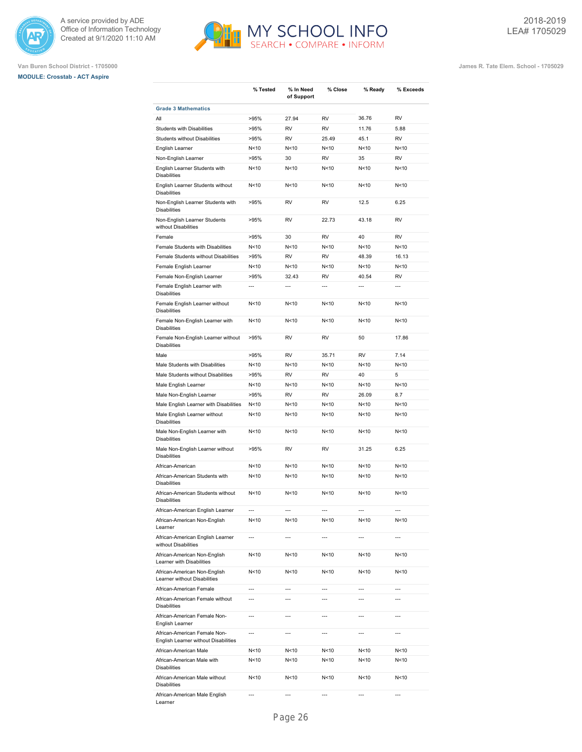





|                                                                      | % Tested        | % In Need<br>of Support  | % Close                  | % Ready                  | % Exceeds       |
|----------------------------------------------------------------------|-----------------|--------------------------|--------------------------|--------------------------|-----------------|
| <b>Grade 3 Mathematics</b>                                           |                 |                          |                          |                          |                 |
| All                                                                  | >95%            | 27.94                    | <b>RV</b>                | 36.76                    | <b>RV</b>       |
| Students with Disabilities                                           | >95%            | <b>RV</b>                | <b>RV</b>                | 11.76                    | 5.88            |
| Students without Disabilities                                        | >95%            | <b>RV</b>                | 25.49                    | 45.1                     | <b>RV</b>       |
| English Learner                                                      | N<10            | N<10                     | N<10                     | N <sub>10</sub>          | N<10            |
| Non-English Learner                                                  | >95%            | 30                       | <b>RV</b>                | 35                       | <b>RV</b>       |
| English Learner Students with<br><b>Disabilities</b>                 | N<10            | N<10                     | N<10                     | N <sub>10</sub>          | N<10            |
| English Learner Students without<br><b>Disabilities</b>              | N<10            | N<10                     | N<10                     | N <sub>10</sub>          | N<10            |
| Non-English Learner Students with<br><b>Disabilities</b>             | >95%            | <b>RV</b>                | <b>RV</b>                | 12.5                     | 6.25            |
| Non-English Learner Students<br>without Disabilities                 | >95%            | <b>RV</b>                | 22.73                    | 43.18                    | <b>RV</b>       |
| Female                                                               | >95%            | 30                       | <b>RV</b>                | 40                       | <b>RV</b>       |
| Female Students with Disabilities                                    | N<10            | N<10                     | N<10                     | N<10                     | N<10            |
| Female Students without Disabilities                                 | >95%            | <b>RV</b>                | <b>RV</b>                | 48.39                    | 16.13           |
| Female English Learner                                               | N <sub>10</sub> | N<10                     | N<10                     | N <sub>10</sub>          | N<10            |
| Female Non-English Learner                                           | >95%            | 32.43                    | <b>RV</b>                | 40.54                    | <b>RV</b>       |
| Female English Learner with<br><b>Disabilities</b>                   | $\overline{a}$  | $\overline{a}$           | ---                      | $\overline{a}$           | $\overline{a}$  |
| Female English Learner without<br><b>Disabilities</b>                | N<10            | N<10                     | N <sub>10</sub>          | N <sub>10</sub>          | N<10            |
| Female Non-English Learner with<br><b>Disabilities</b>               | N<10            | N<10                     | N<10                     | N<10                     | N<10            |
| Female Non-English Learner without<br><b>Disabilities</b>            | >95%            | <b>RV</b>                | <b>RV</b>                | 50                       | 17.86           |
| Male                                                                 | >95%            | <b>RV</b>                | 35.71                    | <b>RV</b>                | 7.14            |
| Male Students with Disabilities                                      | N<10            | N<10                     | N <sub>10</sub>          | N <sub>10</sub>          | N<10            |
| Male Students without Disabilities                                   | >95%            | <b>RV</b>                | <b>RV</b>                | 40                       | 5               |
| Male English Learner                                                 | N<10            | N<10                     | N<10                     | N <sub>10</sub>          | N<10            |
| Male Non-English Learner                                             | >95%            | <b>RV</b>                | <b>RV</b>                | 26.09                    | 8.7             |
| Male English Learner with Disabilities                               | N<10            | N<10                     | N<10                     | N <sub>10</sub>          | N<10            |
| Male English Learner without<br><b>Disabilities</b>                  | N<10            | N<10                     | N<10                     | N <sub>10</sub>          | N<10            |
| Male Non-English Learner with<br><b>Disabilities</b>                 | N <sub>10</sub> | N<10                     | N<10                     | N <sub>10</sub>          | N<10            |
| Male Non-English Learner without<br><b>Disabilities</b>              | >95%            | <b>RV</b>                | <b>RV</b>                | 31.25                    | 6.25            |
| African-American                                                     | N <sub>10</sub> | N<10                     | N <sub>10</sub>          | N <sub>10</sub>          | N<10            |
| African-American Students with<br><b>Disabilities</b>                | N<10            | N<10                     | N < 10                   | N <sub>10</sub>          | N<10            |
| African-American Students without<br><b>Disabilities</b>             | N<10            | N<10                     | N < 10                   | N <sub>10</sub>          | N<10            |
| African-American English Learner                                     | ---             | $\overline{\phantom{a}}$ | $\overline{\phantom{a}}$ | $\overline{\phantom{a}}$ | $\overline{a}$  |
| African-American Non-English<br>Learner                              | N <sub>10</sub> | N <sub>10</sub>          | N<10                     | N<10                     | N<10            |
| African-American English Learner<br>without Disabilities             | $\overline{a}$  | $\overline{a}$           | ---                      | $\overline{a}$           | $\overline{a}$  |
| African-American Non-English<br>Learner with Disabilities            | N<10            | N < 10                   | N < 10                   | N<10                     | N < 10          |
| African-American Non-English<br>Learner without Disabilities         | N<10            | N < 10                   | N < 10                   | N<10                     | N <sub>10</sub> |
| African-American Female                                              | ---             | $\overline{a}$           | $\overline{a}$           | ---                      | ---             |
| African-American Female without<br><b>Disabilities</b>               | $\overline{a}$  | $\overline{a}$           | $\overline{a}$           | $\overline{a}$           | $\overline{a}$  |
| African-American Female Non-<br>English Learner                      | ---             | $\overline{a}$           | ---                      | ---                      | ---             |
| African-American Female Non-<br>English Learner without Disabilities | ---             | $\overline{a}$           | ---                      | $\overline{a}$           | ---             |
| African-American Male                                                | N<10            | N < 10                   | N < 10                   | N <sub>10</sub>          | N<10            |
| African-American Male with<br><b>Disabilities</b>                    | N<10            | N < 10                   | N<10                     | N<10                     | N<10            |
| African-American Male without<br><b>Disabilities</b>                 | N<10            | N < 10                   | N<10                     | N<10                     | N<10            |
| African-American Male English<br>Learner                             | $\overline{a}$  | $\overline{a}$           | $\overline{a}$           | $\overline{a}$           | $\overline{a}$  |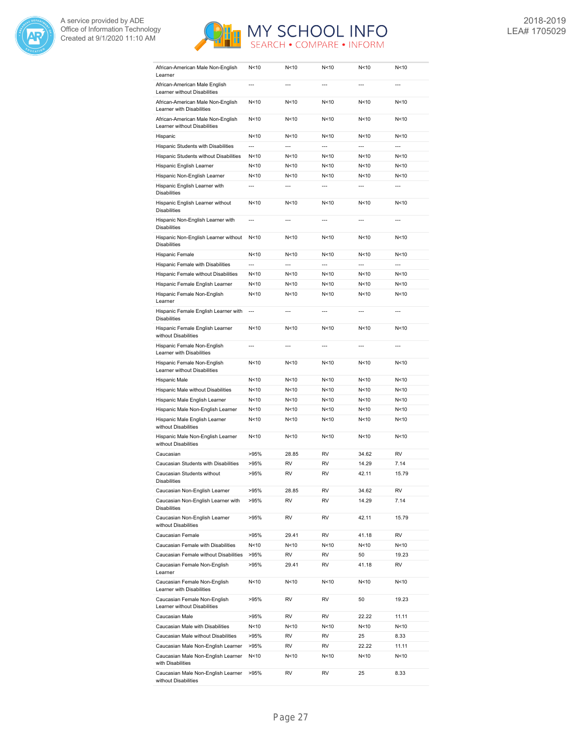



| African-American Male Non-English<br>Learner                      | N<10            | N<10           | N < 10          | N<10            | N < 10          |
|-------------------------------------------------------------------|-----------------|----------------|-----------------|-----------------|-----------------|
| African-American Male English<br>Learner without Disabilities     | $\overline{a}$  | $\overline{a}$ | $\overline{a}$  | $\overline{a}$  | $\overline{a}$  |
| African-American Male Non-English<br>Learner with Disabilities    | N<10            | N<10           | N < 10          | N<10            | N<10            |
| African-American Male Non-English<br>Learner without Disabilities | N<10            | N<10           | N < 10          | N < 10          | N<10            |
| Hispanic                                                          | N<10            | N<10           | N < 10          | N<10            | N<10            |
| Hispanic Students with Disabilities                               | $\overline{a}$  | $\overline{a}$ | ---             | ---             | ---             |
| Hispanic Students without Disabilities                            | N<10            | N<10           | N < 10          | N < 10          | N <sub>10</sub> |
| Hispanic English Learner                                          | N<10            | N<10           | N < 10          | N < 10          | N<10            |
| Hispanic Non-English Learner                                      | N<10            | N<10           | N < 10          | N < 10          | N<10            |
| Hispanic English Learner with<br><b>Disabilities</b>              | $\overline{a}$  | $\overline{a}$ | $\overline{a}$  | $---$           | $\overline{a}$  |
| Hispanic English Learner without<br><b>Disabilities</b>           | N<10            | N<10           | N < 10          | N < 10          | N<10            |
| Hispanic Non-English Learner with<br><b>Disabilities</b>          | $\overline{a}$  | $\overline{a}$ | $\overline{a}$  | $\overline{a}$  | $\overline{a}$  |
| Hispanic Non-English Learner without<br><b>Disabilities</b>       | N<10            | N<10           | N < 10          | N < 10          | N<10            |
| Hispanic Female                                                   | N <sub>10</sub> | N < 10         | N<10            | N < 10          | N<10            |
| Hispanic Female with Disabilities                                 | $\overline{a}$  | $\overline{a}$ | $\overline{a}$  | $\overline{a}$  | $\overline{a}$  |
| Hispanic Female without Disabilities                              | N<10            | N<10           | N < 10          | N < 10          | N<10            |
| Hispanic Female English Learner                                   | N<10            | N<10           | N<10            | N<10            | N<10            |
| Hispanic Female Non-English<br>Learner                            | N<10            | N<10           | N < 10          | N < 10          | N<10            |
| Hispanic Female English Learner with<br><b>Disabilities</b>       | $\overline{a}$  | $\overline{a}$ | $\overline{a}$  | $\overline{a}$  | $\overline{a}$  |
| Hispanic Female English Learner<br>without Disabilities           | N<10            | N < 10         | N < 10          | N < 10          | N<10            |
| Hispanic Female Non-English<br>Learner with Disabilities          | ---             | $\overline{a}$ |                 | ---             | ---             |
| Hispanic Female Non-English<br>Learner without Disabilities       | N<10            | N < 10         | N < 10          | N < 10          | N<10            |
| Hispanic Male                                                     | N<10            | N<10           | N < 10          | N <sub>10</sub> | N<10            |
| Hispanic Male without Disabilities                                | N<10            | N<10           | N < 10          | N <sub>10</sub> | N<10            |
| Hispanic Male English Learner                                     | N<10            | N<10           | N < 10          | N<10            | N<10            |
| Hispanic Male Non-English Learner                                 | N<10            | N<10           | N < 10          | N<10            | N < 10          |
| Hispanic Male English Learner                                     | N<10            | N < 10         | N < 10          | N <sub>10</sub> | N < 10          |
| without Disabilities<br>Hispanic Male Non-English Learner         | N<10            | N < 10         | N < 10          | N < 10          | N<10            |
| without Disabilities                                              |                 |                |                 |                 |                 |
| Caucasian                                                         | >95%            | 28.85          | <b>RV</b>       | 34.62           | <b>RV</b>       |
| Caucasian Students with Disabilities                              | >95%            | RV             | <b>RV</b>       | 14.29           | 7.14            |
| Caucasian Students without<br>Disabilities                        | >95%            | RV             | RV              | 42.11           | 15.79           |
| Caucasian Non-English Learner                                     | >95%            | 28.85          | RV              | 34.62           | RV              |
| Caucasian Non-English Learner with<br><b>Disabilities</b>         | >95%            | RV             | RV              | 14.29           | 7.14            |
| Caucasian Non-English Learner<br>without Disabilities             | >95%            | RV             | RV              | 42.11           | 15.79           |
| Caucasian Female                                                  | >95%            | 29.41          | RV              | 41.18           | RV              |
| Caucasian Female with Disabilities                                | N<10            | N<10           | N<10            | N<10            | N<10            |
| Caucasian Female without Disabilities                             | >95%            | RV             | RV              | 50              | 19.23           |
| Caucasian Female Non-English<br>Learner                           | >95%            | 29.41          | RV              | 41.18           | RV              |
| Caucasian Female Non-English<br>Learner with Disabilities         | N<10            | N<10           | N <sub>10</sub> | N<10            | N<10            |
| Caucasian Female Non-English<br>Learner without Disabilities      | >95%            | RV             | RV              | 50              | 19.23           |
| Caucasian Male                                                    | >95%            | RV             | RV              | 22.22           | 11.11           |
| Caucasian Male with Disabilities                                  | N<10            | N<10           | N<10            | N<10            | N<10            |
| Caucasian Male without Disabilities                               | >95%            | RV             | RV              | 25              | 8.33            |
| Caucasian Male Non-English Learner                                | >95%            | RV             | RV              | 22.22           | 11.11           |
| Caucasian Male Non-English Learner<br>with Disabilities           | N<10            | N<10           | N<10            | N<10            | N<10            |
| Caucasian Male Non-English Learner<br>without Disabilities        | >95%            | RV             | RV              | 25              | 8.33            |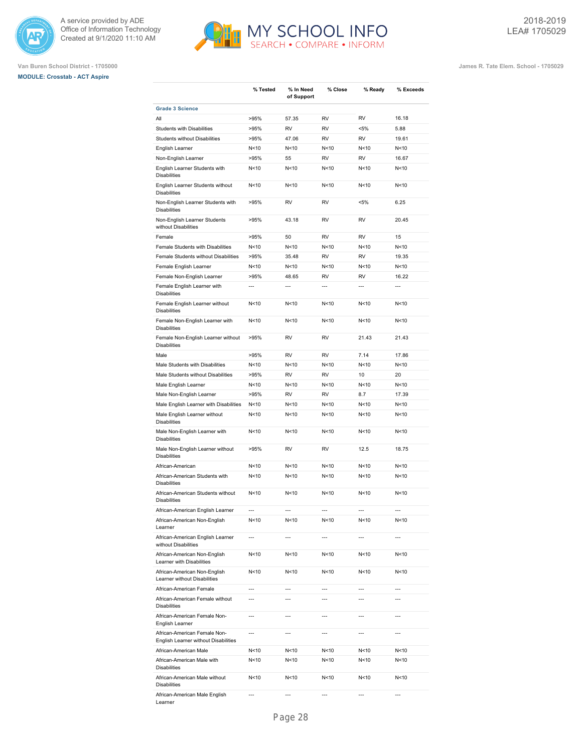





|                                                                                         | % Tested                 | % In Need<br>of Support | % Close         | % Ready                  | % Exceeds       |
|-----------------------------------------------------------------------------------------|--------------------------|-------------------------|-----------------|--------------------------|-----------------|
| <b>Grade 3 Science</b>                                                                  |                          |                         |                 |                          |                 |
| All                                                                                     | >95%                     | 57.35                   | <b>RV</b>       | <b>RV</b>                | 16.18           |
| <b>Students with Disabilities</b>                                                       | >95%                     | <b>RV</b>               | <b>RV</b>       | $< 5\%$                  | 5.88            |
| <b>Students without Disabilities</b>                                                    | >95%                     | 47.06                   | <b>RV</b>       | <b>RV</b>                | 19.61           |
| English Learner                                                                         | N <sub>10</sub>          | N<10                    | N<10            | N <sub>10</sub>          | N<10            |
| Non-English Learner                                                                     | >95%                     | 55                      | <b>RV</b>       | <b>RV</b>                | 16.67           |
| English Learner Students with<br><b>Disabilities</b>                                    | N<10                     | N<10                    | N <sub>10</sub> | N <sub>10</sub>          | N<10            |
| English Learner Students without<br><b>Disabilities</b>                                 | N<10                     | N<10                    | N <sub>10</sub> | N < 10                   | N<10            |
| Non-English Learner Students with<br><b>Disabilities</b>                                | >95%                     | <b>RV</b>               | <b>RV</b>       | $< 5\%$                  | 6.25            |
| Non-English Learner Students<br>without Disabilities                                    | >95%                     | 43.18                   | <b>RV</b>       | <b>RV</b>                | 20.45           |
| Female                                                                                  | >95%                     | 50                      | <b>RV</b>       | <b>RV</b>                | 15              |
| Female Students with Disabilities                                                       | N<10                     | N<10                    | N <sub>10</sub> | N <sub>10</sub>          | N<10            |
| Female Students without Disabilities                                                    | >95%                     | 35.48                   | <b>RV</b>       | <b>RV</b>                | 19.35           |
| Female English Learner                                                                  | N <sub>10</sub>          | N<10                    | N<10            | N <sub>10</sub>          | N<10            |
| Female Non-English Learner                                                              | >95%                     | 48.65                   | <b>RV</b>       | <b>RV</b>                | 16.22           |
| Female English Learner with                                                             | $\overline{a}$           | $\overline{a}$          | ---             | $\overline{a}$           | ---             |
| <b>Disabilities</b><br>Female English Learner without                                   | N<10                     | N<10                    | N<10            | N <sub>10</sub>          | N<10            |
| <b>Disabilities</b><br>Female Non-English Learner with                                  | N<10                     | N<10                    | N<10            | N<10                     | N<10            |
| <b>Disabilities</b><br>Female Non-English Learner without                               | >95%                     | <b>RV</b>               | <b>RV</b>       | 21.43                    | 21.43           |
| <b>Disabilities</b>                                                                     |                          |                         |                 |                          |                 |
| Male                                                                                    | >95%                     | <b>RV</b>               | <b>RV</b>       | 7.14                     | 17.86           |
| Male Students with Disabilities                                                         | N <sub>10</sub>          | N<10                    | N <sub>10</sub> | N <sub>10</sub>          | N<10            |
| Male Students without Disabilities                                                      | >95%                     | <b>RV</b>               | <b>RV</b>       | 10                       | 20              |
| Male English Learner                                                                    | N <sub>10</sub>          | N<10                    | N <sub>10</sub> | N <sub>10</sub>          | N<10            |
| Male Non-English Learner                                                                | >95%                     | <b>RV</b>               | <b>RV</b>       | 8.7                      | 17.39           |
| Male English Learner with Disabilities                                                  | N <sub>10</sub>          | N<10                    | N <sub>10</sub> | N <sub>10</sub>          | N<10            |
| Male English Learner without<br><b>Disabilities</b>                                     | N<10                     | N<10                    | N <sub>10</sub> | N <sub>10</sub>          | N<10            |
| Male Non-English Learner with<br><b>Disabilities</b>                                    | N <sub>10</sub>          | N<10                    | N<10            | N<10                     | N<10            |
| Male Non-English Learner without<br><b>Disabilities</b>                                 | >95%                     | <b>RV</b>               | <b>RV</b>       | 12.5                     | 18.75           |
| African-American                                                                        | N <sub>10</sub>          | N<10                    | N<10            | N <sub>10</sub>          | N<10            |
| African-American Students with<br><b>Disabilities</b>                                   | N <sub>10</sub>          | N<10                    | N <sub>10</sub> | N <sub>10</sub>          | N<10            |
| African-American Students without<br><b>Disabilities</b>                                | N<10                     | N<10                    | N <sub>10</sub> | N <sub>10</sub>          | N<10            |
| African-American English Learner                                                        | $\overline{a}$           | ---                     | ---             | $\overline{\phantom{a}}$ | ---             |
| African-American Non-English<br>Learner                                                 | N<10                     | N < 10                  | N<10            | N<10                     | N <sub>10</sub> |
| African-American English Learner<br>without Disabilities                                | $\overline{a}$           | $\overline{a}$          | ---             | ---                      | $\overline{a}$  |
| African-American Non-English<br>Learner with Disabilities                               | N<10                     | N < 10                  | N<10            | N<10                     | N <sub>10</sub> |
| African-American Non-English<br>Learner without Disabilities                            | N<10                     | N<10                    | N<10            | N <sub>10</sub>          | N < 10          |
| African-American Female                                                                 | $\overline{a}$           | $\overline{a}$          | ---             | ---                      | ---             |
| African-American Female without<br><b>Disabilities</b>                                  | $\overline{a}$           | $\overline{a}$          | $\overline{a}$  | ---                      | $\overline{a}$  |
| African-American Female Non-                                                            | ---                      | ---                     | ---             | ---                      | ---             |
| English Learner<br>African-American Female Non-<br>English Learner without Disabilities | ---                      | ---                     | ---             | ---                      | ---             |
| African-American Male                                                                   | N <sub>10</sub>          | N < 10                  | N<10            | N <sub>10</sub>          | N<10            |
| African-American Male with<br><b>Disabilities</b>                                       | N<10                     | N<10                    | N<10            | N<10                     | N<10            |
| African-American Male without<br><b>Disabilities</b>                                    | N<10                     | N<10                    | N<10            | N<10                     | N<10            |
| African-American Male English<br>Learner                                                | $\overline{\phantom{a}}$ | ---                     | ---             | ---                      | ---             |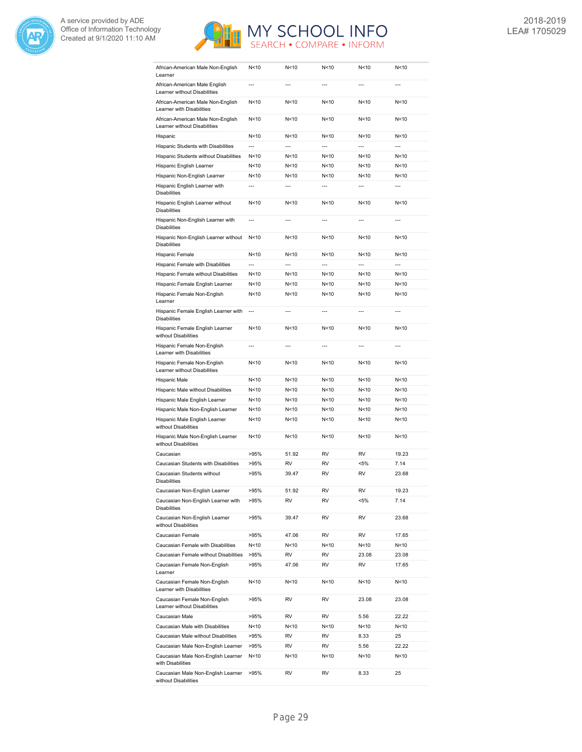



| African-American Male Non-English<br>Learner                      | N<10            | N<10           | N<10            | N<10            | N<10           |
|-------------------------------------------------------------------|-----------------|----------------|-----------------|-----------------|----------------|
| African-American Male English<br>Learner without Disabilities     | ---             | $\overline{a}$ | ---             | ---             | $\overline{a}$ |
| African-American Male Non-English<br>Learner with Disabilities    | N<10            | N<10           | N <sub>10</sub> | N <sub>10</sub> | N<10           |
| African-American Male Non-English<br>Learner without Disabilities | N<10            | N < 10         | N <sub>10</sub> | N <sub>10</sub> | N<10           |
| Hispanic                                                          | N<10            | N<10           | N <sub>10</sub> | N <sub>10</sub> | N<10           |
| Hispanic Students with Disabilities                               | $\overline{a}$  | $\overline{a}$ | $\overline{a}$  | $\overline{a}$  | $\overline{a}$ |
| Hispanic Students without Disabilities                            | N<10            | N < 10         | N<10            | N <sub>10</sub> | N<10           |
| Hispanic English Learner                                          | N<10            | N < 10         | N<10            | N<10            | N<10           |
| Hispanic Non-English Learner                                      | N<10            | N<10           | N<10            | N<10            | N<10           |
| Hispanic English Learner with<br><b>Disabilities</b>              | ---             | ---            | $\overline{a}$  | ---             | $\overline{a}$ |
| Hispanic English Learner without<br><b>Disabilities</b>           | N<10            | N<10           | N < 10          | N < 10          | N<10           |
| Hispanic Non-English Learner with<br><b>Disabilities</b>          | ---             | ---            | $\overline{a}$  | ---             | $\overline{a}$ |
| Hispanic Non-English Learner without<br><b>Disabilities</b>       | N<10            | N<10           | N <sub>10</sub> | N <sub>10</sub> | N<10           |
| Hispanic Female                                                   | N<10            | N<10           | N <sub>10</sub> | N<10            | N<10           |
| Hispanic Female with Disabilities                                 | $\overline{a}$  | $\overline{a}$ | $\overline{a}$  | $\overline{a}$  | $\overline{a}$ |
| Hispanic Female without Disabilities                              | N<10            | N<10           | N <sub>10</sub> | N <sub>10</sub> | N<10           |
| Hispanic Female English Learner                                   | N<10            | N < 10         | N<10            | N < 10          | N<10           |
| Hispanic Female Non-English<br>Learner                            | N<10            | N < 10         | N<10            | N < 10          | N<10           |
| Hispanic Female English Learner with<br><b>Disabilities</b>       | $\overline{a}$  | ---            | $\overline{a}$  | ---             | $\overline{a}$ |
| Hispanic Female English Learner<br>without Disabilities           | N<10            | N<10           | N <sub>10</sub> | N <sub>10</sub> | N<10           |
| Hispanic Female Non-English<br>Learner with Disabilities          | $\overline{a}$  | $\overline{a}$ | $\overline{a}$  | $\overline{a}$  | $\overline{a}$ |
| Hispanic Female Non-English<br>Learner without Disabilities       | N <sub>10</sub> | N<10           | N <sub>10</sub> | N <sub>10</sub> | N<10           |
| Hispanic Male                                                     | N<10            | N<10           | N <sub>10</sub> | N <sub>10</sub> | N<10           |
| Hispanic Male without Disabilities                                | N<10            | N<10           | N <sub>10</sub> | N <sub>10</sub> | N<10           |
| Hispanic Male English Learner                                     | N<10            | N<10           | N < 10          | N <sub>10</sub> | N<10           |
| Hispanic Male Non-English Learner                                 | N<10            | N<10           | N <sub>10</sub> | N <sub>10</sub> | N<10           |
| Hispanic Male English Learner<br>without Disabilities             | N<10            | N<10           | N < 10          | N <sub>10</sub> | N<10           |
| Hispanic Male Non-English Learner<br>without Disabilities         | N<10            | N<10           | N <sub>10</sub> | N <sub>10</sub> | N<10           |
| Caucasian                                                         | >95%            | 51.92          | <b>RV</b>       | <b>RV</b>       | 19.23          |
| Caucasian Students with Disabilities                              | >95%            | RV             | <b>RV</b>       | $< 5\%$         | 7.14           |
| Caucasian Students without<br>Disabilities                        | >95%            | 39.47          | <b>RV</b>       | <b>RV</b>       | 23.68          |
| Caucasian Non-English Learner                                     | >95%            | 51.92          | RV              | RV              | 19.23          |
| Caucasian Non-English Learner with<br><b>Disabilities</b>         | >95%            | RV             | RV              | $< 5\%$         | 7.14           |
| Caucasian Non-English Learner<br>without Disabilities             | >95%            | 39.47          | RV              | RV              | 23.68          |
| Caucasian Female                                                  | >95%            | 47.06          | RV              | RV              | 17.65          |
| Caucasian Female with Disabilities                                | N<10            | N<10           | N<10            | N<10            | N<10           |
| Caucasian Female without Disabilities                             | >95%            | RV             | RV              | 23.08           | 23.08          |
| Caucasian Female Non-English<br>Learner                           | >95%            | 47.06          | RV              | RV              | 17.65          |
| Caucasian Female Non-English<br>Learner with Disabilities         | N <sub>10</sub> | N<10           | N<10            | N < 10          | N<10           |
| Caucasian Female Non-English<br>Learner without Disabilities      | >95%            | RV             | RV              | 23.08           | 23.08          |
| Caucasian Male                                                    | >95%            | RV             | RV              | 5.56            | 22.22          |
| Caucasian Male with Disabilities                                  | N<10            | N<10           | N<10            | N<10            | N<10           |
| Caucasian Male without Disabilities                               | >95%            | RV             | RV              | 8.33            | 25             |
| Caucasian Male Non-English Learner                                | >95%            | RV             | RV              | 5.56            | 22.22          |
| Caucasian Male Non-English Learner<br>with Disabilities           | N<10            | N<10           | N<10            | N<10            | N<10           |
| Caucasian Male Non-English Learner<br>without Disabilities        | >95%            | RV             | RV              | 8.33            | 25             |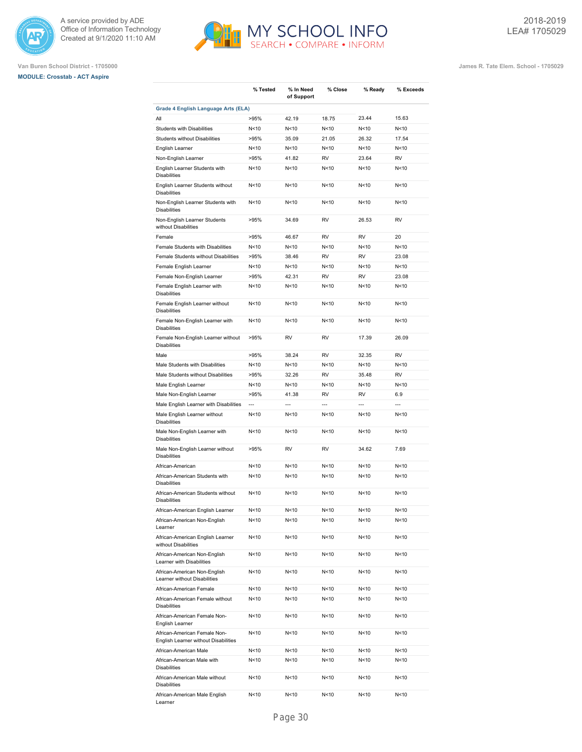





|                                                                      | % Tested        | % In Need<br>of Support | % Close        | % Ready         | % Exceeds      |
|----------------------------------------------------------------------|-----------------|-------------------------|----------------|-----------------|----------------|
| Grade 4 English Language Arts (ELA)                                  |                 |                         |                |                 |                |
| All                                                                  | >95%            | 42.19                   | 18.75          | 23.44           | 15.63          |
| <b>Students with Disabilities</b>                                    | N <sub>10</sub> | N<10                    | N<10           | N <sub>10</sub> | N<10           |
| <b>Students without Disabilities</b>                                 | >95%            | 35.09                   | 21.05          | 26.32           | 17.54          |
| English Learner                                                      | N < 10          | N < 10                  | N < 10         | N <sub>10</sub> | N<10           |
| Non-English Learner                                                  | >95%            | 41.82                   | <b>RV</b>      | 23.64           | <b>RV</b>      |
| English Learner Students with<br><b>Disabilities</b>                 | N < 10          | N < 10                  | N < 10         | N<10            | N<10           |
| English Learner Students without<br><b>Disabilities</b>              | N <sub>10</sub> | N<10                    | N<10           | N <sub>10</sub> | N<10           |
| Non-English Learner Students with<br><b>Disabilities</b>             | N < 10          | N < 10                  | N<10           | N <sub>10</sub> | N<10           |
| Non-English Learner Students<br>without Disabilities                 | >95%            | 34.69                   | <b>RV</b>      | 26.53           | <b>RV</b>      |
| Female                                                               | >95%            | 46.67                   | <b>RV</b>      | <b>RV</b>       | 20             |
| Female Students with Disabilities                                    | N<10            | N<10                    | N<10           | N <sub>10</sub> | N<10           |
| Female Students without Disabilities                                 | >95%            | 38.46                   | <b>RV</b>      | <b>RV</b>       | 23.08          |
| Female English Learner                                               | N<10            | N < 10                  | N<10           | N <sub>10</sub> | N<10           |
| Female Non-English Learner                                           | >95%            | 42.31                   | <b>RV</b>      | <b>RV</b>       | 23.08          |
| Female English Learner with                                          | N<10            | N<10                    | N < 10         | N <sub>10</sub> | N<10           |
| <b>Disabilities</b><br>Female English Learner without                | N <sub>10</sub> | N < 10                  | N < 10         | N <sub>10</sub> | N<10           |
| <b>Disabilities</b>                                                  | N <sub>10</sub> | N<10                    | N < 10         | N <sub>10</sub> | N<10           |
| Female Non-English Learner with<br><b>Disabilities</b>               | >95%            |                         |                |                 |                |
| Female Non-English Learner without<br><b>Disabilities</b>            |                 | <b>RV</b>               | RV             | 17.39           | 26.09          |
| Male                                                                 | >95%            | 38.24                   | <b>RV</b>      | 32.35           | <b>RV</b>      |
| Male Students with Disabilities                                      | N < 10          | N<10                    | N < 10         | N <sub>10</sub> | N<10           |
| Male Students without Disabilities                                   | >95%            | 32.26                   | <b>RV</b>      | 35.48           | <b>RV</b>      |
| Male English Learner                                                 | N < 10          | N < 10                  | N < 10         | N <sub>10</sub> | N<10           |
| Male Non-English Learner                                             | >95%            | 41.38                   | <b>RV</b>      | <b>RV</b>       | 6.9            |
| Male English Learner with Disabilities                               | $\overline{a}$  | $\overline{a}$          | $\overline{a}$ | $\overline{a}$  | $\overline{a}$ |
| Male English Learner without<br><b>Disabilities</b>                  | N <sub>10</sub> | N<10                    | N<10           | N<10            | N<10           |
| Male Non-English Learner with<br><b>Disabilities</b>                 | N <sub>10</sub> | N<10                    | N < 10         | N <sub>10</sub> | N<10           |
| Male Non-English Learner without<br><b>Disabilities</b>              | >95%            | <b>RV</b>               | <b>RV</b>      | 34.62           | 7.69           |
| African-American                                                     | N < 10          | N<10                    | N < 10         | N <sub>10</sub> | N<10           |
| African-American Students with<br><b>Disabilities</b>                | N < 10          | N < 10                  | N < 10         | N <sub>10</sub> | N<10           |
| African-American Students without<br><b>Disabilities</b>             | N < 10          | N < 10                  | N < 10         | N <sub>10</sub> | N<10           |
| African-American English Learner                                     | N <sub>10</sub> | N <sub>10</sub>         | N<10           | N<10            | N<10           |
| African-American Non-English<br>Learner                              | N<10            | N<10                    | N<10           | N <sub>10</sub> | N<10           |
| African-American English Learner<br>without Disabilities             | N<10            | N<10                    | N<10           | N<10            | N<10           |
| African-American Non-English<br>Learner with Disabilities            | N<10            | N<10                    | N<10           | N<10            | N<10           |
| African-American Non-English<br>Learner without Disabilities         | N<10            | N<10                    | N<10           | N<10            | N<10           |
| African-American Female                                              | N <sub>10</sub> | N<10                    | N<10           | N <sub>10</sub> | N<10           |
| African-American Female without<br><b>Disabilities</b>               | N<10            | N<10                    | N<10           | N<10            | N<10           |
| African-American Female Non-<br>English Learner                      | N<10            | N<10                    | N<10           | N <sub>10</sub> | N<10           |
| African-American Female Non-<br>English Learner without Disabilities | N<10            | N<10                    | N<10           | N<10            | N<10           |
| African-American Male                                                | N <sub>10</sub> | N<10                    | N<10           | N<10            | N<10           |
| African-American Male with<br><b>Disabilities</b>                    | N <sub>10</sub> | N<10                    | N<10           | N<10            | N<10           |
| African-American Male without<br>Disabilities                        | N<10            | N<10                    | N<10           | N<10            | N<10           |
| African-American Male English<br>Learner                             | N <sub>10</sub> | N <sub>10</sub>         | N<10           | N<10            | N<10           |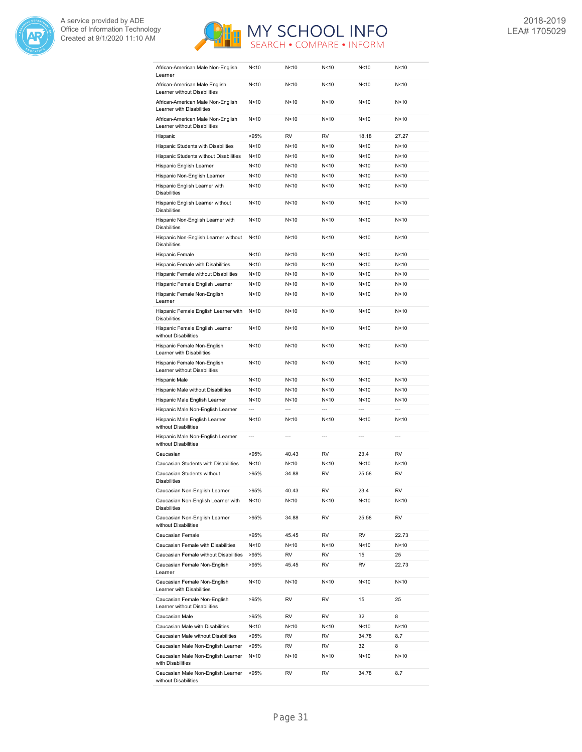



| African-American Male Non-English<br>Learner                      | N<10            | N<10            | N < 10          | N < 10          | N < 10 |
|-------------------------------------------------------------------|-----------------|-----------------|-----------------|-----------------|--------|
| African-American Male English<br>Learner without Disabilities     | N<10            | N<10            | N<10            | N<10            | N<10   |
| African-American Male Non-English<br>Learner with Disabilities    | N<10            | N < 10          | N<10            | N <sub>10</sub> | N < 10 |
| African-American Male Non-English<br>Learner without Disabilities | N <sub>10</sub> | N < 10          | N<10            | N <sub>10</sub> | N < 10 |
| Hispanic                                                          | >95%            | RV              | <b>RV</b>       | 18.18           | 27.27  |
| Hispanic Students with Disabilities                               | N<10            | N<10            | N < 10          | N < 10          | N < 10 |
| Hispanic Students without Disabilities                            | N<10            | N<10            | N<10            | N < 10          | N < 10 |
| Hispanic English Learner                                          | N < 10          | N<10            | N < 10          | N<10            | N<10   |
| Hispanic Non-English Learner                                      | N < 10          | N<10            | N<10            | N <sub>10</sub> | N<10   |
| Hispanic English Learner with<br><b>Disabilities</b>              | N<10            | N<10            | N < 10          | N < 10          | N<10   |
| Hispanic English Learner without<br><b>Disabilities</b>           | N<10            | N < 10          | N<10            | N <sub>10</sub> | N<10   |
| Hispanic Non-English Learner with<br><b>Disabilities</b>          | N<10            | N<10            | N < 10          | N<10            | N<10   |
| Hispanic Non-English Learner without<br><b>Disabilities</b>       | N<10            | N < 10          | N < 10          | N < 10          | N < 10 |
| Hispanic Female                                                   | N<10            | N<10            | N < 10          | N < 10          | N < 10 |
| Hispanic Female with Disabilities                                 | N<10            | N<10            | N < 10          | N < 10          | N<10   |
| Hispanic Female without Disabilities                              | N<10            | N<10            | N < 10          | N < 10          | N < 10 |
| Hispanic Female English Learner                                   | N < 10          | N<10            | N<10            | N < 10          | N<10   |
| Hispanic Female Non-English<br>Learner                            | N<10            | N<10            | N<10            | N<10            | N<10   |
| Hispanic Female English Learner with<br><b>Disabilities</b>       | N <sub>10</sub> | N<10            | N < 10          | N < 10          | N<10   |
| Hispanic Female English Learner<br>without Disabilities           | N <sub>10</sub> | N < 10          | N<10            | N<10            | N < 10 |
| Hispanic Female Non-English<br>Learner with Disabilities          | N <sub>10</sub> | N<10            | N < 10          | N<10            | N<10   |
| Hispanic Female Non-English<br>Learner without Disabilities       | N<10            | N < 10          | N < 10          | N < 10          | N < 10 |
| Hispanic Male                                                     | N <sub>10</sub> | N <sub>10</sub> | N <sub>10</sub> | N <sub>10</sub> | N<10   |
| Hispanic Male without Disabilities                                | N <sub>10</sub> | N<10            | N<10            | N < 10          | N<10   |
| Hispanic Male English Learner                                     | N <sub>10</sub> | N<10            | N < 10          | N < 10          | N < 10 |
| Hispanic Male Non-English Learner                                 | ---             | ---             | $\overline{a}$  | ---             | ---    |
| Hispanic Male English Learner<br>without Disabilities             | N<10            | N<10            | N < 10          | N < 10          | N < 10 |
| Hispanic Male Non-English Learner<br>without Disabilities         | $\overline{a}$  | ---             | $\overline{a}$  | $\overline{a}$  | ---    |
| Caucasian                                                         | >95%            | 40.43           | <b>RV</b>       | 23.4            | RV     |
| Caucasian Students with Disabilities                              | N <sub>10</sub> | N<10            | N < 10          | N <sub>10</sub> | N < 10 |
| Caucasian Students without<br>Disabilities                        | >95%            | 34.88           | <b>RV</b>       | 25.58           | RV     |
| Caucasian Non-English Learner                                     | >95%            | 40.43           | RV              | 23.4            | RV     |
| Caucasian Non-English Learner with<br><b>Disabilities</b>         | N<10            | N<10            | N <sub>10</sub> | N<10            | N<10   |
| Caucasian Non-English Learner<br>without Disabilities             | >95%            | 34.88           | RV              | 25.58           | RV     |
| Caucasian Female                                                  | >95%            | 45.45           | RV              | RV              | 22.73  |
| Caucasian Female with Disabilities                                | N<10            | N<10            | N<10            | N<10            | N<10   |
| Caucasian Female without Disabilities                             | >95%            | RV              | RV              | 15              | 25     |
| Caucasian Female Non-English<br>Learner                           | >95%            | 45.45           | RV              | RV              | 22.73  |
| Caucasian Female Non-English<br>Learner with Disabilities         | N<10            | N<10            | N<10            | N<10            | N<10   |
| Caucasian Female Non-English<br>Learner without Disabilities      | >95%            | RV              | RV              | 15              | 25     |
| Caucasian Male                                                    | >95%            | RV              | RV              | 32              | 8      |
| Caucasian Male with Disabilities                                  | N<10            | N<10            | N<10            | N<10            | N<10   |
| Caucasian Male without Disabilities                               | >95%            | RV              | RV              | 34.78           | 8.7    |
| Caucasian Male Non-English Learner                                | >95%            | RV              | RV              | 32              | 8      |
| Caucasian Male Non-English Learner<br>with Disabilities           | N<10            | N<10            | N<10            | N<10            | N<10   |
| Caucasian Male Non-English Learner<br>without Disabilities        | >95%            | RV              | RV              | 34.78           | 8.7    |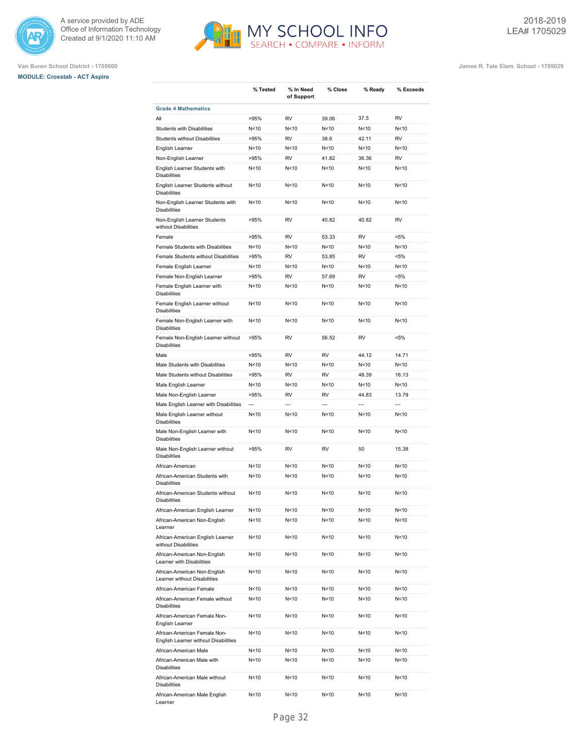





|                                                                      | % Tested        | % In Need<br>of Support | % Close         | % Ready         | % Exceeds      |
|----------------------------------------------------------------------|-----------------|-------------------------|-----------------|-----------------|----------------|
| <b>Grade 4 Mathematics</b>                                           |                 |                         |                 |                 |                |
| All                                                                  | >95%            | <b>RV</b>               | 39.06           | 37.5            | <b>RV</b>      |
| <b>Students with Disabilities</b>                                    | N<10            | N<10                    | N <sub>10</sub> | N<10            | N<10           |
| <b>Students without Disabilities</b>                                 | >95%            | <b>RV</b>               | 38.6            | 42.11           | <b>RV</b>      |
| English Learner                                                      | N<10            | N<10                    | N <sub>10</sub> | N <sub>10</sub> | N<10           |
| Non-English Learner                                                  | >95%            | <b>RV</b>               | 41.82           | 36.36           | <b>RV</b>      |
| English Learner Students with<br><b>Disabilities</b>                 | N<10            | N < 10                  | N < 10          | N <sub>10</sub> | N < 10         |
| English Learner Students without<br><b>Disabilities</b>              | N <sub>10</sub> | N<10                    | N <sub>10</sub> | N <sub>10</sub> | N<10           |
| Non-English Learner Students with<br><b>Disabilities</b>             | N < 10          | N < 10                  | N <sub>10</sub> | N<10            | N<10           |
| Non-English Learner Students<br>without Disabilities                 | >95%            | <b>RV</b>               | 40.82           | 40.82           | <b>RV</b>      |
| Female                                                               | >95%            | <b>RV</b>               | 53.33           | <b>RV</b>       | $< 5\%$        |
| Female Students with Disabilities                                    | N <sub>10</sub> | N<10                    | N <sub>10</sub> | N <sub>10</sub> | N<10           |
| Female Students without Disabilities                                 | >95%            | <b>RV</b>               | 53.85           | <b>RV</b>       | $< 5\%$        |
| Female English Learner                                               | N<10            | N<10                    | N<10            | N <sub>10</sub> | N<10           |
| Female Non-English Learner                                           | >95%            | <b>RV</b>               | 57.69           | <b>RV</b>       | $< 5\%$        |
| Female English Learner with<br><b>Disabilities</b>                   | N < 10          | N < 10                  | N < 10          | N <sub>10</sub> | N<10           |
| Female English Learner without<br><b>Disabilities</b>                | N <sub>10</sub> | N<10                    | N <sub>10</sub> | N <sub>10</sub> | N<10           |
| Female Non-English Learner with<br><b>Disabilities</b>               | N<10            | N<10                    | N <sub>10</sub> | N<10            | N<10           |
| Female Non-English Learner without<br><b>Disabilities</b>            | >95%            | <b>RV</b>               | 56.52           | <b>RV</b>       | $< 5\%$        |
| Male                                                                 | >95%            | <b>RV</b>               | <b>RV</b>       | 44.12           | 14.71          |
| Male Students with Disabilities                                      | N<10            | N<10                    | N <sub>10</sub> | N < 10          | N<10           |
| Male Students without Disabilities                                   | >95%            | <b>RV</b>               | <b>RV</b>       | 48.39           | 16.13          |
| Male English Learner                                                 | N < 10          | N<10                    | N<10            | N<10            | N<10           |
| Male Non-English Learner                                             | >95%            | <b>RV</b>               | <b>RV</b>       | 44.83           | 13.79          |
| Male English Learner with Disabilities                               | $\overline{a}$  | $\overline{a}$          | $\overline{a}$  | $\overline{a}$  | $\overline{a}$ |
| Male English Learner without<br><b>Disabilities</b>                  | N<10            | N<10                    | N<10            | N < 10          | N<10           |
| Male Non-English Learner with<br><b>Disabilities</b>                 | N < 10          | N<10                    | N <sub>10</sub> | N <sub>10</sub> | N<10           |
| Male Non-English Learner without<br><b>Disabilities</b>              | >95%            | <b>RV</b>               | <b>RV</b>       | 50              | 15.38          |
| African-American                                                     | N < 10          | N<10                    | N < 10          | N <sub>10</sub> | N<10           |
| African-American Students with<br><b>Disabilities</b>                | N < 10          | N<10                    | N<10            | N < 10          | N<10           |
| African-American Students without<br><b>Disabilities</b>             | N <sub>10</sub> | N<10                    | N <sub>10</sub> | N <sub>10</sub> | N<10           |
| African-American English Learner                                     | N<10            | N<10                    | N <sub>10</sub> | N<10            | N<10           |
| African-American Non-English<br>Learner                              | N<10            | N<10                    | N <sub>10</sub> | N<10            | N<10           |
| African-American English Learner<br>without Disabilities             | N <sub>10</sub> | N<10                    | N<10            | N<10            | N<10           |
| African-American Non-English<br>Learner with Disabilities            | N<10            | N<10                    | N<10            | N <sub>10</sub> | N<10           |
| African-American Non-English<br>Learner without Disabilities         | N <sub>10</sub> | N<10                    | N <sub>10</sub> | N<10            | N<10           |
| African-American Female                                              | N<10            | N<10                    | N<10            | N<10            | N<10           |
| African-American Female without<br><b>Disabilities</b>               | N<10            | N<10                    | N <sub>10</sub> | N<10            | N<10           |
| African-American Female Non-<br>English Learner                      | N<10            | N<10                    | N<10            | N<10            | N<10           |
| African-American Female Non-<br>English Learner without Disabilities | N<10            | N<10                    | N<10            | N<10            | N<10           |
| African-American Male                                                | N<10            | N<10                    | N<10            | N<10            | N<10           |
| African-American Male with<br><b>Disabilities</b>                    | N<10            | N<10                    | N<10            | N<10            | N<10           |
| African-American Male without<br><b>Disabilities</b>                 | N<10            | N<10                    | N<10            | N<10            | N<10           |
| African-American Male English                                        | N<10            | N<10                    | N<10            | N<10            | N<10           |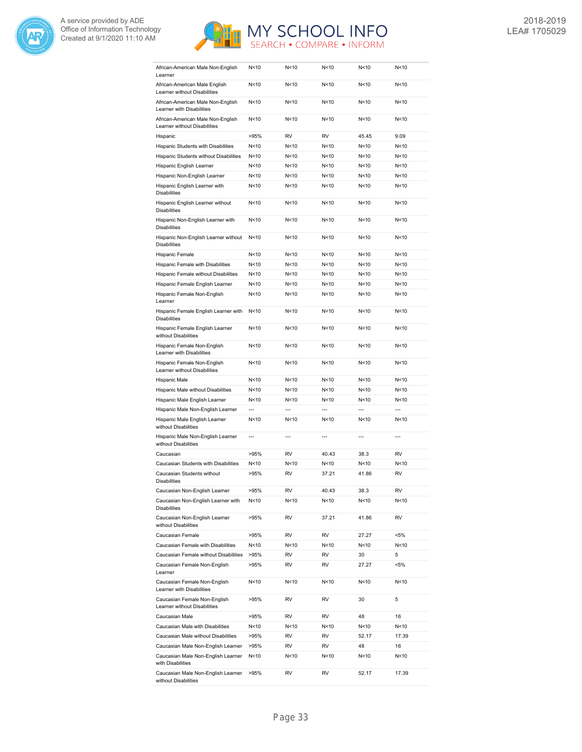



| African-American Male Non-English<br>Learner                      | N<10            | N < 10         | N<10            | N < 10          | N < 10          |
|-------------------------------------------------------------------|-----------------|----------------|-----------------|-----------------|-----------------|
| African-American Male English<br>Learner without Disabilities     | N<10            | N<10           | N <sub>10</sub> | N<10            | N<10            |
| African-American Male Non-English<br>Learner with Disabilities    | N<10            | N<10           | N <sub>10</sub> | N <sub>10</sub> | N<10            |
| African-American Male Non-English<br>Learner without Disabilities | N<10            | N<10           | N <sub>10</sub> | N <sub>10</sub> | N<10            |
| Hispanic                                                          | >95%            | <b>RV</b>      | <b>RV</b>       | 45.45           | 9.09            |
| Hispanic Students with Disabilities                               | N<10            | N<10           | N <sub>10</sub> | N <sub>10</sub> | N<10            |
| Hispanic Students without Disabilities                            | N<10            | N < 10         | N <sub>10</sub> | N <sub>10</sub> | N<10            |
| Hispanic English Learner                                          | N<10            | N<10           | N < 10          | N < 10          | N<10            |
|                                                                   |                 |                | N<10            | N<10            |                 |
| Hispanic Non-English Learner                                      | N<10            | N<10           |                 |                 | N<10            |
| Hispanic English Learner with<br><b>Disabilities</b>              | N<10            | N<10           | N<10            | N < 10          | N<10            |
| Hispanic English Learner without<br><b>Disabilities</b>           | N<10            | N<10           | N < 10          | N < 10          | N<10            |
| Hispanic Non-English Learner with<br><b>Disabilities</b>          | N<10            | N<10           | N < 10          | N <sub>10</sub> | N<10            |
| Hispanic Non-English Learner without<br><b>Disabilities</b>       | N<10            | N<10           | N <sub>10</sub> | N <sub>10</sub> | N<10            |
| Hispanic Female                                                   | N <sub>10</sub> | N<10           | N <sub>10</sub> | N <sub>10</sub> | N<10            |
| Hispanic Female with Disabilities                                 | N<10            | N<10           | N <sub>10</sub> | N <sub>10</sub> | N<10            |
| Hispanic Female without Disabilities                              | N<10            | N < 10         | N <sub>10</sub> | N <sub>10</sub> | N<10            |
| Hispanic Female English Learner                                   | N<10            | N<10           | N<10            | N < 10          | N<10            |
| Hispanic Female Non-English                                       | N<10            | N<10           | N < 10          | N < 10          | N<10            |
| Learner                                                           |                 |                |                 |                 |                 |
| Hispanic Female English Learner with<br><b>Disabilities</b>       | N<10            | N<10           | N<10            | N < 10          | N<10            |
| Hispanic Female English Learner<br>without Disabilities           | N<10            | N<10           | N <sub>10</sub> | N <sub>10</sub> | N<10            |
| Hispanic Female Non-English<br>Learner with Disabilities          | N<10            | N<10           | N <sub>10</sub> | N <sub>10</sub> | N<10            |
| Hispanic Female Non-English<br>Learner without Disabilities       | N<10            | N<10           | N <sub>10</sub> | N <sub>10</sub> | N<10            |
| Hispanic Male                                                     | N<10            | N<10           | N <sub>10</sub> | N <sub>10</sub> | N<10            |
| Hispanic Male without Disabilities                                | N<10            | N<10           | N <sub>10</sub> | N <sub>10</sub> | N<10            |
| Hispanic Male English Learner                                     | N<10            | N<10           | N <sub>10</sub> | N <sub>10</sub> | N<10            |
| Hispanic Male Non-English Learner                                 | $\overline{a}$  | $\overline{a}$ |                 | $\overline{a}$  | $\overline{a}$  |
| Hispanic Male English Learner                                     | N<10            | N<10           | N <sub>10</sub> | N <sub>10</sub> | N<10            |
| without Disabilities                                              |                 |                |                 |                 |                 |
| Hispanic Male Non-English Learner<br>without Disabilities         | $\overline{a}$  | $\overline{a}$ | $\overline{a}$  | $\overline{a}$  | $\overline{a}$  |
| Caucasian                                                         | >95%            | RV             | 40.43           | 38.3            | <b>RV</b>       |
| Caucasian Students with Disabilities                              | N<10            | N<10           | N < 10          | N < 10          | N <sub>10</sub> |
| Caucasian Students without<br>Disabilities                        | >95%            | <b>RV</b>      | 37.21           | 41.86           | <b>RV</b>       |
| Caucasian Non-English Learner                                     | >95%            | RV             | 40.43           | 38.3            | RV              |
| Caucasian Non-English Learner with<br><b>Disabilities</b>         | N<10            | N<10           | N<10            | N<10            | N<10            |
| Caucasian Non-English Learner<br>without Disabilities             | >95%            | RV             | 37.21           | 41.86           | RV              |
| Caucasian Female                                                  | >95%            | RV             | RV              | 27.27           | <5%             |
| Caucasian Female with Disabilities                                | N<10            | N<10           | N<10            | N<10            | N<10            |
| Caucasian Female without Disabilities                             | >95%            | RV             | RV              | 30              | 5               |
| Caucasian Female Non-English                                      | >95%            | RV             | RV              | 27.27           | <5%             |
| Learner<br>Caucasian Female Non-English                           | N < 10          | N<10           | N<10            | N<10            | N<10            |
| Learner with Disabilities<br>Caucasian Female Non-English         | >95%            | RV             | RV              | 30              | 5               |
| Learner without Disabilities                                      |                 |                |                 |                 |                 |
| Caucasian Male                                                    | >95%            | RV             | RV              | 48              | 16              |
| Caucasian Male with Disabilities                                  | N<10            | N<10           | N<10            | N<10            | N<10            |
| Caucasian Male without Disabilities                               | >95%            | RV             | RV              | 52.17           | 17.39           |
| Caucasian Male Non-English Learner                                | >95%            | RV             | RV              | 48              | 16              |
| Caucasian Male Non-English Learner<br>with Disabilities           | N<10            | N<10           | N<10            | N <sub>10</sub> | N<10            |
| Caucasian Male Non-English Learner<br>without Disabilities        | >95%            | RV             | RV              | 52.17           | 17.39           |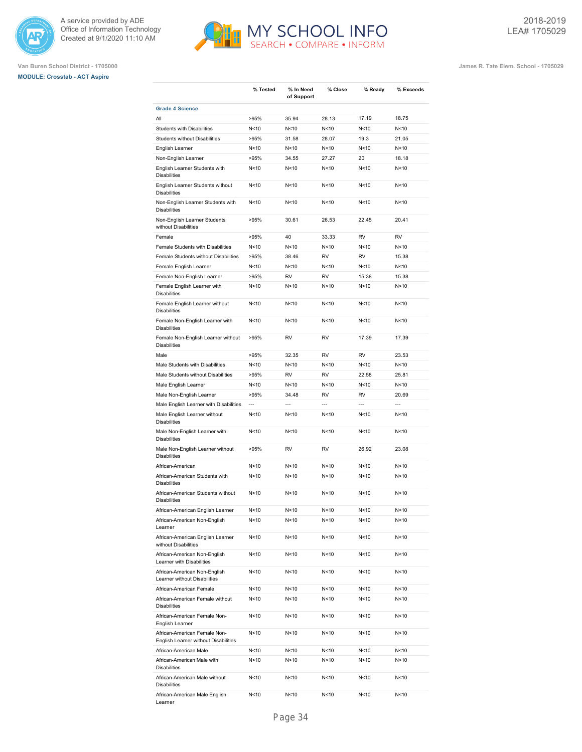





|                                                                      | % Tested        | % In Need<br>of Support | % Close         | % Ready         | % Exceeds      |
|----------------------------------------------------------------------|-----------------|-------------------------|-----------------|-----------------|----------------|
| <b>Grade 4 Science</b>                                               |                 |                         |                 |                 |                |
| All                                                                  | >95%            | 35.94                   | 28.13           | 17.19           | 18.75          |
| <b>Students with Disabilities</b>                                    | N<10            | N<10                    | N<10            | N < 10          | N<10           |
| <b>Students without Disabilities</b>                                 | >95%            | 31.58                   | 28.07           | 19.3            | 21.05          |
| English Learner                                                      | N<10            | N<10                    | N<10            | N<10            | N<10           |
| Non-English Learner                                                  | >95%            | 34.55                   | 27.27           | 20              | 18.18          |
| English Learner Students with<br><b>Disabilities</b>                 | N<10            | N<10                    | N<10            | N<10            | N<10           |
| English Learner Students without<br><b>Disabilities</b>              | N<10            | N<10                    | N<10            | N<10            | N<10           |
| Non-English Learner Students with<br><b>Disabilities</b>             | N<10            | N<10                    | N <sub>10</sub> | N < 10          | N<10           |
| Non-English Learner Students<br>without Disabilities                 | >95%            | 30.61                   | 26.53           | 22.45           | 20.41          |
| Female                                                               | >95%            | 40                      | 33.33           | RV              | <b>RV</b>      |
| Female Students with Disabilities                                    | N<10            | N<10                    | N<10            | N < 10          | N<10           |
| Female Students without Disabilities                                 | >95%            | 38.46                   | <b>RV</b>       | <b>RV</b>       | 15.38          |
| Female English Learner                                               | N<10            | N<10                    | N<10            | N<10            | N<10           |
| Female Non-English Learner                                           | >95%            | <b>RV</b>               | <b>RV</b>       | 15.38           | 15.38          |
| Female English Learner with<br><b>Disabilities</b>                   | N<10            | N<10                    | N<10            | N<10            | N<10           |
| Female English Learner without<br><b>Disabilities</b>                | N<10            | N<10                    | N <sub>10</sub> | N<10            | N<10           |
| Female Non-English Learner with<br><b>Disabilities</b>               | N<10            | N<10                    | N<10            | N<10            | N<10           |
| Female Non-English Learner without<br><b>Disabilities</b>            | >95%            | RV                      | RV              | 17.39           | 17.39          |
| Male                                                                 | >95%            | 32.35                   | RV              | <b>RV</b>       | 23.53          |
| Male Students with Disabilities                                      | N<10            | N<10                    | N<10            | N<10            | N<10           |
| Male Students without Disabilities                                   | >95%            | RV                      | <b>RV</b>       | 22.58           | 25.81          |
| Male English Learner                                                 | N<10            | N<10                    | N<10            | N<10            | N<10           |
| Male Non-English Learner                                             | >95%            | 34.48                   | <b>RV</b>       | RV              | 20.69          |
| Male English Learner with Disabilities                               | $\overline{a}$  | $\overline{a}$          | $\overline{a}$  | $\overline{a}$  | $\overline{a}$ |
| Male English Learner without<br><b>Disabilities</b>                  | N<10            | N<10                    | N<10            | N<10            | N<10           |
| Male Non-English Learner with<br><b>Disabilities</b>                 | N<10            | N<10                    | N<10            | N<10            | N<10           |
| Male Non-English Learner without<br><b>Disabilities</b>              | >95%            | RV                      | RV              | 26.92           | 23.08          |
| African-American                                                     | N<10            | N<10                    | N<10            | N<10            | N<10           |
| African-American Students with<br><b>Disabilities</b>                | N<10            | N<10                    | N<10            | N<10            | N<10           |
| African-American Students without<br><b>Disabilities</b>             | N<10            | N<10                    | N<10            | N<10            | N<10           |
| African-American English Learner                                     | N < 10          | N<10                    | N<10            | N<10            | N<10           |
| African-American Non-English<br>Learner                              | N<10            | N<10                    | N<10            | N<10            | N<10           |
| African-American English Learner<br>without Disabilities             | N <sub>10</sub> | N<10                    | N<10            | N <sub>10</sub> | N<10           |
| African-American Non-English<br>Learner with Disabilities            | N<10            | N<10                    | N<10            | N<10            | N<10           |
| African-American Non-English<br>Learner without Disabilities         | N<10            | N<10                    | N <sub>10</sub> | N <sub>10</sub> | N<10           |
| African-American Female                                              | N<10            | N<10                    | N<10            | N<10            | N<10           |
| African-American Female without<br><b>Disabilities</b>               | N<10            | N<10                    | N<10            | N<10            | N<10           |
| African-American Female Non-<br>English Learner                      | N<10            | N<10                    | N<10            | N<10            | N<10           |
| African-American Female Non-<br>English Learner without Disabilities | N<10            | N<10                    | N<10            | N<10            | N<10           |
| African-American Male                                                | N<10            | N<10                    | N<10            | N<10            | N<10           |
| African-American Male with<br><b>Disabilities</b>                    | N<10            | N<10                    | N<10            | N<10            | N<10           |
| African-American Male without<br><b>Disabilities</b>                 | N<10            | N<10                    | N<10            | N<10            | N<10           |
| African-American Male English<br>Learner                             | N <sub>10</sub> | N <sub>10</sub>         | N<10            | N<10            | N<10           |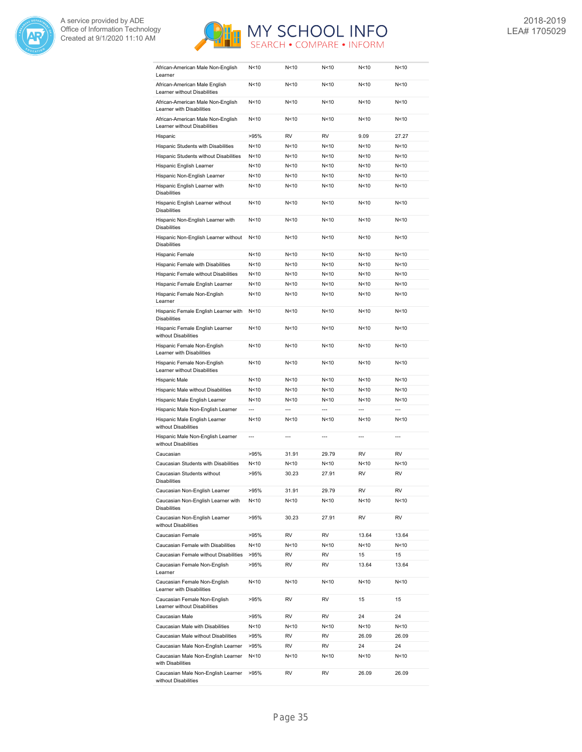



| African-American Male Non-English<br>Learner                      | N<10           | N<10           | N <sub>10</sub> | N <sub>10</sub> | N<10           |
|-------------------------------------------------------------------|----------------|----------------|-----------------|-----------------|----------------|
| African-American Male English<br>Learner without Disabilities     | N<10           | N<10           | N <sub>10</sub> | N <sub>10</sub> | N<10           |
| African-American Male Non-English<br>Learner with Disabilities    | N<10           | N<10           | N <sub>10</sub> | N <sub>10</sub> | N<10           |
| African-American Male Non-English<br>Learner without Disabilities | N<10           | N<10           | N<10            | N<10            | N<10           |
| Hispanic                                                          | >95%           | RV             | <b>RV</b>       | 9.09            | 27.27          |
| Hispanic Students with Disabilities                               | N<10           | N<10           | N<10            | N < 10          | N<10           |
| Hispanic Students without Disabilities                            | N<10           | N<10           | N < 10          | N <sub>10</sub> | N<10           |
| Hispanic English Learner                                          | N<10           | N<10           | N <sub>10</sub> | N <sub>10</sub> | N<10           |
| Hispanic Non-English Learner                                      | N<10           | N<10           | N <sub>10</sub> | N<10            | N<10           |
| Hispanic English Learner with<br><b>Disabilities</b>              | N<10           | N<10           | N <sub>10</sub> | N <sub>10</sub> | N<10           |
| Hispanic English Learner without<br><b>Disabilities</b>           | N<10           | N<10           | N <sub>10</sub> | N <sub>10</sub> | N<10           |
| Hispanic Non-English Learner with<br><b>Disabilities</b>          | N<10           | N<10           | N <sub>10</sub> | N <sub>10</sub> | N<10           |
| Hispanic Non-English Learner without<br><b>Disabilities</b>       | N<10           | N<10           | N <sub>10</sub> | N < 10          | N<10           |
| Hispanic Female                                                   | N<10           | N<10           | N <sub>10</sub> | N<10            | N<10           |
| Hispanic Female with Disabilities                                 | N<10           | N<10           | N < 10          | N <sub>10</sub> | N<10           |
| Hispanic Female without Disabilities                              | N<10           | N<10           | N < 10          | N <sub>10</sub> | N<10           |
| Hispanic Female English Learner                                   | N<10           | N<10           | N <sub>10</sub> | N <sub>10</sub> | N<10           |
| Hispanic Female Non-English<br>Learner                            | N<10           | N<10           | N <sub>10</sub> | N <sub>10</sub> | N<10           |
| Hispanic Female English Learner with<br><b>Disabilities</b>       | N<10           | N<10           | N <sub>10</sub> | N <sub>10</sub> | N<10           |
| Hispanic Female English Learner<br>without Disabilities           | N<10           | N<10           | N<10            | N <sub>10</sub> | N<10           |
| Hispanic Female Non-English<br>Learner with Disabilities          | N<10           | N<10           | N<10            | N <sub>10</sub> | N<10           |
| Hispanic Female Non-English<br>Learner without Disabilities       | N<10           | N<10           | N<10            | N < 10          | N<10           |
| Hispanic Male                                                     | N<10           | N<10           | N < 10          | N <sub>10</sub> | N<10           |
| Hispanic Male without Disabilities                                | N<10           | N<10           | N < 10          | N <sub>10</sub> | N<10           |
| Hispanic Male English Learner                                     | N<10           | N<10           | N < 10          | N <sub>10</sub> | N<10           |
| Hispanic Male Non-English Learner                                 | ---            | $\overline{a}$ | $\overline{a}$  | $\overline{a}$  | $\overline{a}$ |
| Hispanic Male English Learner<br>without Disabilities             | N<10           | N<10           | N <sub>10</sub> | N <sub>10</sub> | N<10           |
| Hispanic Male Non-English Learner<br>without Disabilities         | $\overline{a}$ | $\overline{a}$ | $\overline{a}$  | $\overline{a}$  | $\overline{a}$ |
| Caucasian                                                         | >95%           | 31.91          | 29.79           | <b>RV</b>       | <b>RV</b>      |
| Caucasian Students with Disabilities                              | N<10           | N<10           | N<10            | N <sub>10</sub> | N<10           |
| Caucasian Students without<br>Disabilities                        | >95%           | 30.23          | 27.91           | <b>RV</b>       | <b>RV</b>      |
| Caucasian Non-English Learner                                     | >95%           | 31.91          | 29.79           | RV              | RV             |
| Caucasian Non-English Learner with<br><b>Disabilities</b>         | N<10           | N<10           | N<10            | N<10            | N<10           |
| Caucasian Non-English Learner<br>without Disabilities             | >95%           | 30.23          | 27.91           | RV              | RV             |
| Caucasian Female                                                  | >95%           | RV             | RV              | 13.64           | 13.64          |
| Caucasian Female with Disabilities                                | N<10           | N<10           | N<10            | N<10            | N<10           |
| Caucasian Female without Disabilities                             | >95%           | RV             | RV              | 15              | 15             |
| Caucasian Female Non-English<br>Learner                           | >95%           | RV             | RV              | 13.64           | 13.64          |
| Caucasian Female Non-English<br>Learner with Disabilities         | N<10           | N<10           | N<10            | N<10            | N<10           |
| Caucasian Female Non-English<br>Learner without Disabilities      | >95%           | RV             | RV              | 15              | 15             |
| Caucasian Male                                                    | >95%           | RV             | RV              | 24              | 24             |
| Caucasian Male with Disabilities                                  | N<10           | N<10           | N<10            | N<10            | N<10           |
| Caucasian Male without Disabilities                               | >95%           | RV             | RV              | 26.09           | 26.09          |
| Caucasian Male Non-English Learner                                | >95%           | RV             | RV              | 24              | 24             |
| Caucasian Male Non-English Learner<br>with Disabilities           | N<10           | N<10           | N<10            | N<10            | N<10           |
| Caucasian Male Non-English Learner<br>without Disabilities        | >95%           | RV             | RV              | 26.09           | 26.09          |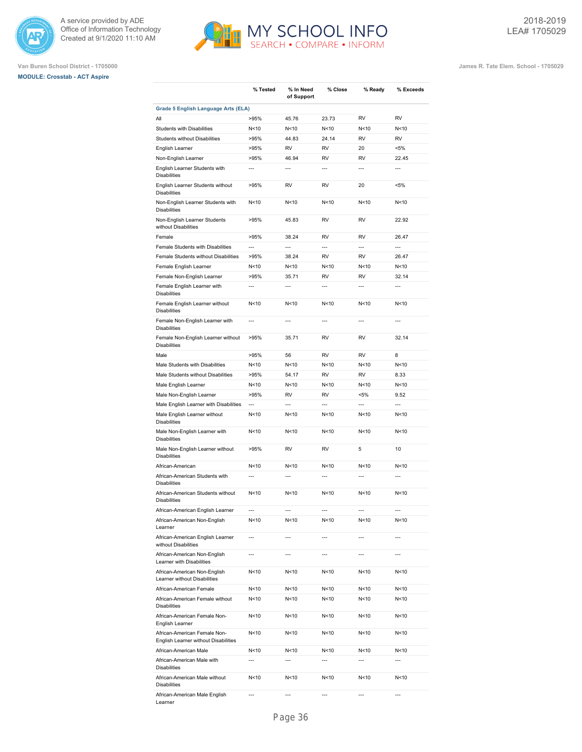





|                                                                      | % Tested       | % In Need<br>of Support  | % Close                  | % Ready                  | % Exceeds                |
|----------------------------------------------------------------------|----------------|--------------------------|--------------------------|--------------------------|--------------------------|
| Grade 5 English Language Arts (ELA)                                  |                |                          |                          |                          |                          |
| All                                                                  | >95%           | 45.76                    | 23.73                    | <b>RV</b>                | <b>RV</b>                |
| Students with Disabilities                                           | N<10           | N<10                     | N<10                     | N <sub>10</sub>          | N<10                     |
| Students without Disabilities                                        | >95%           | 44.83                    | 24.14                    | <b>RV</b>                | <b>RV</b>                |
| English Learner                                                      | >95%           | <b>RV</b>                | <b>RV</b>                | 20                       | $< 5\%$                  |
| Non-English Learner                                                  | >95%           | 46.94                    | <b>RV</b>                | <b>RV</b>                | 22.45                    |
| English Learner Students with<br><b>Disabilities</b>                 | $\overline{a}$ | $\overline{a}$           | $\overline{a}$           | $\overline{a}$           | $\overline{a}$           |
| English Learner Students without<br><b>Disabilities</b>              | >95%           | <b>RV</b>                | <b>RV</b>                | 20                       | $< 5\%$                  |
| Non-English Learner Students with<br><b>Disabilities</b>             | N<10           | N<10                     | N <sub>10</sub>          | N <sub>10</sub>          | N<10                     |
| Non-English Learner Students<br>without Disabilities                 | >95%           | 45.83                    | <b>RV</b>                | <b>RV</b>                | 22.92                    |
| Female                                                               | >95%           | 38.24                    | RV                       | <b>RV</b>                | 26.47                    |
| Female Students with Disabilities                                    | $\overline{a}$ | $\overline{a}$           | $\overline{a}$           | $\overline{\phantom{a}}$ | $\overline{a}$           |
| Female Students without Disabilities                                 | >95%           | 38.24                    | <b>RV</b>                | RV                       | 26.47                    |
| Female English Learner                                               | N<10           | N<10                     | N <sub>10</sub>          | N<10                     | N<10                     |
| Female Non-English Learner                                           | >95%           | 35.71                    | <b>RV</b>                | RV                       | 32.14                    |
| Female English Learner with<br><b>Disabilities</b>                   | $\overline{a}$ | $\overline{\phantom{a}}$ | $\overline{a}$           | $\overline{a}$           | $\overline{a}$           |
| Female English Learner without<br><b>Disabilities</b>                | N<10           | N <sub>10</sub>          | N <sub>10</sub>          | N <sub>10</sub>          | N<10                     |
| Female Non-English Learner with<br><b>Disabilities</b>               | $\overline{a}$ | $\overline{a}$           | $\overline{a}$           | $\overline{a}$           | $\overline{a}$           |
| Female Non-English Learner without<br><b>Disabilities</b>            | >95%           | 35.71                    | <b>RV</b>                | <b>RV</b>                | 32.14                    |
| Male                                                                 | >95%           | 56                       | <b>RV</b>                | <b>RV</b>                | 8                        |
| Male Students with Disabilities                                      | N<10           | N<10                     | N <sub>10</sub>          | N <sub>10</sub>          | N<10                     |
| Male Students without Disabilities                                   | >95%           | 54.17                    | <b>RV</b>                | <b>RV</b>                | 8.33                     |
| Male English Learner                                                 | N<10           | N<10                     | N <sub>10</sub>          | N <sub>10</sub>          | N<10                     |
| Male Non-English Learner                                             | >95%           | <b>RV</b>                | <b>RV</b>                | $< 5\%$                  | 9.52                     |
| Male English Learner with Disabilities                               | ---            | $\overline{a}$           | $\overline{a}$           | $\overline{a}$           | $\overline{a}$           |
| Male English Learner without<br><b>Disabilities</b>                  | N<10           | N<10                     | N < 10                   | N <sub>10</sub>          | N<10                     |
| Male Non-English Learner with<br><b>Disabilities</b>                 | N<10           | N<10                     | N <sub>10</sub>          | N <sub>10</sub>          | N<10                     |
| Male Non-English Learner without<br><b>Disabilities</b>              | >95%           | RV                       | <b>RV</b>                | 5                        | 10                       |
| African-American                                                     | N<10           | N<10                     | N <sub>10</sub>          | N <sub>10</sub>          | N<10                     |
| African-American Students with<br><b>Disabilities</b>                | $\overline{a}$ | $\overline{a}$           | $\overline{a}$           | $\overline{a}$           | $\overline{a}$           |
| African-American Students without<br><b>Disabilities</b>             | N<10           | N<10                     | N <sub>10</sub>          | N <sub>10</sub>          | N<10                     |
| African-American English Learner                                     | ---            | $\overline{\phantom{a}}$ | $\overline{\phantom{a}}$ | ---                      | $\overline{\phantom{a}}$ |
| African-American Non-English<br>Learner                              | N<10           | N<10                     | N<10                     | N <sub>10</sub>          | N<10                     |
| African-American English Learner<br>without Disabilities             | $\overline{a}$ | ---                      | $\overline{a}$           | $\overline{a}$           | ---                      |
| African-American Non-English<br>Learner with Disabilities            | ---            | ---                      | $\overline{a}$           | $\overline{a}$           | $\overline{a}$           |
| African-American Non-English<br>Learner without Disabilities         | N<10           | N<10                     | N<10                     | N<10                     | N<10                     |
| African-American Female                                              | N<10           | N<10                     | N<10                     | N<10                     | N<10                     |
| African-American Female without<br><b>Disabilities</b>               | N<10           | N<10                     | N<10                     | N<10                     | N<10                     |
| African-American Female Non-<br>English Learner                      | N<10           | N<10                     | N<10                     | N<10                     | N<10                     |
| African-American Female Non-<br>English Learner without Disabilities | N<10           | N<10                     | N<10                     | N<10                     | N<10                     |
| African-American Male                                                | N<10           | N < 10                   | N<10                     | N<10                     | N<10                     |
| African-American Male with<br><b>Disabilities</b>                    | ---            | ---                      | $\overline{\phantom{a}}$ | ---                      | ---                      |
| African-American Male without<br><b>Disabilities</b>                 | N<10           | N<10                     | N<10                     | N<10                     | N<10                     |
| African-American Male English                                        |                |                          |                          |                          |                          |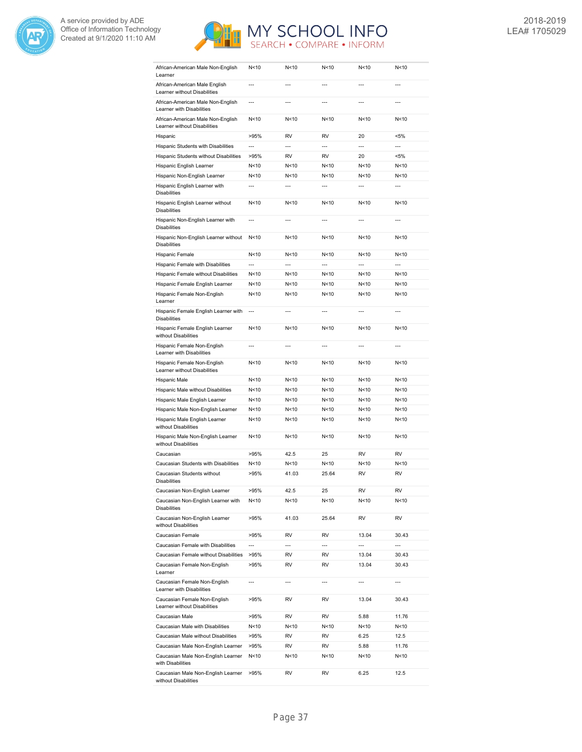



| African-American Male Non-English<br>Learner                      | N<10                     | N < 10          | N <sub>10</sub> | N <sub>10</sub>          | N <sub>10</sub> |
|-------------------------------------------------------------------|--------------------------|-----------------|-----------------|--------------------------|-----------------|
| African-American Male English<br>Learner without Disabilities     | $\overline{a}$           | $-$             | $\overline{a}$  | $---$                    | $\overline{a}$  |
| African-American Male Non-English<br>Learner with Disabilities    | $\overline{a}$           | $-$ --          |                 | $---$                    | ---             |
| African-American Male Non-English<br>Learner without Disabilities | N<10                     | N<10            | N < 10          | N<10                     | N <sub>10</sub> |
| Hispanic                                                          | >95%                     | RV              | <b>RV</b>       | 20                       | <5%             |
| Hispanic Students with Disabilities                               | $\overline{a}$           | $\overline{a}$  | $\overline{a}$  | $\overline{a}$           | $\overline{a}$  |
| Hispanic Students without Disabilities                            | >95%                     | RV              | <b>RV</b>       | 20                       | $< 5\%$         |
| Hispanic English Learner                                          | N<10                     | N<10            | N<10            | N<10                     | N<10            |
| Hispanic Non-English Learner                                      | N<10                     | N <sub>10</sub> | N < 10          | N <sub>10</sub>          | N <sub>10</sub> |
| Hispanic English Learner with<br><b>Disabilities</b>              | $\overline{a}$           | $\overline{a}$  | $\overline{a}$  | $---$                    | $\overline{a}$  |
| Hispanic English Learner without<br><b>Disabilities</b>           | N<10                     | N<10            | N < 10          | N <sub>10</sub>          | N<10            |
| Hispanic Non-English Learner with                                 | $\overline{a}$           | $\overline{a}$  | $\overline{a}$  | $---$                    | $---$           |
| <b>Disabilities</b><br>Hispanic Non-English Learner without       | N<10                     | N < 10          | N < 10          | N<10                     | N<10            |
| <b>Disabilities</b>                                               |                          |                 |                 |                          |                 |
| Hispanic Female                                                   | N<10                     | N < 10          | N < 10          | N<10                     | N <sub>10</sub> |
| Hispanic Female with Disabilities                                 | $\overline{a}$           | $\overline{a}$  | $\overline{a}$  | $\overline{a}$           | $\overline{a}$  |
| Hispanic Female without Disabilities                              | N<10                     | N < 10          | N < 10          | N<10                     | N<10            |
| Hispanic Female English Learner                                   | N<10                     | N<10            | N < 10          | N<10                     | N<10            |
| Hispanic Female Non-English<br>Learner                            | N<10                     | N<10            | N<10            | N<10                     | N<10            |
| Hispanic Female English Learner with<br><b>Disabilities</b>       | $\overline{a}$           | $\overline{a}$  | $\overline{a}$  | $---$                    | $---$           |
| Hispanic Female English Learner<br>without Disabilities           | N<10                     | N < 10          | N < 10          | N < 10                   | N < 10          |
| Hispanic Female Non-English<br>Learner with Disabilities          | $\overline{a}$           | $\overline{a}$  | $\overline{a}$  | $\overline{a}$           | $\overline{a}$  |
| Hispanic Female Non-English<br>Learner without Disabilities       | N<10                     | N < 10          | N < 10          | N < 10                   | N<10            |
| Hispanic Male                                                     | N<10                     | N < 10          | N < 10          | N < 10                   | N<10            |
| Hispanic Male without Disabilities                                | N<10                     | N<10            | N < 10          | N<10                     | N<10            |
| Hispanic Male English Learner                                     | N<10                     | N<10            | N < 10          | N < 10                   | N<10            |
| Hispanic Male Non-English Learner                                 | N<10                     | N<10            | N < 10          | N < 10                   | N<10            |
| Hispanic Male English Learner                                     | N<10                     | N < 10          | N < 10          | N < 10                   | N<10            |
| without Disabilities<br>Hispanic Male Non-English Learner         | N<10                     | N<10            | N < 10          | N < 10                   | N<10            |
| without Disabilities                                              |                          |                 |                 |                          |                 |
| Caucasian                                                         | >95%                     | 42.5            | 25              | <b>RV</b>                | <b>RV</b>       |
| Caucasian Students with Disabilities                              | N<10                     | N<10            | N < 10          | N<10                     | N<10            |
| Caucasian Students without<br>Disabilities                        | >95%                     | 41.03           | 25.64           | RV                       | <b>RV</b>       |
| Caucasian Non-English Learner                                     | >95%                     | 42.5            | 25              | RV                       | RV              |
| Caucasian Non-English Learner with<br><b>Disabilities</b>         | N<10                     | N<10            | N<10            | N<10                     | N<10            |
| Caucasian Non-English Learner<br>without Disabilities             | >95%                     | 41.03           | 25.64           | RV                       | RV              |
| Caucasian Female                                                  | >95%                     | RV              | RV              | 13.04                    | 30.43           |
| Caucasian Female with Disabilities                                | $\overline{a}$           | $\overline{a}$  | ---             | ---                      | ---             |
| Caucasian Female without Disabilities                             | >95%                     | RV              | RV              | 13.04                    | 30.43           |
| Caucasian Female Non-English<br>Learner                           | >95%                     | RV              | RV              | 13.04                    | 30.43           |
| Caucasian Female Non-English<br>Learner with Disabilities         | $\overline{\phantom{a}}$ | ---             | ---             | $\overline{\phantom{a}}$ | ---             |
| Caucasian Female Non-English<br>Learner without Disabilities      | >95%                     | RV              | RV              | 13.04                    | 30.43           |
| Caucasian Male                                                    | >95%                     | RV              | RV              | 5.88                     | 11.76           |
| Caucasian Male with Disabilities                                  | N<10                     | N<10            | N<10            | N<10                     | N<10            |
| Caucasian Male without Disabilities                               | >95%                     | RV              | RV              | 6.25                     | 12.5            |
| Caucasian Male Non-English Learner                                | >95%                     | RV              | RV              | 5.88                     | 11.76           |
| Caucasian Male Non-English Learner                                | N<10                     | N<10            | N<10            | N<10                     | N<10            |
| with Disabilities<br>Caucasian Male Non-English Learner           | >95%                     | RV              | RV              | 6.25                     | 12.5            |
| without Disabilities                                              |                          |                 |                 |                          |                 |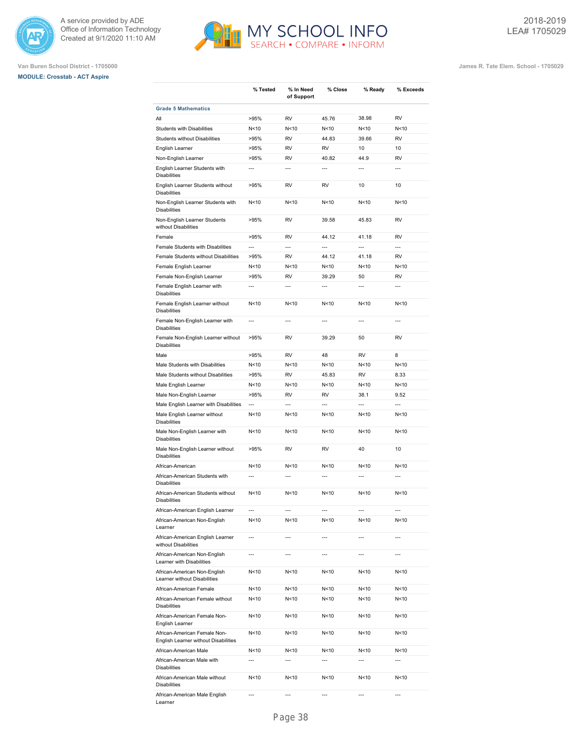







**Van Buren School District - 1705000 James R. Tate Elem. School - 1705029**

|                                                                      | % Tested                 | % In Need<br>of Support | % Close        | % Ready         | % Exceeds      |
|----------------------------------------------------------------------|--------------------------|-------------------------|----------------|-----------------|----------------|
| <b>Grade 5 Mathematics</b>                                           |                          |                         |                |                 |                |
| All                                                                  | >95%                     | <b>RV</b>               | 45.76          | 38.98           | <b>RV</b>      |
| <b>Students with Disabilities</b>                                    | N<10                     | N<10                    | N < 10         | N<10            | N<10           |
| <b>Students without Disabilities</b>                                 | >95%                     | <b>RV</b>               | 44.83          | 39.66           | <b>RV</b>      |
| English Learner                                                      | >95%                     | RV                      | <b>RV</b>      | 10              | 10             |
| Non-English Learner                                                  | >95%                     | RV                      | 40.82          | 44.9            | <b>RV</b>      |
| English Learner Students with<br><b>Disabilities</b>                 | $\overline{a}$           | $\overline{a}$          | $\overline{a}$ | ---             | $\overline{a}$ |
| English Learner Students without<br><b>Disabilities</b>              | >95%                     | RV                      | RV             | 10              | 10             |
| Non-English Learner Students with<br><b>Disabilities</b>             | N<10                     | N<10                    | N<10           | N<10            | N<10           |
| Non-English Learner Students<br>without Disabilities                 | >95%                     | RV                      | 39.58          | 45.83           | <b>RV</b>      |
| Female                                                               | >95%                     | RV                      | 44.12          | 41.18           | <b>RV</b>      |
| Female Students with Disabilities                                    | ---                      | ---                     | $\overline{a}$ | $\overline{a}$  | ---            |
| Female Students without Disabilities                                 | >95%                     | <b>RV</b>               | 44.12          | 41.18           | <b>RV</b>      |
| Female English Learner                                               | N<10                     | N<10                    | N<10           | N <sub>10</sub> | N<10           |
| Female Non-English Learner                                           | >95%                     | RV                      | 39.29          | 50              | RV             |
| Female English Learner with<br><b>Disabilities</b>                   | ---                      | ---                     | ---            | ---             | $\overline{a}$ |
| Female English Learner without<br><b>Disabilities</b>                | N<10                     | N<10                    | N<10           | N<10            | N<10           |
| Female Non-English Learner with<br><b>Disabilities</b>               | ---                      | $\overline{a}$          | $\overline{a}$ | $\overline{a}$  | $\overline{a}$ |
| Female Non-English Learner without<br><b>Disabilities</b>            | >95%                     | RV                      | 39.29          | 50              | <b>RV</b>      |
| Male                                                                 | >95%                     | RV                      | 48             | <b>RV</b>       | 8              |
| Male Students with Disabilities                                      | N<10                     | N<10                    | N<10           | N<10            | N<10           |
| Male Students without Disabilities                                   | >95%                     | RV                      | 45.83          | <b>RV</b>       | 8.33           |
| Male English Learner                                                 | N<10                     | N<10                    | N < 10         | N<10            | N<10           |
| Male Non-English Learner                                             | >95%                     | <b>RV</b>               | <b>RV</b>      | 38.1            | 9.52           |
| Male English Learner with Disabilities                               | $\overline{a}$           | $\overline{a}$          | $\overline{a}$ | $\overline{a}$  | $\overline{a}$ |
| Male English Learner without<br><b>Disabilities</b>                  | N<10                     | N<10                    | N<10           | N<10            | N<10           |
| Male Non-English Learner with<br><b>Disabilities</b>                 | N<10                     | N<10                    | N<10           | N <sub>10</sub> | N<10           |
| Male Non-English Learner without<br><b>Disabilities</b>              | >95%                     | RV                      | RV             | 40              | 10             |
| African-American                                                     | N<10                     | N<10                    | N<10           | N<10            | N<10           |
| African-American Students with<br><b>Disabilities</b>                | $\overline{a}$           | $\overline{a}$          | ---            | $\overline{a}$  | $\overline{a}$ |
| African-American Students without<br><b>Disabilities</b>             | N<10                     | N<10                    | N < 10         | N < 10          | N<10           |
| African-American English Learner                                     | $\overline{\phantom{a}}$ | $---$                   | ---            | ---             | ---            |
| African-American Non-English<br>Learner                              | N<10                     | N<10                    | N<10           | N<10            | N<10           |
| African-American English Learner<br>without Disabilities             | ---                      | ---                     | ---            | ---             | ---            |
| African-American Non-English<br>Learner with Disabilities            | ---                      | ---                     | ---            | ---             | ---            |
| African-American Non-English<br>Learner without Disabilities         | N<10                     | N<10                    | N<10           | N<10            | N<10           |
| African-American Female                                              | N<10                     | N<10                    | N<10           | N<10            | N<10           |
| African-American Female without<br><b>Disabilities</b>               | N<10                     | N<10                    | N<10           | N<10            | N<10           |
| African-American Female Non-<br>English Learner                      | N<10                     | N<10                    | N<10           | N<10            | N<10           |
| African-American Female Non-<br>English Learner without Disabilities | N<10                     | N<10                    | N<10           | N<10            | N<10           |
| African-American Male                                                | N<10                     | N<10                    | N<10           | N<10            | N<10           |
| African-American Male with<br><b>Disabilities</b>                    | $\overline{a}$           | $\overline{a}$          | $\overline{a}$ | $\overline{a}$  | $\overline{a}$ |
| African-American Male without<br><b>Disabilities</b>                 | N<10                     | N<10                    | N<10           | N<10            | N<10           |
| African-American Male English                                        |                          |                         |                |                 |                |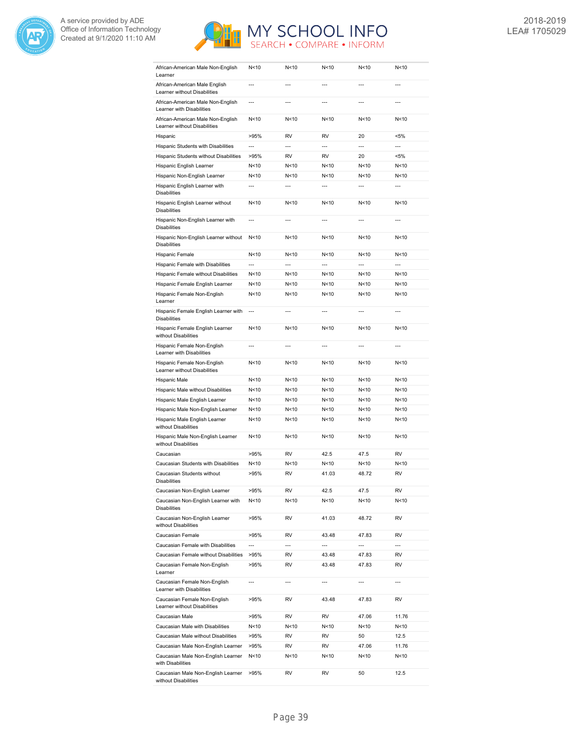



| African-American Male Non-English<br>Learner                      | N <sub>10</sub> | N<10                     | N <sub>10</sub> | N <sub>10</sub> | N <sub>10</sub> |
|-------------------------------------------------------------------|-----------------|--------------------------|-----------------|-----------------|-----------------|
| African-American Male English<br>Learner without Disabilities     | $\overline{a}$  | $\overline{a}$           | $\overline{a}$  | $---$           | $---$           |
| African-American Male Non-English<br>Learner with Disabilities    | $\overline{a}$  | $\overline{a}$           | $\overline{a}$  | $\overline{a}$  | $\overline{a}$  |
| African-American Male Non-English<br>Learner without Disabilities | N < 10          | N<10                     | N <sub>10</sub> | N < 10          | N<10            |
| Hispanic                                                          | >95%            | <b>RV</b>                | <b>RV</b>       | 20              | <5%             |
| Hispanic Students with Disabilities                               | $\overline{a}$  | $\overline{a}$           | $\overline{a}$  | $\overline{a}$  | $\overline{a}$  |
| Hispanic Students without Disabilities                            | >95%            | RV                       | <b>RV</b>       | 20              | <5%             |
| Hispanic English Learner                                          | N<10            | N<10                     | N <sub>10</sub> | N <sub>10</sub> | N < 10          |
| Hispanic Non-English Learner                                      | N <sub>10</sub> | N < 10                   | N < 10          | N < 10          | N < 10          |
| Hispanic English Learner with<br><b>Disabilities</b>              | $\overline{a}$  | $-$                      | $-$             | $-$             | ---             |
| Hispanic English Learner without<br><b>Disabilities</b>           | N<10            | N < 10                   | N<10            | N<10            | N <sub>10</sub> |
| Hispanic Non-English Learner with<br><b>Disabilities</b>          | $\overline{a}$  | $\overline{a}$           | $\overline{a}$  | $\overline{a}$  | ---             |
| Hispanic Non-English Learner without<br><b>Disabilities</b>       | N < 10          | N < 10                   | N<10            | N < 10          | N < 10          |
| Hispanic Female                                                   | N<10            | N<10                     | N<10            | N <sub>10</sub> | N<10            |
| Hispanic Female with Disabilities                                 | $\overline{a}$  | $---$                    | $\overline{a}$  | $\overline{a}$  | $\overline{a}$  |
| Hispanic Female without Disabilities                              | N<10            | N<10                     | N < 10          | N < 10          | N<10            |
| Hispanic Female English Learner                                   | N <sub>10</sub> | N < 10                   | N < 10          | N <sub>10</sub> | N<10            |
| Hispanic Female Non-English<br>Learner                            | N <sub>10</sub> | N < 10                   | N <sub>10</sub> | N <sub>10</sub> | N<10            |
| Hispanic Female English Learner with<br><b>Disabilities</b>       | $\overline{a}$  | $\overline{a}$           | $\overline{a}$  | $\overline{a}$  | $\overline{a}$  |
| Hispanic Female English Learner<br>without Disabilities           | N < 10          | N<10                     | N < 10          | N < 10          | N<10            |
| Hispanic Female Non-English<br>Learner with Disabilities          | $\overline{a}$  | $\overline{a}$           | ---             | $\overline{a}$  | $\overline{a}$  |
| Hispanic Female Non-English<br>Learner without Disabilities       | N<10            | N<10                     | N<10            | N < 10          | N<10            |
| Hispanic Male                                                     | N<10            | N < 10                   | N<10            | N < 10          | N<10            |
| Hispanic Male without Disabilities                                | N<10            | N<10                     | N < 10          | N < 10          | N<10            |
| Hispanic Male English Learner                                     | N<10            | N<10                     | N<10            | N < 10          | N<10            |
| Hispanic Male Non-English Learner                                 | N < 10          | N<10                     | N<10            | N < 10          | N<10            |
| Hispanic Male English Learner<br>without Disabilities             | N<10            | N<10                     | N<10            | N < 10          | N<10            |
| Hispanic Male Non-English Learner<br>without Disabilities         | N < 10          | N<10                     | N<10            | N <sub>10</sub> | N<10            |
| Caucasian                                                         | >95%            | RV                       | 42.5            | 47.5            | <b>RV</b>       |
| Caucasian Students with Disabilities                              | N<10            | N<10                     | N<10            | N < 10          | N<10            |
| Caucasian Students without<br>Disabilities                        | >95%            | RV                       | 41.03           | 48.72           | <b>RV</b>       |
| Caucasian Non-English Learner                                     | >95%            | RV                       | 42.5            | 47.5            | RV              |
| Caucasian Non-English Learner with<br>Disabilities                | N<10            | N<10                     | N<10            | N<10            | N<10            |
| Caucasian Non-English Learner<br>without Disabilities             | >95%            | RV                       | 41.03           | 48.72           | RV              |
| Caucasian Female                                                  | >95%            | RV                       | 43.48           | 47.83           | RV              |
| Caucasian Female with Disabilities                                | $\overline{a}$  | $\overline{\phantom{a}}$ | $\overline{a}$  | $\overline{a}$  | ---             |
| Caucasian Female without Disabilities                             | >95%            | RV                       | 43.48           | 47.83           | RV              |
| Caucasian Female Non-English<br>Learner                           | >95%            | RV                       | 43.48           | 47.83           | RV              |
| Caucasian Female Non-English<br>Learner with Disabilities         |                 |                          |                 |                 |                 |
| Caucasian Female Non-English<br>Learner without Disabilities      | >95%            | RV                       | 43.48           | 47.83           | RV              |
| Caucasian Male                                                    | >95%            | RV                       | RV              | 47.06           | 11.76           |
| Caucasian Male with Disabilities                                  | N<10            | N<10                     | N<10            | N<10            | N<10            |
| Caucasian Male without Disabilities                               | >95%            | RV                       | RV              | 50              | 12.5            |
| Caucasian Male Non-English Learner                                | >95%            | RV                       | RV              | 47.06           | 11.76           |
| Caucasian Male Non-English Learner<br>with Disabilities           | N<10            | N<10                     | N<10            | N<10            | N<10            |
| Caucasian Male Non-English Learner<br>without Disabilities        | >95%            | RV                       | RV              | 50              | 12.5            |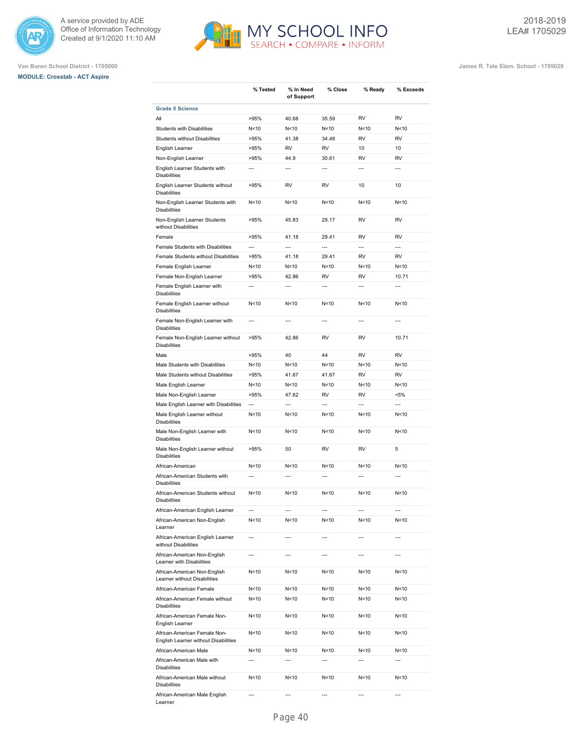





**Van Buren School District - 1705000 James R. Tate Elem. School - 1705029**

|                                                                      | % Tested                 | % In Need<br>of Support  | % Close                  | % Ready                  | % Exceeds                |
|----------------------------------------------------------------------|--------------------------|--------------------------|--------------------------|--------------------------|--------------------------|
| <b>Grade 5 Science</b>                                               |                          |                          |                          |                          |                          |
| All                                                                  | >95%                     | 40.68                    | 35.59                    | <b>RV</b>                | <b>RV</b>                |
| Students with Disabilities                                           | N<10                     | N<10                     | N<10                     | N <sub>10</sub>          | N<10                     |
| <b>Students without Disabilities</b>                                 | >95%                     | 41.38                    | 34.48                    | <b>RV</b>                | <b>RV</b>                |
| English Learner                                                      | >95%                     | <b>RV</b>                | <b>RV</b>                | 10                       | 10                       |
| Non-English Learner                                                  | >95%                     | 44.9                     | 30.61                    | <b>RV</b>                | <b>RV</b>                |
| English Learner Students with<br><b>Disabilities</b>                 | $\overline{a}$           | $\overline{a}$           | $\overline{a}$           | $\overline{a}$           | $\overline{a}$           |
| English Learner Students without<br><b>Disabilities</b>              | >95%                     | RV                       | <b>RV</b>                | 10                       | 10                       |
| Non-English Learner Students with<br><b>Disabilities</b>             | N<10                     | N<10                     | N<10                     | N < 10                   | N<10                     |
| Non-English Learner Students<br>without Disabilities                 | >95%                     | 45.83                    | 29.17                    | <b>RV</b>                | <b>RV</b>                |
| Female                                                               | >95%                     | 41.18                    | 29.41                    | <b>RV</b>                | <b>RV</b>                |
| Female Students with Disabilities                                    | ---                      | $\overline{a}$           | $\overline{a}$           | $\overline{\phantom{a}}$ | $\overline{a}$           |
| Female Students without Disabilities                                 | >95%                     | 41.18                    | 29.41                    | <b>RV</b>                | <b>RV</b>                |
| Female English Learner                                               | N<10                     | N<10                     | N<10                     | N<10                     | N<10                     |
| Female Non-English Learner                                           | >95%                     | 42.86                    | <b>RV</b>                | <b>RV</b>                | 10.71                    |
| Female English Learner with<br><b>Disabilities</b>                   | $\overline{a}$           | ---                      | ---                      | $\overline{a}$           | $\overline{a}$           |
| Female English Learner without<br><b>Disabilities</b>                | N<10                     | N<10                     | N<10                     | N<10                     | N<10                     |
| Female Non-English Learner with<br><b>Disabilities</b>               | $\overline{a}$           | $\overline{a}$           | $\overline{a}$           | $\overline{a}$           | $\overline{a}$           |
| Female Non-English Learner without<br><b>Disabilities</b>            | >95%                     | 42.86                    | RV                       | <b>RV</b>                | 10.71                    |
| Male                                                                 | >95%                     | 40                       | 44                       | <b>RV</b>                | <b>RV</b>                |
| Male Students with Disabilities                                      | N<10                     | N<10                     | N<10                     | N < 10                   | N<10                     |
| Male Students without Disabilities                                   | >95%                     | 41.67                    | 41.67                    | <b>RV</b>                | <b>RV</b>                |
| Male English Learner                                                 | N<10                     | N<10                     | N<10                     | N < 10                   | N<10                     |
| Male Non-English Learner                                             | >95%                     | 47.62                    | <b>RV</b>                | <b>RV</b>                | $< 5\%$                  |
| Male English Learner with Disabilities                               | $\overline{a}$           | $\overline{a}$           | $\overline{a}$           | $\overline{a}$           | $\overline{a}$           |
| Male English Learner without<br><b>Disabilities</b>                  | N <sub>10</sub>          | N<10                     | N <sub>10</sub>          | N <sub>10</sub>          | N<10                     |
| Male Non-English Learner with<br><b>Disabilities</b>                 | N <sub>10</sub>          | N<10                     | N<10                     | N <sub>10</sub>          | N<10                     |
| Male Non-English Learner without<br><b>Disabilities</b>              | >95%                     | 50                       | RV                       | <b>RV</b>                | 5                        |
| African-American                                                     | N<10                     | N<10                     | N<10                     | N < 10                   | N<10                     |
| African-American Students with<br><b>Disabilities</b>                | $\overline{a}$           | $\overline{a}$           | $\overline{a}$           | $\overline{a}$           | $\overline{a}$           |
| African-American Students without<br><b>Disabilities</b>             | N < 10                   | N<10                     | N <sub>10</sub>          | N<10                     | N<10                     |
| African-American English Learner                                     | $\overline{\phantom{a}}$ | $---$                    | $\cdots$                 | $\overline{\phantom{a}}$ | $\overline{\phantom{a}}$ |
| African-American Non-English<br>Learner                              | N<10                     | N<10                     | N<10                     | N <sub>10</sub>          | N<10                     |
| African-American English Learner<br>without Disabilities             | ---                      | ---                      | ---                      | $\overline{\phantom{a}}$ | $\overline{a}$           |
| African-American Non-English<br>Learner with Disabilities            | ---                      | $\overline{\phantom{a}}$ | $\overline{\phantom{a}}$ | $\overline{a}$           | $\overline{a}$           |
| African-American Non-English<br>Learner without Disabilities         | N<10                     | N<10                     | N<10                     | N<10                     | N<10                     |
| African-American Female                                              | N<10                     | N<10                     | N<10                     | N<10                     | N<10                     |
| African-American Female without<br><b>Disabilities</b>               | N<10                     | N<10                     | N <sub>10</sub>          | N<10                     | N<10                     |
| African-American Female Non-<br>English Learner                      | N<10                     | N<10                     | N<10                     | N < 10                   | N<10                     |
| African-American Female Non-<br>English Learner without Disabilities | N<10                     | N<10                     | N<10                     | N<10                     | N<10                     |
| African-American Male                                                | N<10                     | N<10                     | N<10                     | N < 10                   | N<10                     |
| African-American Male with<br><b>Disabilities</b>                    | $\overline{a}$           | $\overline{a}$           | ---                      | $\overline{a}$           | $\overline{a}$           |
| African-American Male without<br><b>Disabilities</b>                 | N<10                     | N<10                     | N<10                     | N < 10                   | N<10                     |
| African-American Male English                                        |                          |                          |                          |                          | ---                      |

MY SCHOOL INFO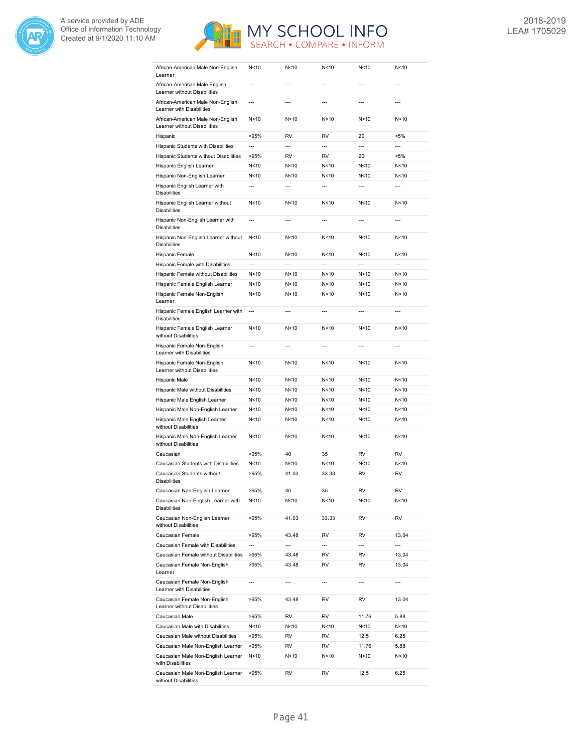



| African-American Male Non-English<br>Learner                      | N<10                     | N<10                     | N < 10         | N < 10                   | N<10                     |
|-------------------------------------------------------------------|--------------------------|--------------------------|----------------|--------------------------|--------------------------|
| African-American Male English<br>Learner without Disabilities     | $\overline{a}$           | $\overline{a}$           | $\overline{a}$ | $\overline{a}$           | $\overline{a}$           |
| African-American Male Non-English<br>Learner with Disabilities    | ---                      | $\overline{a}$           |                |                          | ---                      |
| African-American Male Non-English<br>Learner without Disabilities | N <sub>10</sub>          | N<10                     | N < 10         | N < 10                   | N<10                     |
| Hispanic                                                          | >95%                     | RV                       | <b>RV</b>      | 20                       | <5%                      |
| Hispanic Students with Disabilities                               | ---                      | $\overline{a}$           | $\overline{a}$ | $\overline{a}$           | $\overline{a}$           |
| Hispanic Students without Disabilities                            | >95%                     | RV                       | <b>RV</b>      | 20                       | <5%                      |
| Hispanic English Learner                                          | N<10                     | N<10                     | N < 10         | N < 10                   | N<10                     |
| Hispanic Non-English Learner                                      | N<10                     | N < 10                   | N < 10         | N < 10                   | N<10                     |
| Hispanic English Learner with<br><b>Disabilities</b>              | $\overline{a}$           | $\overline{a}$           | $\overline{a}$ | $\overline{a}$           | $\overline{a}$           |
| Hispanic English Learner without<br><b>Disabilities</b>           | N<10                     | N<10                     | N < 10         | N < 10                   | N<10                     |
| Hispanic Non-English Learner with<br><b>Disabilities</b>          | $\overline{a}$           | $\overline{a}$           | $\overline{a}$ | $\overline{a}$           | $\overline{a}$           |
| Hispanic Non-English Learner without<br><b>Disabilities</b>       | N <sub>10</sub>          | N < 10                   | N < 10         | N < 10                   | N<10                     |
| Hispanic Female                                                   | N <sub>10</sub>          | N<10                     | N < 10         | N<10                     | N<10                     |
| Hispanic Female with Disabilities                                 | $\overline{a}$           | $\overline{a}$           | ---            | $\overline{a}$           | $\overline{a}$           |
|                                                                   |                          |                          |                | N <sub>10</sub>          |                          |
| Hispanic Female without Disabilities                              | N<10                     | N<10                     | N < 10         |                          | N < 10                   |
| Hispanic Female English Learner                                   | N<10                     | N<10                     | N < 10         | N<10                     | N<10                     |
| Hispanic Female Non-English<br>Learner                            | N<10                     | N<10                     | N<10           | N < 10                   | N < 10                   |
| Hispanic Female English Learner with<br><b>Disabilities</b>       | $\overline{a}$           | $\overline{a}$           | $\overline{a}$ | $\overline{a}$           | $\overline{a}$           |
| Hispanic Female English Learner<br>without Disabilities           | N<10                     | N<10                     | N < 10         | N < 10                   | N<10                     |
| Hispanic Female Non-English<br>Learner with Disabilities          | ---                      | $\overline{a}$           | $\overline{a}$ | ---                      | ---                      |
| Hispanic Female Non-English<br>Learner without Disabilities       | N <sub>10</sub>          | N<10                     | N < 10         | N < 10                   | N<10                     |
| Hispanic Male                                                     | N <sub>10</sub>          | N <sub>10</sub>          | N < 10         | N <sub>10</sub>          | N <sub>10</sub>          |
| Hispanic Male without Disabilities                                | N<10                     | N<10                     | N < 10         | N<10                     | N<10                     |
| Hispanic Male English Learner                                     | N<10                     | N<10                     | N < 10         | N<10                     | N<10                     |
| Hispanic Male Non-English Learner                                 | N<10                     | N<10                     | N < 10         | N < 10                   | N < 10                   |
| Hispanic Male English Learner<br>without Disabilities             | N<10                     | N < 10                   | N < 10         | N < 10                   | N<10                     |
| Hispanic Male Non-English Learner<br>without Disabilities         | N<10                     | N < 10                   | N < 10         | N < 10                   | N < 10                   |
| Caucasian                                                         | >95%                     | 40                       | 35             | <b>RV</b>                | <b>RV</b>                |
| Caucasian Students with Disabilities                              | N<10                     | N<10                     | N<10           | N <sub>10</sub>          | N < 10                   |
| Caucasian Students without<br>Disabilities                        | >95%                     | 41.03                    | 33.33          | RV                       | RV                       |
| Caucasian Non-English Learner                                     | >95%                     | 40                       | 35             | RV                       | RV                       |
| Caucasian Non-English Learner with<br><b>Disabilities</b>         | N<10                     | N<10                     | N<10           | N <sub>10</sub>          | N<10                     |
| Caucasian Non-English Learner<br>without Disabilities             | >95%                     | 41.03                    | 33.33          | RV                       | RV                       |
| Caucasian Female                                                  | >95%                     | 43.48                    | RV             | RV                       | 13.04                    |
| Caucasian Female with Disabilities                                | $\overline{\phantom{a}}$ | $\overline{\phantom{a}}$ | ---            | ---                      | $\overline{\phantom{a}}$ |
| Caucasian Female without Disabilities                             | >95%                     | 43.48                    | RV             | RV                       | 13.04                    |
| Caucasian Female Non-English<br>Learner                           | >95%                     | 43.48                    | RV             | RV                       | 13.04                    |
| Caucasian Female Non-English<br>Learner with Disabilities         | $\overline{\phantom{a}}$ | ---                      | ---            | $\overline{\phantom{a}}$ | ---                      |
| Caucasian Female Non-English<br>Learner without Disabilities      | >95%                     | 43.48                    | RV             | RV                       | 13.04                    |
| Caucasian Male                                                    | >95%                     | RV                       | RV             | 11.76                    | 5.88                     |
| Caucasian Male with Disabilities                                  | N<10                     | N<10                     | N<10           | N<10                     | N<10                     |
| Caucasian Male without Disabilities                               | >95%                     | RV                       | RV             | 12.5                     | 6.25                     |
|                                                                   | >95%                     | RV                       | RV             | 11.76                    | 5.88                     |
| Caucasian Male Non-English Learner                                |                          |                          |                |                          |                          |
| Caucasian Male Non-English Learner<br>with Disabilities           | N < 10                   | N<10                     | N<10           | N<10                     | N<10                     |
| Caucasian Male Non-English Learner<br>without Disabilities        | >95%                     | RV                       | RV             | 12.5                     | 6.25                     |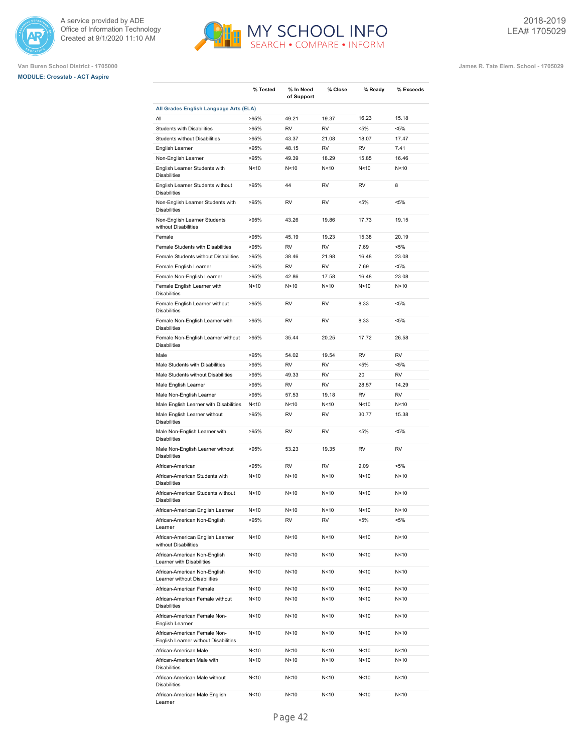





|                                                                      | % Tested        | % In Need<br>of Support | % Close         | % Ready         | % Exceeds       |
|----------------------------------------------------------------------|-----------------|-------------------------|-----------------|-----------------|-----------------|
| All Grades English Language Arts (ELA)                               |                 |                         |                 |                 |                 |
| All                                                                  | >95%            | 49.21                   | 19.37           | 16.23           | 15.18           |
| <b>Students with Disabilities</b>                                    | >95%            | <b>RV</b>               | <b>RV</b>       | $< 5\%$         | $< 5\%$         |
| Students without Disabilities                                        | >95%            | 43.37                   | 21.08           | 18.07           | 17.47           |
| English Learner                                                      | >95%            | 48.15                   | <b>RV</b>       | <b>RV</b>       | 7.41            |
| Non-English Learner                                                  | >95%            | 49.39                   | 18.29           | 15.85           | 16.46           |
| English Learner Students with<br><b>Disabilities</b>                 | N <sub>10</sub> | N<10                    | N <sub>10</sub> | N <sub>10</sub> | N<10            |
| English Learner Students without<br><b>Disabilities</b>              | >95%            | 44                      | <b>RV</b>       | <b>RV</b>       | 8               |
| Non-English Learner Students with<br><b>Disabilities</b>             | >95%            | <b>RV</b>               | <b>RV</b>       | $< 5\%$         | $< 5\%$         |
| Non-English Learner Students<br>without Disabilities                 | >95%            | 43.26                   | 19.86           | 17.73           | 19.15           |
| Female                                                               | >95%            | 45.19                   | 19.23           | 15.38           | 20.19           |
| Female Students with Disabilities                                    | >95%            | <b>RV</b>               | <b>RV</b>       | 7.69            | $< 5\%$         |
| Female Students without Disabilities                                 | >95%            | 38.46                   | 21.98           | 16.48           | 23.08           |
| Female English Learner                                               | >95%            | <b>RV</b>               | <b>RV</b>       | 7.69            | $< 5\%$         |
| Female Non-English Learner                                           | >95%            | 42.86                   | 17.58           | 16.48           | 23.08           |
| Female English Learner with<br><b>Disabilities</b>                   | N<10            | N<10                    | N <sub>10</sub> | N <sub>10</sub> | N<10            |
| Female English Learner without<br><b>Disabilities</b>                | >95%            | <b>RV</b>               | <b>RV</b>       | 8.33            | $< 5\%$         |
| Female Non-English Learner with<br><b>Disabilities</b>               | >95%            | <b>RV</b>               | <b>RV</b>       | 8.33            | $< 5\%$         |
| Female Non-English Learner without<br><b>Disabilities</b>            | >95%            | 35.44                   | 20.25           | 17.72           | 26.58           |
| Male                                                                 | >95%            | 54.02                   | 19.54           | <b>RV</b>       | <b>RV</b>       |
| Male Students with Disabilities                                      | >95%            | <b>RV</b>               | <b>RV</b>       | $< 5\%$         | $< 5\%$         |
| Male Students without Disabilities                                   | >95%            | 49.33                   | <b>RV</b>       | 20              | <b>RV</b>       |
| Male English Learner                                                 | >95%            | <b>RV</b>               | <b>RV</b>       | 28.57           | 14.29           |
| Male Non-English Learner                                             | >95%            | 57.53                   | 19.18           | <b>RV</b>       | <b>RV</b>       |
| Male English Learner with Disabilities                               | N < 10          | N<10                    | N < 10          | N <sub>10</sub> | N<10            |
| Male English Learner without<br><b>Disabilities</b>                  | >95%            | RV                      | RV              | 30.77           | 15.38           |
| Male Non-English Learner with<br><b>Disabilities</b>                 | >95%            | <b>RV</b>               | <b>RV</b>       | $< 5\%$         | $< 5\%$         |
| Male Non-English Learner without<br><b>Disabilities</b>              | >95%            | 53.23                   | 19.35           | <b>RV</b>       | <b>RV</b>       |
| African-American                                                     | >95%            | <b>RV</b>               | <b>RV</b>       | 9.09            | $< 5\%$         |
| African-American Students with<br><b>Disabilities</b>                | N <sub>10</sub> | N<10                    | N <sub>10</sub> | N <sub>10</sub> | N<10            |
| African-American Students without<br><b>Disabilities</b>             | N <sub>10</sub> | N<10                    | N <sub>10</sub> | N <sub>10</sub> | N<10            |
| African-American English Learner                                     | N<10            | N<10                    | N<10            | N < 10          | N <sub>10</sub> |
| African-American Non-English<br>Learner                              | >95%            | RV                      | RV              | <5%             | <5%             |
| African-American English Learner<br>without Disabilities             | N<10            | N<10                    | N<10            | N <sub>10</sub> | N<10            |
| African-American Non-English<br>Learner with Disabilities            | N<10            | N<10                    | N<10            | N <sub>10</sub> | N<10            |
| African-American Non-English<br>Learner without Disabilities         | N<10            | N<10                    | N<10            | N <sub>10</sub> | N<10            |
| African-American Female                                              | N<10            | N<10                    | N<10            | N<10            | N<10            |
| African-American Female without<br><b>Disabilities</b>               | N<10            | N<10                    | N<10            | N<10            | N<10            |
| African-American Female Non-<br>English Learner                      | N<10            | N<10                    | N<10            | N < 10          | N<10            |
| African-American Female Non-<br>English Learner without Disabilities | N<10            | N<10                    | N<10            | N<10            | N<10            |
| African-American Male                                                | N<10            | N<10                    | N < 10          | N < 10          | N<10            |
| African-American Male with<br><b>Disabilities</b>                    | N<10            | N<10                    | N<10            | N<10            | N<10            |
| African-American Male without<br><b>Disabilities</b>                 | N<10            | N<10                    | N<10            | N<10            | N<10            |
| African-American Male English                                        | N<10            | N<10                    | N<10            | N<10            | N<10            |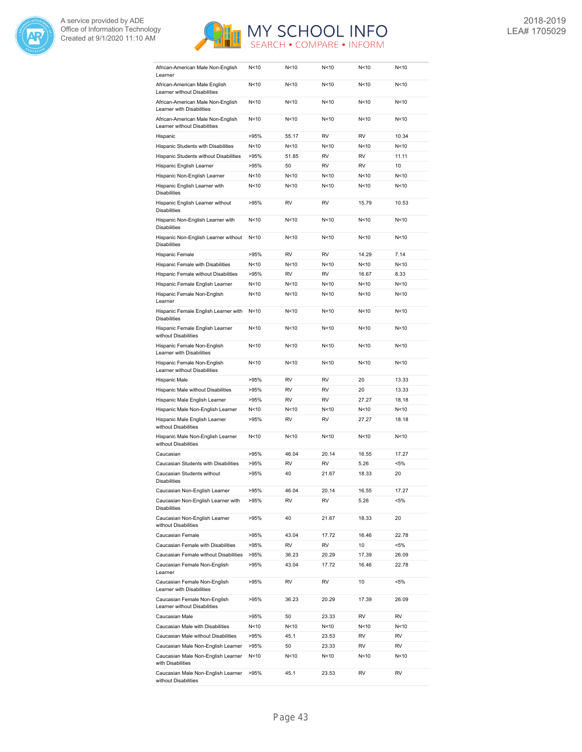



| African-American Male Non-English<br>Learner                      | N<10            | N<10      | N<10            | N<10            | N<10    |
|-------------------------------------------------------------------|-----------------|-----------|-----------------|-----------------|---------|
| African-American Male English<br>Learner without Disabilities     | N < 10          | N < 10    | N < 10          | N < 10          | N<10    |
| African-American Male Non-English<br>Learner with Disabilities    | N<10            | N<10      | N <sub>10</sub> | N <sub>10</sub> | N<10    |
| African-American Male Non-English<br>Learner without Disabilities | N <sub>10</sub> | N<10      | N <sub>10</sub> | N<10            | N<10    |
| Hispanic                                                          | >95%            | 55.17     | <b>RV</b>       | <b>RV</b>       | 10.34   |
| Hispanic Students with Disabilities                               | N<10            | N<10      | N <sub>10</sub> | N <sub>10</sub> | N<10    |
| Hispanic Students without Disabilities                            | >95%            | 51.85     | <b>RV</b>       | <b>RV</b>       | 11.11   |
| Hispanic English Learner                                          | >95%            | 50        | <b>RV</b>       | RV              | 10      |
| Hispanic Non-English Learner                                      | N <sub>10</sub> | N<10      | N<10            | N < 10          | N<10    |
| Hispanic English Learner with<br><b>Disabilities</b>              | N <sub>10</sub> | N < 10    | N<10            | N<10            | N<10    |
| Hispanic English Learner without<br><b>Disabilities</b>           | >95%            | <b>RV</b> | <b>RV</b>       | 15.79           | 10.53   |
| Hispanic Non-English Learner with<br><b>Disabilities</b>          | N<10            | N < 10    | N<10            | N<10            | N<10    |
| Hispanic Non-English Learner without<br><b>Disabilities</b>       | N < 10          | N<10      | N <sub>10</sub> | N <sub>10</sub> | N<10    |
| Hispanic Female                                                   | >95%            | <b>RV</b> | <b>RV</b>       | 14.29           | 7.14    |
| Hispanic Female with Disabilities                                 | N <sub>10</sub> | N<10      | N <sub>10</sub> | N <sub>10</sub> | N<10    |
| Hispanic Female without Disabilities                              | >95%            | <b>RV</b> | <b>RV</b>       | 16.67           | 8.33    |
| Hispanic Female English Learner                                   | N <sub>10</sub> | N < 10    | N<10            | N<10            | N<10    |
| Hispanic Female Non-English                                       | N<10            | N < 10    | N<10            | N < 10          | N<10    |
| Learner                                                           |                 |           |                 |                 |         |
| Hispanic Female English Learner with<br><b>Disabilities</b>       | N<10            | N < 10    | N<10            | N<10            | N<10    |
| Hispanic Female English Learner<br>without Disabilities           | N<10            | N<10      | N <sub>10</sub> | N <sub>10</sub> | N<10    |
| Hispanic Female Non-English<br>Learner with Disabilities          | N <sub>10</sub> | N<10      | N <sub>10</sub> | N <sub>10</sub> | N<10    |
| Hispanic Female Non-English<br>Learner without Disabilities       | N <sub>10</sub> | N<10      | N <sub>10</sub> | N <sub>10</sub> | N<10    |
| Hispanic Male                                                     | >95%            | <b>RV</b> | <b>RV</b>       | 20              | 13.33   |
| Hispanic Male without Disabilities                                | >95%            | <b>RV</b> | <b>RV</b>       | 20              | 13.33   |
| Hispanic Male English Learner                                     | >95%            | <b>RV</b> | <b>RV</b>       | 27.27           | 18.18   |
| Hispanic Male Non-English Learner                                 | N < 10          | N<10      | N <sub>10</sub> | N < 10          | N<10    |
| Hispanic Male English Learner<br>without Disabilities             | >95%            | <b>RV</b> | <b>RV</b>       | 27.27           | 18.18   |
| Hispanic Male Non-English Learner<br>without Disabilities         | N <sub>10</sub> | N<10      | N <sub>10</sub> | N <sub>10</sub> | N<10    |
| Caucasian                                                         | >95%            | 46.04     | 20.14           | 16.55           | 17.27   |
| Caucasian Students with Disabilities                              | >95%            | <b>RV</b> | <b>RV</b>       | 5.26            | $< 5\%$ |
| Caucasian Students without<br>Disabilities                        | >95%            | 40        | 21.67           | 18.33           | 20      |
| Caucasian Non-English Learner                                     | >95%            | 46.04     | 20.14           | 16.55           | 17.27   |
| Caucasian Non-English Learner with<br><b>Disabilities</b>         | >95%            | RV        | RV              | 5.26            | <5%     |
| Caucasian Non-English Learner<br>without Disabilities             | >95%            | 40        | 21.67           | 18.33           | 20      |
| Caucasian Female                                                  | >95%            | 43.04     | 17.72           | 16.46           | 22.78   |
| Caucasian Female with Disabilities                                | >95%            | RV        | RV              | 10              | <5%     |
| Caucasian Female without Disabilities                             | >95%            | 36.23     | 20.29           | 17.39           | 26.09   |
| Caucasian Female Non-English<br>Learner                           | >95%            | 43.04     | 17.72           | 16.46           | 22.78   |
| Caucasian Female Non-English<br>Learner with Disabilities         | >95%            | RV        | RV              | 10              | $< 5\%$ |
| Caucasian Female Non-English<br>Learner without Disabilities      | >95%            | 36.23     | 20.29           | 17.39           | 26.09   |
| Caucasian Male                                                    | >95%            | 50        | 23.33           | RV              | RV      |
| Caucasian Male with Disabilities                                  | N<10            | N<10      | N<10            | N<10            | N<10    |
| Caucasian Male without Disabilities                               | >95%            | 45.1      | 23.53           | RV              | RV      |
| Caucasian Male Non-English Learner                                | >95%            | 50        | 23.33           | RV              | RV      |
| Caucasian Male Non-English Learner<br>with Disabilities           | N<10            | N<10      | N<10            | N<10            | N<10    |
| Caucasian Male Non-English Learner                                | >95%            | 45.1      | 23.53           | RV              | RV      |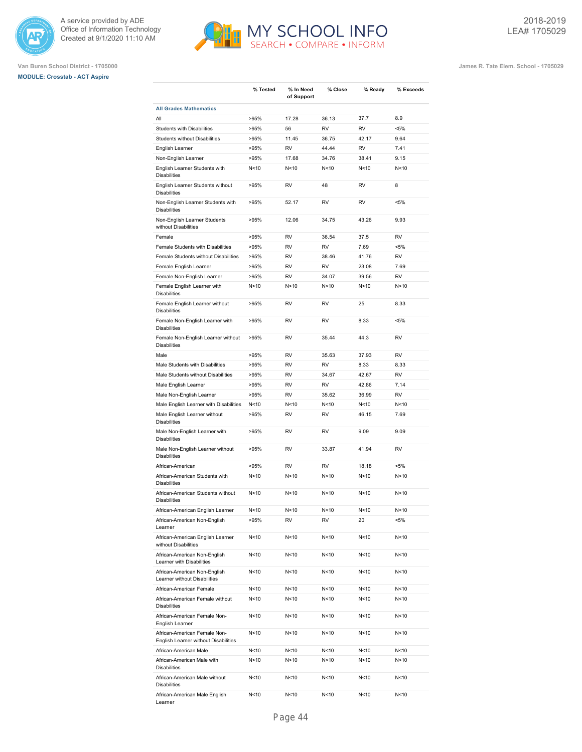





|                                                                      | % Tested        | % In Need<br>of Support | % Close         | % Ready         | % Exceeds       |
|----------------------------------------------------------------------|-----------------|-------------------------|-----------------|-----------------|-----------------|
| <b>All Grades Mathematics</b>                                        |                 |                         |                 |                 |                 |
| All                                                                  | >95%            | 17.28                   | 36.13           | 37.7            | 8.9             |
| <b>Students with Disabilities</b>                                    | >95%            | 56                      | <b>RV</b>       | <b>RV</b>       | $< 5\%$         |
| Students without Disabilities                                        | >95%            | 11.45                   | 36.75           | 42.17           | 9.64            |
| English Learner                                                      | >95%            | <b>RV</b>               | 44.44           | <b>RV</b>       | 7.41            |
| Non-English Learner                                                  | >95%            | 17.68                   | 34.76           | 38.41           | 9.15            |
| English Learner Students with<br><b>Disabilities</b>                 | N <sub>10</sub> | N<10                    | N <sub>10</sub> | N <sub>10</sub> | N<10            |
| English Learner Students without<br><b>Disabilities</b>              | >95%            | <b>RV</b>               | 48              | <b>RV</b>       | 8               |
| Non-English Learner Students with<br><b>Disabilities</b>             | >95%            | 52.17                   | <b>RV</b>       | <b>RV</b>       | $< 5\%$         |
| Non-English Learner Students<br>without Disabilities                 | >95%            | 12.06                   | 34.75           | 43.26           | 9.93            |
| Female                                                               | >95%            | <b>RV</b>               | 36.54           | 37.5            | <b>RV</b>       |
| Female Students with Disabilities                                    | >95%            | <b>RV</b>               | <b>RV</b>       | 7.69            | $< 5\%$         |
| Female Students without Disabilities                                 | >95%            | <b>RV</b>               | 38.46           | 41.76           | <b>RV</b>       |
| Female English Learner                                               | >95%            | <b>RV</b>               | <b>RV</b>       | 23.08           | 7.69            |
| Female Non-English Learner                                           | >95%            | <b>RV</b>               | 34.07           | 39.56           | <b>RV</b>       |
| Female English Learner with<br><b>Disabilities</b>                   | N<10            | N<10                    | N <sub>10</sub> | N <sub>10</sub> | N<10            |
| Female English Learner without<br><b>Disabilities</b>                | >95%            | <b>RV</b>               | <b>RV</b>       | 25              | 8.33            |
| Female Non-English Learner with<br><b>Disabilities</b>               | >95%            | <b>RV</b>               | <b>RV</b>       | 8.33            | $< 5\%$         |
| Female Non-English Learner without<br><b>Disabilities</b>            | >95%            | <b>RV</b>               | 35.44           | 44.3            | <b>RV</b>       |
| Male                                                                 | >95%            | <b>RV</b>               | 35.63           | 37.93           | <b>RV</b>       |
| Male Students with Disabilities                                      | >95%            | <b>RV</b>               | <b>RV</b>       | 8.33            | 8.33            |
| Male Students without Disabilities                                   | >95%            | <b>RV</b>               | 34.67           | 42.67           | <b>RV</b>       |
| Male English Learner                                                 | >95%            | <b>RV</b>               | <b>RV</b>       | 42.86           | 7.14            |
| Male Non-English Learner                                             | >95%            | <b>RV</b>               | 35.62           | 36.99           | <b>RV</b>       |
| Male English Learner with Disabilities                               | N < 10          | N < 10                  | N < 10          | N <sub>10</sub> | N<10            |
| Male English Learner without<br><b>Disabilities</b>                  | >95%            | RV                      | RV              | 46.15           | 7.69            |
| Male Non-English Learner with<br><b>Disabilities</b>                 | >95%            | <b>RV</b>               | <b>RV</b>       | 9.09            | 9.09            |
| Male Non-English Learner without<br><b>Disabilities</b>              | >95%            | <b>RV</b>               | 33.87           | 41.94           | <b>RV</b>       |
| African-American                                                     | >95%            | <b>RV</b>               | <b>RV</b>       | 18.18           | $< 5\%$         |
| African-American Students with<br><b>Disabilities</b>                | N<10            | N<10                    | N <sub>10</sub> | N <sub>10</sub> | N<10            |
| African-American Students without<br><b>Disabilities</b>             | N <sub>10</sub> | N<10                    | N <sub>10</sub> | N <sub>10</sub> | N <sub>10</sub> |
| African-American English Learner                                     | N < 10          | N<10                    | N<10            | N<10            | N <sub>10</sub> |
| African-American Non-English<br>Learner                              | >95%            | RV                      | RV              | 20              | <5%             |
| African-American English Learner<br>without Disabilities             | N<10            | N<10                    | N <sub>10</sub> | N<10            | N<10            |
| African-American Non-English<br>Learner with Disabilities            | N<10            | N<10                    | N<10            | N<10            | N<10            |
| African-American Non-English<br>Learner without Disabilities         | N<10            | N<10                    | N<10            | N<10            | N<10            |
| African-American Female                                              | N<10            | N<10                    | N<10            | N<10            | N<10            |
| African-American Female without<br><b>Disabilities</b>               | N<10            | N<10                    | N<10            | N<10            | N<10            |
| African-American Female Non-<br>English Learner                      | N<10            | N<10                    | N<10            | N < 10          | N<10            |
| African-American Female Non-<br>English Learner without Disabilities | N<10            | N<10                    | N<10            | N<10            | N<10            |
| African-American Male                                                | N<10            | N<10                    | N<10            | N < 10          | N<10            |
| African-American Male with<br><b>Disabilities</b>                    | N<10            | N<10                    | N<10            | N<10            | N<10            |
| African-American Male without<br><b>Disabilities</b>                 | N<10            | N<10                    | N<10            | N<10            | N<10            |
| African-American Male English<br>Learner                             | N<10            | N<10                    | N<10            | N<10            | N<10            |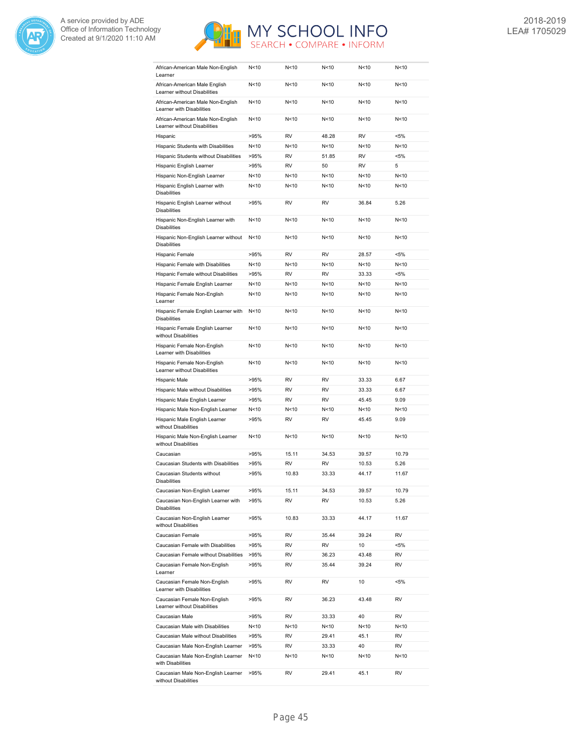



| African-American Male Non-English<br>Learner                      | N<10            | N<10            | N<10            | N <sub>10</sub> | N<10    |
|-------------------------------------------------------------------|-----------------|-----------------|-----------------|-----------------|---------|
| African-American Male English<br>Learner without Disabilities     | N < 10          | N < 10          | N < 10          | N < 10          | N<10    |
| African-American Male Non-English<br>Learner with Disabilities    | N<10            | N<10            | N <sub>10</sub> | N <sub>10</sub> | N<10    |
| African-American Male Non-English<br>Learner without Disabilities | N<10            | N<10            | N<10            | N<10            | N<10    |
| Hispanic                                                          | >95%            | <b>RV</b>       | 48.28           | <b>RV</b>       | $< 5\%$ |
| Hispanic Students with Disabilities                               | N<10            | N<10            | N<10            | N <sub>10</sub> | N<10    |
| Hispanic Students without Disabilities                            | >95%            | <b>RV</b>       | 51.85           | <b>RV</b>       | $< 5\%$ |
| Hispanic English Learner                                          | >95%            | <b>RV</b>       | 50              | RV              | 5       |
| Hispanic Non-English Learner                                      | N<10            | N < 10          | N<10            | N < 10          | N<10    |
| Hispanic English Learner with<br><b>Disabilities</b>              | N <sub>10</sub> | N < 10          | N<10            | N < 10          | N<10    |
| Hispanic English Learner without<br><b>Disabilities</b>           | >95%            | <b>RV</b>       | <b>RV</b>       | 36.84           | 5.26    |
| Hispanic Non-English Learner with<br><b>Disabilities</b>          | N <sub>10</sub> | N < 10          | N<10            | N<10            | N<10    |
| Hispanic Non-English Learner without<br><b>Disabilities</b>       | N < 10          | N<10            | N<10            | N <sub>10</sub> | N<10    |
| Hispanic Female                                                   | >95%            | <b>RV</b>       | <b>RV</b>       | 28.57           | $< 5\%$ |
| Hispanic Female with Disabilities                                 | N <sub>10</sub> | N<10            | N <sub>10</sub> | N <sub>10</sub> | N<10    |
| Hispanic Female without Disabilities                              | >95%            | <b>RV</b>       | <b>RV</b>       | 33.33           | $< 5\%$ |
|                                                                   | N<10            | N < 10          | N<10            | N<10            | N<10    |
| Hispanic Female English Learner                                   |                 | N<10            | N<10            |                 |         |
| Hispanic Female Non-English<br>Learner                            | N<10            |                 |                 | N < 10          | N<10    |
| Hispanic Female English Learner with<br><b>Disabilities</b>       | N<10            | N < 10          | N<10            | N<10            | N<10    |
| Hispanic Female English Learner<br>without Disabilities           | N<10            | N<10            | N <sub>10</sub> | N <sub>10</sub> | N<10    |
| Hispanic Female Non-English<br>Learner with Disabilities          | N <sub>10</sub> | N <sub>10</sub> | N <sub>10</sub> | N <sub>10</sub> | N<10    |
| Hispanic Female Non-English<br>Learner without Disabilities       | N <sub>10</sub> | N<10            | N <sub>10</sub> | N <sub>10</sub> | N<10    |
| Hispanic Male                                                     | >95%            | <b>RV</b>       | <b>RV</b>       | 33.33           | 6.67    |
| Hispanic Male without Disabilities                                | >95%            | <b>RV</b>       | <b>RV</b>       | 33.33           | 6.67    |
| Hispanic Male English Learner                                     | >95%            | <b>RV</b>       | <b>RV</b>       | 45.45           | 9.09    |
| Hispanic Male Non-English Learner                                 | N < 10          | N<10            | N <sub>10</sub> | N<10            | N<10    |
| Hispanic Male English Learner<br>without Disabilities             | >95%            | <b>RV</b>       | <b>RV</b>       | 45.45           | 9.09    |
| Hispanic Male Non-English Learner<br>without Disabilities         | N<10            | N<10            | N<10            | N < 10          | N<10    |
| Caucasian                                                         | >95%            | 15.11           | 34.53           | 39.57           | 10.79   |
| Caucasian Students with Disabilities                              | >95%            | <b>RV</b>       | <b>RV</b>       | 10.53           | 5.26    |
| Caucasian Students without<br>Disabilities                        | >95%            | 10.83           | 33.33           | 44.17           | 11.67   |
| Caucasian Non-English Learner                                     | >95%            | 15.11           | 34.53           | 39.57           | 10.79   |
| Caucasian Non-English Learner with<br><b>Disabilities</b>         | >95%            | RV              | RV              | 10.53           | 5.26    |
| Caucasian Non-English Learner<br>without Disabilities             | >95%            | 10.83           | 33.33           | 44.17           | 11.67   |
| Caucasian Female                                                  | >95%            | RV              | 35.44           | 39.24           | RV      |
| Caucasian Female with Disabilities                                | >95%            | RV              | RV              | 10              | $< 5\%$ |
| Caucasian Female without Disabilities                             | >95%            | RV              | 36.23           | 43.48           | RV      |
| Caucasian Female Non-English<br>Learner                           | >95%            | RV              | 35.44           | 39.24           | RV      |
| Caucasian Female Non-English<br>Learner with Disabilities         | >95%            | RV              | RV              | 10              | $< 5\%$ |
| Caucasian Female Non-English<br>Learner without Disabilities      | >95%            | RV              | 36.23           | 43.48           | RV      |
| Caucasian Male                                                    | >95%            | RV              | 33.33           | 40              | RV      |
| Caucasian Male with Disabilities                                  | N<10            | N<10            | N<10            | N <sub>10</sub> | N<10    |
| Caucasian Male without Disabilities                               | >95%            | RV              | 29.41           | 45.1            | RV      |
| Caucasian Male Non-English Learner                                | >95%            | RV              | 33.33           | 40              | RV      |
| Caucasian Male Non-English Learner                                | N<10            | N<10            | N<10            | N<10            | N<10    |
| with Disabilities<br>Caucasian Male Non-English Learner           | >95%            | RV              | 29.41           | 45.1            | RV      |
| without Disabilities                                              |                 |                 |                 |                 |         |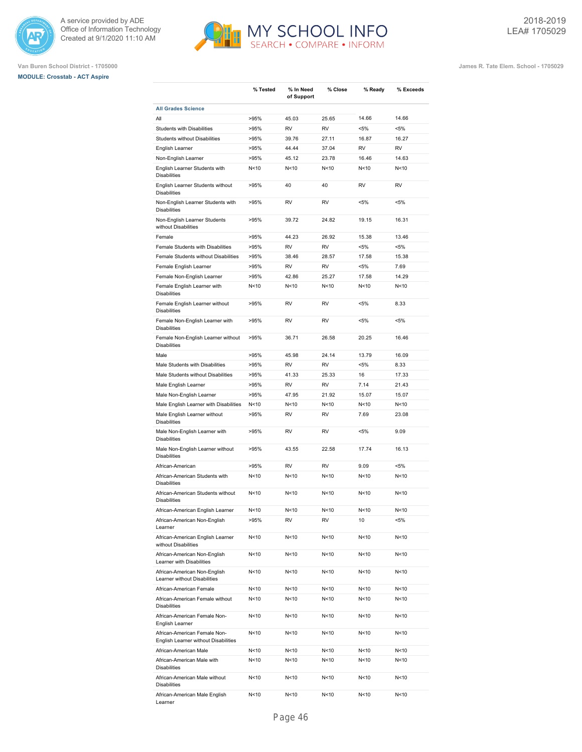

# **MODULE: Crosstab - ACT Aspire**



**% Tested % In Need**

**of Support**

**% Close % Ready % Exceeds**

**Van Buren School District - 1705000 James R. Tate Elem. School - 1705029**

| <b>All Grades Science</b>                                            |                 |                 |                 |                 |           |
|----------------------------------------------------------------------|-----------------|-----------------|-----------------|-----------------|-----------|
| All                                                                  | >95%            | 45.03           | 25.65           | 14.66           | 14.66     |
| <b>Students with Disabilities</b>                                    | >95%            | <b>RV</b>       | <b>RV</b>       | $< 5\%$         | $< 5\%$   |
| Students without Disabilities                                        | >95%            | 39.76           | 27.11           | 16.87           | 16.27     |
| English Learner                                                      | >95%            | 44.44           | 37.04           | <b>RV</b>       | <b>RV</b> |
| Non-English Learner                                                  | >95%            | 45.12           | 23.78           | 16.46           | 14.63     |
| English Learner Students with<br><b>Disabilities</b>                 | N<10            | N<10            | N <sub>10</sub> | N <sub>10</sub> | N<10      |
| English Learner Students without<br><b>Disabilities</b>              | >95%            | 40              | 40              | <b>RV</b>       | <b>RV</b> |
| Non-English Learner Students with<br><b>Disabilities</b>             | >95%            | <b>RV</b>       | <b>RV</b>       | $< 5\%$         | $< 5\%$   |
| Non-English Learner Students<br>without Disabilities                 | >95%            | 39.72           | 24.82           | 19.15           | 16.31     |
| Female                                                               | >95%            | 44.23           | 26.92           | 15.38           | 13.46     |
| Female Students with Disabilities                                    | >95%            | <b>RV</b>       | <b>RV</b>       | $< 5\%$         | $< 5\%$   |
| Female Students without Disabilities                                 | >95%            | 38.46           | 28.57           | 17.58           | 15.38     |
| Female English Learner                                               | >95%            | <b>RV</b>       | <b>RV</b>       | $< 5\%$         | 7.69      |
| Female Non-English Learner                                           | >95%            | 42.86           | 25.27           | 17.58           | 14.29     |
| Female English Learner with<br><b>Disabilities</b>                   | N<10            | N<10            | N <sub>10</sub> | N <sub>10</sub> | N<10      |
| Female English Learner without<br><b>Disabilities</b>                | >95%            | <b>RV</b>       | <b>RV</b>       | $< 5\%$         | 8.33      |
| Female Non-English Learner with<br><b>Disabilities</b>               | >95%            | <b>RV</b>       | <b>RV</b>       | $< 5\%$         | $< 5\%$   |
| Female Non-English Learner without<br><b>Disabilities</b>            | >95%            | 36.71           | 26.58           | 20.25           | 16.46     |
| Male                                                                 | >95%            | 45.98           | 24.14           | 13.79           | 16.09     |
| Male Students with Disabilities                                      | >95%            | <b>RV</b>       | <b>RV</b>       | $< 5\%$         | 8.33      |
| Male Students without Disabilities                                   | >95%            | 41.33           | 25.33           | 16              | 17.33     |
| Male English Learner                                                 | >95%            | <b>RV</b>       | <b>RV</b>       | 7.14            | 21.43     |
| Male Non-English Learner                                             | >95%            | 47.95           | 21.92           | 15.07           | 15.07     |
| Male English Learner with Disabilities                               | N<10            | N<10            | N<10            | N<10            | N<10      |
| Male English Learner without<br><b>Disabilities</b>                  | >95%            | RV              | RV              | 7.69            | 23.08     |
| Male Non-English Learner with<br><b>Disabilities</b>                 | >95%            | <b>RV</b>       | <b>RV</b>       | $< 5\%$         | 9.09      |
| Male Non-English Learner without<br><b>Disabilities</b>              | >95%            | 43.55           | 22.58           | 17.74           | 16.13     |
| African-American                                                     | >95%            | <b>RV</b>       | <b>RV</b>       | 9.09            | $< 5\%$   |
| African-American Students with<br><b>Disabilities</b>                | N<10            | N<10            | N <sub>10</sub> | N<10            | N<10      |
| African-American Students without<br><b>Disabilities</b>             | N<10            | N<10            | N <sub>10</sub> | N <sub>10</sub> | N<10      |
| African-American English Learner                                     | N<10            | N <sub>10</sub> | N <sub>10</sub> | N <sub>10</sub> | N<10      |
| African-American Non-English<br>Learner                              | >95%            | <b>RV</b>       | <b>RV</b>       | 10              | $< 5\%$   |
| African-American English Learner<br>without Disabilities             | N<10            | N <sub>10</sub> | N<10            | N<10            | N<10      |
| African-American Non-English<br>Learner with Disabilities            | N<10            | N<10            | N<10            | N<10            | N<10      |
| African-American Non-English<br>Learner without Disabilities         | N<10            | N<10            | N<10            | N<10            | N<10      |
| African-American Female                                              | N <sub>10</sub> | N<10            | N<10            | N<10            | N<10      |
| African-American Female without<br><b>Disabilities</b>               | N<10            | N<10            | N<10            | N <sub>10</sub> | N<10      |
| African-American Female Non-<br>English Learner                      | N<10            | N<10            | N<10            | N<10            | N<10      |
| African-American Female Non-<br>English Learner without Disabilities | N<10            | N<10            | N<10            | N<10            | N<10      |
| African-American Male                                                | N<10            | N<10            | N<10            | N<10            | N<10      |
|                                                                      |                 |                 |                 |                 |           |

N<10 N<10 N<10 N<10 N<10

N<10 N<10 N<10 N<10 N<10

N<10 N<10 N<10 N<10 N<10

Disabilities

Disabilities

Learner

African-American Male without

African-American Male English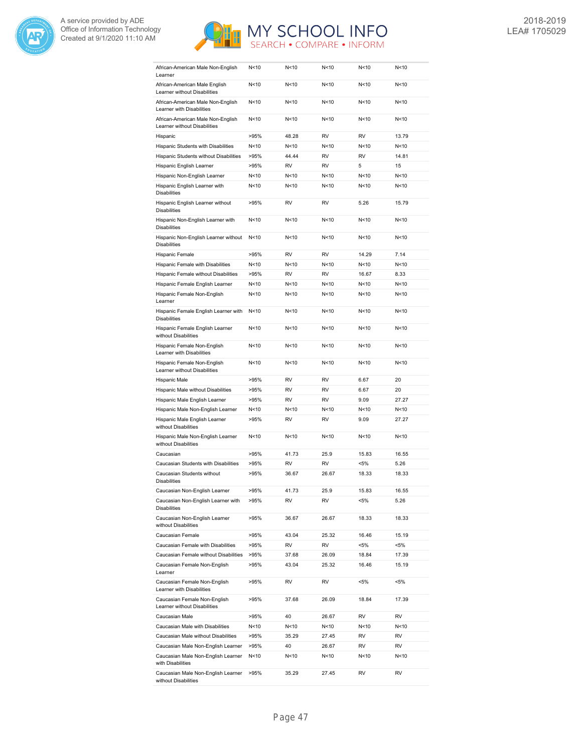



| African-American Male Non-English<br>Learner                      | N<10            | N<10            | N<10            | N <sub>10</sub> | N<10    |
|-------------------------------------------------------------------|-----------------|-----------------|-----------------|-----------------|---------|
| African-American Male English<br>Learner without Disabilities     | N < 10          | N < 10          | N < 10          | N < 10          | N<10    |
| African-American Male Non-English<br>Learner with Disabilities    | N<10            | N<10            | N <sub>10</sub> | N <sub>10</sub> | N<10    |
| African-American Male Non-English<br>Learner without Disabilities | N <sub>10</sub> | N<10            | N <sub>10</sub> | N<10            | N<10    |
| Hispanic                                                          | >95%            | 48.28           | <b>RV</b>       | <b>RV</b>       | 13.79   |
| Hispanic Students with Disabilities                               | N<10            | N<10            | N <sub>10</sub> | N <sub>10</sub> | N<10    |
| Hispanic Students without Disabilities                            | >95%            | 44.44           | <b>RV</b>       | <b>RV</b>       | 14.81   |
| Hispanic English Learner                                          | >95%            | <b>RV</b>       | RV              | 5               | 15      |
| Hispanic Non-English Learner                                      | N <sub>10</sub> | N < 10          | N<10            | N<10            | N<10    |
| Hispanic English Learner with<br><b>Disabilities</b>              | N <sub>10</sub> | N < 10          | N<10            | N<10            | N<10    |
| Hispanic English Learner without<br><b>Disabilities</b>           | >95%            | <b>RV</b>       | <b>RV</b>       | 5.26            | 15.79   |
| Hispanic Non-English Learner with<br><b>Disabilities</b>          | N <sub>10</sub> | N < 10          | N<10            | N<10            | N<10    |
| Hispanic Non-English Learner without<br><b>Disabilities</b>       | N < 10          | N<10            | N<10            | N <sub>10</sub> | N<10    |
| Hispanic Female                                                   | >95%            | <b>RV</b>       | <b>RV</b>       | 14.29           | 7.14    |
| Hispanic Female with Disabilities                                 | N <sub>10</sub> | N<10            | N <sub>10</sub> | N <sub>10</sub> | N<10    |
| Hispanic Female without Disabilities                              | >95%            | <b>RV</b>       | <b>RV</b>       | 16.67           | 8.33    |
| Hispanic Female English Learner                                   | N<10            | N < 10          | N<10            | N <sub>10</sub> | N<10    |
| Hispanic Female Non-English<br>Learner                            | N <sub>10</sub> | N<10            | N<10            | N < 10          | N<10    |
| Hispanic Female English Learner with<br><b>Disabilities</b>       | N<10            | N < 10          | N<10            | N<10            | N<10    |
| Hispanic Female English Learner<br>without Disabilities           | N<10            | N<10            | N<10            | N <sub>10</sub> | N<10    |
| Hispanic Female Non-English<br>Learner with Disabilities          | N <sub>10</sub> | N <sub>10</sub> | N<10            | N <sub>10</sub> | N<10    |
| Hispanic Female Non-English<br>Learner without Disabilities       | N <sub>10</sub> | N<10            | N<10            | N <sub>10</sub> | N<10    |
| Hispanic Male                                                     | >95%            | <b>RV</b>       | <b>RV</b>       | 6.67            | 20      |
| Hispanic Male without Disabilities                                | >95%            | <b>RV</b>       | <b>RV</b>       | 6.67            | 20      |
| Hispanic Male English Learner                                     | >95%            | <b>RV</b>       | <b>RV</b>       | 9.09            | 27.27   |
| Hispanic Male Non-English Learner                                 | N < 10          | N<10            | N <sub>10</sub> | N <sub>10</sub> | N<10    |
| Hispanic Male English Learner<br>without Disabilities             | >95%            | <b>RV</b>       | <b>RV</b>       | 9.09            | 27.27   |
| Hispanic Male Non-English Learner<br>without Disabilities         | N<10            | N<10            | N<10            | N < 10          | N<10    |
| Caucasian                                                         | >95%            | 41.73           | 25.9            | 15.83           | 16.55   |
| Caucasian Students with Disabilities                              | >95%            | <b>RV</b>       | <b>RV</b>       | $< 5\%$         | 5.26    |
| Caucasian Students without<br>Disabilities                        | >95%            | 36.67           | 26.67           | 18.33           | 18.33   |
| Caucasian Non-English Learner                                     | >95%            | 41.73           | 25.9            | 15.83           | 16.55   |
| Caucasian Non-English Learner with<br><b>Disabilities</b>         | >95%            | RV              | RV              | $< 5\%$         | 5.26    |
| Caucasian Non-English Learner<br>without Disabilities             | >95%            | 36.67           | 26.67           | 18.33           | 18.33   |
| Caucasian Female                                                  | >95%            | 43.04           | 25.32           | 16.46           | 15.19   |
| Caucasian Female with Disabilities                                | >95%            | RV              | RV              | <5%             | <5%     |
| Caucasian Female without Disabilities                             | >95%            | 37.68           | 26.09           | 18.84           | 17.39   |
| Caucasian Female Non-English<br>Learner                           | >95%            | 43.04           | 25.32           | 16.46           | 15.19   |
| Caucasian Female Non-English<br>Learner with Disabilities         | >95%            | RV              | RV              | <5%             | $< 5\%$ |
| Caucasian Female Non-English<br>Learner without Disabilities      | >95%            | 37.68           | 26.09           | 18.84           | 17.39   |
| Caucasian Male                                                    | >95%            | 40              | 26.67           | RV              | RV      |
| Caucasian Male with Disabilities                                  | N<10            | N<10            | N<10            | N<10            | N<10    |
| Caucasian Male without Disabilities                               | >95%            | 35.29           | 27.45           | RV              | RV      |
| Caucasian Male Non-English Learner                                | >95%            | 40              | 26.67           | RV              | RV      |
| Caucasian Male Non-English Learner<br>with Disabilities           | N<10            | N<10            | N<10            | N<10            | N<10    |
| Caucasian Male Non-English Learner<br>without Disabilities        | >95%            | 35.29           | 27.45           | RV              | RV      |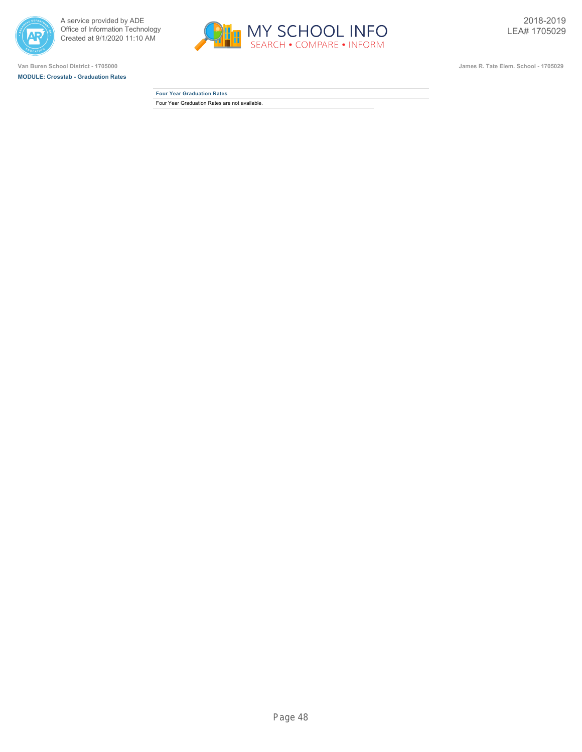



**MODULE: Crosstab - Graduation Rates**



**Van Buren School District - 1705000 James R. Tate Elem. School - 1705029**

**Four Year Graduation Rates** Four Year Graduation Rates are not available.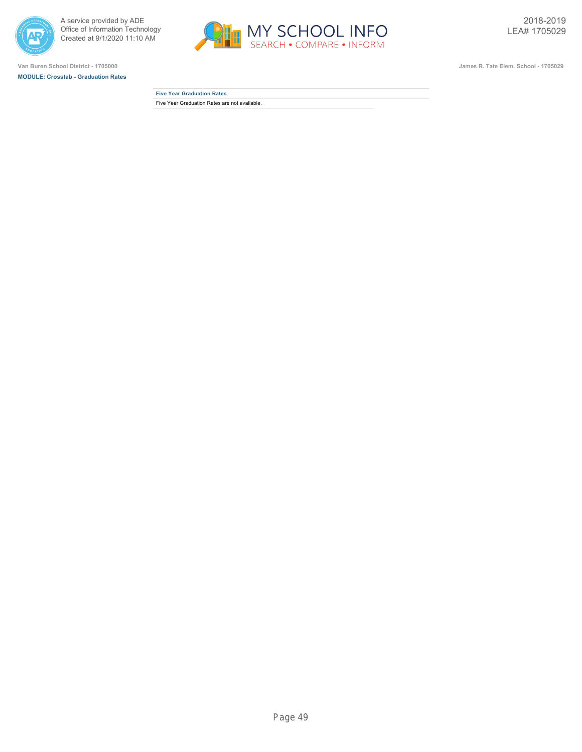



**MODULE: Crosstab - Graduation Rates**



**Five Year Graduation Rates** Five Year Graduation Rates are not available.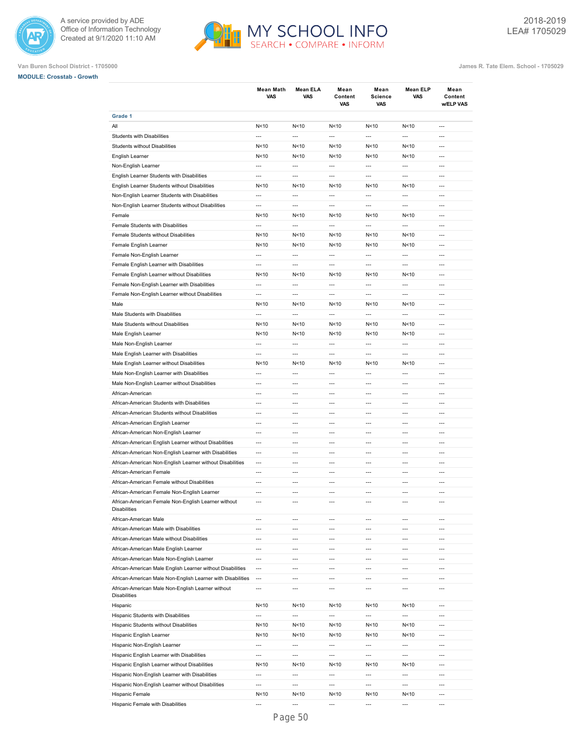



## **Van Buren School District - 1705000 James R. Tate Elem. School - 1705029**

**MODULE: Crosstab - Growth**

|                                                             | <b>Mean Math</b><br>VAS  | Mean ELA<br>VAS          | Mean<br>Content<br>VAS | Mean<br><b>Science</b><br><b>VAS</b> | Mean ELP<br>VAS          | Mean<br>Content<br>w/ELP VAS |
|-------------------------------------------------------------|--------------------------|--------------------------|------------------------|--------------------------------------|--------------------------|------------------------------|
| Grade 1                                                     |                          |                          |                        |                                      |                          |                              |
| All                                                         | N < 10                   | N<10                     | N<10                   | N<10                                 | N < 10                   | ---                          |
| Students with Disabilities                                  | $\overline{\phantom{a}}$ | $\overline{a}$           | $\overline{a}$         | $\overline{a}$                       | $\overline{\phantom{a}}$ | $\overline{a}$               |
| <b>Students without Disabilities</b>                        | N <sub>10</sub>          | N<10                     | N < 10                 | N<10                                 | N<10                     | $\overline{a}$               |
| English Learner                                             | N<10                     | N<10                     | N < 10                 | N<10                                 | N<10                     | $\overline{a}$               |
| Non-English Learner                                         | $\overline{\phantom{a}}$ | $---$                    | $\overline{a}$         | $\overline{a}$                       | $\overline{a}$           | $---$                        |
| English Learner Students with Disabilities                  | $\overline{a}$           | $\overline{a}$           | $\overline{a}$         | $\overline{a}$                       | $\overline{\phantom{a}}$ | $---$                        |
| English Learner Students without Disabilities               | N<10                     | N<10                     | N < 10                 | N<10                                 | N<10                     | $---$                        |
| Non-English Learner Students with Disabilities              | $\overline{a}$           | $\overline{a}$           | $\overline{a}$         | $\overline{a}$                       | $\overline{a}$           | $---$                        |
| Non-English Learner Students without Disabilities           | $\overline{a}$           | $\overline{a}$           | $\overline{a}$         | $\overline{a}$                       | $\overline{a}$           | $\overline{a}$               |
| Female                                                      | N <sub>10</sub>          | N<10                     | N<10                   | N<10                                 | N<10                     | $\overline{a}$               |
| Female Students with Disabilities                           | $\overline{a}$           | $\overline{a}$           | $\overline{a}$         | $\overline{a}$                       | $\overline{\phantom{a}}$ | $\overline{a}$               |
| Female Students without Disabilities                        | N<10                     | N<10                     | N <sub>10</sub>        | N<10                                 | N<10                     | $\overline{a}$               |
| Female English Learner                                      | N<10                     | N<10                     | N < 10                 | N<10                                 | N<10                     | ---                          |
| Female Non-English Learner                                  | $\overline{\phantom{a}}$ | $\overline{a}$           | ---                    | $\overline{a}$                       | $\overline{\phantom{a}}$ | ---                          |
| Female English Learner with Disabilities                    | $\overline{a}$           | ---                      | ---                    | ---                                  | ---                      | ---                          |
| Female English Learner without Disabilities                 | N<10                     | N<10                     | N<10                   | N<10                                 | N<10                     | $\overline{a}$               |
| Female Non-English Learner with Disabilities                | $\overline{a}$           | $\overline{a}$           | $\overline{a}$         | $\overline{a}$                       | $\overline{a}$           | $\overline{a}$               |
| Female Non-English Learner without Disabilities             | $\overline{a}$           | $\overline{a}$           | $\overline{a}$         | $\overline{\phantom{a}}$             | $\overline{a}$           | $\overline{a}$               |
| Male                                                        | N<10                     | N<10                     | N<10                   | N<10                                 | N<10                     | $\overline{a}$               |
| Male Students with Disabilities                             | $\overline{\phantom{a}}$ | $\overline{a}$           | $\overline{a}$         | $\overline{a}$                       | $\overline{a}$           | $\overline{a}$               |
| Male Students without Disabilities                          | N<10                     | N<10                     | N<10                   | N<10                                 | N<10                     | $---$                        |
| Male English Learner                                        | N<10                     | N<10                     | N < 10                 | N<10                                 | N<10                     | $---$                        |
| Male Non-English Learner                                    | $\overline{a}$           | $\overline{a}$           | $\overline{a}$         | $\overline{a}$                       | $\overline{a}$           | $---$                        |
| Male English Learner with Disabilities                      | $\overline{a}$           | $---$                    | $\overline{a}$         | $\overline{a}$                       | $\overline{a}$           | ---                          |
| Male English Learner without Disabilities                   | N <sub>10</sub>          | N<10                     | N<10                   | N<10                                 | N<10                     | $\overline{a}$               |
| Male Non-English Learner with Disabilities                  | $\overline{a}$           | $\overline{a}$           | $\overline{a}$         | $\overline{a}$                       | $\overline{a}$           | $\overline{a}$               |
| Male Non-English Learner without Disabilities               | $\overline{a}$           | $\overline{a}$           | $\overline{a}$         | $\overline{a}$                       | $\overline{\phantom{a}}$ | $\overline{a}$               |
| African-American                                            | $\overline{a}$           | $\overline{a}$           | $\overline{a}$         | $\overline{a}$                       | $\overline{a}$           | $\overline{a}$               |
| African-American Students with Disabilities                 | $\overline{\phantom{a}}$ | $\overline{a}$           | ---                    | $\overline{\phantom{a}}$             | ---                      | ---                          |
| African-American Students without Disabilities              | $\overline{a}$           | $\overline{a}$           | ---                    | ---                                  | $\overline{a}$           | ---                          |
| African-American English Learner                            | $\overline{a}$           | $\overline{a}$           | $\overline{a}$         | $\overline{a}$                       | $\overline{a}$           | ---                          |
| African-American Non-English Learner                        | $\overline{a}$           | ---                      | ---                    | ---                                  | ---                      | ---                          |
| African-American English Learner without Disabilities       | $\overline{a}$           | $---$                    | $\overline{a}$         | ---                                  | ---                      | $\overline{a}$               |
| African-American Non-English Learner with Disabilities      | $\overline{a}$           | $\overline{a}$           | $\overline{a}$         | $\overline{a}$                       | $\overline{a}$           | $\overline{a}$               |
| African-American Non-English Learner without Disabilities   | $\overline{\phantom{a}}$ | $\overline{a}$           | $\overline{a}$         | $\overline{a}$                       | $\overline{a}$           | $\overline{a}$               |
| African-American Female                                     | $\overline{a}$           | $\overline{a}$           | $\overline{a}$         | $\overline{a}$                       | $\overline{a}$           | $\overline{a}$               |
| African-American Female without Disabilities                | $---$                    | $---$                    | ---                    | $\overline{a}$                       | $\overline{a}$           | ---                          |
| African-American Female Non-English Learner                 | $---$                    | $---$                    | $---$                  | $\overline{a}$                       | $\overline{a}$           | ---                          |
| African-American Female Non-English Learner without         | $\overline{a}$           | $---$                    | $\overline{a}$         | $\overline{a}$                       | $\overline{a}$           | ---                          |
| Disabilities                                                |                          |                          |                        |                                      |                          |                              |
| African-American Male                                       | $\overline{a}$           | ---                      | ---                    | ---                                  | ---                      | ---                          |
| African-American Male with Disabilities                     | $\overline{a}$           | $---$                    | $---$                  | $\overline{a}$                       | $\overline{a}$           | $---$                        |
| African-American Male without Disabilities                  | $\overline{a}$           | $---$                    | $---$                  | ---                                  | ---                      | $---$                        |
| African-American Male English Learner                       | $\overline{\phantom{a}}$ | $\overline{a}$           | $\overline{a}$         | ---                                  | $\overline{a}$           | $\overline{a}$               |
| African-American Male Non-English Learner                   | $\overline{\phantom{a}}$ | $\overline{a}$           | $\overline{a}$         | $\overline{a}$                       | $\overline{a}$           | $\overline{a}$               |
| African-American Male English Learner without Disabilities  | $\overline{\phantom{a}}$ | $\overline{a}$           | ---                    | ---                                  | ---                      | ---                          |
| African-American Male Non-English Learner with Disabilities | $\overline{\phantom{a}}$ | $\overline{a}$           | $\overline{a}$         | ---                                  | $\overline{\phantom{a}}$ | $\overline{a}$               |
| African-American Male Non-English Learner without           | ---                      | ---                      | ---                    | ---                                  | $\overline{\phantom{a}}$ | ---                          |
| Disabilities                                                |                          |                          |                        |                                      |                          |                              |
| Hispanic                                                    | N<10                     | N < 10                   | N<10                   | N < 10                               | N<10                     | ---                          |
| Hispanic Students with Disabilities                         | $\overline{\phantom{a}}$ | ---                      | ---                    | $\overline{\phantom{a}}$             | ---                      | ---                          |
| Hispanic Students without Disabilities                      | N<10                     | N<10                     | N < 10                 | N<10                                 | N<10                     | ---                          |
| Hispanic English Learner                                    | N < 10                   | N < 10                   | N < 10                 | N<10                                 | N<10                     | ---                          |
| Hispanic Non-English Learner                                | $\overline{\phantom{a}}$ | $\overline{\phantom{a}}$ | ---                    | $\cdots$                             | $\overline{\phantom{a}}$ | $\overline{\phantom{a}}$     |
| Hispanic English Learner with Disabilities                  | $\overline{a}$           | $\overline{a}$           | ---                    | ---                                  | $\overline{\phantom{a}}$ | ---                          |
| Hispanic English Learner without Disabilities               | N<10                     | N<10                     | N < 10                 | N<10                                 | N<10                     | ---                          |
| Hispanic Non-English Learner with Disabilities              | $\overline{a}$           | $\overline{a}$           | $\overline{a}$         | $\overline{a}$                       | $\overline{a}$           | $\overline{a}$               |
| Hispanic Non-English Learner without Disabilities           | $\overline{\phantom{a}}$ | $\overline{\phantom{a}}$ | $\overline{a}$         | $\overline{\phantom{a}}$             | $\overline{\phantom{a}}$ | $\overline{a}$               |
| Hispanic Female                                             | N<10                     | N<10                     | N < 10                 | N <sub>10</sub>                      | N<10                     | $---$                        |
| Hispanic Female with Disabilities                           | $\overline{a}$           |                          | ---                    | ---                                  |                          | $\overline{a}$               |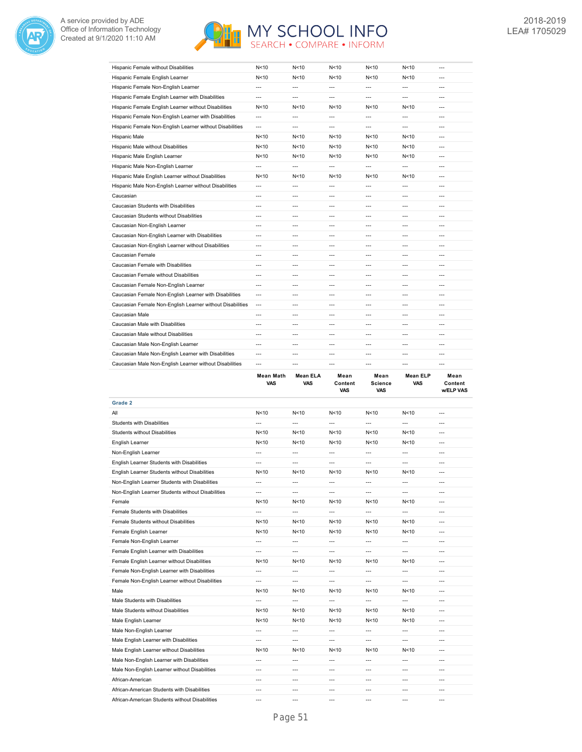



| Hispanic Female without Disabilities                      | N<10           | N <sub>10</sub> | N<10           | N<10   | N < 10         | $---$   |
|-----------------------------------------------------------|----------------|-----------------|----------------|--------|----------------|---------|
| Hispanic Female English Learner                           | N<10           | N <sub>10</sub> | N<10           | N<10   | N < 10         | $---$   |
| Hispanic Female Non-English Learner                       | $\overline{a}$ | ---             | $\overline{a}$ | $---$  | $\overline{a}$ | $---$   |
| Hispanic Female English Learner with Disabilities         | ---            | $---$           | $---$          | ---    | ---            | $---$   |
| Hispanic Female English Learner without Disabilities      | N<10           | N<10            | N<10           | N<10   | N < 10         | $---$   |
| Hispanic Female Non-English Learner with Disabilities     | ---            | ---             | ---            | ---    | $\overline{a}$ | $---$   |
| Hispanic Female Non-English Learner without Disabilities  | ---            | ---             | $\overline{a}$ | $---$  | $\overline{a}$ | $---$   |
| <b>Hispanic Male</b>                                      | N<10           | N <sub>10</sub> | N<10           | N<10   | N < 10         | $---$   |
| Hispanic Male without Disabilities                        | N<10           | N<10            | N < 10         | N < 10 | N < 10         | $---$   |
| Hispanic Male English Learner                             | N<10           | N < 10          | N<10           | N<10   | N < 10         | $---$   |
| Hispanic Male Non-English Learner                         | ---            | ---             | ---            | ---    | ---            | $---$   |
| Hispanic Male English Learner without Disabilities        | N<10           | N <sub>10</sub> | N<10           | N<10   | N < 10         | $---$   |
| Hispanic Male Non-English Learner without Disabilities    | $\overline{a}$ | $---$           | $\overline{a}$ | $---$  | $---$          | $---$   |
| Caucasian                                                 | ---            | $---$           | ---            | ---    | ---            | $---$   |
| Caucasian Students with Disabilities                      | $\overline{a}$ | ---             | ---            | ---    | $\overline{a}$ | $---$   |
| Caucasian Students without Disabilities                   | $---$          | $---$           | $---$          | ---    | $---$          | $---$   |
| Caucasian Non-English Learner                             | $---$          | $---$           | $---$          | $---$  | $---$          | $---$   |
| Caucasian Non-English Learner with Disabilities           | $\overline{a}$ | ---             | ---            | $---$  | $\overline{a}$ | $---$   |
| Caucasian Non-English Learner without Disabilities        | ---            | $---$           | $---$          | $---$  | $---$          | $---$   |
| Caucasian Female                                          | $---$          | $---$           | $---$          | $---$  | $---$          | $---$   |
| Caucasian Female with Disabilities                        | $\overline{a}$ | ---             | ---            | $---$  | $---$          | $---$   |
| Caucasian Female without Disabilities                     | ---            | $---$           | $---$          | $---$  | $---$          | $---$   |
| Caucasian Female Non-English Learner                      | $\overline{a}$ | ---             | ---            | ---    | ---            | ---     |
| Caucasian Female Non-English Learner with Disabilities    | $---$          | $---$           | $---$          | $---$  | $---$          | $---$   |
| Caucasian Female Non-English Learner without Disabilities | $---$          |                 |                | $---$  | $---$          | $---$   |
| Caucasian Male                                            | $---$          | $---$           | $---$          | $---$  | $---$          | $---$   |
| Caucasian Male with Disabilities                          | $---$          | $---$           | $---$          | ---    | $---$          | $---$   |
| Caucasian Male without Disabilities                       | $---$          | $---$           | $---$          | $---$  | $---$          | $---$   |
| Caucasian Male Non-English Learner                        | $\overline{a}$ | ---             | ---            | ---    | ---            | ---     |
| Caucasian Male Non-English Learner with Disabilities      | $---$          | $---$           | $---$          | $---$  | $---$          | $---$   |
| Caucasian Male Non-English Learner without Disabilities   | ---            | $---$           | $---$          | $---$  | $---$          | $---$   |
|                                                           | $M = -1$       | $M = -1A$       |                |        | Moon ELD       | $M - 1$ |

|                                                   | Mean Math<br>VAS | Mean ELA<br><b>VAS</b> | Mean<br>Content<br><b>VAS</b> | Mean<br><b>Science</b><br><b>VAS</b> | Mean ELP<br><b>VAS</b> | Mean<br>Content<br><b>w/ELP VAS</b> |
|---------------------------------------------------|------------------|------------------------|-------------------------------|--------------------------------------|------------------------|-------------------------------------|
| Grade 2                                           |                  |                        |                               |                                      |                        |                                     |
| All                                               | N<10             | N<10                   | N<10                          | N<10                                 | N<10                   | ---                                 |
| <b>Students with Disabilities</b>                 | ---              | $\overline{a}$         | $\overline{a}$                | $\overline{a}$                       | ---                    | $\overline{a}$                      |
| <b>Students without Disabilities</b>              | N<10             | N < 10                 | N <sub>10</sub>               | N<10                                 | N<10                   | $\overline{a}$                      |
| English Learner                                   | N <sub>10</sub>  | N <sub>10</sub>        | N <sub>10</sub>               | N<10                                 | N <sub>10</sub>        | ---                                 |
| Non-English Learner                               | ---              | $---$                  | ---                           | ---                                  | ---                    | ---                                 |
| English Learner Students with Disabilities        | ---              | $\overline{a}$         | $\overline{a}$                | ---                                  | $\overline{a}$         | $\overline{a}$                      |
| English Learner Students without Disabilities     | N<10             | N < 10                 | N<10                          | N<10                                 | N<10                   | ---                                 |
| Non-English Learner Students with Disabilities    | ---              | $\overline{a}$         | $\overline{a}$                | $\overline{a}$                       | $\overline{a}$         | $\overline{a}$                      |
| Non-English Learner Students without Disabilities | ---              | $\overline{a}$         | $\overline{a}$                | $\overline{a}$                       | $\overline{a}$         | $\overline{a}$                      |
| Female                                            | N<10             | N < 10                 | N<10                          | N<10                                 | N <sub>10</sub>        | ---                                 |
| Female Students with Disabilities                 | ---              | $\overline{a}$         | $\overline{a}$                | $\overline{a}$                       | $\overline{a}$         | $\overline{a}$                      |
| Female Students without Disabilities              | N <sub>10</sub>  | N <sub>10</sub>        | N <sub>10</sub>               | N <sub>10</sub>                      | N <sub>10</sub>        | ---                                 |
| Female English Learner                            | N <sub>10</sub>  | N <sub>10</sub>        | N <sub>10</sub>               | N<10                                 | N <sub>10</sub>        | $\overline{a}$                      |
| Female Non-English Learner                        | ---              | $\overline{a}$         | ---                           | ---                                  | $---$                  | ---                                 |
| Female English Learner with Disabilities          | ---              | $\overline{a}$         | $\overline{a}$                | ---                                  | $\overline{a}$         | $---$                               |
| Female English Learner without Disabilities       | N<10             | N<10                   | N<10                          | N<10                                 | N < 10                 | $\overline{a}$                      |
| Female Non-English Learner with Disabilities      | ---              | $\overline{a}$         | $\overline{a}$                | $\overline{a}$                       | $\overline{a}$         | ---                                 |
| Female Non-English Learner without Disabilities   | ---              | $\overline{a}$         | $\overline{a}$                | $\overline{a}$                       | $\overline{a}$         | $\overline{a}$                      |
| Male                                              | N<10             | N < 10                 | N<10                          | N<10                                 | N <sub>10</sub>        | $\overline{a}$                      |
| Male Students with Disabilities                   | ---              | $\overline{a}$         | $\overline{a}$                | ---                                  | $---$                  | ---                                 |
| Male Students without Disabilities                | N<10             | N<10                   | N<10                          | N <sub>10</sub>                      | N <sub>10</sub>        | ---                                 |
| Male English Learner                              | N<10             | N < 10                 | N<10                          | N<10                                 | N < 10                 | ---                                 |
| Male Non-English Learner                          | $\overline{a}$   | $\overline{a}$         | $\overline{a}$                | $\overline{a}$                       | $\overline{a}$         | $---$                               |
| Male English Learner with Disabilities            | ---              | $\overline{a}$         | $\overline{a}$                | $\overline{a}$                       | $\overline{a}$         | $\overline{a}$                      |
| Male English Learner without Disabilities         | N<10             | N<10                   | N<10                          | N<10                                 | N < 10                 | $\overline{a}$                      |
| Male Non-English Learner with Disabilities        | ---              | $\overline{a}$         | $\overline{a}$                | $\overline{a}$                       | $\overline{a}$         | ---                                 |
| Male Non-English Learner without Disabilities     | ---              | $\overline{a}$         | $\overline{a}$                | $\overline{a}$                       | $\overline{a}$         | $\overline{a}$                      |
| African-American                                  | ---              | $---$                  | ---                           | ---                                  | ---                    | ---                                 |
| African-American Students with Disabilities       | ---              | $\overline{a}$         | $\overline{a}$                | ---                                  | ---                    | ---                                 |
| African-American Students without Disabilities    | ---              | $\overline{a}$         | $\overline{a}$                | ---                                  | $\overline{a}$         | $\overline{a}$                      |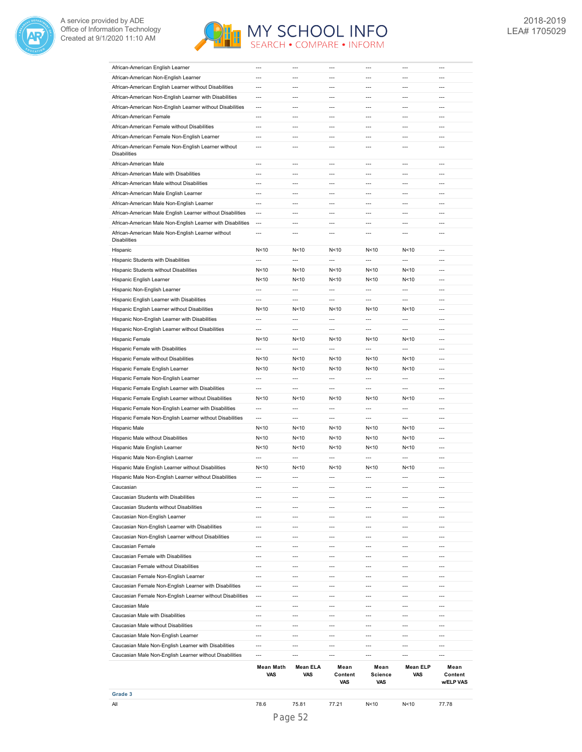



| African-American English Learner                            | $\overline{a}$           | $---$                    | ---                      | $\overline{a}$           | $---$                  | ---                  |
|-------------------------------------------------------------|--------------------------|--------------------------|--------------------------|--------------------------|------------------------|----------------------|
| African-American Non-English Learner                        | $\overline{a}$           | $---$                    | $---$                    | $\overline{a}$           | $---$                  | $---$                |
| African-American English Learner without Disabilities       | $\overline{a}$           | $\overline{a}$           | $\overline{a}$           | $\overline{a}$           | $\overline{a}$         | $\overline{a}$       |
| African-American Non-English Learner with Disabilities      | $\overline{\phantom{a}}$ | $\overline{a}$           | $\overline{a}$           | $\overline{\phantom{a}}$ | $\overline{a}$         | $\overline{a}$       |
| African-American Non-English Learner without Disabilities   | ---                      | $\overline{a}$           | $\overline{a}$           | $\overline{\phantom{a}}$ | $\overline{a}$         | ---                  |
| African-American Female                                     | $\overline{a}$           | $\overline{\phantom{a}}$ | $\overline{a}$           | $\overline{\phantom{a}}$ | ---                    | ---                  |
| African-American Female without Disabilities                | ---                      | $\overline{a}$           | $\overline{a}$           | $\overline{a}$           | $\overline{a}$         | ---                  |
| African-American Female Non-English Learner                 | $\overline{a}$           | $\overline{a}$           | $\overline{a}$           | $\overline{\phantom{a}}$ | $\overline{a}$         | ---                  |
| African-American Female Non-English Learner without         | ---                      | $\overline{a}$           | $\overline{a}$           | $\overline{a}$           | $\overline{a}$         | ---                  |
| <b>Disabilities</b>                                         |                          |                          |                          |                          |                        |                      |
| African-American Male                                       | $\overline{a}$           | $\overline{a}$           | $\overline{a}$           | $\overline{a}$           | $\overline{a}$         | ---                  |
| African-American Male with Disabilities                     | $\overline{\phantom{a}}$ | $\overline{\phantom{a}}$ | $\overline{\phantom{a}}$ | $\overline{\phantom{a}}$ | ---                    | ---                  |
| African-American Male without Disabilities                  | ---                      | $\overline{a}$           | $\overline{a}$           | $\overline{a}$           | $\overline{a}$         | ---                  |
| African-American Male English Learner                       | $\overline{\phantom{a}}$ | $\overline{\phantom{a}}$ | $\overline{a}$           | $\overline{\phantom{a}}$ | ---                    | $\overline{a}$       |
|                                                             |                          |                          |                          |                          |                        |                      |
| African-American Male Non-English Learner                   | $\overline{a}$           | $\overline{a}$           | $\overline{a}$           | $\overline{a}$           | $\overline{a}$         | $\overline{a}$       |
| African-American Male English Learner without Disabilities  | $\overline{\phantom{a}}$ | $\overline{a}$           | $\overline{a}$           | $\overline{a}$           | ---                    | $\overline{a}$       |
| African-American Male Non-English Learner with Disabilities | $\overline{a}$           | $\overline{a}$           | $\overline{a}$           | $\overline{a}$           | $\overline{a}$         | $\overline{a}$       |
| African-American Male Non-English Learner without           | $\overline{a}$           | $\overline{a}$           | $\overline{a}$           | $---$                    | $---$                  | ---                  |
| <b>Disabilities</b>                                         |                          |                          |                          |                          |                        |                      |
| Hispanic                                                    | N < 10                   | N<10                     | N < 10                   | N<10                     | N<10                   | ---                  |
| Hispanic Students with Disabilities                         | $\overline{a}$           | $\overline{a}$           | $\overline{a}$           | $\overline{a}$           | ---                    | $\overline{a}$       |
| Hispanic Students without Disabilities                      | N < 10                   | N <sub>10</sub>          | N<10                     | N <sub>10</sub>          | N < 10                 | $---$                |
| Hispanic English Learner                                    | N < 10                   | N < 10                   | N<10                     | N<10                     | N < 10                 | $---$                |
| Hispanic Non-English Learner                                | $\overline{a}$           | ---                      | $\overline{\phantom{a}}$ | $\overline{\phantom{a}}$ | $\overline{a}$         | $---$                |
| Hispanic English Learner with Disabilities                  | $\overline{a}$           | $\overline{a}$           | $\overline{a}$           | $\overline{a}$           | $\overline{a}$         | $---$                |
| Hispanic English Learner without Disabilities               | N<10                     | N < 10                   | N<10                     | N<10                     | N < 10                 | $\overline{a}$       |
| Hispanic Non-English Learner with Disabilities              | $\overline{a}$           | $\overline{a}$           | $\overline{a}$           | $\overline{a}$           | $\overline{a}$         | $\overline{a}$       |
| Hispanic Non-English Learner without Disabilities           | ---                      | $\overline{a}$           | $\overline{a}$           | $\overline{\phantom{a}}$ | ---                    | ---                  |
| Hispanic Female                                             | N < 10                   | N<10                     | N<10                     | N<10                     | N < 10                 | ---                  |
| Hispanic Female with Disabilities                           | ---                      | ---                      | $\overline{a}$           | $\overline{\phantom{a}}$ | ---                    | ---                  |
| Hispanic Female without Disabilities                        | N < 10                   | N < 10                   | N<10                     | N<10                     | N < 10                 | ---                  |
| Hispanic Female English Learner                             | N < 10                   | N < 10                   | N<10                     | N<10                     | N < 10                 | ---                  |
| Hispanic Female Non-English Learner                         | $\overline{\phantom{a}}$ | $\overline{\phantom{a}}$ | $\overline{\phantom{a}}$ | $\overline{\phantom{a}}$ | ---                    | ---                  |
|                                                             | $\overline{a}$           | $\overline{a}$           | $\overline{a}$           | $\overline{a}$           | $\overline{a}$         | $\overline{a}$       |
| Hispanic Female English Learner with Disabilities           |                          |                          |                          |                          |                        |                      |
| Hispanic Female English Learner without Disabilities        | N < 10                   | N < 10                   | N < 10                   | N < 10                   | N<10                   | ---                  |
| Hispanic Female Non-English Learner with Disabilities       | $\overline{a}$           | $\overline{a}$           | $\overline{a}$           | $\overline{a}$           | $\overline{a}$         | $\overline{a}$       |
| Hispanic Female Non-English Learner without Disabilities    | $\overline{\phantom{a}}$ | $\overline{a}$           | $\overline{a}$           | $\overline{a}$           | $\overline{a}$         | $\overline{a}$       |
| <b>Hispanic Male</b>                                        | N<10                     | N<10                     | N <sub>10</sub>          | N<10                     | N<10                   | $---$                |
| Hispanic Male without Disabilities                          | N<10                     | N < 10                   | N<10                     | N <sub>10</sub>          | N<10                   | $---$                |
| Hispanic Male English Learner                               | N < 10                   | N < 10                   | N<10                     | N<10                     | N<10                   | $---$                |
| Hispanic Male Non-English Learner                           | $\overline{a}$           | $\overline{a}$           | $\overline{a}$           | $\overline{a}$           | $\overline{a}$         | $---$                |
| Hispanic Male English Learner without Disabilities          | N < 10                   | N<10                     | N<10                     | N<10                     | N<10                   | ---                  |
| Hispanic Male Non-English Learner without Disabilities      | $\overline{a}$           | $\overline{a}$           | $\overline{a}$           | $\overline{a}$           | $\overline{a}$         | $\overline{a}$       |
| Caucasian                                                   | $---$                    | $---$                    | $---$                    | $\hspace{0.05cm} \ldots$ | $---$                  | ---                  |
| Caucasian Students with Disabilities                        | $\overline{a}$           | $\overline{a}$           | $---$                    | $---$                    | $\overline{a}$         | ---                  |
| Caucasian Students without Disabilities                     | ---                      | ---                      | $\overline{a}$           | $\overline{\phantom{a}}$ | ---                    | ---                  |
| Caucasian Non-English Learner                               | ---                      | ---                      | ---                      | ---                      | ---                    | ---                  |
| Caucasian Non-English Learner with Disabilities             | ---                      | ---                      | ---                      | $\overline{\phantom{a}}$ | ---                    | ---                  |
| Caucasian Non-English Learner without Disabilities          | ---                      |                          |                          | ---                      |                        | ---                  |
| Caucasian Female                                            | ---                      | $\overline{a}$           | ---                      | $\overline{\phantom{a}}$ | ---                    | ---                  |
| Caucasian Female with Disabilities                          | ---                      | $---$                    | $\overline{a}$           | ---                      | ---                    | $\overline{a}$       |
| Caucasian Female without Disabilities                       | ---                      | ---                      | ---                      | ---                      | ---                    | ---                  |
| Caucasian Female Non-English Learner                        | $\overline{a}$           | $\overline{a}$           | $\overline{a}$           | $\overline{a}$           | $---$                  | $\overline{a}$       |
| Caucasian Female Non-English Learner with Disabilities      | $\overline{\phantom{a}}$ | $---$                    | ---                      | $---$                    | $---$                  | $---$                |
| Caucasian Female Non-English Learner without Disabilities   | $---$                    | $---$                    | $\overline{a}$           | $---$                    | $---$                  | $---$                |
|                                                             |                          |                          |                          |                          |                        |                      |
| Caucasian Male                                              | $\overline{a}$           | ---                      | $---$                    | $---$                    | ---                    | ---                  |
| Caucasian Male with Disabilities                            | $\overline{a}$           | $---$                    | $---$                    | $---$                    | $---$                  | $---$                |
| Caucasian Male without Disabilities                         | $---$                    | $\overline{a}$           | $---$                    | $---$                    | $\overline{a}$         | ---                  |
| Caucasian Male Non-English Learner                          | $---$                    | ---                      | $---$                    | $\overline{a}$           | ---                    | $\overline{a}$       |
| Caucasian Male Non-English Learner with Disabilities        | $\overline{a}$           | $\overline{a}$           | $---$                    | $---$                    | $---$                  | ---                  |
| Caucasian Male Non-English Learner without Disabilities     | $\overline{a}$           | $\overline{a}$           | $\overline{a}$           | $\overline{a}$           | ---                    | ---                  |
|                                                             | <b>Mean Math</b>         | Mean ELA                 | Mean                     | Mean                     | <b>Mean ELP</b><br>VAS | Mean                 |
|                                                             | VAS                      | VAS                      | Content<br>VAS           | Science<br>VAS           |                        | Content<br>w/ELP VAS |
|                                                             |                          |                          |                          |                          |                        |                      |

**Grade 3**

## All 78.6 75.81 77.21 N<10 N<10 77.78 Page 52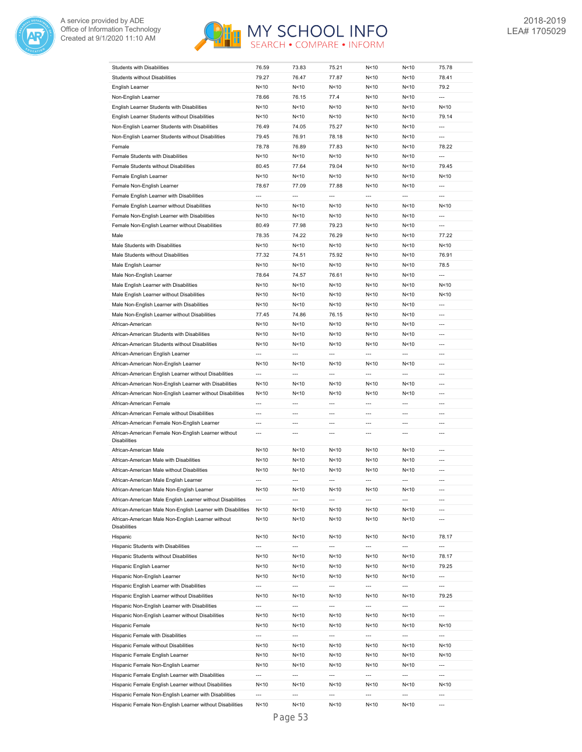



|                                                                            |                          |                          |                          | N<10                     |                          | 75.78                    |
|----------------------------------------------------------------------------|--------------------------|--------------------------|--------------------------|--------------------------|--------------------------|--------------------------|
| Students with Disabilities                                                 | 76.59                    | 73.83                    | 75.21                    |                          | N < 10                   |                          |
| <b>Students without Disabilities</b>                                       | 79.27                    | 76.47                    | 77.87                    | N<10                     | N < 10                   | 78.41                    |
| English Learner                                                            | N<10                     | N < 10                   | N<10                     | N < 10                   | N<10                     | 79.2                     |
| Non-English Learner                                                        | 78.66                    | 76.15                    | 77.4                     | N<10                     | N<10                     | $\overline{a}$           |
| English Learner Students with Disabilities                                 | N<10                     | N < 10                   | N <sub>10</sub>          | N<10                     | N<10                     | N < 10                   |
| English Learner Students without Disabilities                              | N<10                     | N < 10                   | N<10                     | N<10                     | N<10                     | 79.14                    |
| Non-English Learner Students with Disabilities                             | 76.49                    | 74.05                    | 75.27                    | N<10                     | N<10                     | $\overline{a}$           |
|                                                                            |                          |                          |                          |                          |                          |                          |
| Non-English Learner Students without Disabilities                          | 79.45                    | 76.91                    | 78.18                    | N<10                     | N<10                     | ---                      |
| Female                                                                     | 78.78                    | 76.89                    | 77.83                    | N<10                     | N<10                     | 78.22                    |
| Female Students with Disabilities                                          | N<10                     | N < 10                   | N<10                     | N<10                     | N<10                     | $\overline{a}$           |
| Female Students without Disabilities                                       | 80.45                    | 77.64                    | 79.04                    | N<10                     | N < 10                   | 79.45                    |
| Female English Learner                                                     | N < 10                   | N<10                     | N < 10                   | N<10                     | N < 10                   | N < 10                   |
| Female Non-English Learner                                                 | 78.67                    | 77.09                    | 77.88                    | N<10                     | N < 10                   | ---                      |
|                                                                            |                          |                          |                          |                          |                          |                          |
| Female English Learner with Disabilities                                   | $\overline{\phantom{a}}$ | $\overline{a}$           | $\overline{a}$           | $\hspace{0.05cm} \ldots$ | ---                      | ---                      |
| Female English Learner without Disabilities                                | N < 10                   | N<10                     | N < 10                   | N<10                     | N < 10                   | N<10                     |
| Female Non-English Learner with Disabilities                               | N<10                     | N < 10                   | N<10                     | N<10                     | N<10                     | ---                      |
| Female Non-English Learner without Disabilities                            | 80.49                    | 77.98                    | 79.23                    | N<10                     | N < 10                   | $\overline{a}$           |
| Male                                                                       | 78.35                    | 74.22                    | 76.29                    | N<10                     | N<10                     | 77.22                    |
| Male Students with Disabilities                                            | N<10                     | N<10                     | N<10                     | N<10                     | N<10                     | N < 10                   |
|                                                                            |                          |                          |                          |                          |                          |                          |
| Male Students without Disabilities                                         | 77.32                    | 74.51                    | 75.92                    | N<10                     | N<10                     | 76.91                    |
| Male English Learner                                                       | N<10                     | N<10                     | N<10                     | N<10                     | N<10                     | 78.5                     |
| Male Non-English Learner                                                   | 78.64                    | 74.57                    | 76.61                    | N < 10                   | N<10                     | ---                      |
| Male English Learner with Disabilities                                     | N<10                     | N<10                     | N<10                     | N<10                     | N<10                     | N<10                     |
| Male English Learner without Disabilities                                  | N<10                     | N<10                     | N<10                     | N<10                     | N<10                     | N<10                     |
| Male Non-English Learner with Disabilities                                 | N<10                     | N < 10                   | N<10                     | N<10                     | N<10                     | ---                      |
|                                                                            |                          |                          |                          |                          |                          |                          |
| Male Non-English Learner without Disabilities                              | 77.45                    | 74.86                    | 76.15                    | N<10                     | N<10                     | $\overline{a}$           |
| African-American                                                           | N < 10                   | N<10                     | N < 10                   | N<10                     | N < 10                   | ---                      |
| African-American Students with Disabilities                                | N < 10                   | N<10                     | N < 10                   | N<10                     | N < 10                   | ---                      |
| African-American Students without Disabilities                             | N<10                     | N < 10                   | N<10                     | N<10                     | N < 10                   | ---                      |
| African-American English Learner                                           | ---                      | ---                      | $\overline{a}$           | ---                      | ---                      | ---                      |
| African-American Non-English Learner                                       | N<10                     | N<10                     | N<10                     | N<10                     | N < 10                   | ---                      |
|                                                                            | ---                      | $\overline{a}$           | ---                      | ---                      | ---                      | $\overline{a}$           |
| African-American English Learner without Disabilities                      |                          |                          |                          |                          |                          |                          |
| African-American Non-English Learner with Disabilities                     | N<10                     | N<10                     | N <sub>10</sub>          | N < 10                   | N<10                     | $\overline{a}$           |
| African-American Non-English Learner without Disabilities                  | N < 10                   | N<10                     | N < 10                   | N<10                     | N < 10                   | $\overline{a}$           |
| African-American Female                                                    | $\overline{a}$           | ---                      | $\overline{a}$           | ---                      | $\overline{a}$           | ---                      |
| African-American Female without Disabilities                               | $---$                    | $---$                    | $\overline{a}$           | $---$                    | $\overline{a}$           | $---$                    |
| African-American Female Non-English Learner                                | ---                      | ---                      | $---$                    | ---                      | ---                      | ---                      |
|                                                                            | $\overline{a}$           | $---$                    | $\overline{a}$           | $\overline{a}$           | $\overline{a}$           | ---                      |
| African-American Female Non-English Learner without<br><b>Disabilities</b> |                          |                          |                          |                          |                          |                          |
| African-American Male                                                      | N<10                     | N<10                     | N <sub>10</sub>          | N<10                     | N<10                     | $---$                    |
|                                                                            |                          |                          |                          |                          |                          |                          |
| African-American Male with Disabilities                                    | N<10                     | N<10                     | N <sub>10</sub>          | N<10                     | N<10                     | ---                      |
| African-American Male without Disabilities                                 | N < 10                   | N<10                     | N <sub>10</sub>          | N<10                     | N < 10                   | ---                      |
| African-American Male English Learner                                      | $\overline{a}$           |                          | $\overline{a}$           | $\overline{a}$           | $\overline{a}$           | $\overline{a}$           |
| African-American Male Non-English Learner                                  | N < 10                   | N<10                     | N <sub>10</sub>          | N<10                     | N<10                     | ---                      |
| African-American Male English Learner without Disabilities                 | ---                      | ---                      | $\overline{a}$           | ---                      | ---                      | $\overline{a}$           |
| African-American Male Non-English Learner with Disabilities                | N<10                     | N<10                     | N<10                     | N<10                     | N < 10                   | ---                      |
|                                                                            |                          |                          |                          |                          |                          |                          |
| African-American Male Non-English Learner without<br><b>Disabilities</b>   | N<10                     | N<10                     | N<10                     | N<10                     | N < 10                   | ---                      |
|                                                                            |                          |                          |                          |                          |                          |                          |
| Hispanic                                                                   | N<10                     | N<10                     | N<10                     | N<10                     | N <sub>10</sub>          | 78.17                    |
| Hispanic Students with Disabilities                                        | $\overline{\phantom{a}}$ | ---                      | $\overline{\phantom{a}}$ | $\overline{\phantom{a}}$ | $\overline{\phantom{a}}$ | ---                      |
| Hispanic Students without Disabilities                                     | N<10                     | N<10                     | N < 10                   | N<10                     | N<10                     | 78.17                    |
| Hispanic English Learner                                                   | N < 10                   | N<10                     | N<10                     | N<10                     | N < 10                   | 79.25                    |
| Hispanic Non-English Learner                                               | N < 10                   | N<10                     | N < 10                   | N<10                     | N<10                     | ---                      |
| Hispanic English Learner with Disabilities                                 | $\overline{\phantom{a}}$ | $\overline{\phantom{a}}$ | $\overline{a}$           | $\overline{\phantom{a}}$ | $\overline{\phantom{a}}$ | ---                      |
|                                                                            |                          |                          |                          |                          |                          |                          |
| Hispanic English Learner without Disabilities                              | N<10                     | N<10                     | N < 10                   | N<10                     | N<10                     | 79.25                    |
| Hispanic Non-English Learner with Disabilities                             | $\overline{\phantom{a}}$ | $\overline{\phantom{a}}$ | $\overline{\phantom{a}}$ | $\hspace{0.05cm} \ldots$ | $\overline{\phantom{a}}$ | $\overline{\phantom{a}}$ |
| Hispanic Non-English Learner without Disabilities                          | N<10                     | N<10                     | N<10                     | N<10                     | N<10                     | ---                      |
| Hispanic Female                                                            |                          | N<10                     | N < 10                   | N<10                     | N<10                     | N<10                     |
|                                                                            | N<10                     |                          |                          |                          |                          | ---                      |
| Hispanic Female with Disabilities                                          | ---                      | ---                      | ---                      | ---                      | ---                      |                          |
|                                                                            |                          |                          |                          |                          |                          | N<10                     |
| Hispanic Female without Disabilities                                       | N<10                     | N < 10                   | N < 10                   | N <sub>10</sub>          | N<10                     |                          |
| Hispanic Female English Learner                                            | N<10                     | N<10                     | N<10                     | N<10                     | N<10                     | N<10                     |
| Hispanic Female Non-English Learner                                        | N < 10                   | N<10                     | N<10                     | N<10                     | N<10                     | ---                      |
| Hispanic Female English Learner with Disabilities                          | ---                      | ---                      | ---                      | $\overline{\phantom{a}}$ | ---                      | ---                      |
| Hispanic Female English Learner without Disabilities                       | N<10                     | N<10                     | N<10                     | N<10                     | N <sub>10</sub>          | N<10                     |
| Hispanic Female Non-English Learner with Disabilities                      | ---                      | ---                      | ---                      | ---                      | ---                      | ---                      |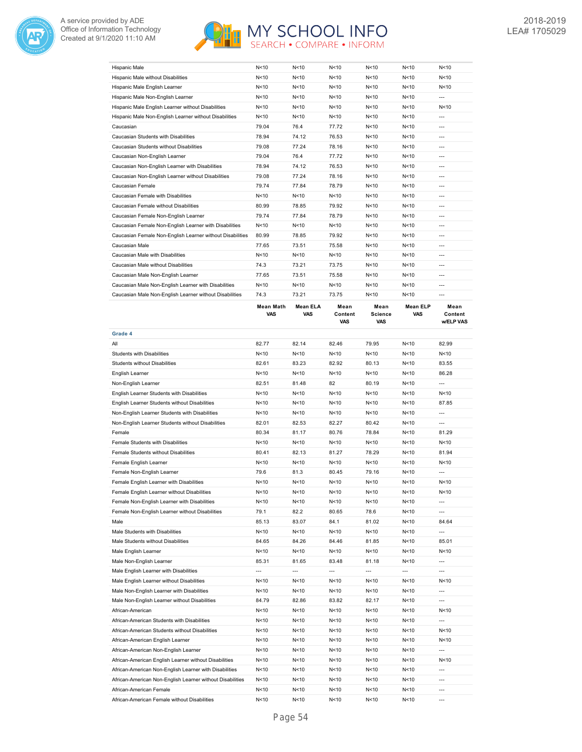



| N<10   | N<10            | N<10   | N<10 | N<10            | N<10  |
|--------|-----------------|--------|------|-----------------|-------|
| N<10   | N<10            | N<10   | N<10 | N <sub>10</sub> | N<10  |
| N < 10 | N <sub>10</sub> | N<10   | N<10 | N <sub>10</sub> | N<10  |
| N<10   | N<10            | N < 10 | N<10 | N<10            | $---$ |
| N<10   | N<10            | N<10   | N<10 | N<10            | N<10  |
| N < 10 | N<10            | N<10   | N<10 | N<10            | ---   |
| 79.04  | 76.4            | 77.72  | N<10 | N <sub>10</sub> | $---$ |
| 78.94  | 74.12           | 76.53  | N<10 | N<10            | $---$ |
| 79.08  | 77.24           | 78.16  | N<10 | N<10            | $---$ |
| 79.04  | 76.4            | 77.72  | N<10 | N<10            | $---$ |
| 78.94  | 74.12           | 76.53  | N<10 | N < 10          | $---$ |
| 79.08  | 77.24           | 78.16  | N<10 | N<10            | ---   |
| 79.74  | 77.84           | 78.79  | N<10 | N<10            | $---$ |
| N<10   | N <sub>10</sub> | N<10   | N<10 | N<10            | $---$ |
| 80.99  | 78.85           | 79.92  | N<10 | N<10            | $---$ |
| 79.74  | 77.84           | 78.79  | N<10 | N < 10          | $---$ |
| N < 10 | N<10            | N<10   | N<10 | N < 10          | $---$ |
| 80.99  | 78.85           | 79.92  | N<10 | N <sub>10</sub> | $---$ |
| 77.65  | 73.51           | 75.58  | N<10 | N<10            | $---$ |
| N<10   | N<10            | N < 10 | N<10 | N < 10          | $---$ |
| 74.3   | 73.21           | 73.75  | N<10 | N<10            | ---   |
| 77.65  | 73.51           | 75.58  | N<10 | N < 10          | $---$ |
| N<10   | N<10            | N<10   | N<10 | N<10            | $---$ |
| 74.3   | 73.21           | 73.75  | N<10 | N<10            | $---$ |
|        |                 |        |      |                 |       |

|                                                           | Mean Math<br><b>VAS</b> | <b>Mean ELA</b><br><b>VAS</b> | Mean<br>Content<br>VAS | Mean<br><b>Science</b><br><b>VAS</b> | <b>Mean ELP</b><br><b>VAS</b> | Mean<br>Content<br>w/ELP VAS |
|-----------------------------------------------------------|-------------------------|-------------------------------|------------------------|--------------------------------------|-------------------------------|------------------------------|
| Grade 4                                                   |                         |                               |                        |                                      |                               |                              |
| All                                                       | 82.77                   | 82.14                         | 82.46                  | 79.95                                | N<10                          | 82.99                        |
| <b>Students with Disabilities</b>                         | N < 10                  | N <sub>10</sub>               | N<10                   | N<10                                 | N <sub>10</sub>               | N < 10                       |
| <b>Students without Disabilities</b>                      | 82.61                   | 83.23                         | 82.92                  | 80.13                                | N <sub>10</sub>               | 83.55                        |
| English Learner                                           | N<10                    | N <sub>10</sub>               | N<10                   | N<10                                 | N<10                          | 86.28                        |
| Non-English Learner                                       | 82.51                   | 81.48                         | 82                     | 80.19                                | N < 10                        | $\overline{a}$               |
| English Learner Students with Disabilities                | N < 10                  | N <sub>10</sub>               | N <sub>10</sub>        | N<10                                 | N<10                          | N <sub>10</sub>              |
| English Learner Students without Disabilities             | N < 10                  | N <sub>10</sub>               | N <sub>10</sub>        | N<10                                 | N <sub>10</sub>               | 87.85                        |
| Non-English Learner Students with Disabilities            | N<10                    | N<10                          | N<10                   | N<10                                 | N <sub>10</sub>               | ---                          |
| Non-English Learner Students without Disabilities         | 82.01                   | 82.53                         | 82.27                  | 80.42                                | N<10                          | $\overline{a}$               |
| Female                                                    | 80.34                   | 81.17                         | 80.76                  | 78.84                                | N <sub>10</sub>               | 81.29                        |
| Female Students with Disabilities                         | N<10                    | N<10                          | N<10                   | N<10                                 | N<10                          | N <sub>10</sub>              |
| Female Students without Disabilities                      | 80.41                   | 82.13                         | 81.27                  | 78.29                                | N<10                          | 81.94                        |
| Female English Learner                                    | N < 10                  | N <sub>10</sub>               | N<10                   | N<10                                 | N < 10                        | N<10                         |
| Female Non-English Learner                                | 79.6                    | 81.3                          | 80.45                  | 79.16                                | N <sub>10</sub>               | $\overline{a}$               |
| Female English Learner with Disabilities                  | N<10                    | N<10                          | N<10                   | N<10                                 | N<10                          | N<10                         |
| Female English Learner without Disabilities               | N < 10                  | N <sub>10</sub>               | N<10                   | N<10                                 | N <sub>10</sub>               | N < 10                       |
| Female Non-English Learner with Disabilities              | N <sub>10</sub>         | N <sub>10</sub>               | N <sub>10</sub>        | N <sub>10</sub>                      | N<10                          | $\overline{a}$               |
| Female Non-English Learner without Disabilities           | 79.1                    | 82.2                          | 80.65                  | 78.6                                 | N<10                          | ---                          |
| Male                                                      | 85.13                   | 83.07                         | 84.1                   | 81.02                                | N < 10                        | 84.64                        |
| Male Students with Disabilities                           | N<10                    | N<10                          | N <sub>10</sub>        | N<10                                 | N<10                          | ---                          |
| Male Students without Disabilities                        | 84.65                   | 84.26                         | 84.46                  | 81.85                                | N <sub>10</sub>               | 85.01                        |
| Male English Learner                                      | N<10                    | N <sub>10</sub>               | N <sub>10</sub>        | N <sub>10</sub>                      | N <sub>10</sub>               | N <sub>10</sub>              |
| Male Non-English Learner                                  | 85.31                   | 81.65                         | 83.48                  | 81.18                                | N<10                          | ---                          |
| Male English Learner with Disabilities                    | $\overline{a}$          | $\overline{a}$                | ---                    | ---                                  | $\overline{a}$                | ---                          |
| Male English Learner without Disabilities                 | N<10                    | N<10                          | N<10                   | N<10                                 | N<10                          | N <sub>10</sub>              |
| Male Non-English Learner with Disabilities                | N < 10                  | N <sub>10</sub>               | N<10                   | N<10                                 | N<10                          | ---                          |
| Male Non-English Learner without Disabilities             | 84.79                   | 82.86                         | 83.82                  | 82.17                                | N < 10                        | $\overline{a}$               |
| African-American                                          | N<10                    | N <sub>10</sub>               | N <sub>10</sub>        | N<10                                 | N <sub>10</sub>               | N <sub>10</sub>              |
| African-American Students with Disabilities               | N<10                    | N <sub>10</sub>               | N<10                   | N<10                                 | N<10                          | ---                          |
| African-American Students without Disabilities            | N<10                    | N <sub>10</sub>               | N<10                   | N<10                                 | N<10                          | N < 10                       |
| African-American English Learner                          | N<10                    | N<10                          | N <sub>10</sub>        | N<10                                 | N <sub>10</sub>               | N <sub>10</sub>              |
| African-American Non-English Learner                      | N <sub>10</sub>         | N<10                          | N<10                   | N<10                                 | N <sub>10</sub>               | ---                          |
| African-American English Learner without Disabilities     | N<10                    | N<10                          | N<10                   | N<10                                 | N<10                          | N<10                         |
| African-American Non-English Learner with Disabilities    | N < 10                  | N <sub>10</sub>               | N<10                   | N<10                                 | N < 10                        | ---                          |
| African-American Non-English Learner without Disabilities | N < 10                  | N <sub>10</sub>               | N<10                   | N<10                                 | N < 10                        | $\overline{a}$               |
| African-American Female                                   | N<10                    | N<10                          | N<10                   | N<10                                 | N<10                          | $---$                        |
| African-American Female without Disabilities              | N < 10                  | N <sub>10</sub>               | N<10                   | N<10                                 | N <sub>10</sub>               | $\overline{a}$               |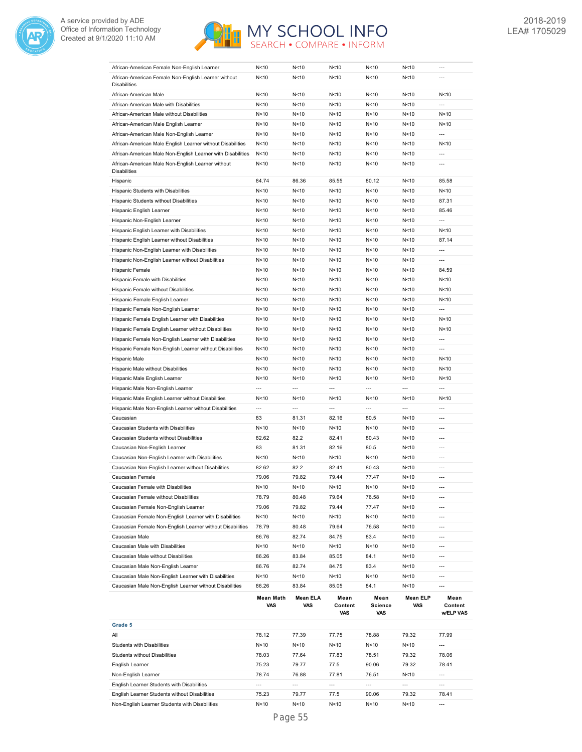



| African-American Female Non-English Learner                 | N<10                     | N <sub>10</sub> | N < 10                 | N<10                                 | N<10                     |                              |
|-------------------------------------------------------------|--------------------------|-----------------|------------------------|--------------------------------------|--------------------------|------------------------------|
| African-American Female Non-English Learner without         | N<10                     | N<10            | N < 10                 | N<10                                 | N < 10                   | ---                          |
| <b>Disabilities</b>                                         |                          |                 |                        |                                      |                          |                              |
| African-American Male                                       | N<10                     | N<10            | N < 10                 | N<10                                 | N<10                     | N<10                         |
| African-American Male with Disabilities                     | N < 10                   | N<10            | N < 10                 | N<10                                 | N<10                     | ---                          |
| African-American Male without Disabilities                  | N < 10                   | N<10            | N < 10                 | N<10                                 | N<10                     | N<10                         |
| African-American Male English Learner                       | N < 10                   | N<10            | N < 10                 | N<10                                 | N < 10                   | N<10                         |
| African-American Male Non-English Learner                   | N < 10                   | N<10            | N < 10                 | N<10                                 | N < 10                   | ---                          |
| African-American Male English Learner without Disabilities  | N < 10                   | N<10            | N < 10                 | N<10                                 | N < 10                   | N<10                         |
| African-American Male Non-English Learner with Disabilities | N < 10                   | N<10            | N < 10                 | N<10                                 | N<10                     | $\overline{a}$               |
| African-American Male Non-English Learner without           | N < 10                   | N<10            | N < 10                 | N<10                                 | N<10                     | $\overline{a}$               |
| <b>Disabilities</b>                                         |                          |                 |                        |                                      |                          |                              |
| Hispanic                                                    | 84.74                    | 86.36           | 85.55                  | 80.12                                | N < 10                   | 85.58                        |
| Hispanic Students with Disabilities                         | N < 10                   | N<10            | N < 10                 | N<10                                 | N < 10                   | N<10                         |
| Hispanic Students without Disabilities                      | N < 10                   | N<10            | N < 10                 | N<10                                 | N < 10                   | 87.31                        |
| Hispanic English Learner                                    | N<10                     | N<10            | N < 10                 | N<10                                 | N < 10                   | 85.46                        |
| Hispanic Non-English Learner                                | N<10                     | N<10            | N < 10                 | N<10                                 | N<10                     | $\overline{a}$               |
| Hispanic English Learner with Disabilities                  | N<10                     | N<10            | N < 10                 | N<10                                 | N<10                     | N <sub>10</sub>              |
| Hispanic English Learner without Disabilities               | N < 10                   | N < 10          | N < 10                 | N<10                                 | N < 10                   | 87.14                        |
| Hispanic Non-English Learner with Disabilities              | N < 10                   | N<10            | N < 10                 | N<10                                 | N < 10                   | $\overline{a}$               |
| Hispanic Non-English Learner without Disabilities           | N<10                     | N < 10          | N < 10                 | N<10                                 | N < 10                   | ---                          |
| Hispanic Female                                             | N < 10                   | N<10            | N < 10                 | N<10                                 | N<10                     | 84.59                        |
| Hispanic Female with Disabilities                           | N<10                     | N < 10          | N < 10                 | N<10                                 | N<10                     | N<10                         |
| Hispanic Female without Disabilities                        | N < 10                   | N < 10          | N < 10                 | N<10                                 | N<10                     | N<10                         |
| Hispanic Female English Learner                             | N<10                     | N<10            | N < 10                 | N<10                                 | N<10                     | N<10                         |
| Hispanic Female Non-English Learner                         | N < 10                   | N < 10          | N < 10                 | N<10                                 | N < 10                   | $\overline{a}$               |
| Hispanic Female English Learner with Disabilities           | N<10                     | N < 10          | N < 10                 | N<10                                 | N<10                     | N<10                         |
| Hispanic Female English Learner without Disabilities        | N < 10                   | N < 10          | N < 10                 | N<10                                 | N < 10                   | N<10                         |
| Hispanic Female Non-English Learner with Disabilities       | N < 10                   | N < 10          | N < 10                 | N<10                                 | N < 10                   | ---                          |
| Hispanic Female Non-English Learner without Disabilities    | N < 10                   | N < 10          | N < 10                 | N<10                                 | N < 10                   | $\overline{a}$               |
| Hispanic Male                                               | N < 10                   | N<10            | N < 10                 | N<10                                 | N<10                     | N<10                         |
| Hispanic Male without Disabilities                          | N<10                     | N<10            | N < 10                 | N<10                                 | N<10                     | N<10                         |
|                                                             |                          |                 |                        |                                      |                          |                              |
|                                                             |                          |                 |                        |                                      |                          |                              |
| Hispanic Male English Learner                               | N<10                     | N<10            | N < 10                 | N<10                                 | N<10                     | N<10                         |
| Hispanic Male Non-English Learner                           | ---                      | ---             | $\overline{a}$         | ---                                  | ---                      | $\overline{a}$               |
| Hispanic Male English Learner without Disabilities          | N < 10                   | N<10            | N < 10                 | N<10                                 | N<10                     | N<10                         |
| Hispanic Male Non-English Learner without Disabilities      | $\overline{\phantom{a}}$ | ---             | $\overline{a}$         | ---                                  | $\overline{\phantom{a}}$ | $\overline{a}$               |
| Caucasian                                                   | 83                       | 81.31           | 82.16                  | 80.5                                 | N<10                     | $\overline{a}$               |
| Caucasian Students with Disabilities                        | N < 10                   | N<10            | N < 10                 | N<10                                 | N<10                     | ---                          |
| Caucasian Students without Disabilities                     | 82.62                    | 82.2            | 82.41                  | 80.43                                | N<10                     | ---                          |
| Caucasian Non-English Learner                               | 83                       | 81.31           | 82.16                  | 80.5                                 | N<10                     | ---                          |
| Caucasian Non-English Learner with Disabilities             | N < 10                   | N < 10          | N<10                   | N<10                                 | N<10                     | ---                          |
| Caucasian Non-English Learner without Disabilities          | 82.62                    | 82.2            | 82.41                  | 80.43                                | N<10                     | ---                          |
| Caucasian Female                                            | 79.06                    | 79.82           | 79.44                  | 77.47                                | N<10                     | $\overline{a}$               |
| Caucasian Female with Disabilities                          | N<10                     | N<10            | N<10                   | N<10                                 | N<10                     | ---                          |
| Caucasian Female without Disabilities                       | 78.79                    | 80.48           | 79.64                  | 76.58                                | N<10                     | ---                          |
| Caucasian Female Non-English Learner                        | 79.06                    | 79.82           | 79.44                  | 77.47                                | N<10                     | ---                          |
| Caucasian Female Non-English Learner with Disabilities      | N<10                     | N<10            | N<10                   | N<10                                 | N<10                     | ---                          |
| Caucasian Female Non-English Learner without Disabilities   | 78.79                    | 80.48           | 79.64                  | 76.58                                | N<10                     | ---                          |
| Caucasian Male                                              | 86.76                    | 82.74           | 84.75                  | 83.4                                 | N<10                     | ---                          |
| Caucasian Male with Disabilities                            | N<10                     | N<10            | N<10                   | N<10                                 | N<10                     | ---                          |
| Caucasian Male without Disabilities                         | 86.26                    | 83.84           | 85.05                  | 84.1                                 | N<10                     | ---                          |
| Caucasian Male Non-English Learner                          | 86.76                    | 82.74           | 84.75                  | 83.4                                 | N<10                     | ---                          |
| Caucasian Male Non-English Learner with Disabilities        | N<10                     | N<10            | N<10                   | N<10                                 | N<10                     | ---                          |
| Caucasian Male Non-English Learner without Disabilities     | 86.26                    | 83.84           | 85.05                  | 84.1                                 | N<10                     | ---                          |
|                                                             | <b>Mean Math</b><br>VAS  | Mean ELA<br>VAS | Mean<br>Content<br>VAS | Mean<br><b>Science</b><br><b>VAS</b> | <b>Mean ELP</b><br>VAS   | Mean<br>Content<br>w/ELP VAS |
| Grade 5                                                     |                          |                 |                        |                                      |                          |                              |
| All                                                         | 78.12                    | 77.39           | 77.75                  | 78.88                                | 79.32                    | 77.99                        |
| Students with Disabilities                                  | N<10                     | N<10            | N<10                   | N<10                                 | N<10                     | ---                          |
| Students without Disabilities                               | 78.03                    | 77.64           | 77.83                  | 78.51                                | 79.32                    | 78.06                        |
| English Learner                                             | 75.23                    | 79.77           | 77.5                   | 90.06                                | 79.32                    | 78.41                        |
| Non-English Learner                                         | 78.74                    | 76.88           | 77.81                  | 76.51                                | N<10                     | ---                          |

English Learner Students without Disabilities 75.23 79.77 77.5 90.06 79.32 78.41 Non-English Learner Students with Disabilities  $N<10$   $N<10$   $N<10$   $N<10$   $N<10$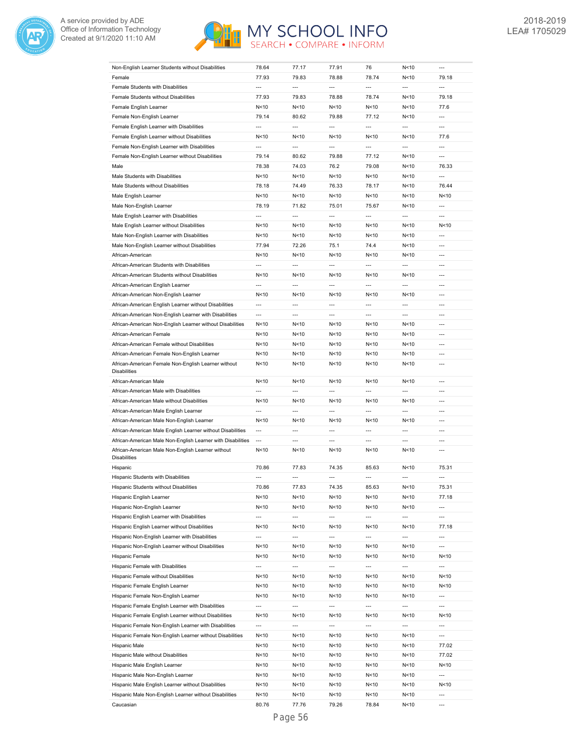



| Non-English Learner Students without Disabilities                        | 78.64                    | 77.17                    | 77.91                    | 76                       | N<10                     |                          |
|--------------------------------------------------------------------------|--------------------------|--------------------------|--------------------------|--------------------------|--------------------------|--------------------------|
| Female                                                                   | 77.93                    | 79.83                    | 78.88                    | 78.74                    | N<10                     | 79.18                    |
| Female Students with Disabilities                                        | $\overline{a}$           | $\overline{a}$           | $\overline{a}$           | $\overline{a}$           | $\overline{a}$           | $\overline{a}$           |
| Female Students without Disabilities                                     | 77.93                    | 79.83                    | 78.88                    | 78.74                    | N<10                     | 79.18                    |
| Female English Learner                                                   | N<10                     | N<10                     | N <sub>10</sub>          | N<10                     | N<10                     | 77.6                     |
| Female Non-English Learner                                               |                          |                          |                          |                          | N<10                     | $\overline{a}$           |
|                                                                          | 79.14<br>$\overline{a}$  | 80.62<br>$\overline{a}$  | 79.88<br>$\overline{a}$  | 77.12<br>---             | $\overline{a}$           | $\overline{a}$           |
| Female English Learner with Disabilities                                 |                          |                          |                          |                          |                          |                          |
| Female English Learner without Disabilities                              | N<10                     | N<10                     | N<10                     | N<10                     | N<10                     | 77.6                     |
| Female Non-English Learner with Disabilities                             | $\overline{a}$           | $\overline{a}$           | $\overline{a}$           | $\overline{a}$           | $\overline{a}$           | $\overline{a}$           |
| Female Non-English Learner without Disabilities                          | 79.14                    | 80.62                    | 79.88                    | 77.12                    | N<10                     | $\overline{a}$           |
| Male                                                                     | 78.38                    | 74.03                    | 76.2                     | 79.08                    | N<10                     | 76.33                    |
| Male Students with Disabilities                                          | N<10                     | N<10                     | N < 10                   | N<10                     | N<10                     | $\overline{a}$           |
| Male Students without Disabilities                                       | 78.18                    | 74.49                    | 76.33                    | 78.17                    | N<10                     | 76.44                    |
| Male English Learner                                                     | N<10                     | N<10                     | N < 10                   | N<10                     | N<10                     | N<10                     |
| Male Non-English Learner                                                 | 78.19                    | 71.82                    | 75.01                    | 75.67                    | N<10                     | $\overline{a}$           |
| Male English Learner with Disabilities                                   | $\overline{a}$           | $\overline{a}$           | $\overline{a}$           | $\overline{a}$           | $\overline{a}$           | $\overline{a}$           |
|                                                                          |                          |                          |                          |                          |                          |                          |
| Male English Learner without Disabilities                                | N<10                     | N<10                     | N < 10                   | N<10                     | N<10                     | N<10                     |
| Male Non-English Learner with Disabilities                               | N<10                     | N<10                     | N<10                     | N<10                     | N<10                     | $\overline{a}$           |
| Male Non-English Learner without Disabilities                            | 77.94                    | 72.26                    | 75.1                     | 74.4                     | N <sub>10</sub>          | $---$                    |
| African-American                                                         | N<10                     | N<10                     | N<10                     | N<10                     | N<10                     | $---$                    |
| African-American Students with Disabilities                              | $\overline{a}$           | $\overline{a}$           | $\overline{a}$           | ---                      | $\overline{a}$           | $---$                    |
| African-American Students without Disabilities                           | N<10                     | N<10                     | N<10                     | N<10                     | N <sub>10</sub>          | ---                      |
| African-American English Learner                                         | ---                      | $\overline{a}$           | $\overline{a}$           | ---                      | $\overline{a}$           | $\overline{a}$           |
| African-American Non-English Learner                                     | N<10                     | N<10                     | N<10                     | N<10                     | N <sub>10</sub>          | $\overline{a}$           |
| African-American English Learner without Disabilities                    | ---                      | $\overline{a}$           | $\overline{a}$           | ---                      | ---                      | $\overline{a}$           |
|                                                                          | $\overline{a}$           | $\overline{a}$           | $\overline{a}$           | $\overline{a}$           | $\overline{a}$           | $\overline{a}$           |
| African-American Non-English Learner with Disabilities                   |                          |                          |                          |                          |                          |                          |
| African-American Non-English Learner without Disabilities                | N<10                     | N<10                     | N<10                     | N<10                     | N <sub>10</sub>          | $\overline{a}$           |
| African-American Female                                                  | N<10                     | N<10                     | N < 10                   | N<10                     | N <sub>10</sub>          | ---                      |
| African-American Female without Disabilities                             | N<10                     | N<10                     | N < 10                   | N<10                     | N <sub>10</sub>          | ---                      |
| African-American Female Non-English Learner                              | N<10                     | N<10                     | N < 10                   | N<10                     | N <sub>10</sub>          | ---                      |
| African-American Female Non-English Learner without                      | N<10                     | N<10                     | N<10                     | N<10                     | N <sub>10</sub>          | $\overline{a}$           |
| <b>Disabilities</b>                                                      |                          |                          |                          |                          |                          |                          |
| African-American Male                                                    | N<10                     | N<10                     | N < 10                   | N<10                     | N <sub>10</sub>          | $\overline{a}$           |
| African-American Male with Disabilities                                  | $\overline{a}$           | $\overline{a}$           | $\overline{a}$           | ---                      | $\overline{a}$           | $\overline{a}$           |
| African-American Male without Disabilities                               | N<10                     | N<10                     | N<10                     | N<10                     | N <sub>10</sub>          | $\overline{a}$           |
| African-American Male English Learner                                    | $\overline{a}$           | $\overline{a}$           | $\overline{a}$           | $\overline{a}$           | $\overline{a}$           | $\overline{a}$           |
|                                                                          |                          |                          |                          | N<10                     |                          |                          |
| African-American Male Non-English Learner                                | N<10                     | N<10                     | N < 10                   |                          | N<10                     | $\overline{a}$           |
|                                                                          | $\overline{a}$           | ---                      | $\overline{a}$           | $\overline{a}$           | $\overline{a}$           | $---$                    |
| African-American Male English Learner without Disabilities               |                          |                          |                          |                          |                          |                          |
| African-American Male Non-English Learner with Disabilities              | $\overline{\phantom{a}}$ | ---                      | ---                      | $\overline{a}$           | $\overline{a}$           | ---                      |
| African-American Male Non-English Learner without<br><b>Disabilities</b> | N<10                     | N<10                     | N<10                     | N<10                     | N<10                     | $---$                    |
| Hispanic                                                                 | 70.86                    | 77.83                    | 74.35                    | 85.63                    | N<10                     | 75.31                    |
| Hispanic Students with Disabilities                                      | $---$                    | ---                      | ---                      | ---                      | $\overline{a}$           | $- - -$                  |
| Hispanic Students without Disabilities                                   | 70.86                    | 77.83                    | 74.35                    | 85.63                    | N<10                     | 75.31                    |
| Hispanic English Learner                                                 | N<10                     | N < 10                   | N<10                     | N<10                     | N <sub>10</sub>          | 77.18                    |
| Hispanic Non-English Learner                                             | N<10                     | N < 10                   | N<10                     | N<10                     | N<10                     | ---                      |
| Hispanic English Learner with Disabilities                               | ---                      | ---                      | ---                      | ---                      | ---                      | ---                      |
| Hispanic English Learner without Disabilities                            | N<10                     | N < 10                   | N<10                     | N<10                     | N<10                     | 77.18                    |
|                                                                          |                          |                          |                          |                          |                          |                          |
| Hispanic Non-English Learner with Disabilities                           | ---                      | ---                      | ---                      | ---                      | ---                      | ---                      |
| Hispanic Non-English Learner without Disabilities                        | N<10                     | N<10                     | N<10                     | N<10                     | N <sub>10</sub>          | ---                      |
| Hispanic Female                                                          | N < 10                   | N<10                     | N<10                     | N<10                     | N<10                     | N<10                     |
| Hispanic Female with Disabilities                                        | $\overline{\phantom{a}}$ | $\overline{\phantom{a}}$ | $\overline{\phantom{a}}$ | $\overline{\phantom{a}}$ | $\overline{\phantom{a}}$ | ---                      |
| Hispanic Female without Disabilities                                     | N<10                     | N < 10                   | N<10                     | N<10                     | N < 10                   | N<10                     |
| Hispanic Female English Learner                                          | N < 10                   | N<10                     | N < 10                   | N<10                     | N<10                     | N<10                     |
| Hispanic Female Non-English Learner                                      | N < 10                   | N<10                     | N < 10                   | N<10                     | N<10                     | ---                      |
| Hispanic Female English Learner with Disabilities                        | ---                      | $\overline{\phantom{a}}$ | $\overline{\phantom{a}}$ | $\overline{\phantom{a}}$ | ---                      | $\overline{\phantom{a}}$ |
| Hispanic Female English Learner without Disabilities                     | N<10                     | N <sub>10</sub>          | N<10                     | N<10                     | N <sub>10</sub>          | N<10                     |
|                                                                          |                          |                          |                          |                          |                          |                          |
| Hispanic Female Non-English Learner with Disabilities                    | $\overline{\phantom{a}}$ | $\overline{\phantom{a}}$ | $\overline{\phantom{a}}$ | $\overline{\phantom{a}}$ | ---                      | ---                      |
| Hispanic Female Non-English Learner without Disabilities                 | N<10                     | N < 10                   | N<10                     | N<10                     | N <sub>10</sub>          | ---                      |
| Hispanic Male                                                            | N<10                     | N < 10                   | N<10                     | N<10                     | N <sub>10</sub>          | 77.02                    |
| Hispanic Male without Disabilities                                       | N<10                     | N < 10                   | N<10                     | N<10                     | N<10                     | 77.02                    |
| Hispanic Male English Learner                                            | N<10                     | N<10                     | N<10                     | N<10                     | N <sub>10</sub>          | N<10                     |
| Hispanic Male Non-English Learner                                        | N<10                     | N<10                     | N<10                     | N<10                     | N <sub>10</sub>          | ---                      |
| Hispanic Male English Learner without Disabilities                       | N<10                     | N<10                     | N<10                     | N<10                     | N <sub>10</sub>          | N<10                     |
| Hispanic Male Non-English Learner without Disabilities                   | N<10                     | N <sub>10</sub>          | N<10                     | N<10                     | N<10                     | ---                      |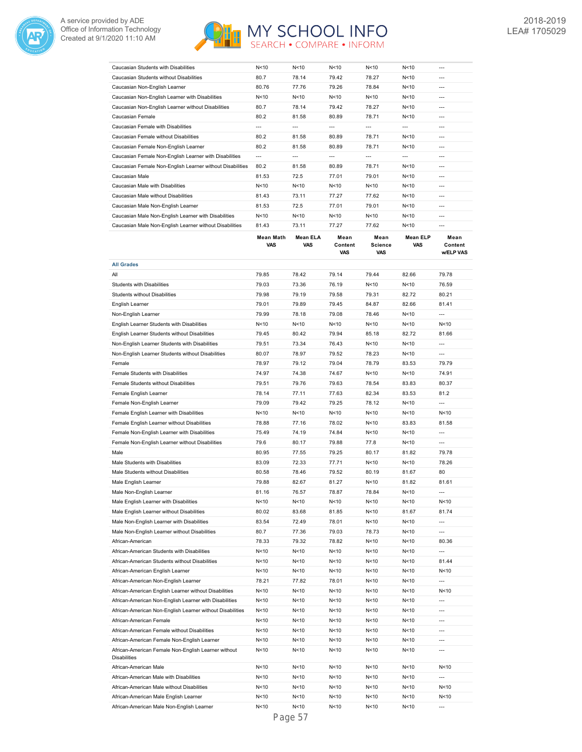



| Caucasian Students with Disabilities                      | N < 10 | N<10   | N<10   | N < 10 | N < 10 | --- |
|-----------------------------------------------------------|--------|--------|--------|--------|--------|-----|
| Caucasian Students without Disabilities                   | 80.7   | 78.14  | 79.42  | 78.27  | N<10   | --- |
| Caucasian Non-English Learner                             | 80.76  | 77.76  | 79.26  | 78.84  | N < 10 | --- |
| Caucasian Non-English Learner with Disabilities           | N < 10 | N < 10 | N<10   | N < 10 | N < 10 | --- |
| Caucasian Non-English Learner without Disabilities        | 80.7   | 78.14  | 79.42  | 78.27  | N < 10 | --- |
| Caucasian Female                                          | 80.2   | 81.58  | 80.89  | 78.71  | N < 10 | --- |
| Caucasian Female with Disabilities                        | ---    | ---    | $---$  | ---    | $---$  | --- |
| Caucasian Female without Disabilities                     | 80.2   | 81.58  | 80.89  | 78.71  | N < 10 | --- |
| Caucasian Female Non-English Learner                      | 80.2   | 81.58  | 80.89  | 78.71  | N<10   | --- |
| Caucasian Female Non-English Learner with Disabilities    | $---$  | ---    | $---$  | $---$  | $---$  | --- |
| Caucasian Female Non-English Learner without Disabilities | 80.2   | 81.58  | 80.89  | 78.71  | N<10   | --- |
| Caucasian Male                                            | 81.53  | 72.5   | 77.01  | 79.01  | N < 10 | --- |
| Caucasian Male with Disabilities                          | N < 10 | N<10   | N < 10 | N < 10 | N < 10 | --- |
| Caucasian Male without Disabilities                       | 81.43  | 73.11  | 77.27  | 77.62  | N < 10 | --- |
| Caucasian Male Non-English Learner                        | 81.53  | 72.5   | 77.01  | 79.01  | N<10   | --- |
| Caucasian Male Non-English Learner with Disabilities      | N<10   | N < 10 | N < 10 | N<10   | N<10   | --- |
| Caucasian Male Non-English Learner without Disabilities   | 81.43  | 73.11  | 77.27  | 77.62  | N<10   | --- |
|                                                           |        |        |        |        |        |     |

|                                                                            | Mean Math<br>VAS | Mean ELA<br>VAS | Mean<br>Content<br>VAS  | Mean<br><b>Science</b><br><b>VAS</b> | Mean ELP<br>VAS         | Mean<br>Content<br>w/ELP VAS |
|----------------------------------------------------------------------------|------------------|-----------------|-------------------------|--------------------------------------|-------------------------|------------------------------|
| <b>All Grades</b>                                                          |                  |                 |                         |                                      |                         |                              |
| All                                                                        | 79.85            | 78.42           | 79.14                   | 79.44                                | 82.66                   | 79.78                        |
| Students with Disabilities                                                 | 79.03            | 73.36           | 76.19                   | N<10                                 | N<10                    | 76.59                        |
| <b>Students without Disabilities</b>                                       | 79.98            | 79.19           | 79.58                   | 79.31                                | 82.72                   | 80.21                        |
| English Learner                                                            | 79.01            | 79.89           | 79.45                   | 84.87                                | 82.66                   | 81.41                        |
| Non-English Learner                                                        | 79.99            | 78.18           | 79.08                   | 78.46                                | N<10                    | $\overline{a}$               |
| English Learner Students with Disabilities                                 | N < 10           | N<10            | N <sub>10</sub>         | N<10                                 | N<10                    | N<10                         |
| English Learner Students without Disabilities                              | 79.45            | 80.42           | 79.94                   | 85.18                                | 82.72                   | 81.66                        |
| Non-English Learner Students with Disabilities                             | 79.51            | 73.34           | 76.43                   | N<10                                 | N<10                    | $---$                        |
| Non-English Learner Students without Disabilities                          | 80.07            | 78.97           | 79.52                   | 78.23                                | N <sub>10</sub>         | $\overline{a}$               |
| Female                                                                     | 78.97            | 79.12           | 79.04                   | 78.79                                | 83.53                   | 79.79                        |
| Female Students with Disabilities                                          | 74.97            | 74.38           | 74.67                   | N<10                                 | N<10                    | 74.91                        |
| Female Students without Disabilities                                       | 79.51            | 79.76           | 79.63                   | 78.54                                | 83.83                   | 80.37                        |
| Female English Learner                                                     | 78.14            | 77.11           | 77.63                   | 82.34                                | 83.53                   | 81.2                         |
| Female Non-English Learner                                                 | 79.09            | 79.42           | 79.25                   | 78.12                                | N<10                    | $\overline{a}$               |
| Female English Learner with Disabilities                                   | N<10             | N<10            | N<10                    | N<10                                 | N<10                    | N<10                         |
| Female English Learner without Disabilities                                | 78.88            | 77.16           | 78.02                   | N<10                                 | 83.83                   | 81.58                        |
| Female Non-English Learner with Disabilities                               | 75.49            | 74.19           | 74.84                   | N<10                                 | N < 10                  | $\overline{a}$               |
| Female Non-English Learner without Disabilities                            | 79.6             | 80.17           | 79.88                   | 77.8                                 | N <sub>10</sub>         | $\overline{a}$               |
| Male                                                                       | 80.95            | 77.55           | 79.25                   | 80.17                                | 81.82                   | 79.78                        |
| Male Students with Disabilities                                            | 83.09            | 72.33           | 77.71                   | N<10                                 | N<10                    | 78.26                        |
| Male Students without Disabilities                                         | 80.58            | 78.46           | 79.52                   | 80.19                                | 81.67                   | 80                           |
| Male English Learner                                                       | 79.88            | 82.67           | 81.27                   | N<10                                 | 81.82                   | 81.61                        |
| Male Non-English Learner                                                   | 81.16            | 76.57           | 78.87                   | 78.84                                | N <sub>10</sub>         | $\overline{a}$               |
| Male English Learner with Disabilities                                     | N<10             | N <sub>10</sub> | N <sub>10</sub>         | N <sub>10</sub>                      | N<10                    | N <sub>10</sub>              |
| Male English Learner without Disabilities                                  | 80.02            | 83.68           | 81.85                   | N<10                                 | 81.67                   | 81.74                        |
| Male Non-English Learner with Disabilities                                 | 83.54            | 72.49           | 78.01                   | N<10                                 | N < 10                  | $\overline{a}$               |
| Male Non-English Learner without Disabilities                              | 80.7             | 77.36           | 79.03                   | 78.73                                | N<10                    | $\overline{a}$               |
| African-American                                                           | 78.33            | 79.32           | 78.82                   | N <sub>10</sub>                      | N<10                    | 80.36                        |
| African-American Students with Disabilities                                | N<10             | N<10            | N<10                    | N<10                                 | N<10                    | $\overline{a}$               |
| African-American Students without Disabilities                             | N < 10           | N<10            | N <sub>10</sub>         | N <sub>10</sub>                      | N <sub>10</sub>         | 81.44                        |
| African-American English Learner                                           | N < 10           | N<10            | N<10                    | N<10                                 | N<10                    | N<10                         |
| African-American Non-English Learner                                       | 78.21            | 77.82           | 78.01                   | N<10                                 | N<10                    | $\overline{a}$               |
| African-American English Learner without Disabilities                      | N<10             | N <sub>10</sub> | N <sub>10</sub>         | N<10                                 | N<10                    | N <sub>10</sub>              |
| African-American Non-English Learner with Disabilities                     | N < 10           | N<10            | N<10                    | N<10                                 | N<10                    | $\overline{a}$               |
| African-American Non-English Learner without Disabilities                  | N < 10           | N<10            | N<10                    | N<10                                 | N<10                    | ---                          |
| African-American Female                                                    | N<10             | N<10            | N<10                    | N<10                                 | N<10                    | $---$                        |
|                                                                            |                  |                 |                         |                                      |                         | $\overline{a}$               |
| African-American Female without Disabilities                               | N<10<br>N<10     | N<10<br>N<10    | N <sub>10</sub><br>N<10 | N<10<br>N<10                         | N <sub>10</sub><br>N<10 | $\overline{a}$               |
| African-American Female Non-English Learner                                |                  |                 |                         |                                      |                         | $\overline{a}$               |
| African-American Female Non-English Learner without<br><b>Disabilities</b> | N<10             | N<10            | N<10                    | N<10                                 | N<10                    |                              |
| African-American Male                                                      | N < 10           | N<10            | N<10                    | N<10                                 | N<10                    | N<10                         |
| African-American Male with Disabilities                                    | N<10             | N<10            | N<10                    | N<10                                 | N<10                    |                              |
| African-American Male without Disabilities                                 | N <sub>10</sub>  | N <sub>10</sub> | N <sub>10</sub>         | N <sub>10</sub>                      | N <sub>10</sub>         | N <sub>10</sub>              |
| African-American Male English Learner                                      | N<10             | N<10            | N<10                    | N<10                                 | N<10                    | N<10                         |
| African-American Male Non-English Learner                                  | N<10             | N<10            | N<10                    | N<10                                 | N<10                    |                              |